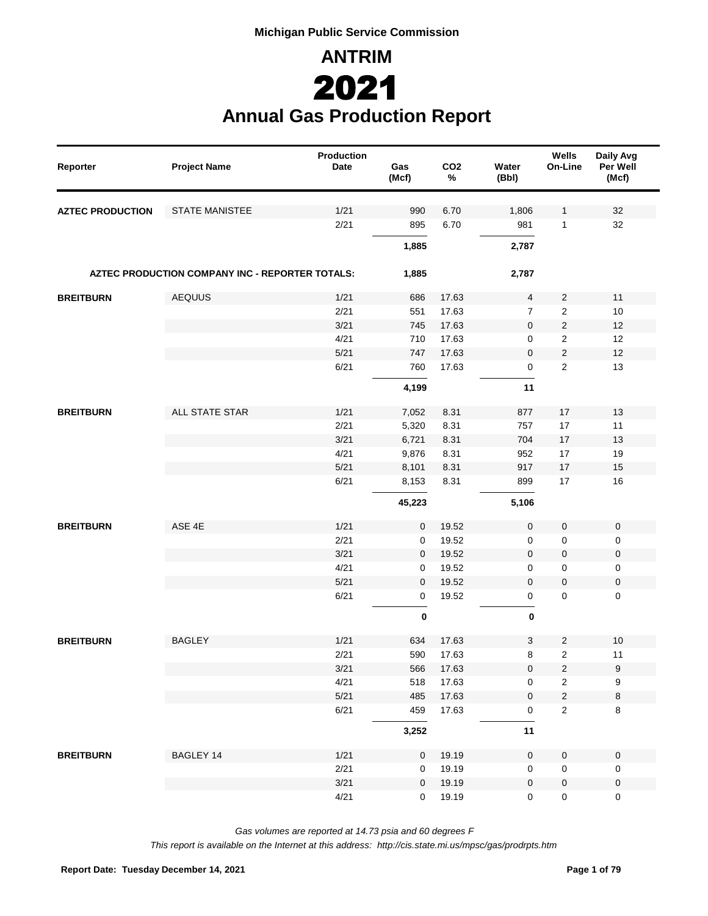**ANTRIM Annual Gas Production Report** 2021

| Reporter                | <b>Project Name</b>                             | <b>Production</b><br>Date | Gas<br>(Mcf) | CO <sub>2</sub><br>% | Water<br>(Bbl)      | Wells<br>On-Line    | Daily Avg<br>Per Well<br>(Mcf) |
|-------------------------|-------------------------------------------------|---------------------------|--------------|----------------------|---------------------|---------------------|--------------------------------|
| <b>AZTEC PRODUCTION</b> | <b>STATE MANISTEE</b>                           | 1/21                      | 990          | 6.70                 | 1,806               | 1                   | 32                             |
|                         |                                                 | 2/21                      | 895          | 6.70                 | 981                 | 1                   | 32                             |
|                         |                                                 |                           | 1,885        |                      | 2,787               |                     |                                |
|                         | AZTEC PRODUCTION COMPANY INC - REPORTER TOTALS: |                           | 1,885        |                      | 2,787               |                     |                                |
| <b>BREITBURN</b>        | <b>AEQUUS</b>                                   | 1/21                      | 686          | 17.63                | 4                   | $\overline{2}$      | 11                             |
|                         |                                                 | 2/21                      | 551          | 17.63                | $\overline{7}$      | 2                   | 10                             |
|                         |                                                 | 3/21                      | 745          | 17.63                | $\mathbf 0$         | $\overline{c}$      | 12                             |
|                         |                                                 | 4/21                      | 710          | 17.63                | 0                   | 2                   | 12                             |
|                         |                                                 | 5/21                      | 747          | 17.63                | 0                   | $\overline{c}$      | 12                             |
|                         |                                                 | 6/21                      | 760          | 17.63                | $\mathsf 0$         | $\overline{2}$      | 13                             |
|                         |                                                 |                           | 4,199        |                      | 11                  |                     |                                |
| <b>BREITBURN</b>        | ALL STATE STAR                                  | 1/21                      | 7,052        | 8.31                 | 877                 | 17                  | 13                             |
|                         |                                                 | 2/21                      | 5,320        | 8.31                 | 757                 | 17                  | 11                             |
|                         |                                                 | 3/21                      | 6,721        | 8.31                 | 704                 | 17                  | 13                             |
|                         |                                                 | 4/21                      | 9,876        | 8.31                 | 952                 | 17                  | 19                             |
|                         |                                                 | 5/21                      | 8,101        | 8.31                 | 917                 | 17                  | 15                             |
|                         |                                                 | 6/21                      | 8,153        | 8.31                 | 899                 | 17                  | 16                             |
|                         |                                                 |                           | 45,223       |                      | 5,106               |                     |                                |
| <b>BREITBURN</b>        | ASE 4E                                          | 1/21                      | 0            | 19.52                | $\mathsf{O}\xspace$ | $\mathsf{O}\xspace$ | $\pmb{0}$                      |
|                         |                                                 | 2/21                      | 0            | 19.52                | $\mathbf 0$         | $\mathsf{O}\xspace$ | 0                              |
|                         |                                                 | 3/21                      | 0            | 19.52                | $\mathbf 0$         | $\mathsf{O}\xspace$ | $\pmb{0}$                      |
|                         |                                                 | 4/21                      | 0            | 19.52                | $\mathbf 0$         | $\mathsf{O}\xspace$ | 0                              |
|                         |                                                 | 5/21                      | 0            | 19.52                | $\mathbf 0$         | $\mathbf 0$         | $\pmb{0}$                      |
|                         |                                                 | 6/21                      | $\mathbf 0$  | 19.52                | $\mathsf 0$         | $\mathbf 0$         | 0                              |
|                         |                                                 |                           | $\pmb{0}$    |                      | $\pmb{0}$           |                     |                                |
| <b>BREITBURN</b>        | <b>BAGLEY</b>                                   | 1/21                      | 634          | 17.63                | 3                   | $\overline{c}$      | 10                             |
|                         |                                                 | 2/21                      | 590          | 17.63                | 8                   | $\overline{2}$      | 11                             |
|                         |                                                 | 3/21                      | 566          | 17.63                | $\mathbf 0$         | $\sqrt{2}$          | 9                              |
|                         |                                                 | 4/21                      | 518          | 17.63                | 0                   | $\overline{a}$      | 9                              |
|                         |                                                 | 5/21                      | 485          | 17.63                | $\mathsf{O}\xspace$ | $\sqrt{2}$          | $\bf 8$                        |
|                         |                                                 | 6/21                      | 459          | 17.63                | 0                   | $\overline{2}$      | 8                              |
|                         |                                                 |                           | 3,252        |                      | 11                  |                     |                                |
| <b>BREITBURN</b>        | BAGLEY 14                                       | 1/21                      | 0            | 19.19                | $\mathsf{O}\xspace$ | $\mathbf 0$         | $\pmb{0}$                      |
|                         |                                                 | 2/21                      | 0            | 19.19                | $\mathbf 0$         | $\mathbf 0$         | $\pmb{0}$                      |
|                         |                                                 | 3/21                      | 0            | 19.19                | $\mathbf 0$         | $\pmb{0}$           | $\pmb{0}$                      |
|                         |                                                 | 4/21                      | $\mathbf{0}$ | 19.19                | $\mathbf 0$         | $\mathbf 0$         | $\mathsf 0$                    |

*Gas volumes are reported at 14.73 psia and 60 degrees F*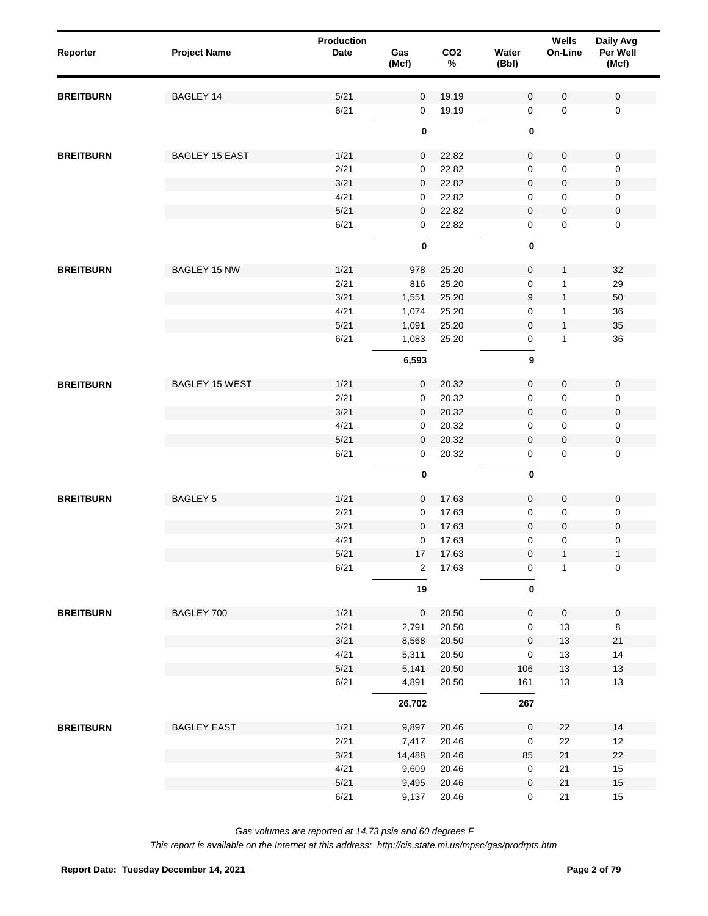| Reporter         | <b>Project Name</b>   | Production<br><b>Date</b> | Gas<br>(Mcf)   | CO <sub>2</sub><br>$\%$ | Water<br>(Bbl)      | Wells<br>On-Line | Daily Avg<br>Per Well<br>(Mcf) |
|------------------|-----------------------|---------------------------|----------------|-------------------------|---------------------|------------------|--------------------------------|
| <b>BREITBURN</b> | BAGLEY 14             | $5/21$                    | $\mathbf 0$    | 19.19                   | $\mathbf 0$         | $\mathbf 0$      | 0                              |
|                  |                       | 6/21                      | 0              | 19.19                   | $\mathsf 0$         | $\mathbf 0$      | $\pmb{0}$                      |
|                  |                       |                           | $\pmb{0}$      |                         | $\pmb{0}$           |                  |                                |
| <b>BREITBURN</b> | <b>BAGLEY 15 EAST</b> | 1/21                      | $\mathbf 0$    | 22.82                   | $\mathsf{O}\xspace$ | $\mathsf 0$      | $\pmb{0}$                      |
|                  |                       | 2/21                      | 0              | 22.82                   | 0                   | 0                | 0                              |
|                  |                       | 3/21                      | $\mathbf 0$    | 22.82                   | 0                   | 0                | $\pmb{0}$                      |
|                  |                       | 4/21                      | 0              | 22.82                   | 0                   | 0                | 0                              |
|                  |                       | $5/21$                    | $\mathbf 0$    | 22.82                   | 0                   | $\mathbf 0$      | $\pmb{0}$                      |
|                  |                       | 6/21                      | 0              | 22.82                   | $\mathsf 0$         | 0                | 0                              |
|                  |                       |                           | 0              |                         | $\bf{0}$            |                  |                                |
| <b>BREITBURN</b> | <b>BAGLEY 15 NW</b>   | 1/21                      | 978            | 25.20                   | $\mathsf{O}\xspace$ | $\mathbf{1}$     | 32                             |
|                  |                       | 2/21                      | 816            | 25.20                   | $\mathbf 0$         | $\mathbf{1}$     | 29                             |
|                  |                       | 3/21                      | 1,551          | 25.20                   | 9                   | $\mathbf{1}$     | 50                             |
|                  |                       | 4/21                      | 1,074          | 25.20                   | 0                   | 1                | 36                             |
|                  |                       | 5/21                      | 1,091          | 25.20                   | $\mathbf 0$         | $\mathbf{1}$     | 35                             |
|                  |                       | 6/21                      | 1,083          | 25.20                   | 0                   | $\mathbf{1}$     | 36                             |
|                  |                       |                           | 6,593          |                         | 9                   |                  |                                |
| <b>BREITBURN</b> | <b>BAGLEY 15 WEST</b> | 1/21                      | $\mathbf 0$    | 20.32                   | $\mathsf{O}\xspace$ | $\mathbf 0$      | $\pmb{0}$                      |
|                  |                       | 2/21                      | 0              | 20.32                   | $\mathsf 0$         | 0                | 0                              |
|                  |                       | 3/21                      | $\mathbf 0$    | 20.32                   | 0                   | $\mathbf 0$      | $\pmb{0}$                      |
|                  |                       | 4/21                      | 0              | 20.32                   | 0                   | 0                | 0                              |
|                  |                       | $5/21$                    | $\mathbf 0$    | 20.32                   | $\mathbf 0$         | $\mathbf 0$      | $\pmb{0}$                      |
|                  |                       | 6/21                      | $\mathbf 0$    | 20.32                   | $\mathsf 0$         | 0                | 0                              |
|                  |                       |                           | $\pmb{0}$      |                         | $\pmb{0}$           |                  |                                |
| <b>BREITBURN</b> | <b>BAGLEY 5</b>       | 1/21                      | $\mathbf 0$    | 17.63                   | $\mathbf 0$         | 0                | $\mathbf 0$                    |
|                  |                       | 2/21                      | 0              | 17.63                   | 0                   | 0                | 0                              |
|                  |                       | 3/21                      | $\overline{0}$ | 17.63                   | $\mathbf 0$         | 0                | $\pmb{0}$                      |
|                  |                       | 4/21                      | 0              | 17.63                   | $\mathbf 0$         | 0                | 0                              |
|                  |                       | 5/21                      | $17\,$         | 17.63                   | $\pmb{0}$           | $\mathbf{1}$     | $\mathbf{1}$                   |
|                  |                       | 6/21                      | $\overline{2}$ | 17.63                   | 0                   | 1                | $\pmb{0}$                      |
|                  |                       |                           | 19             |                         | $\bf{0}$            |                  |                                |
| <b>BREITBURN</b> | BAGLEY 700            | 1/21                      | $\pmb{0}$      | 20.50                   | $\mathbf 0$         | $\pmb{0}$        | $\pmb{0}$                      |
|                  |                       | 2/21                      | 2,791          | 20.50                   | $\mathsf 0$         | 13               | $\,8\,$                        |
|                  |                       | 3/21                      | 8,568          | 20.50                   | $\mathsf{O}\xspace$ | $13$             | $21$                           |
|                  |                       | 4/21                      | 5,311          | 20.50                   | $\mathsf 0$         | 13               | 14                             |
|                  |                       | $5/21$                    | 5,141          | 20.50                   | 106                 | $13\,$           | 13                             |
|                  |                       | 6/21                      | 4,891          | 20.50                   | 161                 | 13               | 13                             |
|                  |                       |                           | 26,702         |                         | 267                 |                  |                                |
| <b>BREITBURN</b> | <b>BAGLEY EAST</b>    | 1/21                      | 9,897          | 20.46                   | $\mathsf 0$         | 22               | 14                             |
|                  |                       | 2/21                      | 7,417          | 20.46                   | $\mathsf 0$         | 22               | 12                             |
|                  |                       | 3/21                      | 14,488         | 20.46                   | 85                  | 21               | 22                             |
|                  |                       | 4/21                      | 9,609          | 20.46                   | $\mathsf 0$         | 21               | 15                             |
|                  |                       | $5/21$                    | 9,495          | 20.46                   | $\mathsf{O}\xspace$ | 21               | 15                             |
|                  |                       | 6/21                      | 9,137          | 20.46                   | $\mathbf 0$         | 21               | 15                             |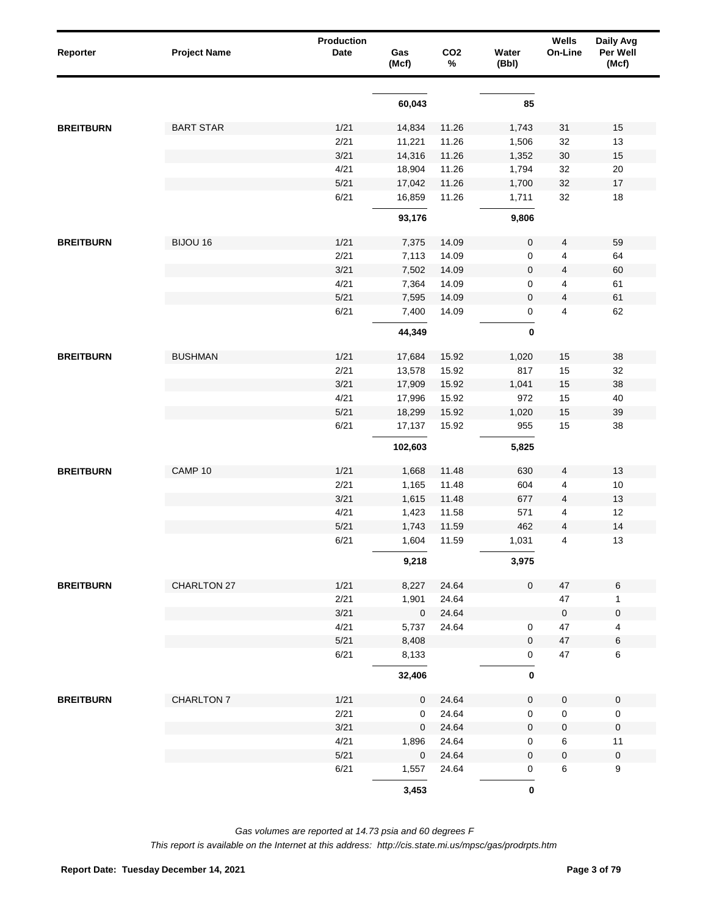| Reporter         | <b>Project Name</b> | Production<br>Date | Gas<br>(Mcf)              | CO <sub>2</sub><br>% | Water<br>(Bbl) | Wells<br>On-Line  | Daily Avg<br>Per Well<br>(Mcf) |
|------------------|---------------------|--------------------|---------------------------|----------------------|----------------|-------------------|--------------------------------|
|                  |                     |                    | 60,043                    |                      | 85             |                   |                                |
|                  |                     |                    |                           |                      |                |                   |                                |
| <b>BREITBURN</b> | <b>BART STAR</b>    | 1/21               | 14,834                    | 11.26                | 1,743          | 31                | 15                             |
|                  |                     | 2/21               | 11,221                    | 11.26                | 1,506          | 32                | 13                             |
|                  |                     | 3/21               | 14,316                    | 11.26                | 1,352          | $30\,$            | 15                             |
|                  |                     | 4/21               | 18,904                    | 11.26                | 1,794          | 32                | 20                             |
|                  |                     | 5/21               | 17,042                    | 11.26                | 1,700          | 32                | $17$                           |
|                  |                     | 6/21               | 16,859                    | 11.26                | 1,711          | 32                | 18                             |
|                  |                     |                    | 93,176                    |                      | 9,806          |                   |                                |
| <b>BREITBURN</b> | BIJOU 16            | 1/21               | 7,375                     | 14.09                | $\pmb{0}$      | 4                 | 59                             |
|                  |                     | 2/21               | 7,113                     | 14.09                | 0              | 4                 | 64                             |
|                  |                     | 3/21               | 7,502                     | 14.09                | $\mathbf 0$    | 4                 | 60                             |
|                  |                     | 4/21               | 7,364                     | 14.09                | 0              | 4                 | 61                             |
|                  |                     | $5/21$             | 7,595                     | 14.09                | $\pmb{0}$      | 4                 | 61                             |
|                  |                     | 6/21               | 7,400                     | 14.09                | 0              | 4                 | 62                             |
|                  |                     |                    | 44,349                    |                      | $\pmb{0}$      |                   |                                |
| <b>BREITBURN</b> | <b>BUSHMAN</b>      | 1/21               | 17,684                    | 15.92                | 1,020          | 15                | 38                             |
|                  |                     | 2/21               | 13,578                    | 15.92                | 817            | 15                | 32                             |
|                  |                     | 3/21               | 17,909                    | 15.92                | 1,041          | 15                | 38                             |
|                  |                     | 4/21               | 17,996                    | 15.92                | 972            | 15                | 40                             |
|                  |                     | 5/21               | 18,299                    | 15.92                | 1,020          | 15                | 39                             |
|                  |                     | 6/21               | 17,137                    | 15.92                | 955            | 15                | 38                             |
|                  |                     |                    | 102,603                   |                      | 5,825          |                   |                                |
| <b>BREITBURN</b> | CAMP 10             | 1/21               |                           | 11.48                | 630            | 4                 | 13                             |
|                  |                     | 2/21               | 1,668<br>1,165            | 11.48                | 604            | 4                 | 10                             |
|                  |                     | 3/21               | 1,615                     | 11.48                | 677            | 4                 | 13                             |
|                  |                     | 4/21               | 1,423                     | 11.58                | 571            | 4                 | 12                             |
|                  |                     | 5/21               | 1,743                     | 11.59                | 462            | 4                 | 14                             |
|                  |                     | 6/21               | 1,604                     | 11.59                | 1,031          | 4                 | 13                             |
|                  |                     |                    | 9,218                     |                      | 3,975          |                   |                                |
|                  |                     |                    |                           |                      |                |                   |                                |
| <b>BREITBURN</b> | CHARLTON 27         | 1/21               | 8,227                     | 24.64                | $\mathbf 0$    | 47                | $\,6\,$                        |
|                  |                     | 2/21<br>3/21       | 1,901<br>$\boldsymbol{0}$ | 24.64<br>24.64       |                | 47<br>$\mathbf 0$ | $\mathbf{1}$<br>$\pmb{0}$      |
|                  |                     | 4/21               | 5,737                     | 24.64                | 0              | 47                | 4                              |
|                  |                     | 5/21               | 8,408                     |                      | 0              | 47                | 6                              |
|                  |                     | 6/21               | 8,133                     |                      | 0              | 47                | 6                              |
|                  |                     |                    | 32,406                    |                      | $\bf{0}$       |                   |                                |
| <b>BREITBURN</b> | CHARLTON 7          | 1/21               | $\mathbf 0$               | 24.64                | $\mathbf 0$    | 0                 | $\mathbf 0$                    |
|                  |                     | 2/21               | 0                         | 24.64                | 0              | 0                 | $\mathbf 0$                    |
|                  |                     | 3/21               | $\mathbf 0$               | 24.64                | $\mathbf 0$    | 0                 | $\pmb{0}$                      |
|                  |                     | 4/21               | 1,896                     | 24.64                | 0              | 6                 | 11                             |
|                  |                     | 5/21               | 0                         | 24.64                | $\mathbf 0$    | 0                 | $\pmb{0}$                      |
|                  |                     | 6/21               | 1,557                     | 24.64                | 0              | 6                 | 9                              |
|                  |                     |                    | 3,453                     |                      | $\pmb{0}$      |                   |                                |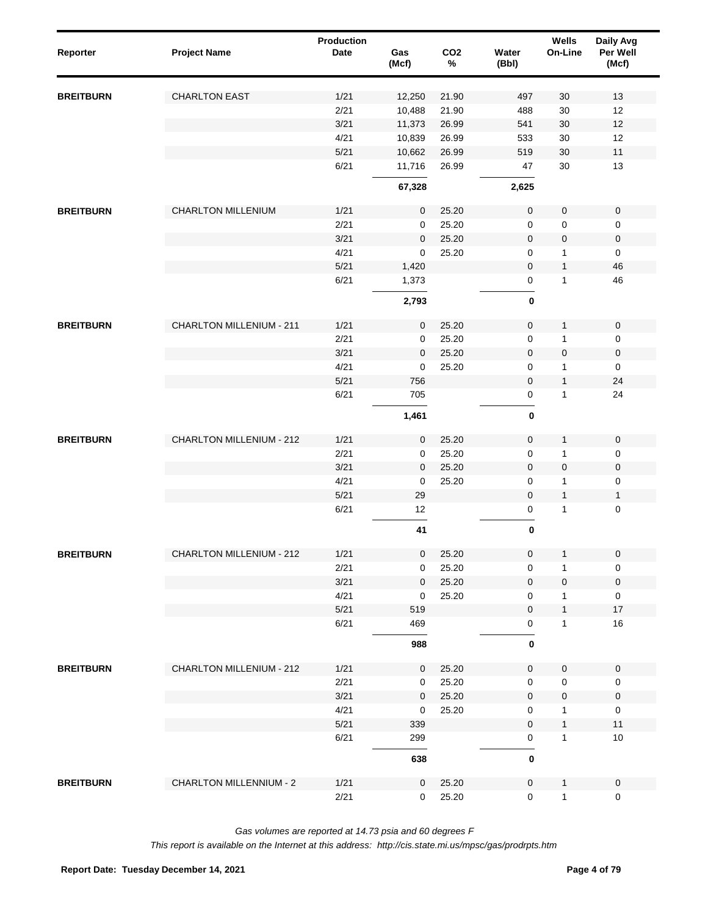| Reporter         | <b>Project Name</b>             | Production<br>Date | Gas<br>(Mcf) | CO <sub>2</sub><br>$\%$ | Water<br>(Bbl)             | Wells<br>On-Line             | Daily Avg<br>Per Well<br>(Mcf) |
|------------------|---------------------------------|--------------------|--------------|-------------------------|----------------------------|------------------------------|--------------------------------|
| <b>BREITBURN</b> | <b>CHARLTON EAST</b>            | 1/21               | 12,250       | 21.90                   | 497                        | 30                           | 13                             |
|                  |                                 | 2/21               | 10,488       | 21.90                   | 488                        | 30                           | 12                             |
|                  |                                 | 3/21               | 11,373       | 26.99                   | 541                        | 30                           | 12                             |
|                  |                                 | 4/21               | 10,839       | 26.99                   | 533                        | 30                           | 12                             |
|                  |                                 | 5/21               | 10,662       | 26.99                   | 519                        | 30                           | 11                             |
|                  |                                 | 6/21               | 11,716       | 26.99                   | 47                         | 30                           | 13                             |
|                  |                                 |                    | 67,328       |                         | 2,625                      |                              |                                |
| <b>BREITBURN</b> | <b>CHARLTON MILLENIUM</b>       | 1/21               | $\mathbf 0$  | 25.20                   | $\pmb{0}$                  | $\pmb{0}$                    | $\mathsf 0$                    |
|                  |                                 | 2/21               | $\mathbf 0$  | 25.20                   | $\mathbf 0$                | 0                            | 0                              |
|                  |                                 | 3/21               | $\mathbf 0$  | 25.20                   | $\mathsf{O}\xspace$        | $\pmb{0}$                    | 0                              |
|                  |                                 | 4/21               | $\mathbf 0$  | 25.20                   | $\mathbf 0$                | $\mathbf{1}$                 | $\mathbf 0$                    |
|                  |                                 | 5/21               | 1,420        |                         | $\mathsf{O}\xspace$        | $\mathbf{1}$                 | 46                             |
|                  |                                 | 6/21               | 1,373        |                         | $\mathsf 0$                | $\mathbf{1}$                 | 46                             |
|                  |                                 |                    | 2,793        |                         | 0                          |                              |                                |
| <b>BREITBURN</b> | <b>CHARLTON MILLENIUM - 211</b> | 1/21               | $\mathbf 0$  | 25.20                   | $\pmb{0}$                  | $\mathbf{1}$                 | $\mathsf{O}\xspace$            |
|                  |                                 | 2/21               | 0            | 25.20                   | $\mathbf 0$                | $\mathbf{1}$                 | $\mathsf 0$                    |
|                  |                                 | 3/21               | $\mathbf 0$  | 25.20                   | $\mathsf{O}\xspace$        | $\pmb{0}$                    | $\mathbf 0$                    |
|                  |                                 | 4/21               | 0            | 25.20                   | $\mathbf 0$                | 1                            | $\mathbf 0$                    |
|                  |                                 | 5/21               | 756          |                         | $\mathsf{O}\xspace$        | $\mathbf{1}$                 | 24                             |
|                  |                                 | 6/21               | 705          |                         | $\mathsf 0$                | $\mathbf{1}$                 | 24                             |
|                  |                                 |                    | 1,461        |                         | $\pmb{0}$                  |                              |                                |
| <b>BREITBURN</b> | <b>CHARLTON MILLENIUM - 212</b> | 1/21               | $\mathbf 0$  | 25.20                   | $\pmb{0}$                  | $\mathbf{1}$                 | $\mathsf 0$                    |
|                  |                                 | 2/21               | $\mathbf 0$  | 25.20                   | $\mathsf{O}\xspace$        | 1                            | 0                              |
|                  |                                 | 3/21               | $\mathbf 0$  | 25.20                   | $\mathsf{O}\xspace$        | $\pmb{0}$                    | $\pmb{0}$                      |
|                  |                                 | 4/21               | $\mathbf 0$  | 25.20                   | $\mathbf 0$                | $\mathbf{1}$                 | $\pmb{0}$                      |
|                  |                                 | 5/21               | 29           |                         | $\mathbf 0$                | $\mathbf{1}$                 | $\mathbf{1}$                   |
|                  |                                 | 6/21               | 12           |                         | $\mathsf 0$                | $\mathbf{1}$                 | 0                              |
|                  |                                 |                    | 41           |                         | $\pmb{0}$                  |                              |                                |
| <b>BREITBURN</b> | CHARLTON MILLENIUM - 212        | 1/21               | $\mathsf 0$  | 25.20                   | $\mathsf 0$                | $\mathbf{1}$                 | $\mathsf 0$                    |
|                  |                                 | 2/21               | 0            | 25.20                   | 0                          | 1                            | 0                              |
|                  |                                 | 3/21               | $\mathbf{0}$ | 25.20                   | $\mathbf 0$                | 0                            | $\mathbf 0$                    |
|                  |                                 | 4/21               | 0            | 25.20                   | 0                          | $\mathbf{1}$                 | $\mathbf 0$                    |
|                  |                                 | 5/21               | 519          |                         | $\mathbf 0$                | $\mathbf{1}$                 | 17                             |
|                  |                                 | 6/21               | 469          |                         | 0                          | $\mathbf{1}$                 | 16                             |
|                  |                                 |                    | 988          |                         | 0                          |                              |                                |
| <b>BREITBURN</b> | <b>CHARLTON MILLENIUM - 212</b> | 1/21               | 0            | 25.20                   | $\mathsf{O}\xspace$        | $\mathbf 0$                  | $\boldsymbol{0}$               |
|                  |                                 | 2/21               | 0            | 25.20                   | 0                          | $\pmb{0}$                    | 0                              |
|                  |                                 | 3/21               | $\mathbf 0$  | 25.20                   | $\mathsf{O}\xspace$        | 0                            | $\pmb{0}$                      |
|                  |                                 | 4/21               | $\mathbf 0$  | 25.20                   | 0                          | $\mathbf{1}$                 | $\mathsf 0$                    |
|                  |                                 | 5/21<br>6/21       | 339<br>299   |                         | $\mathbf 0$<br>$\mathsf 0$ | $\mathbf{1}$<br>$\mathbf{1}$ | $11$<br>10                     |
|                  |                                 |                    |              |                         | 0                          |                              |                                |
|                  |                                 |                    | 638          |                         |                            |                              |                                |
| <b>BREITBURN</b> | <b>CHARLTON MILLENNIUM - 2</b>  | 1/21               | $\mathbf 0$  | 25.20                   | $\mathbf 0$                | $\mathbf{1}$                 | $\boldsymbol{0}$               |
|                  |                                 | 2/21               | $\mathbf{0}$ | 25.20                   | 0                          | $\mathbf{1}$                 | $\mathbf 0$                    |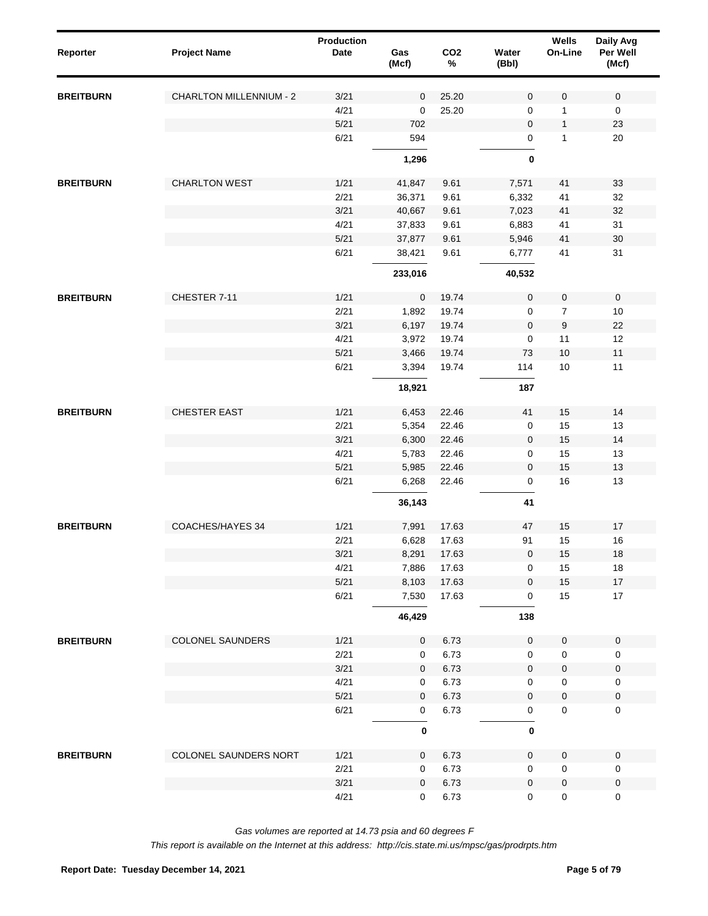| Reporter         | <b>Project Name</b>            | <b>Production</b><br>Date | Gas<br>(Mcf) | CO <sub>2</sub><br>$\%$ | Water<br>(Bbl)      | Wells<br>On-Line | Daily Avg<br>Per Well<br>(Mcf) |  |
|------------------|--------------------------------|---------------------------|--------------|-------------------------|---------------------|------------------|--------------------------------|--|
| <b>BREITBURN</b> | <b>CHARLTON MILLENNIUM - 2</b> | 3/21                      | $\mathbf 0$  | 25.20                   | 0                   | 0                | $\mathbf 0$                    |  |
|                  |                                | 4/21                      | $\mathbf 0$  | 25.20                   | 0                   | 1                | $\mathbf 0$                    |  |
|                  |                                | 5/21                      | 702          |                         | $\mathbf 0$         | $\mathbf{1}$     | 23                             |  |
|                  |                                | 6/21                      | 594          |                         | 0                   | 1                | 20                             |  |
|                  |                                |                           | 1,296        |                         | $\bf{0}$            |                  |                                |  |
| <b>BREITBURN</b> | <b>CHARLTON WEST</b>           | 1/21                      | 41,847       | 9.61                    | 7,571               | 41               | 33                             |  |
|                  |                                | 2/21                      | 36,371       | 9.61                    | 6,332               | 41               | 32                             |  |
|                  |                                | 3/21                      | 40,667       | 9.61                    | 7,023               | 41               | 32                             |  |
|                  |                                | 4/21                      | 37,833       | 9.61                    | 6,883               | 41               | 31                             |  |
|                  |                                | 5/21                      | 37,877       | 9.61                    | 5,946               | 41               | 30                             |  |
|                  |                                | 6/21                      | 38,421       | 9.61                    | 6,777               | 41               | 31                             |  |
|                  |                                |                           | 233,016      |                         | 40,532              |                  |                                |  |
| <b>BREITBURN</b> | CHESTER 7-11                   | 1/21                      | $\pmb{0}$    | 19.74                   | $\mathbf 0$         | 0                | $\mathsf{O}\xspace$            |  |
|                  |                                | 2/21                      | 1,892        | 19.74                   | 0                   | $\overline{7}$   | 10                             |  |
|                  |                                | 3/21                      | 6,197        | 19.74                   | $\mathbf 0$         | 9                | 22                             |  |
|                  |                                | 4/21                      | 3,972        | 19.74                   | 0                   | 11               | 12                             |  |
|                  |                                | 5/21                      | 3,466        | 19.74                   | 73                  | 10               | 11                             |  |
|                  |                                | 6/21                      | 3,394        | 19.74                   | 114                 | 10               | 11                             |  |
|                  |                                |                           | 18,921       |                         | 187                 |                  |                                |  |
| <b>BREITBURN</b> | <b>CHESTER EAST</b>            | 1/21                      | 6,453        | 22.46                   | 41                  | 15               | 14                             |  |
|                  |                                | 2/21                      | 5,354        | 22.46                   | $\pmb{0}$           | 15               | 13                             |  |
|                  |                                | 3/21                      | 6,300        | 22.46                   | $\pmb{0}$           | 15               | 14                             |  |
|                  |                                | 4/21                      | 5,783        | 22.46                   | 0                   | 15               | 13                             |  |
|                  |                                | 5/21                      | 5,985        | 22.46                   | $\mathbf 0$         | 15               | 13                             |  |
|                  |                                | 6/21                      | 6,268        | 22.46                   | 0                   | 16               | 13                             |  |
|                  |                                |                           | 36,143       |                         | 41                  |                  |                                |  |
| <b>BREITBURN</b> | <b>COACHES/HAYES 34</b>        | 1/21                      | 7,991        | 17.63                   | 47                  | 15               | 17                             |  |
|                  |                                | 2/21                      | 6,628        | 17.63                   | 91                  | 15               | 16                             |  |
|                  |                                | 3/21                      | 8,291        | 17.63                   | 0                   | 15               | 18                             |  |
|                  |                                | 4/21                      | 7,886        | 17.63                   | 0                   | 15               | 18                             |  |
|                  |                                | 5/21                      | 8,103        | 17.63                   | $\mathbf 0$         | 15               | $17$                           |  |
|                  |                                | 6/21                      | 7,530        | 17.63                   | 0                   | 15               | $17$                           |  |
|                  |                                |                           | 46,429       |                         | 138                 |                  |                                |  |
| <b>BREITBURN</b> | <b>COLONEL SAUNDERS</b>        | 1/21                      | $\mathbf 0$  | 6.73                    | $\mathsf 0$         | $\mathbf 0$      | $\mathbf 0$                    |  |
|                  |                                | 2/21                      | $\mathbf 0$  | 6.73                    | $\mathbf 0$         | $\pmb{0}$        | 0                              |  |
|                  |                                | 3/21                      | $\mathbf 0$  | 6.73                    | $\mathsf{O}\xspace$ | $\pmb{0}$        | $\pmb{0}$                      |  |
|                  |                                | 4/21                      | $\mathbf 0$  | 6.73                    | 0                   | $\pmb{0}$        | $\mathbf 0$                    |  |
|                  |                                | $5/21$                    | $\mathbf 0$  | 6.73                    | $\mathsf 0$         | $\pmb{0}$        | $\pmb{0}$                      |  |
|                  |                                | 6/21                      | $\mathbf 0$  | 6.73                    | $\mathsf 0$         | $\pmb{0}$        | $\mathbf 0$                    |  |
|                  |                                |                           | $\mathbf 0$  |                         | $\pmb{0}$           |                  |                                |  |
| <b>BREITBURN</b> | COLONEL SAUNDERS NORT          | 1/21                      | $\mathbf 0$  | 6.73                    | $\mathbf 0$         | $\mathbf 0$      | $\mathbf 0$                    |  |
|                  |                                | 2/21                      | 0            | 6.73                    | $\mathbf 0$         | $\mathbf 0$      | 0                              |  |
|                  |                                | 3/21                      | $\mathbf{0}$ | 6.73                    | $\mathbf 0$         | $\pmb{0}$        | $\mathbf 0$                    |  |
|                  |                                | 4/21                      | 0            | 6.73                    | 0                   | $\pmb{0}$        | $\mathbf 0$                    |  |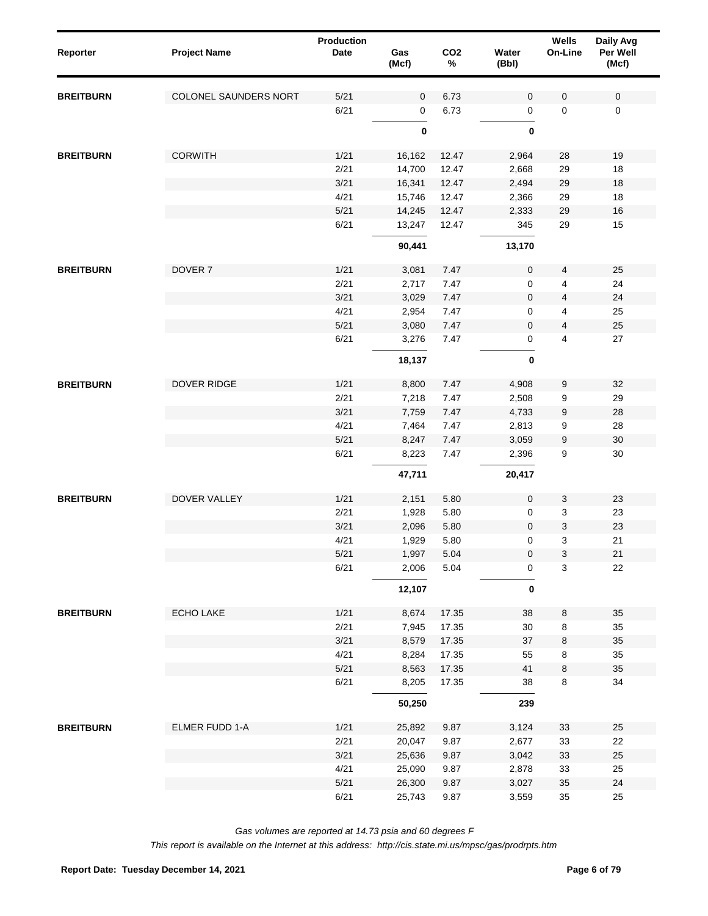| Reporter         | <b>Project Name</b>   | <b>Production</b><br>Date | Gas<br>(Mcf) | CO <sub>2</sub><br>$\%$ | Water<br>(Bbl) | Wells<br>On-Line | Daily Avg<br>Per Well<br>(Mcf) |
|------------------|-----------------------|---------------------------|--------------|-------------------------|----------------|------------------|--------------------------------|
| <b>BREITBURN</b> | COLONEL SAUNDERS NORT | 5/21                      | $\mathbf 0$  | 6.73                    | 0              | 0                | $\mathbf 0$                    |
|                  |                       | 6/21                      | 0            | 6.73                    | 0              | $\mathbf 0$      | $\mathbf 0$                    |
|                  |                       |                           | $\pmb{0}$    |                         | 0              |                  |                                |
| <b>BREITBURN</b> | <b>CORWITH</b>        | 1/21                      | 16,162       | 12.47                   | 2,964          | 28               | 19                             |
|                  |                       | 2/21                      | 14,700       | 12.47                   | 2,668          | 29               | 18                             |
|                  |                       | 3/21                      | 16,341       | 12.47                   | 2,494          | 29               | $18\,$                         |
|                  |                       | 4/21                      | 15,746       | 12.47                   | 2,366          | 29               | 18                             |
|                  |                       | 5/21                      | 14,245       | 12.47                   | 2,333          | 29               | $16\,$                         |
|                  |                       | 6/21                      | 13,247       | 12.47                   | 345            | 29               | 15                             |
|                  |                       |                           | 90,441       |                         | 13,170         |                  |                                |
| <b>BREITBURN</b> | DOVER <sub>7</sub>    | 1/21                      | 3,081        | 7.47                    | $\pmb{0}$      | 4                | 25                             |
|                  |                       | 2/21                      | 2,717        | 7.47                    | 0              | 4                | 24                             |
|                  |                       | 3/21                      | 3,029        | 7.47                    | 0              | 4                | 24                             |
|                  |                       | 4/21                      | 2,954        | 7.47                    | 0              | 4                | 25                             |
|                  |                       | 5/21                      | 3,080        | 7.47                    | 0              | 4                | 25                             |
|                  |                       | 6/21                      | 3,276        | 7.47                    | 0              | 4                | 27                             |
|                  |                       |                           | 18,137       |                         | $\pmb{0}$      |                  |                                |
| <b>BREITBURN</b> | DOVER RIDGE           | 1/21                      | 8,800        | 7.47                    | 4,908          | 9                | 32                             |
|                  |                       | 2/21                      | 7,218        | 7.47                    | 2,508          | 9                | 29                             |
|                  |                       | 3/21                      | 7,759        | 7.47                    | 4,733          | 9                | 28                             |
|                  |                       | 4/21                      | 7,464        | 7.47                    | 2,813          | 9                | 28                             |
|                  |                       | 5/21                      | 8,247        | 7.47                    | 3,059          | 9                | $30\,$                         |
|                  |                       | 6/21                      | 8,223        | 7.47                    | 2,396          | 9                | 30                             |
|                  |                       |                           | 47,711       |                         | 20,417         |                  |                                |
| <b>BREITBURN</b> | <b>DOVER VALLEY</b>   | 1/21                      | 2,151        | 5.80                    | $\mathbf 0$    | 3                | 23                             |
|                  |                       | 2/21                      | 1,928        | 5.80                    | 0              | 3                | 23                             |
|                  |                       | 3/21                      | 2,096        | 5.80                    | $\mathbf 0$    | 3                | 23                             |
|                  |                       | 4/21                      | 1,929        | 5.80                    | 0              | 3                | 21                             |
|                  |                       | 5/21                      | 1,997        | 5.04                    | 0              | 3                | 21                             |
|                  |                       | 6/21                      | 2,006        | 5.04                    | 0              | 3                | 22                             |
|                  |                       |                           | 12,107       |                         | 0              |                  |                                |
| <b>BREITBURN</b> | ECHO LAKE             | 1/21                      | 8,674        | 17.35                   | 38             | 8                | 35                             |
|                  |                       | 2/21                      | 7,945        | 17.35                   | $30\,$         | 8                | 35                             |
|                  |                       | 3/21                      | 8,579        | 17.35                   | 37             | 8                | 35                             |
|                  |                       | 4/21                      | 8,284        | 17.35                   | 55             | 8                | 35                             |
|                  |                       | 5/21                      | 8,563        | 17.35                   | 41             | $\bf 8$          | 35                             |
|                  |                       | 6/21                      | 8,205        | 17.35                   | 38             | 8                | 34                             |
|                  |                       |                           | 50,250       |                         | 239            |                  |                                |
| <b>BREITBURN</b> | ELMER FUDD 1-A        | 1/21                      | 25,892       | 9.87                    | 3,124          | 33               | 25                             |
|                  |                       | 2/21                      | 20,047       | 9.87                    | 2,677          | 33               | 22                             |
|                  |                       | 3/21                      | 25,636       | 9.87                    | 3,042          | 33               | 25                             |
|                  |                       | 4/21                      | 25,090       | 9.87                    | 2,878          | 33               | 25                             |
|                  |                       | 5/21                      | 26,300       | 9.87                    | 3,027          | 35               | 24                             |
|                  |                       | 6/21                      | 25,743       | 9.87                    | 3,559          | 35               | 25                             |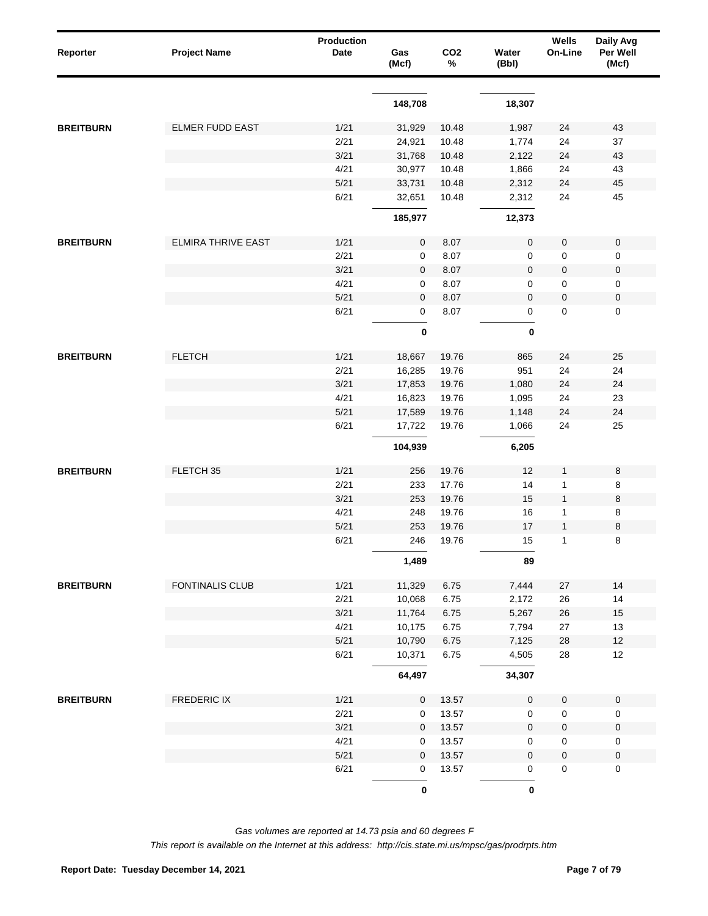| Reporter         | <b>Project Name</b>       | <b>Production</b><br>Date | Gas<br>(Mcf) | CO <sub>2</sub><br>% | Water<br>(Bbl)   | Wells<br>On-Line | Daily Avg<br>Per Well<br>(Mcf) |
|------------------|---------------------------|---------------------------|--------------|----------------------|------------------|------------------|--------------------------------|
|                  |                           |                           |              |                      |                  |                  |                                |
|                  |                           |                           | 148,708      |                      | 18,307           |                  |                                |
| <b>BREITBURN</b> | <b>ELMER FUDD EAST</b>    | 1/21                      | 31,929       | 10.48                | 1,987            | 24               | 43                             |
|                  |                           | 2/21                      | 24,921       | 10.48                | 1,774            | 24               | 37                             |
|                  |                           | 3/21                      | 31,768       | 10.48                | 2,122            | 24               | 43                             |
|                  |                           | 4/21                      | 30,977       | 10.48                | 1,866            | 24               | 43                             |
|                  |                           | 5/21                      | 33,731       | 10.48                | 2,312            | 24               | 45                             |
|                  |                           | 6/21                      | 32,651       | 10.48                | 2,312            | 24               | 45                             |
|                  |                           |                           | 185,977      |                      | 12,373           |                  |                                |
| <b>BREITBURN</b> | <b>ELMIRA THRIVE EAST</b> | 1/21                      | 0            | 8.07                 | $\mathbf 0$      | 0                | $\pmb{0}$                      |
|                  |                           | 2/21                      | 0            | 8.07                 | 0                | 0                | $\pmb{0}$                      |
|                  |                           | 3/21                      | 0            | 8.07                 | $\pmb{0}$        | 0                | $\pmb{0}$                      |
|                  |                           | 4/21                      | 0            | 8.07                 | 0                | 0                | $\pmb{0}$                      |
|                  |                           | 5/21                      | $\mathbf 0$  | 8.07                 | $\mathbf 0$      | 0                | $\pmb{0}$                      |
|                  |                           | 6/21                      | 0            | 8.07                 | 0                | 0                | $\pmb{0}$                      |
|                  |                           |                           | $\pmb{0}$    |                      | 0                |                  |                                |
|                  |                           |                           |              |                      |                  |                  |                                |
| <b>BREITBURN</b> | <b>FLETCH</b>             | 1/21                      | 18,667       | 19.76                | 865              | 24               | 25                             |
|                  |                           | 2/21                      | 16,285       | 19.76                | 951              | 24               | 24                             |
|                  |                           | 3/21                      | 17,853       | 19.76                | 1,080            | 24               | 24                             |
|                  |                           | 4/21                      | 16,823       | 19.76                | 1,095            | 24               | 23                             |
|                  |                           | 5/21                      | 17,589       | 19.76                | 1,148            | 24               | 24                             |
|                  |                           | 6/21                      | 17,722       | 19.76                | 1,066            | 24               | 25                             |
|                  |                           |                           | 104,939      |                      | 6,205            |                  |                                |
| <b>BREITBURN</b> | FLETCH 35                 | 1/21                      | 256          | 19.76                | 12               | 1                | 8                              |
|                  |                           | 2/21                      | 233          | 17.76                | 14               | $\mathbf{1}$     | 8                              |
|                  |                           | 3/21                      | 253          | 19.76                | 15               | $\mathbf{1}$     | $\,8\,$                        |
|                  |                           | 4/21                      | 248          | 19.76                | 16               | 1                | 8                              |
|                  |                           | 5/21                      | 253          | 19.76                | 17               | $\mathbf{1}$     | $\bf 8$                        |
|                  |                           | 6/21                      | 246          | 19.76                | 15               | 1                | 8                              |
|                  |                           |                           | 1,489        |                      | 89               |                  |                                |
| <b>BREITBURN</b> | <b>FONTINALIS CLUB</b>    | 1/21                      | 11,329       | 6.75                 | 7,444            | 27               | 14                             |
|                  |                           | 2/21                      | 10,068       | 6.75                 | 2,172            | 26               | 14                             |
|                  |                           | 3/21                      | 11,764       | 6.75                 | 5,267            | $26\,$           | $15$                           |
|                  |                           | 4/21                      | 10,175       | 6.75                 | 7,794            | 27               | 13                             |
|                  |                           | $5/21$                    | 10,790       | 6.75                 | 7,125            | 28               | $12$                           |
|                  |                           | 6/21                      | 10,371       | 6.75                 | 4,505            | 28               | 12                             |
|                  |                           |                           | 64,497       |                      | 34,307           |                  |                                |
| <b>BREITBURN</b> | FREDERIC IX               | 1/21                      | $\mathbf 0$  | 13.57                | $\pmb{0}$        | 0                | $\pmb{0}$                      |
|                  |                           | 2/21                      | 0            | 13.57                | $\pmb{0}$        | 0                | $\pmb{0}$                      |
|                  |                           | 3/21                      | $\mathbf 0$  | 13.57                | $\pmb{0}$        | $\pmb{0}$        | $\pmb{0}$                      |
|                  |                           | 4/21                      | 0            | 13.57                | 0                | 0                | $\boldsymbol{0}$               |
|                  |                           | 5/21                      | $\mathbf 0$  | 13.57                | $\boldsymbol{0}$ | 0                | $\pmb{0}$                      |
|                  |                           | 6/21                      | 0            | 13.57                | 0                | 0                | $\pmb{0}$                      |
|                  |                           |                           | $\pmb{0}$    |                      | $\pmb{0}$        |                  |                                |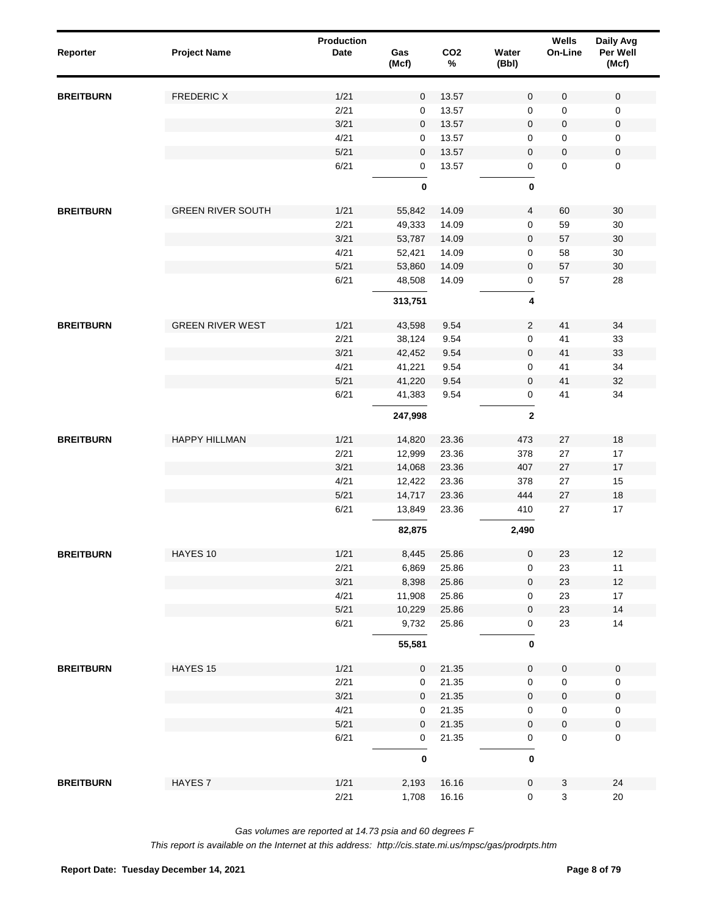| Reporter         | <b>Project Name</b>      | Production<br><b>Date</b> | Gas<br>(Mcf) | CO <sub>2</sub><br>% | Water<br>(Bbl)      | Wells<br>On-Line | Daily Avg<br>Per Well<br>(Mcf) |
|------------------|--------------------------|---------------------------|--------------|----------------------|---------------------|------------------|--------------------------------|
| <b>BREITBURN</b> | <b>FREDERIC X</b>        | 1/21                      | $\mathbf 0$  | 13.57                | $\mathsf{O}\xspace$ | $\mathbf 0$      | 0                              |
|                  |                          | 2/21                      | 0            | 13.57                | $\mathbf 0$         | 0                | 0                              |
|                  |                          | 3/21                      | $\mathbf 0$  | 13.57                | $\mathbf 0$         | 0                | $\pmb{0}$                      |
|                  |                          | 4/21                      | 0            | 13.57                | 0                   | $\mathbf 0$      | 0                              |
|                  |                          | $5/21$                    | $\mathbf 0$  | 13.57                | $\mathbf 0$         | 0                | $\pmb{0}$                      |
|                  |                          | 6/21                      | 0            | 13.57                | 0                   | $\mathbf{0}$     | $\pmb{0}$                      |
|                  |                          |                           | 0            |                      | $\bf{0}$            |                  |                                |
| <b>BREITBURN</b> | <b>GREEN RIVER SOUTH</b> | 1/21                      | 55,842       | 14.09                | $\overline{4}$      | 60               | 30                             |
|                  |                          | 2/21                      | 49,333       | 14.09                | $\mathsf 0$         | 59               | 30                             |
|                  |                          | 3/21                      | 53,787       | 14.09                | $\mathsf 0$         | 57               | 30                             |
|                  |                          | 4/21                      | 52,421       | 14.09                | $\mathsf 0$         | 58               | 30                             |
|                  |                          | $5/21$                    | 53,860       | 14.09                | 0                   | 57               | 30                             |
|                  |                          | 6/21                      | 48,508       | 14.09                | $\mathsf 0$         | 57               | 28                             |
|                  |                          |                           | 313,751      |                      | 4                   |                  |                                |
| <b>BREITBURN</b> | <b>GREEN RIVER WEST</b>  | 1/21                      | 43,598       | 9.54                 | $\overline{2}$      | 41               | 34                             |
|                  |                          | 2/21                      | 38,124       | 9.54                 | $\mathbf 0$         | 41               | 33                             |
|                  |                          | 3/21                      | 42,452       | 9.54                 | $\mathbf 0$         | 41               | 33                             |
|                  |                          | 4/21                      | 41,221       | 9.54                 | $\mathbf 0$         | 41               | 34                             |
|                  |                          | $5/21$                    | 41,220       | 9.54                 | $\mathbf 0$         | 41               | 32                             |
|                  |                          | 6/21                      | 41,383       | 9.54                 | 0                   | 41               | 34                             |
|                  |                          |                           | 247,998      |                      | $\mathbf{2}$        |                  |                                |
| <b>BREITBURN</b> | <b>HAPPY HILLMAN</b>     | 1/21                      | 14,820       | 23.36                | 473                 | 27               | 18                             |
|                  |                          | 2/21                      | 12,999       | 23.36                | 378                 | 27               | 17                             |
|                  |                          | 3/21                      | 14,068       | 23.36                | 407                 | 27               | 17                             |
|                  |                          | 4/21                      | 12,422       | 23.36                | 378                 | 27               | 15                             |
|                  |                          | $5/21$                    | 14,717       | 23.36                | 444                 | 27               | 18                             |
|                  |                          | 6/21                      | 13,849       | 23.36                | 410                 | 27               | 17                             |
|                  |                          |                           | 82,875       |                      | 2,490               |                  |                                |
| <b>BREITBURN</b> | HAYES 10                 | 1/21                      | 8,445        | 25.86                | $\mathsf 0$         | 23               | 12                             |
|                  |                          | 2/21                      | 6,869        | 25.86                | 0                   | 23               | $11$                           |
|                  |                          | 3/21                      | 8,398        | 25.86                | $\mathsf{O}\xspace$ | 23               | $12$                           |
|                  |                          | 4/21                      | 11,908       | 25.86                | 0                   | 23               | 17                             |
|                  |                          | 5/21                      | 10,229       | 25.86                | 0                   | 23               | 14                             |
|                  |                          | 6/21                      | 9,732        | 25.86                | 0                   | 23               | 14                             |
|                  |                          |                           | 55,581       |                      | 0                   |                  |                                |
| <b>BREITBURN</b> | HAYES 15                 | 1/21                      | $\mathbf 0$  | 21.35                | $\mathbf 0$         | $\mathbf 0$      | $\mathsf 0$                    |
|                  |                          | 2/21                      | 0            | 21.35                | $\mathsf 0$         | $\mathsf 0$      | 0                              |
|                  |                          | 3/21                      | 0            | 21.35                | $\mathsf 0$         | $\mathsf 0$      | $\pmb{0}$                      |
|                  |                          | 4/21                      | 0            | 21.35                | $\mathsf 0$         | $\mathsf 0$      | $\pmb{0}$                      |
|                  |                          | $5/21$                    | 0            | 21.35                | $\mathsf 0$         | $\mathsf 0$      | $\pmb{0}$                      |
|                  |                          | 6/21                      | $\mathbf 0$  | 21.35                | 0                   | $\mathbf 0$      | $\pmb{0}$                      |
|                  |                          |                           | $\pmb{0}$    |                      | $\pmb{0}$           |                  |                                |
| <b>BREITBURN</b> | HAYES <sub>7</sub>       | 1/21                      | 2,193        | 16.16                | $\mathsf{O}\xspace$ | $\mathbf{3}$     | 24                             |
|                  |                          | 2/21                      | 1,708        | 16.16                | $\mathbf 0$         | $\mathbf{3}$     | $20\,$                         |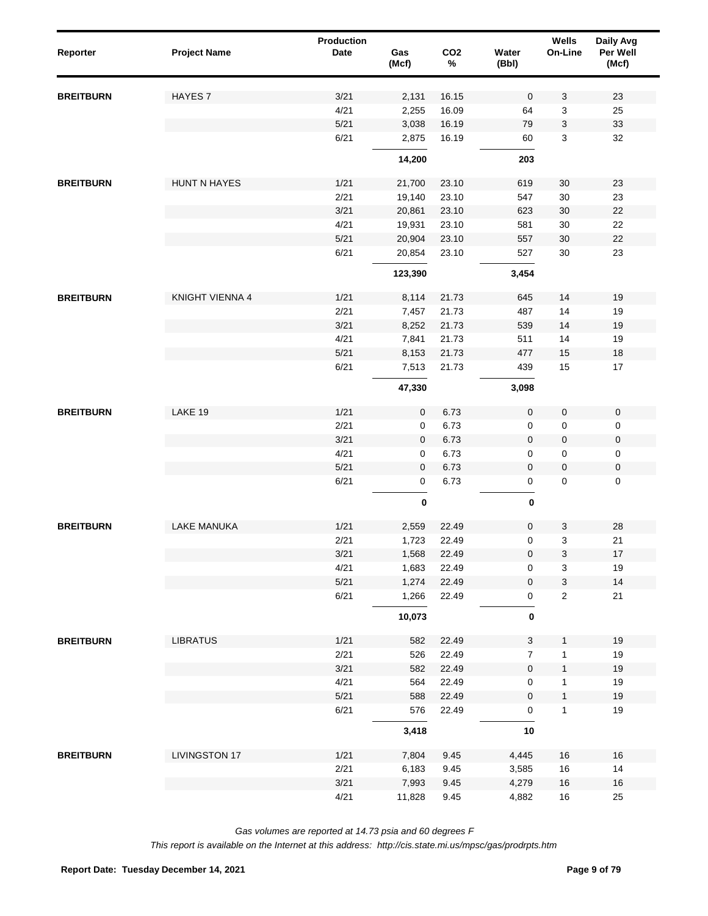| Reporter         | <b>Project Name</b>  | Production<br><b>Date</b> | Gas<br>(Mcf) | CO <sub>2</sub><br>$\%$ | Water<br>(Bbl)      | Wells<br>On-Line          | Daily Avg<br>Per Well<br>(Mcf) |
|------------------|----------------------|---------------------------|--------------|-------------------------|---------------------|---------------------------|--------------------------------|
| <b>BREITBURN</b> | <b>HAYES7</b>        | 3/21                      | 2,131        | 16.15                   | $\mathbf 0$         | 3                         | 23                             |
|                  |                      | 4/21                      | 2,255        | 16.09                   | 64                  | 3                         | 25                             |
|                  |                      | 5/21                      | 3,038        | 16.19                   | 79                  | 3                         | 33                             |
|                  |                      | 6/21                      | 2,875        | 16.19                   | 60                  | 3                         | 32                             |
|                  |                      |                           | 14,200       |                         | 203                 |                           |                                |
| <b>BREITBURN</b> | <b>HUNT N HAYES</b>  | 1/21                      | 21,700       | 23.10                   | 619                 | 30                        | 23                             |
|                  |                      | 2/21                      | 19,140       | 23.10                   | 547                 | 30                        | 23                             |
|                  |                      | 3/21                      | 20,861       | 23.10                   | 623                 | 30                        | 22                             |
|                  |                      | 4/21                      | 19,931       | 23.10                   | 581                 | 30                        | 22                             |
|                  |                      | 5/21                      | 20,904       | 23.10                   | 557                 | 30                        | 22                             |
|                  |                      | 6/21                      | 20,854       | 23.10                   | 527                 | 30                        | 23                             |
|                  |                      |                           | 123,390      |                         | 3,454               |                           |                                |
| <b>BREITBURN</b> | KNIGHT VIENNA 4      | 1/21                      | 8,114        | 21.73                   | 645                 | 14                        | 19                             |
|                  |                      | 2/21                      | 7,457        | 21.73                   | 487                 | 14                        | 19                             |
|                  |                      | 3/21                      | 8,252        | 21.73                   | 539                 | 14                        | 19                             |
|                  |                      | 4/21                      | 7,841        | 21.73                   | 511                 | 14                        | 19                             |
|                  |                      | 5/21                      | 8,153        | 21.73                   | 477                 | 15                        | 18                             |
|                  |                      | 6/21                      | 7,513        | 21.73                   | 439                 | 15                        | 17                             |
|                  |                      |                           | 47,330       |                         | 3,098               |                           |                                |
| <b>BREITBURN</b> | LAKE 19              | 1/21                      | $\mathbf 0$  | 6.73                    | 0                   | $\pmb{0}$                 | $\mathsf 0$                    |
|                  |                      | 2/21                      | $\mathbf 0$  | 6.73                    | 0                   | 0                         | 0                              |
|                  |                      | 3/21                      | $\mathbf 0$  | 6.73                    | $\mathbf 0$         | $\pmb{0}$                 | $\pmb{0}$                      |
|                  |                      | 4/21                      | $\mathbf 0$  | 6.73                    | 0                   | 0                         | 0                              |
|                  |                      | 5/21                      | $\mathbf 0$  | 6.73                    | 0                   | $\pmb{0}$                 | $\pmb{0}$                      |
|                  |                      | 6/21                      | $\pmb{0}$    | 6.73                    | 0                   | $\pmb{0}$                 | $\mathsf 0$                    |
|                  |                      |                           | $\pmb{0}$    |                         | $\pmb{0}$           |                           |                                |
| <b>BREITBURN</b> | <b>LAKE MANUKA</b>   | 1/21                      | 2,559        | 22.49                   | 0                   | 3                         | 28                             |
|                  |                      | 2/21                      | 1,723        | 22.49                   | 0                   | 3                         | 21                             |
|                  |                      | 3/21                      | 1,568        | 22.49                   | $\pmb{0}$           | 3                         | $17\,$                         |
|                  |                      | 4/21                      | 1,683        | 22.49                   | 0                   | 3                         | 19                             |
|                  |                      | $5/21$                    | 1,274        | 22.49                   | $\pmb{0}$           | $\ensuremath{\mathsf{3}}$ | 14                             |
|                  |                      | 6/21                      | 1,266        | 22.49                   | 0                   | $\overline{c}$            | 21                             |
|                  |                      |                           | 10,073       |                         | $\pmb{0}$           |                           |                                |
| <b>BREITBURN</b> | <b>LIBRATUS</b>      | 1/21                      | 582          | 22.49                   | 3                   | 1                         | 19                             |
|                  |                      | 2/21                      | 526          | 22.49                   | $\overline{7}$      | 1                         | 19                             |
|                  |                      | 3/21                      | 582          | 22.49                   | $\mathsf{O}\xspace$ | $\mathbf{1}$              | $19$                           |
|                  |                      | 4/21                      | 564          | 22.49                   | 0                   | 1                         | 19                             |
|                  |                      | 5/21                      | 588          | 22.49                   | 0                   | $\mathbf{1}$              | $19$                           |
|                  |                      | 6/21                      | 576          | 22.49                   | 0                   | $\mathbf{1}$              | 19                             |
|                  |                      |                           | 3,418        |                         | 10                  |                           |                                |
| <b>BREITBURN</b> | <b>LIVINGSTON 17</b> | 1/21                      | 7,804        | 9.45                    | 4,445               | 16                        | 16                             |
|                  |                      | 2/21                      | 6,183        | 9.45                    | 3,585               | 16                        | 14                             |
|                  |                      | 3/21                      | 7,993        | 9.45                    | 4,279               | 16                        | 16                             |
|                  |                      | 4/21                      | 11,828       | 9.45                    | 4,882               | $16\,$                    | 25                             |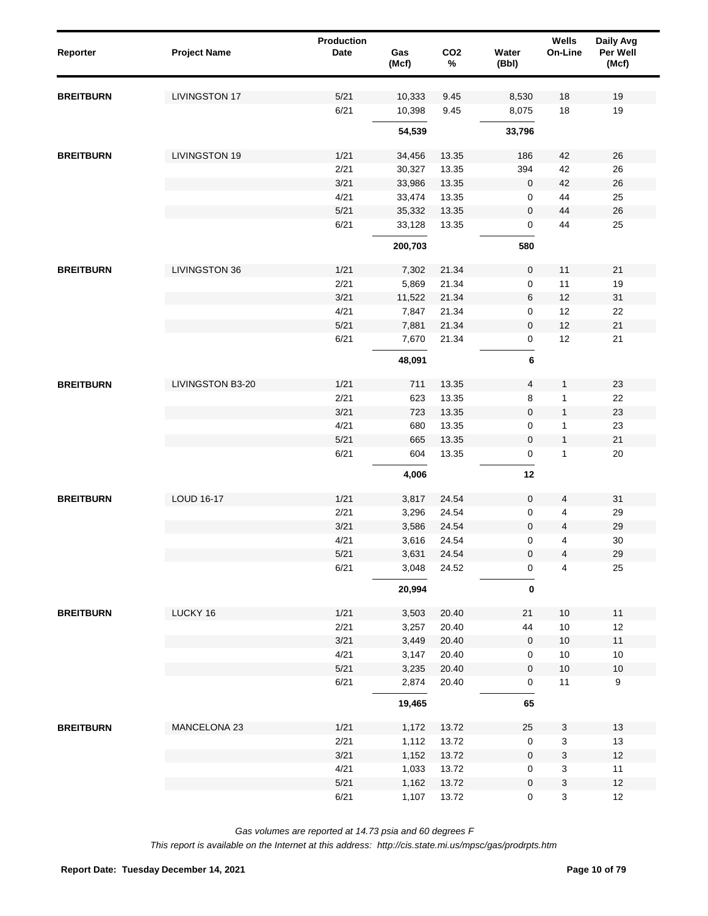| Reporter         | <b>Project Name</b>  | Production<br><b>Date</b> | Gas<br>(Mcf) | CO <sub>2</sub><br>$\%$ | Water<br>(Bbl)      | <b>Wells</b><br>On-Line   | Daily Avg<br>Per Well<br>(Mcf) |
|------------------|----------------------|---------------------------|--------------|-------------------------|---------------------|---------------------------|--------------------------------|
| <b>BREITBURN</b> | <b>LIVINGSTON 17</b> | 5/21                      | 10,333       | 9.45                    | 8,530               | 18                        | 19                             |
|                  |                      | 6/21                      | 10,398       | 9.45                    | 8,075               | 18                        | 19                             |
|                  |                      |                           | 54,539       |                         | 33,796              |                           |                                |
| <b>BREITBURN</b> | <b>LIVINGSTON 19</b> | 1/21                      | 34,456       | 13.35                   | 186                 | 42                        | 26                             |
|                  |                      | 2/21                      | 30,327       | 13.35                   | 394                 | 42                        | 26                             |
|                  |                      | 3/21                      | 33,986       | 13.35                   | $\pmb{0}$           | 42                        | 26                             |
|                  |                      | 4/21                      | 33,474       | 13.35                   | 0                   | 44                        | 25                             |
|                  |                      | $5/21$                    | 35,332       | 13.35                   | $\boldsymbol{0}$    | 44                        | 26                             |
|                  |                      | 6/21                      | 33,128       | 13.35                   | 0                   | 44                        | 25                             |
|                  |                      |                           | 200,703      |                         | 580                 |                           |                                |
| <b>BREITBURN</b> | LIVINGSTON 36        | 1/21                      | 7,302        | 21.34                   | $\mathbf 0$         | 11                        | 21                             |
|                  |                      | 2/21                      | 5,869        | 21.34                   | 0                   | 11                        | 19                             |
|                  |                      | 3/21                      | 11,522       | 21.34                   | 6                   | 12                        | 31                             |
|                  |                      | 4/21                      | 7,847        | 21.34                   | 0                   | 12                        | 22                             |
|                  |                      | 5/21                      | 7,881        | 21.34                   | $\pmb{0}$           | 12                        | 21                             |
|                  |                      | 6/21                      | 7,670        | 21.34                   | $\mathsf{O}\xspace$ | 12                        | 21                             |
|                  |                      |                           | 48,091       |                         | 6                   |                           |                                |
| <b>BREITBURN</b> | LIVINGSTON B3-20     | 1/21                      | 711          | 13.35                   | $\overline{4}$      | $\mathbf{1}$              | 23                             |
|                  |                      | 2/21                      | 623          | 13.35                   | 8                   | $\mathbf{1}$              | 22                             |
|                  |                      | 3/21                      | 723          | 13.35                   | $\boldsymbol{0}$    | $\mathbf{1}$              | 23                             |
|                  |                      | 4/21                      | 680          | 13.35                   | 0                   | 1                         | 23                             |
|                  |                      | $5/21$                    | 665          | 13.35                   | $\boldsymbol{0}$    | $\mathbf{1}$              | 21                             |
|                  |                      | 6/21                      | 604          | 13.35                   | 0                   | $\mathbf{1}$              | 20                             |
|                  |                      |                           | 4,006        |                         | 12                  |                           |                                |
| <b>BREITBURN</b> | <b>LOUD 16-17</b>    | 1/21                      | 3,817        | 24.54                   | $\pmb{0}$           | $\overline{4}$            | 31                             |
|                  |                      | 2/21                      | 3,296        | 24.54                   | 0                   | 4                         | 29                             |
|                  |                      | 3/21                      | 3,586        | 24.54                   | $\pmb{0}$           | 4                         | 29                             |
|                  |                      | 4/21                      | 3,616        | 24.54                   | 0                   | 4                         | 30                             |
|                  |                      | $5/21$                    | 3,631        | 24.54                   | $\pmb{0}$           | $\overline{4}$            | 29                             |
|                  |                      | 6/21                      | 3,048        | 24.52                   | $\pmb{0}$           | $\overline{4}$            | 25                             |
|                  |                      |                           | 20,994       |                         | $\bf{0}$            |                           |                                |
| <b>BREITBURN</b> | LUCKY 16             | 1/21                      | 3,503        | 20.40                   | 21                  | 10                        | 11                             |
|                  |                      | 2/21                      | 3,257        | 20.40                   | 44                  | $10$                      | 12                             |
|                  |                      | 3/21                      | 3,449        | 20.40                   | $\mathbf 0$         | $10$                      | 11                             |
|                  |                      | 4/21                      | 3,147        | 20.40                   | 0                   | $10$                      | 10                             |
|                  |                      | 5/21                      | 3,235        | 20.40                   | $\mathsf{O}\xspace$ | $10$                      | $10$                           |
|                  |                      | 6/21                      | 2,874        | 20.40                   | $\mathsf{O}\xspace$ | 11                        | 9                              |
|                  |                      |                           | 19,465       |                         | 65                  |                           |                                |
| <b>BREITBURN</b> | MANCELONA 23         | 1/21                      | 1,172        | 13.72                   | 25                  | 3                         | 13                             |
|                  |                      | 2/21                      | 1,112        | 13.72                   | 0                   | $\ensuremath{\mathsf{3}}$ | 13                             |
|                  |                      | 3/21                      | 1,152        | 13.72                   | $\pmb{0}$           | $\ensuremath{\mathsf{3}}$ | $12$                           |
|                  |                      | 4/21                      | 1,033        | 13.72                   | $\mathsf{O}\xspace$ | $\mathsf 3$               | 11                             |
|                  |                      | $5/21$                    | 1,162        | 13.72                   | $\mathbf 0$         | $\ensuremath{\mathsf{3}}$ | $12$                           |
|                  |                      | 6/21                      | 1,107        | 13.72                   | $\pmb{0}$           | $\mathbf{3}$              | 12                             |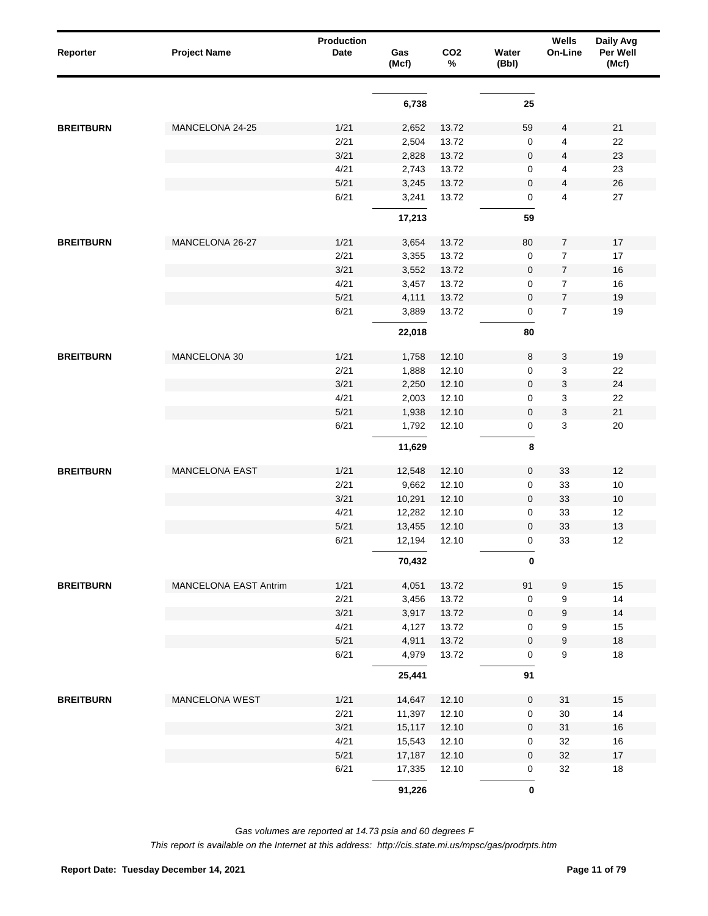| Reporter         | <b>Project Name</b>          | <b>Production</b><br>Date | Gas<br>(Mcf)   | CO <sub>2</sub><br>% | Water<br>(Bbl)   | Wells<br>On-Line | Daily Avg<br>Per Well<br>(Mcf) |
|------------------|------------------------------|---------------------------|----------------|----------------------|------------------|------------------|--------------------------------|
|                  |                              |                           | 6,738          |                      | 25               |                  |                                |
|                  |                              |                           |                |                      |                  |                  |                                |
| <b>BREITBURN</b> | MANCELONA 24-25              | 1/21                      | 2,652          | 13.72                | 59               | 4                | 21                             |
|                  |                              | 2/21                      | 2,504          | 13.72                | 0                | 4                | 22                             |
|                  |                              | 3/21                      | 2,828          | 13.72                | 0                | 4                | 23                             |
|                  |                              | 4/21                      | 2,743          | 13.72                | 0                | 4                | 23                             |
|                  |                              | 5/21<br>6/21              | 3,245<br>3,241 | 13.72<br>13.72       | 0                | 4<br>4           | 26<br>27                       |
|                  |                              |                           |                |                      | 0                |                  |                                |
|                  |                              |                           | 17,213         |                      | 59               |                  |                                |
| <b>BREITBURN</b> | MANCELONA 26-27              | 1/21                      | 3,654          | 13.72                | 80               | 7                | 17                             |
|                  |                              | 2/21                      | 3,355          | 13.72                | $\mathbf 0$      | 7                | 17                             |
|                  |                              | 3/21                      | 3,552          | 13.72                | $\boldsymbol{0}$ | $\boldsymbol{7}$ | 16                             |
|                  |                              | 4/21                      | 3,457          | 13.72                | 0                | 7                | 16                             |
|                  |                              | 5/21                      | 4,111          | 13.72                | $\mathbf 0$      | $\overline{7}$   | 19                             |
|                  |                              | 6/21                      | 3,889          | 13.72                | 0                | $\overline{7}$   | 19                             |
|                  |                              |                           | 22,018         |                      | 80               |                  |                                |
| <b>BREITBURN</b> | MANCELONA 30                 | 1/21                      | 1,758          | 12.10                | 8                | 3                | 19                             |
|                  |                              | 2/21                      | 1,888          | 12.10                | 0                | 3                | 22                             |
|                  |                              | 3/21                      | 2,250          | 12.10                | 0                | 3                | 24                             |
|                  |                              | 4/21                      | 2,003          | 12.10                | 0                | 3                | 22                             |
|                  |                              | 5/21                      | 1,938          | 12.10                | $\pmb{0}$        | 3                | 21                             |
|                  |                              | 6/21                      | 1,792          | 12.10                | 0                | 3                | 20                             |
|                  |                              |                           | 11,629         |                      | 8                |                  |                                |
|                  | <b>MANCELONA EAST</b>        | 1/21                      | 12,548         | 12.10                | 0                | 33               | 12                             |
|                  |                              | 2/21                      | 9,662          | 12.10                | 0                | 33               | 10                             |
| <b>BREITBURN</b> |                              | 3/21                      | 10,291         | 12.10                | $\pmb{0}$        | 33               | 10                             |
|                  |                              | 4/21                      | 12,282         | 12.10                | 0                | 33               | 12                             |
|                  |                              | 5/21                      | 13,455         | 12.10                | $\mathbf 0$      | 33               | 13                             |
|                  |                              | 6/21                      | 12,194         | 12.10                | 0                | 33               | 12                             |
|                  |                              |                           | 70,432         |                      | 0                |                  |                                |
|                  |                              |                           |                |                      |                  |                  |                                |
| <b>BREITBURN</b> | <b>MANCELONA EAST Antrim</b> | 1/21                      | 4,051          | 13.72                | 91               | 9                | $15$                           |
|                  |                              | 2/21                      | 3,456          | 13.72                | $\mathbf 0$      | 9                | 14                             |
|                  |                              | 3/21<br>4/21              | 3,917          | 13.72                | $\boldsymbol{0}$ | 9                | 14                             |
|                  |                              | $5/21$                    | 4,127          | 13.72<br>13.72       | 0                | 9                | 15                             |
|                  |                              | 6/21                      | 4,911<br>4,979 | 13.72                | 0<br>0           | 9<br>9           | $18\,$<br>18                   |
|                  |                              |                           |                |                      |                  |                  |                                |
|                  |                              |                           | 25,441         |                      | 91               |                  |                                |
| <b>BREITBURN</b> | MANCELONA WEST               | 1/21                      | 14,647         | 12.10                | $\pmb{0}$        | 31               | 15                             |
|                  |                              | 2/21                      | 11,397         | 12.10                | $\mathsf 0$      | $30\,$           | 14                             |
|                  |                              | 3/21                      | 15,117         | 12.10                | $\pmb{0}$        | 31               | $16\,$                         |
|                  |                              | 4/21                      | 15,543         | 12.10                | 0                | 32               | 16                             |
|                  |                              | $5/21$                    | 17,187         | 12.10                | $\pmb{0}$        | 32               | $17\,$                         |
|                  |                              | 6/21                      | 17,335         | 12.10                | 0                | 32               | 18                             |
|                  |                              |                           | 91,226         |                      | $\pmb{0}$        |                  |                                |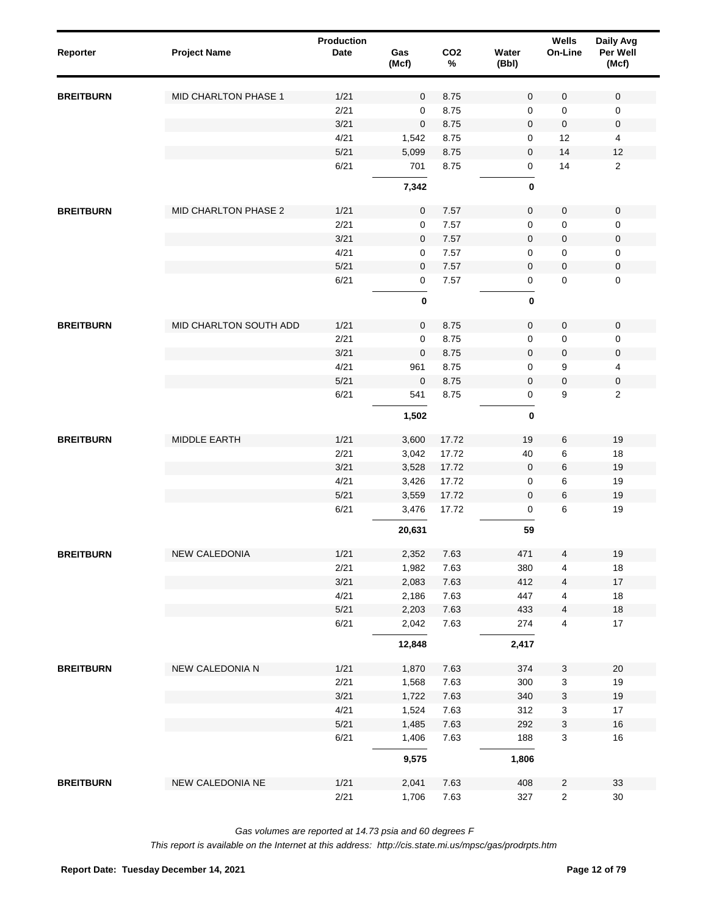| Reporter         | <b>Project Name</b>    | Production<br>Date | Gas<br>(Mcf)   | CO <sub>2</sub><br>$\%$ | Water<br>(Bbl)      | Wells<br>On-Line             | Daily Avg<br>Per Well<br>(Mcf) |  |
|------------------|------------------------|--------------------|----------------|-------------------------|---------------------|------------------------------|--------------------------------|--|
| <b>BREITBURN</b> | MID CHARLTON PHASE 1   | 1/21               | $\mathbf 0$    | 8.75                    | $\mathbf 0$         | $\mathbf 0$                  | $\mathbf 0$                    |  |
|                  |                        | 2/21               | 0              | 8.75                    | $\mathbf 0$         | 0                            | $\mathsf 0$                    |  |
|                  |                        | 3/21               | $\pmb{0}$      | 8.75                    | $\mathbf 0$         | $\pmb{0}$                    | 0                              |  |
|                  |                        | 4/21               | 1,542          | 8.75                    | 0                   | 12                           | $\overline{4}$                 |  |
|                  |                        | 5/21               | 5,099          | 8.75                    | $\mathbf 0$         | 14                           | 12                             |  |
|                  |                        | 6/21               | 701            | 8.75                    | 0                   | 14                           | $\overline{2}$                 |  |
|                  |                        |                    | 7,342          |                         | 0                   |                              |                                |  |
| <b>BREITBURN</b> | MID CHARLTON PHASE 2   | 1/21               | $\mathbf 0$    | 7.57                    | $\mathsf{O}\xspace$ | $\pmb{0}$                    | 0                              |  |
|                  |                        | 2/21               | $\mathbf 0$    | 7.57                    | $\mathbf 0$         | 0                            | 0                              |  |
|                  |                        | 3/21               | $\mathbf 0$    | 7.57                    | $\pmb{0}$           | $\pmb{0}$                    | $\pmb{0}$                      |  |
|                  |                        | 4/21               | $\mathbf 0$    | 7.57                    | 0                   | 0                            | $\mathbf 0$                    |  |
|                  |                        | 5/21               | $\mathbf 0$    | 7.57                    | $\mathbf 0$         | $\mathbf 0$                  | $\pmb{0}$                      |  |
|                  |                        | 6/21               | $\mathbf 0$    | 7.57                    | $\mathsf 0$         | 0                            | $\mathbf 0$                    |  |
|                  |                        |                    | 0              |                         | 0                   |                              |                                |  |
| <b>BREITBURN</b> | MID CHARLTON SOUTH ADD | 1/21               | $\mathbf 0$    | 8.75                    | $\mathsf{O}\xspace$ | $\pmb{0}$                    | $\mathbf 0$                    |  |
|                  |                        | 2/21               | 0              | 8.75                    | $\mathbf 0$         | 0                            | 0                              |  |
|                  |                        | 3/21               | $\pmb{0}$      | 8.75                    | $\mathsf{O}\xspace$ | $\pmb{0}$                    | 0                              |  |
|                  |                        | 4/21               | 961            | 8.75                    | 0                   | 9                            | 4                              |  |
|                  |                        | 5/21               | $\mathbf 0$    | 8.75                    | $\mathbf 0$         | $\pmb{0}$                    | 0                              |  |
|                  |                        | 6/21               | 541            | 8.75                    | 0                   | 9                            | $\overline{c}$                 |  |
|                  |                        |                    | 1,502          |                         | 0                   |                              |                                |  |
| <b>BREITBURN</b> | MIDDLE EARTH           | 1/21               | 3,600          | 17.72                   | 19                  | 6                            | 19                             |  |
|                  |                        | 2/21               | 3,042          | 17.72                   | 40                  | 6                            | 18                             |  |
|                  |                        | 3/21               | 3,528          | 17.72                   | $\pmb{0}$           | 6                            | 19                             |  |
|                  |                        | 4/21               | 3,426          | 17.72                   | $\pmb{0}$           | 6                            | 19                             |  |
|                  |                        | 5/21               | 3,559          | 17.72                   | $\mathbf 0$         | 6                            | 19                             |  |
|                  |                        | 6/21               | 3,476          | 17.72                   | 0                   | 6                            | 19                             |  |
|                  |                        |                    | 20,631         |                         | 59                  |                              |                                |  |
| <b>BREITBURN</b> | NEW CALEDONIA          | 1/21               | 2,352          | 7.63                    | 471                 | 4                            | 19                             |  |
|                  |                        | 2/21               | 1,982          | 7.63                    | 380                 | 4                            | $18\,$                         |  |
|                  |                        | 3/21               | 2,083          | 7.63                    | 412                 | $\overline{4}$               | $17\,$                         |  |
|                  |                        | 4/21               | 2,186          | 7.63                    | 447                 | 4                            | 18                             |  |
|                  |                        | 5/21               | 2,203          | 7.63                    | 433                 | $\overline{4}$               | $18\,$                         |  |
|                  |                        | 6/21               | 2,042          | 7.63                    | 274                 | 4                            | 17                             |  |
|                  |                        |                    | 12,848         |                         | 2,417               |                              |                                |  |
| <b>BREITBURN</b> | NEW CALEDONIA N        | 1/21               | 1,870          | 7.63                    | 374                 | $\ensuremath{\mathsf{3}}$    | $20\,$                         |  |
|                  |                        | 2/21               | 1,568          | 7.63                    | 300                 | 3                            | 19                             |  |
|                  |                        | 3/21               | 1,722          | 7.63                    | 340                 | $\ensuremath{\mathsf{3}}$    | $19$                           |  |
|                  |                        | 4/21               | 1,524          | 7.63                    | 312                 | 3                            | $17$                           |  |
|                  |                        | 5/21<br>6/21       | 1,485          | 7.63<br>7.63            | 292                 | $\ensuremath{\mathsf{3}}$    | 16<br>$16\,$                   |  |
|                  |                        |                    | 1,406<br>9,575 |                         | 188<br>1,806        | 3                            |                                |  |
|                  |                        |                    |                |                         |                     |                              |                                |  |
| <b>BREITBURN</b> | NEW CALEDONIA NE       | 1/21<br>2/21       | 2,041<br>1,706 | 7.63<br>7.63            | 408<br>327          | $\sqrt{2}$<br>$\overline{c}$ | 33<br>$30\,$                   |  |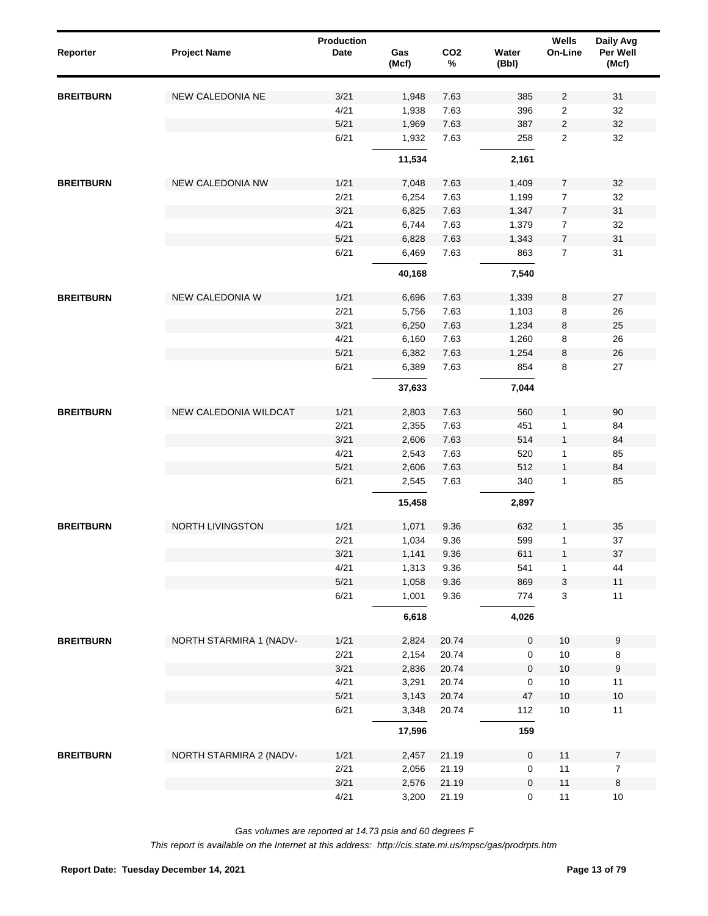| Reporter         | <b>Project Name</b>     | <b>Production</b><br><b>Date</b> | Gas<br>(Mcf) | CO <sub>2</sub><br>$\%$ | Water<br>(Bbl)      | Wells<br>On-Line          | Daily Avg<br>Per Well<br>(Mcf) |
|------------------|-------------------------|----------------------------------|--------------|-------------------------|---------------------|---------------------------|--------------------------------|
| <b>BREITBURN</b> | NEW CALEDONIA NE        | 3/21                             | 1,948        | 7.63                    | 385                 | $\overline{2}$            | 31                             |
|                  |                         | 4/21                             | 1,938        | 7.63                    | 396                 | $\overline{\mathbf{c}}$   | 32                             |
|                  |                         | 5/21                             | 1,969        | 7.63                    | 387                 | $\sqrt{2}$                | 32                             |
|                  |                         | 6/21                             | 1,932        | 7.63                    | 258                 | $\overline{\mathbf{c}}$   | 32                             |
|                  |                         |                                  | 11,534       |                         | 2,161               |                           |                                |
| <b>BREITBURN</b> | NEW CALEDONIA NW        | 1/21                             | 7,048        | 7.63                    | 1,409               | $\overline{7}$            | 32                             |
|                  |                         | 2/21                             | 6,254        | 7.63                    | 1,199               | $\overline{7}$            | 32                             |
|                  |                         | 3/21                             | 6,825        | 7.63                    | 1,347               | $\overline{7}$            | 31                             |
|                  |                         | 4/21                             | 6,744        | 7.63                    | 1,379               | $\overline{7}$            | 32                             |
|                  |                         | 5/21                             | 6,828        | 7.63                    | 1,343               | $\boldsymbol{7}$          | 31                             |
|                  |                         | 6/21                             | 6,469        | 7.63                    | 863                 | $\overline{7}$            | 31                             |
|                  |                         |                                  | 40,168       |                         | 7,540               |                           |                                |
| <b>BREITBURN</b> | NEW CALEDONIA W         | 1/21                             | 6,696        | 7.63                    | 1,339               | 8                         | 27                             |
|                  |                         | 2/21                             | 5,756        | 7.63                    | 1,103               | 8                         | 26                             |
|                  |                         | 3/21                             | 6,250        | 7.63                    | 1,234               | 8                         | 25                             |
|                  |                         | 4/21                             | 6,160        | 7.63                    | 1,260               | 8                         | 26                             |
|                  |                         | 5/21                             | 6,382        | 7.63                    | 1,254               | 8                         | 26                             |
|                  |                         | 6/21                             | 6,389        | 7.63                    | 854                 | 8                         | 27                             |
|                  |                         |                                  | 37,633       |                         | 7,044               |                           |                                |
| <b>BREITBURN</b> | NEW CALEDONIA WILDCAT   | 1/21                             | 2,803        | 7.63                    | 560                 | $\mathbf{1}$              | 90                             |
|                  |                         | 2/21                             | 2,355        | 7.63                    | 451                 | 1                         | 84                             |
|                  |                         | 3/21                             | 2,606        | 7.63                    | 514                 | $\mathbf{1}$              | 84                             |
|                  |                         | 4/21                             | 2,543        | 7.63                    | 520                 | 1                         | 85                             |
|                  |                         | 5/21                             | 2,606        | 7.63                    | 512                 | $\mathbf{1}$              | 84                             |
|                  |                         | 6/21                             | 2,545        | 7.63                    | 340                 | $\mathbf{1}$              | 85                             |
|                  |                         |                                  | 15,458       |                         | 2,897               |                           |                                |
| <b>BREITBURN</b> | <b>NORTH LIVINGSTON</b> | 1/21                             | 1,071        | 9.36                    | 632                 | $\mathbf{1}$              | 35                             |
|                  |                         | 2/21                             | 1,034        | 9.36                    | 599                 | $\mathbf{1}$              | 37                             |
|                  |                         | 3/21                             | 1,141        | 9.36                    | 611                 | $\mathbf{1}$              | 37                             |
|                  |                         | 4/21                             | 1,313        | 9.36                    | 541                 | 1                         | 44                             |
|                  |                         | 5/21                             | 1,058        | 9.36                    | 869                 | $\ensuremath{\mathsf{3}}$ | 11                             |
|                  |                         | 6/21                             | 1,001        | 9.36                    | 774                 | $\mathbf{3}$              | 11                             |
|                  |                         |                                  | 6,618        |                         | 4,026               |                           |                                |
| <b>BREITBURN</b> | NORTH STARMIRA 1 (NADV- | 1/21                             | 2,824        | 20.74                   | $\mathsf{O}\xspace$ | $10\,$                    | 9                              |
|                  |                         | 2/21                             | 2,154        | 20.74                   | 0                   | $10$                      | $\,8\,$                        |
|                  |                         | 3/21                             | 2,836        | 20.74                   | $\mathbf 0$         | $10$                      | $\boldsymbol{9}$               |
|                  |                         | 4/21                             | 3,291        | 20.74                   | 0                   | $10$                      | 11                             |
|                  |                         | $5/21$                           | 3,143        | 20.74                   | 47                  | $10\,$                    | $10$                           |
|                  |                         | 6/21                             | 3,348        | 20.74                   | 112                 | $10$                      | 11                             |
|                  |                         |                                  | 17,596       |                         | 159                 |                           |                                |
| <b>BREITBURN</b> | NORTH STARMIRA 2 (NADV- | 1/21                             | 2,457        | 21.19                   | 0                   | 11                        | $\overline{7}$                 |
|                  |                         | 2/21                             | 2,056        | 21.19                   | 0                   | 11                        | $\overline{7}$                 |
|                  |                         | 3/21                             | 2,576        | 21.19                   | $\pmb{0}$           | $11$                      | $\bf 8$                        |
|                  |                         | 4/21                             | 3,200        | 21.19                   | $\mathsf 0$         | 11                        | $10$                           |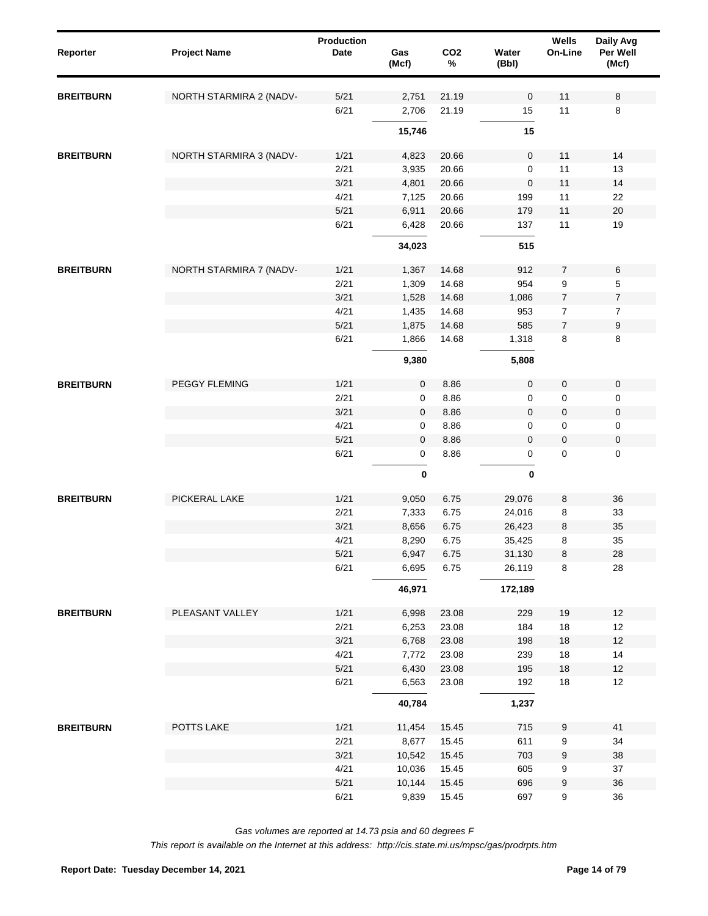| NORTH STARMIRA 2 (NADV-<br>5/21<br>2,751<br>21.19<br>$\mathbf 0$<br>11<br>8<br><b>BREITBURN</b><br>6/21<br>11<br>2,706<br>21.19<br>15<br>8<br>15,746<br>15<br>NORTH STARMIRA 3 (NADV-<br>1/21<br>4,823<br>20.66<br>0<br>11<br>14<br><b>BREITBURN</b><br>2/21<br>11<br>13<br>3,935<br>20.66<br>0<br>3/21<br>$\mathbf 0$<br>11<br>14<br>4,801<br>20.66<br>4/21<br>11<br>7,125<br>20.66<br>22<br>199<br>5/21<br>11<br>$20\,$<br>6,911<br>20.66<br>179<br>6/21<br>6,428<br>20.66<br>11<br>19<br>137<br>34,023<br>515<br>$\,6\,$<br>NORTH STARMIRA 7 (NADV-<br>1/21<br>14.68<br>912<br>$\overline{7}$<br>1,367<br><b>BREITBURN</b><br>2/21<br>954<br>9<br>5<br>1,309<br>14.68<br>3/21<br>$\boldsymbol{7}$<br>1,528<br>14.68<br>1,086<br>$\overline{7}$<br>4/21<br>$\boldsymbol{7}$<br>$\boldsymbol{7}$<br>1,435<br>14.68<br>953<br>5/21<br>$\boldsymbol{7}$<br>$\boldsymbol{9}$<br>1,875<br>14.68<br>585<br>6/21<br>8<br>8<br>1,866<br>14.68<br>1,318<br>9,380<br>5,808<br>1/21<br>PEGGY FLEMING<br>$\mathbf 0$<br>8.86<br>$\mathbf 0$<br>$\mathbf 0$<br>$\pmb{0}$<br><b>BREITBURN</b><br>2/21<br>8.86<br>0<br>0<br>0<br>0<br>3/21<br>$\mathbf 0$<br>$\pmb{0}$<br>$\pmb{0}$<br>$\mathbf 0$<br>8.86<br>4/21<br>8.86<br>0<br>0<br>0<br>0<br>5/21<br>$\mathbf 0$<br>$\pmb{0}$<br>$\pmb{0}$<br>$\mathbf 0$<br>8.86<br>6/21<br>$\pmb{0}$<br>8.86<br>$\mathsf 0$<br>$\mathbf 0$<br>0<br>$\pmb{0}$<br>0<br>PICKERAL LAKE<br>1/21<br>9,050<br>6.75<br>29,076<br>8<br>36<br><b>BREITBURN</b><br>2/21<br>7,333<br>6.75<br>8<br>33<br>24,016<br>3/21<br>8,656<br>6.75<br>26,423<br>8<br>35<br>4/21<br>35<br>8,290<br>6.75<br>35,425<br>8<br>$\bf8$<br>28<br>5/21<br>6,947<br>6.75<br>31,130<br>6/21<br>6,695<br>6.75<br>26,119<br>8<br>28<br>46,971<br>172,189<br>PLEASANT VALLEY<br>$12$<br>1/21<br>6,998<br>23.08<br>229<br>19<br>2/21<br>$18$<br>12<br>6,253<br>23.08<br>184<br>3/21<br>$12$<br>6,768<br>23.08<br>198<br>$18$<br>4/21<br>7,772<br>23.08<br>239<br>18<br>14<br>5/21<br>6,430<br>23.08<br>195<br>$18$<br>$12$<br>6/21<br>6,563<br>23.08<br>192<br>18<br>12<br>40,784<br>1,237<br>POTTS LAKE<br><b>BREITBURN</b><br>1/21<br>11,454<br>715<br>9<br>41<br>15.45<br>2/21<br>8,677<br>15.45<br>611<br>9<br>34<br>3/21<br>10,542<br>15.45<br>703<br>9<br>38<br>4/21<br>10,036<br>15.45<br>605<br>9<br>37<br>5/21<br>10,144<br>15.45<br>696<br>9<br>36<br>6/21<br>9<br>36<br>9,839<br>15.45<br>697 | Reporter         | <b>Project Name</b> | <b>Production</b><br><b>Date</b> | Gas<br>(Mcf) | CO <sub>2</sub><br>$\%$ | Water<br>(Bbl) | Wells<br>On-Line | Daily Avg<br>Per Well<br>(Mcf) |
|----------------------------------------------------------------------------------------------------------------------------------------------------------------------------------------------------------------------------------------------------------------------------------------------------------------------------------------------------------------------------------------------------------------------------------------------------------------------------------------------------------------------------------------------------------------------------------------------------------------------------------------------------------------------------------------------------------------------------------------------------------------------------------------------------------------------------------------------------------------------------------------------------------------------------------------------------------------------------------------------------------------------------------------------------------------------------------------------------------------------------------------------------------------------------------------------------------------------------------------------------------------------------------------------------------------------------------------------------------------------------------------------------------------------------------------------------------------------------------------------------------------------------------------------------------------------------------------------------------------------------------------------------------------------------------------------------------------------------------------------------------------------------------------------------------------------------------------------------------------------------------------------------------------------------------------------------------------------------------------------------------------------------------------------------------------------------------------------------------------------------------------------------------------------------------------------------------------------------------------------------------------------------------------------------------------------------------------------------------------------------------------------|------------------|---------------------|----------------------------------|--------------|-------------------------|----------------|------------------|--------------------------------|
|                                                                                                                                                                                                                                                                                                                                                                                                                                                                                                                                                                                                                                                                                                                                                                                                                                                                                                                                                                                                                                                                                                                                                                                                                                                                                                                                                                                                                                                                                                                                                                                                                                                                                                                                                                                                                                                                                                                                                                                                                                                                                                                                                                                                                                                                                                                                                                                              |                  |                     |                                  |              |                         |                |                  |                                |
|                                                                                                                                                                                                                                                                                                                                                                                                                                                                                                                                                                                                                                                                                                                                                                                                                                                                                                                                                                                                                                                                                                                                                                                                                                                                                                                                                                                                                                                                                                                                                                                                                                                                                                                                                                                                                                                                                                                                                                                                                                                                                                                                                                                                                                                                                                                                                                                              |                  |                     |                                  |              |                         |                |                  |                                |
|                                                                                                                                                                                                                                                                                                                                                                                                                                                                                                                                                                                                                                                                                                                                                                                                                                                                                                                                                                                                                                                                                                                                                                                                                                                                                                                                                                                                                                                                                                                                                                                                                                                                                                                                                                                                                                                                                                                                                                                                                                                                                                                                                                                                                                                                                                                                                                                              |                  |                     |                                  |              |                         |                |                  |                                |
|                                                                                                                                                                                                                                                                                                                                                                                                                                                                                                                                                                                                                                                                                                                                                                                                                                                                                                                                                                                                                                                                                                                                                                                                                                                                                                                                                                                                                                                                                                                                                                                                                                                                                                                                                                                                                                                                                                                                                                                                                                                                                                                                                                                                                                                                                                                                                                                              |                  |                     |                                  |              |                         |                |                  |                                |
|                                                                                                                                                                                                                                                                                                                                                                                                                                                                                                                                                                                                                                                                                                                                                                                                                                                                                                                                                                                                                                                                                                                                                                                                                                                                                                                                                                                                                                                                                                                                                                                                                                                                                                                                                                                                                                                                                                                                                                                                                                                                                                                                                                                                                                                                                                                                                                                              |                  |                     |                                  |              |                         |                |                  |                                |
|                                                                                                                                                                                                                                                                                                                                                                                                                                                                                                                                                                                                                                                                                                                                                                                                                                                                                                                                                                                                                                                                                                                                                                                                                                                                                                                                                                                                                                                                                                                                                                                                                                                                                                                                                                                                                                                                                                                                                                                                                                                                                                                                                                                                                                                                                                                                                                                              |                  |                     |                                  |              |                         |                |                  |                                |
|                                                                                                                                                                                                                                                                                                                                                                                                                                                                                                                                                                                                                                                                                                                                                                                                                                                                                                                                                                                                                                                                                                                                                                                                                                                                                                                                                                                                                                                                                                                                                                                                                                                                                                                                                                                                                                                                                                                                                                                                                                                                                                                                                                                                                                                                                                                                                                                              |                  |                     |                                  |              |                         |                |                  |                                |
|                                                                                                                                                                                                                                                                                                                                                                                                                                                                                                                                                                                                                                                                                                                                                                                                                                                                                                                                                                                                                                                                                                                                                                                                                                                                                                                                                                                                                                                                                                                                                                                                                                                                                                                                                                                                                                                                                                                                                                                                                                                                                                                                                                                                                                                                                                                                                                                              |                  |                     |                                  |              |                         |                |                  |                                |
|                                                                                                                                                                                                                                                                                                                                                                                                                                                                                                                                                                                                                                                                                                                                                                                                                                                                                                                                                                                                                                                                                                                                                                                                                                                                                                                                                                                                                                                                                                                                                                                                                                                                                                                                                                                                                                                                                                                                                                                                                                                                                                                                                                                                                                                                                                                                                                                              |                  |                     |                                  |              |                         |                |                  |                                |
|                                                                                                                                                                                                                                                                                                                                                                                                                                                                                                                                                                                                                                                                                                                                                                                                                                                                                                                                                                                                                                                                                                                                                                                                                                                                                                                                                                                                                                                                                                                                                                                                                                                                                                                                                                                                                                                                                                                                                                                                                                                                                                                                                                                                                                                                                                                                                                                              |                  |                     |                                  |              |                         |                |                  |                                |
|                                                                                                                                                                                                                                                                                                                                                                                                                                                                                                                                                                                                                                                                                                                                                                                                                                                                                                                                                                                                                                                                                                                                                                                                                                                                                                                                                                                                                                                                                                                                                                                                                                                                                                                                                                                                                                                                                                                                                                                                                                                                                                                                                                                                                                                                                                                                                                                              |                  |                     |                                  |              |                         |                |                  |                                |
|                                                                                                                                                                                                                                                                                                                                                                                                                                                                                                                                                                                                                                                                                                                                                                                                                                                                                                                                                                                                                                                                                                                                                                                                                                                                                                                                                                                                                                                                                                                                                                                                                                                                                                                                                                                                                                                                                                                                                                                                                                                                                                                                                                                                                                                                                                                                                                                              |                  |                     |                                  |              |                         |                |                  |                                |
|                                                                                                                                                                                                                                                                                                                                                                                                                                                                                                                                                                                                                                                                                                                                                                                                                                                                                                                                                                                                                                                                                                                                                                                                                                                                                                                                                                                                                                                                                                                                                                                                                                                                                                                                                                                                                                                                                                                                                                                                                                                                                                                                                                                                                                                                                                                                                                                              |                  |                     |                                  |              |                         |                |                  |                                |
|                                                                                                                                                                                                                                                                                                                                                                                                                                                                                                                                                                                                                                                                                                                                                                                                                                                                                                                                                                                                                                                                                                                                                                                                                                                                                                                                                                                                                                                                                                                                                                                                                                                                                                                                                                                                                                                                                                                                                                                                                                                                                                                                                                                                                                                                                                                                                                                              |                  |                     |                                  |              |                         |                |                  |                                |
|                                                                                                                                                                                                                                                                                                                                                                                                                                                                                                                                                                                                                                                                                                                                                                                                                                                                                                                                                                                                                                                                                                                                                                                                                                                                                                                                                                                                                                                                                                                                                                                                                                                                                                                                                                                                                                                                                                                                                                                                                                                                                                                                                                                                                                                                                                                                                                                              |                  |                     |                                  |              |                         |                |                  |                                |
|                                                                                                                                                                                                                                                                                                                                                                                                                                                                                                                                                                                                                                                                                                                                                                                                                                                                                                                                                                                                                                                                                                                                                                                                                                                                                                                                                                                                                                                                                                                                                                                                                                                                                                                                                                                                                                                                                                                                                                                                                                                                                                                                                                                                                                                                                                                                                                                              |                  |                     |                                  |              |                         |                |                  |                                |
|                                                                                                                                                                                                                                                                                                                                                                                                                                                                                                                                                                                                                                                                                                                                                                                                                                                                                                                                                                                                                                                                                                                                                                                                                                                                                                                                                                                                                                                                                                                                                                                                                                                                                                                                                                                                                                                                                                                                                                                                                                                                                                                                                                                                                                                                                                                                                                                              |                  |                     |                                  |              |                         |                |                  |                                |
|                                                                                                                                                                                                                                                                                                                                                                                                                                                                                                                                                                                                                                                                                                                                                                                                                                                                                                                                                                                                                                                                                                                                                                                                                                                                                                                                                                                                                                                                                                                                                                                                                                                                                                                                                                                                                                                                                                                                                                                                                                                                                                                                                                                                                                                                                                                                                                                              |                  |                     |                                  |              |                         |                |                  |                                |
|                                                                                                                                                                                                                                                                                                                                                                                                                                                                                                                                                                                                                                                                                                                                                                                                                                                                                                                                                                                                                                                                                                                                                                                                                                                                                                                                                                                                                                                                                                                                                                                                                                                                                                                                                                                                                                                                                                                                                                                                                                                                                                                                                                                                                                                                                                                                                                                              |                  |                     |                                  |              |                         |                |                  |                                |
|                                                                                                                                                                                                                                                                                                                                                                                                                                                                                                                                                                                                                                                                                                                                                                                                                                                                                                                                                                                                                                                                                                                                                                                                                                                                                                                                                                                                                                                                                                                                                                                                                                                                                                                                                                                                                                                                                                                                                                                                                                                                                                                                                                                                                                                                                                                                                                                              |                  |                     |                                  |              |                         |                |                  |                                |
|                                                                                                                                                                                                                                                                                                                                                                                                                                                                                                                                                                                                                                                                                                                                                                                                                                                                                                                                                                                                                                                                                                                                                                                                                                                                                                                                                                                                                                                                                                                                                                                                                                                                                                                                                                                                                                                                                                                                                                                                                                                                                                                                                                                                                                                                                                                                                                                              |                  |                     |                                  |              |                         |                |                  |                                |
|                                                                                                                                                                                                                                                                                                                                                                                                                                                                                                                                                                                                                                                                                                                                                                                                                                                                                                                                                                                                                                                                                                                                                                                                                                                                                                                                                                                                                                                                                                                                                                                                                                                                                                                                                                                                                                                                                                                                                                                                                                                                                                                                                                                                                                                                                                                                                                                              |                  |                     |                                  |              |                         |                |                  |                                |
|                                                                                                                                                                                                                                                                                                                                                                                                                                                                                                                                                                                                                                                                                                                                                                                                                                                                                                                                                                                                                                                                                                                                                                                                                                                                                                                                                                                                                                                                                                                                                                                                                                                                                                                                                                                                                                                                                                                                                                                                                                                                                                                                                                                                                                                                                                                                                                                              |                  |                     |                                  |              |                         |                |                  |                                |
|                                                                                                                                                                                                                                                                                                                                                                                                                                                                                                                                                                                                                                                                                                                                                                                                                                                                                                                                                                                                                                                                                                                                                                                                                                                                                                                                                                                                                                                                                                                                                                                                                                                                                                                                                                                                                                                                                                                                                                                                                                                                                                                                                                                                                                                                                                                                                                                              |                  |                     |                                  |              |                         |                |                  |                                |
|                                                                                                                                                                                                                                                                                                                                                                                                                                                                                                                                                                                                                                                                                                                                                                                                                                                                                                                                                                                                                                                                                                                                                                                                                                                                                                                                                                                                                                                                                                                                                                                                                                                                                                                                                                                                                                                                                                                                                                                                                                                                                                                                                                                                                                                                                                                                                                                              |                  |                     |                                  |              |                         |                |                  |                                |
|                                                                                                                                                                                                                                                                                                                                                                                                                                                                                                                                                                                                                                                                                                                                                                                                                                                                                                                                                                                                                                                                                                                                                                                                                                                                                                                                                                                                                                                                                                                                                                                                                                                                                                                                                                                                                                                                                                                                                                                                                                                                                                                                                                                                                                                                                                                                                                                              |                  |                     |                                  |              |                         |                |                  |                                |
|                                                                                                                                                                                                                                                                                                                                                                                                                                                                                                                                                                                                                                                                                                                                                                                                                                                                                                                                                                                                                                                                                                                                                                                                                                                                                                                                                                                                                                                                                                                                                                                                                                                                                                                                                                                                                                                                                                                                                                                                                                                                                                                                                                                                                                                                                                                                                                                              |                  |                     |                                  |              |                         |                |                  |                                |
|                                                                                                                                                                                                                                                                                                                                                                                                                                                                                                                                                                                                                                                                                                                                                                                                                                                                                                                                                                                                                                                                                                                                                                                                                                                                                                                                                                                                                                                                                                                                                                                                                                                                                                                                                                                                                                                                                                                                                                                                                                                                                                                                                                                                                                                                                                                                                                                              |                  |                     |                                  |              |                         |                |                  |                                |
|                                                                                                                                                                                                                                                                                                                                                                                                                                                                                                                                                                                                                                                                                                                                                                                                                                                                                                                                                                                                                                                                                                                                                                                                                                                                                                                                                                                                                                                                                                                                                                                                                                                                                                                                                                                                                                                                                                                                                                                                                                                                                                                                                                                                                                                                                                                                                                                              |                  |                     |                                  |              |                         |                |                  |                                |
|                                                                                                                                                                                                                                                                                                                                                                                                                                                                                                                                                                                                                                                                                                                                                                                                                                                                                                                                                                                                                                                                                                                                                                                                                                                                                                                                                                                                                                                                                                                                                                                                                                                                                                                                                                                                                                                                                                                                                                                                                                                                                                                                                                                                                                                                                                                                                                                              |                  |                     |                                  |              |                         |                |                  |                                |
|                                                                                                                                                                                                                                                                                                                                                                                                                                                                                                                                                                                                                                                                                                                                                                                                                                                                                                                                                                                                                                                                                                                                                                                                                                                                                                                                                                                                                                                                                                                                                                                                                                                                                                                                                                                                                                                                                                                                                                                                                                                                                                                                                                                                                                                                                                                                                                                              |                  |                     |                                  |              |                         |                |                  |                                |
|                                                                                                                                                                                                                                                                                                                                                                                                                                                                                                                                                                                                                                                                                                                                                                                                                                                                                                                                                                                                                                                                                                                                                                                                                                                                                                                                                                                                                                                                                                                                                                                                                                                                                                                                                                                                                                                                                                                                                                                                                                                                                                                                                                                                                                                                                                                                                                                              |                  |                     |                                  |              |                         |                |                  |                                |
|                                                                                                                                                                                                                                                                                                                                                                                                                                                                                                                                                                                                                                                                                                                                                                                                                                                                                                                                                                                                                                                                                                                                                                                                                                                                                                                                                                                                                                                                                                                                                                                                                                                                                                                                                                                                                                                                                                                                                                                                                                                                                                                                                                                                                                                                                                                                                                                              | <b>BREITBURN</b> |                     |                                  |              |                         |                |                  |                                |
|                                                                                                                                                                                                                                                                                                                                                                                                                                                                                                                                                                                                                                                                                                                                                                                                                                                                                                                                                                                                                                                                                                                                                                                                                                                                                                                                                                                                                                                                                                                                                                                                                                                                                                                                                                                                                                                                                                                                                                                                                                                                                                                                                                                                                                                                                                                                                                                              |                  |                     |                                  |              |                         |                |                  |                                |
|                                                                                                                                                                                                                                                                                                                                                                                                                                                                                                                                                                                                                                                                                                                                                                                                                                                                                                                                                                                                                                                                                                                                                                                                                                                                                                                                                                                                                                                                                                                                                                                                                                                                                                                                                                                                                                                                                                                                                                                                                                                                                                                                                                                                                                                                                                                                                                                              |                  |                     |                                  |              |                         |                |                  |                                |
|                                                                                                                                                                                                                                                                                                                                                                                                                                                                                                                                                                                                                                                                                                                                                                                                                                                                                                                                                                                                                                                                                                                                                                                                                                                                                                                                                                                                                                                                                                                                                                                                                                                                                                                                                                                                                                                                                                                                                                                                                                                                                                                                                                                                                                                                                                                                                                                              |                  |                     |                                  |              |                         |                |                  |                                |
|                                                                                                                                                                                                                                                                                                                                                                                                                                                                                                                                                                                                                                                                                                                                                                                                                                                                                                                                                                                                                                                                                                                                                                                                                                                                                                                                                                                                                                                                                                                                                                                                                                                                                                                                                                                                                                                                                                                                                                                                                                                                                                                                                                                                                                                                                                                                                                                              |                  |                     |                                  |              |                         |                |                  |                                |
|                                                                                                                                                                                                                                                                                                                                                                                                                                                                                                                                                                                                                                                                                                                                                                                                                                                                                                                                                                                                                                                                                                                                                                                                                                                                                                                                                                                                                                                                                                                                                                                                                                                                                                                                                                                                                                                                                                                                                                                                                                                                                                                                                                                                                                                                                                                                                                                              |                  |                     |                                  |              |                         |                |                  |                                |
|                                                                                                                                                                                                                                                                                                                                                                                                                                                                                                                                                                                                                                                                                                                                                                                                                                                                                                                                                                                                                                                                                                                                                                                                                                                                                                                                                                                                                                                                                                                                                                                                                                                                                                                                                                                                                                                                                                                                                                                                                                                                                                                                                                                                                                                                                                                                                                                              |                  |                     |                                  |              |                         |                |                  |                                |
|                                                                                                                                                                                                                                                                                                                                                                                                                                                                                                                                                                                                                                                                                                                                                                                                                                                                                                                                                                                                                                                                                                                                                                                                                                                                                                                                                                                                                                                                                                                                                                                                                                                                                                                                                                                                                                                                                                                                                                                                                                                                                                                                                                                                                                                                                                                                                                                              |                  |                     |                                  |              |                         |                |                  |                                |
|                                                                                                                                                                                                                                                                                                                                                                                                                                                                                                                                                                                                                                                                                                                                                                                                                                                                                                                                                                                                                                                                                                                                                                                                                                                                                                                                                                                                                                                                                                                                                                                                                                                                                                                                                                                                                                                                                                                                                                                                                                                                                                                                                                                                                                                                                                                                                                                              |                  |                     |                                  |              |                         |                |                  |                                |
|                                                                                                                                                                                                                                                                                                                                                                                                                                                                                                                                                                                                                                                                                                                                                                                                                                                                                                                                                                                                                                                                                                                                                                                                                                                                                                                                                                                                                                                                                                                                                                                                                                                                                                                                                                                                                                                                                                                                                                                                                                                                                                                                                                                                                                                                                                                                                                                              |                  |                     |                                  |              |                         |                |                  |                                |
|                                                                                                                                                                                                                                                                                                                                                                                                                                                                                                                                                                                                                                                                                                                                                                                                                                                                                                                                                                                                                                                                                                                                                                                                                                                                                                                                                                                                                                                                                                                                                                                                                                                                                                                                                                                                                                                                                                                                                                                                                                                                                                                                                                                                                                                                                                                                                                                              |                  |                     |                                  |              |                         |                |                  |                                |
|                                                                                                                                                                                                                                                                                                                                                                                                                                                                                                                                                                                                                                                                                                                                                                                                                                                                                                                                                                                                                                                                                                                                                                                                                                                                                                                                                                                                                                                                                                                                                                                                                                                                                                                                                                                                                                                                                                                                                                                                                                                                                                                                                                                                                                                                                                                                                                                              |                  |                     |                                  |              |                         |                |                  |                                |
|                                                                                                                                                                                                                                                                                                                                                                                                                                                                                                                                                                                                                                                                                                                                                                                                                                                                                                                                                                                                                                                                                                                                                                                                                                                                                                                                                                                                                                                                                                                                                                                                                                                                                                                                                                                                                                                                                                                                                                                                                                                                                                                                                                                                                                                                                                                                                                                              |                  |                     |                                  |              |                         |                |                  |                                |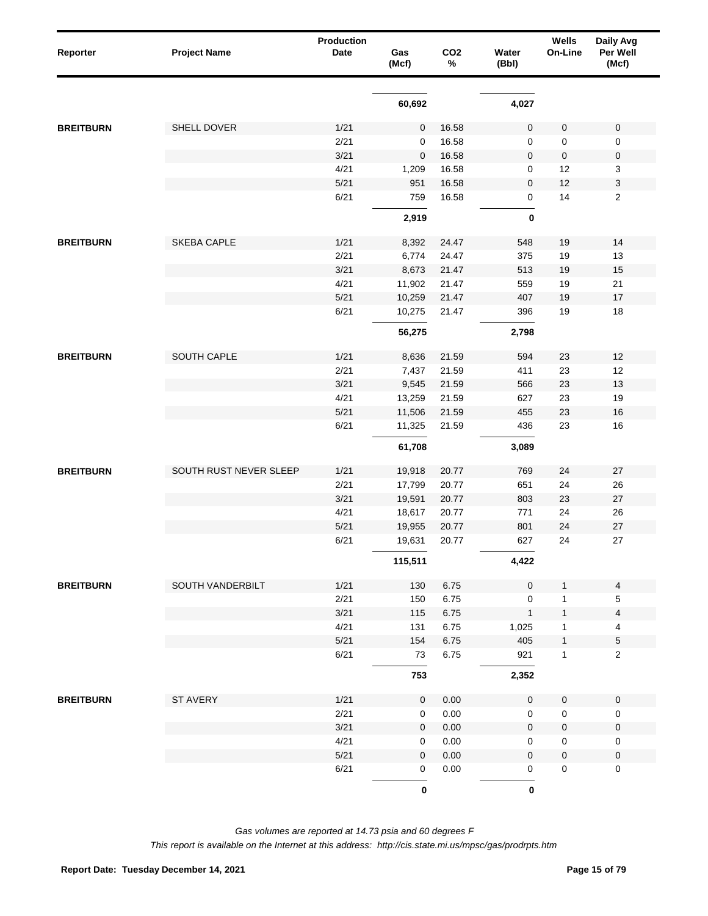| Reporter         | <b>Project Name</b>    | <b>Production</b><br>Date | Gas<br>(Mcf)        | CO <sub>2</sub><br>% | Water<br>(Bbl)      | Wells<br>On-Line | Daily Avg<br>Per Well<br>(Mcf) |
|------------------|------------------------|---------------------------|---------------------|----------------------|---------------------|------------------|--------------------------------|
|                  |                        |                           | 60,692              |                      | 4,027               |                  |                                |
| <b>BREITBURN</b> | SHELL DOVER            | 1/21                      | $\mathbf 0$         | 16.58                | $\pmb{0}$           | 0                | $\mathbf 0$                    |
|                  |                        | 2/21                      | 0                   | 16.58                | 0                   | 0                | $\mathbf 0$                    |
|                  |                        | 3/21                      | $\mathbf 0$         | 16.58                | 0                   | 0                | $\boldsymbol{0}$               |
|                  |                        | 4/21                      | 1,209               | 16.58                | 0                   | 12               | $\mathbf{3}$                   |
|                  |                        | 5/21                      | 951                 | 16.58                | 0                   | 12               | $\ensuremath{\mathsf{3}}$      |
|                  |                        | 6/21                      | 759                 | 16.58                | 0                   | 14               | $\sqrt{2}$                     |
|                  |                        |                           | 2,919               |                      | $\boldsymbol{0}$    |                  |                                |
| <b>BREITBURN</b> | <b>SKEBA CAPLE</b>     | 1/21                      | 8,392               | 24.47                | 548                 | 19               | 14                             |
|                  |                        | 2/21                      | 6,774               | 24.47                | 375                 | 19               | 13                             |
|                  |                        | 3/21                      | 8,673               | 21.47                | 513                 | 19               | 15                             |
|                  |                        | 4/21                      | 11,902              | 21.47                | 559                 | 19               | 21                             |
|                  |                        | 5/21                      | 10,259              | 21.47                | 407                 | 19               | 17                             |
|                  |                        | 6/21                      | 10,275              | 21.47                | 396                 | 19               | 18                             |
|                  |                        |                           | 56,275              |                      | 2,798               |                  |                                |
| <b>BREITBURN</b> | SOUTH CAPLE            | 1/21                      | 8,636               | 21.59                | 594                 | 23               | 12                             |
|                  |                        | 2/21                      | 7,437               | 21.59                | 411                 | 23               | 12                             |
|                  |                        | 3/21                      | 9,545               | 21.59                | 566                 | 23               | 13                             |
|                  |                        | 4/21                      | 13,259              | 21.59                | 627                 | 23               | 19                             |
|                  |                        | 5/21                      | 11,506              | 21.59                | 455                 | 23               | 16                             |
|                  |                        | 6/21                      | 11,325              | 21.59                | 436                 | 23               | 16                             |
|                  |                        |                           | 61,708              |                      | 3,089               |                  |                                |
| <b>BREITBURN</b> | SOUTH RUST NEVER SLEEP | 1/21                      | 19,918              | 20.77                | 769                 | 24               | 27                             |
|                  |                        | 2/21                      | 17,799              | 20.77                | 651                 | 24               | 26                             |
|                  |                        | 3/21                      | 19,591              | 20.77                | 803                 | 23               | 27                             |
|                  |                        | 4/21                      | 18,617              | 20.77                | 771                 | 24               | 26                             |
|                  |                        | 5/21                      | 19,955              | 20.77                | 801                 | 24               | $27\,$                         |
|                  |                        | 6/21                      | 19,631              | 20.77                | 627                 | 24               | 27                             |
|                  |                        |                           | 115,511             |                      | 4,422               |                  |                                |
| <b>BREITBURN</b> | SOUTH VANDERBILT       | 1/21                      | 130                 | 6.75                 | $\mathbf 0$         | $\mathbf{1}$     | $\overline{4}$                 |
|                  |                        | 2/21                      | 150                 | 6.75                 | $\mathbf 0$         | 1                | 5                              |
|                  |                        | 3/21                      | 115                 | 6.75                 | $\mathbf{1}$        | $\mathbf{1}$     | $\overline{\mathbf{4}}$        |
|                  |                        | 4/21                      | 131                 | 6.75                 | 1,025               | 1                | $\overline{4}$                 |
|                  |                        | 5/21                      | 154                 | 6.75                 | 405                 | 1                | $\sqrt{5}$                     |
|                  |                        | 6/21                      | 73                  | 6.75                 | 921                 | $\mathbf{1}$     | $\overline{2}$                 |
|                  |                        |                           | 753                 |                      | 2,352               |                  |                                |
| <b>BREITBURN</b> | ST AVERY               | 1/21                      | $\mathsf{O}\xspace$ | 0.00                 | $\pmb{0}$           | 0                | $\pmb{0}$                      |
|                  |                        | 2/21                      | $\mathbf 0$         | 0.00                 | $\mathsf{O}\xspace$ | 0                | $\pmb{0}$                      |
|                  |                        | 3/21                      | $\mathbf 0$         | 0.00                 | $\mathbf 0$         | 0                | $\pmb{0}$                      |
|                  |                        | 4/21                      | 0                   | 0.00                 | 0                   | 0                | $\boldsymbol{0}$               |
|                  |                        | $5/21$                    | $\mathbf 0$         | 0.00                 | $\mathbf 0$         | 0                | $\pmb{0}$                      |
|                  |                        | 6/21                      | 0                   | 0.00                 | 0                   | 0                | 0                              |
|                  |                        |                           | $\pmb{0}$           |                      | $\pmb{0}$           |                  |                                |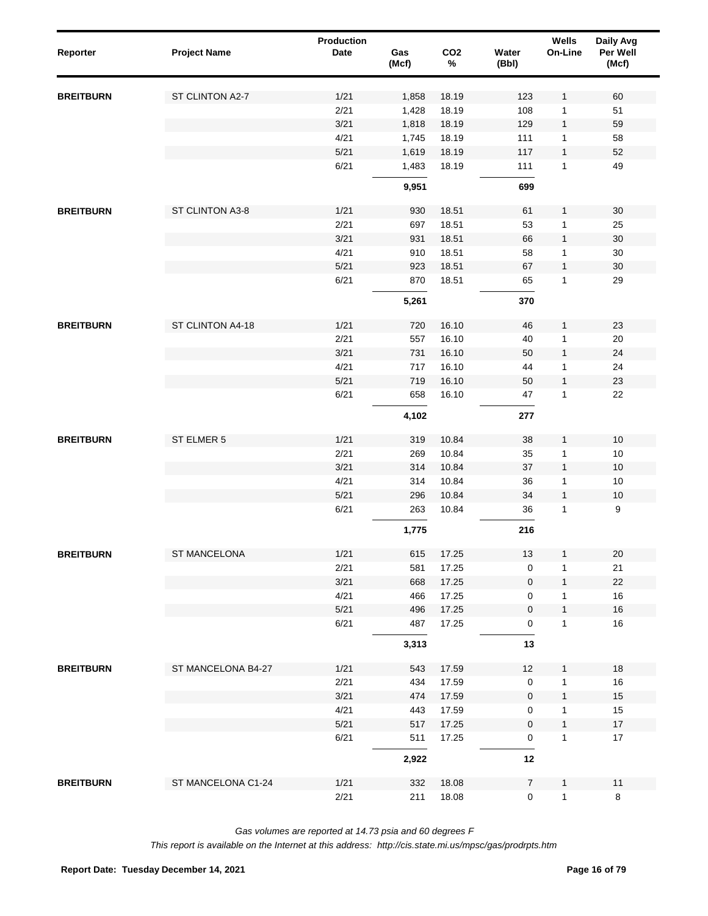| Reporter         | <b>Project Name</b> | <b>Production</b><br>Date | Gas<br>(Mcf) | CO <sub>2</sub><br>$\%$ | Water<br>(Bbl) | Wells<br>On-Line  | Daily Avg<br>Per Well<br>(Mcf) |
|------------------|---------------------|---------------------------|--------------|-------------------------|----------------|-------------------|--------------------------------|
| <b>BREITBURN</b> | ST CLINTON A2-7     | 1/21                      | 1,858        | 18.19                   | 123            | $\mathbf{1}$      | 60                             |
|                  |                     | 2/21                      | 1,428        | 18.19                   | 108            | 1                 | 51                             |
|                  |                     | 3/21                      | 1,818        | 18.19                   | 129            | $\mathbf{1}$      | 59                             |
|                  |                     | 4/21                      | 1,745        | 18.19                   | 111            | 1                 | 58                             |
|                  |                     | 5/21                      | 1,619        | 18.19                   | 117            | $\mathbf{1}$      | 52                             |
|                  |                     | 6/21                      | 1,483        | 18.19                   | 111            | $\mathbf{1}$      | 49                             |
|                  |                     |                           | 9,951        |                         | 699            |                   |                                |
| <b>BREITBURN</b> | ST CLINTON A3-8     | 1/21                      | 930          | 18.51                   | 61             | $\mathbf{1}$      | 30                             |
|                  |                     | 2/21                      | 697          | 18.51                   | 53             | $\mathbf{1}$      | 25                             |
|                  |                     | 3/21                      | 931          | 18.51                   | 66             | $\mathbf{1}$      | $30\,$                         |
|                  |                     | 4/21                      | 910          | 18.51                   | 58             | 1                 | 30                             |
|                  |                     | 5/21                      | 923          | 18.51                   | 67             | $\mathbf{1}$      | $30\,$                         |
|                  |                     | 6/21                      | 870          | 18.51                   | 65             | $\mathbf{1}$      | 29                             |
|                  |                     |                           | 5,261        |                         | 370            |                   |                                |
| <b>BREITBURN</b> | ST CLINTON A4-18    | 1/21                      | 720          | 16.10                   | 46             | $\mathbf{1}$      | 23                             |
|                  |                     | 2/21                      | 557          | 16.10                   | 40             | 1                 | 20                             |
|                  |                     | 3/21                      | 731          | 16.10                   | 50             | $\mathbf{1}$      | 24                             |
|                  |                     | 4/21                      | 717          | 16.10                   | 44             | 1                 | 24                             |
|                  |                     | 5/21                      | 719          | 16.10                   | 50             | $\mathbf{1}$      | 23                             |
|                  |                     | 6/21                      | 658          | 16.10                   | 47             | 1                 | 22                             |
|                  |                     |                           | 4,102        |                         | 277            |                   |                                |
| <b>BREITBURN</b> | ST ELMER 5          | 1/21                      | 319          | 10.84                   | 38             | $\mathbf{1}$      | $10$                           |
|                  |                     | 2/21                      | 269          | 10.84                   | 35             | 1                 | $10$                           |
|                  |                     | 3/21                      | 314          | 10.84                   | 37             | $\mathbf{1}$      | 10                             |
|                  |                     | 4/21                      | 314          | 10.84                   | 36             | 1                 | $10$                           |
|                  |                     | 5/21                      | 296          | 10.84                   | 34             | $\mathbf{1}$      | $10\,$                         |
|                  |                     | 6/21                      | 263          | 10.84                   | 36             | 1                 | $\boldsymbol{9}$               |
|                  |                     |                           | 1,775        |                         | 216            |                   |                                |
| <b>BREITBURN</b> | ST MANCELONA        | 1/21                      | 615          | 17.25                   | 13             | $\mathbf{1}$      | $20\,$                         |
|                  |                     | 2/21                      | 581          | 17.25                   | 0              | 1                 | 21                             |
|                  |                     | 3/21                      | 668          | 17.25                   | 0              | $\mathbf{1}$      | 22                             |
|                  |                     | 4/21                      | 466          | 17.25                   | 0              | 1                 | 16                             |
|                  |                     | 5/21                      | 496          | 17.25                   | 0              | $\mathbf{1}$      | 16                             |
|                  |                     | 6/21                      | 487          | 17.25                   | 0              | 1                 | 16                             |
|                  |                     |                           | 3,313        |                         | 13             |                   |                                |
| <b>BREITBURN</b> | ST MANCELONA B4-27  | 1/21                      | 543          | 17.59                   | 12             | $\mathbf{1}$      | 18                             |
|                  |                     | 2/21                      | 434          | 17.59                   | $\pmb{0}$      | $\mathbf{1}$      | 16                             |
|                  |                     | 3/21                      | 474          | 17.59                   | $\pmb{0}$      | $\mathbf{1}$      | 15                             |
|                  |                     | 4/21                      | 443          | 17.59                   | 0              | $\mathbf{1}$      | 15                             |
|                  |                     | $5/21$<br>6/21            | 517<br>511   | 17.25<br>17.25          | $\pmb{0}$<br>0 | $\mathbf{1}$<br>1 | $17\,$<br>$17$                 |
|                  |                     |                           | 2,922        |                         | 12             |                   |                                |
|                  |                     |                           |              |                         |                |                   |                                |
| <b>BREITBURN</b> | ST MANCELONA C1-24  | 1/21                      | 332          | 18.08                   | $\overline{7}$ | 1                 | 11                             |
|                  |                     | 2/21                      | 211          | 18.08                   | $\mathbf 0$    | $\mathbf{1}$      | 8                              |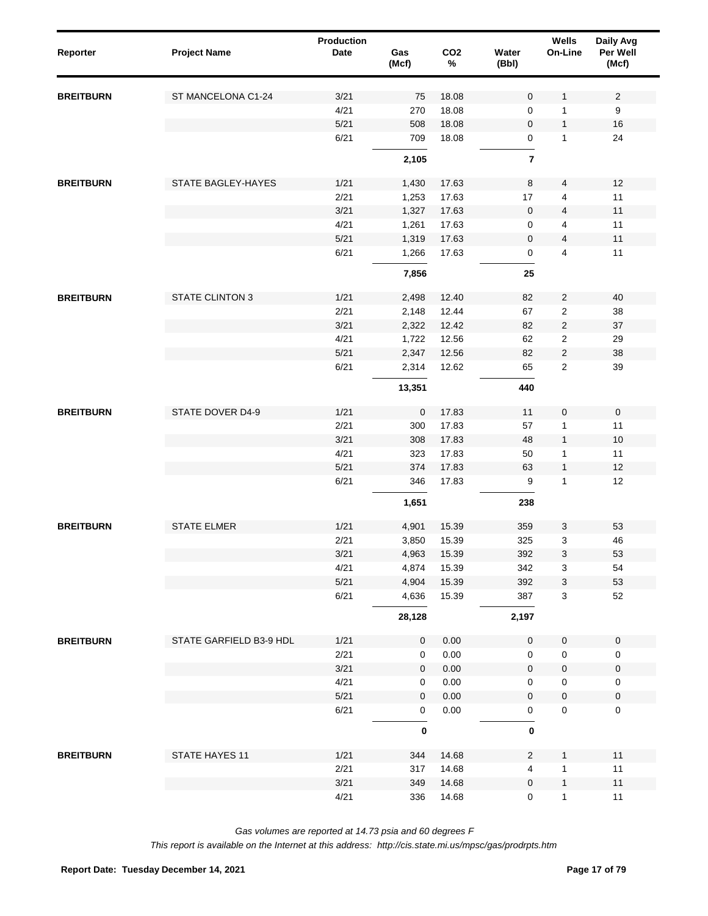| Reporter         | <b>Project Name</b>     | Production<br><b>Date</b> | Gas<br>(Mcf) | CO <sub>2</sub><br>$\%$ | Water<br>(Bbl)      | Wells<br>On-Line | Daily Avg<br>Per Well<br>(Mcf) |  |
|------------------|-------------------------|---------------------------|--------------|-------------------------|---------------------|------------------|--------------------------------|--|
| <b>BREITBURN</b> | ST MANCELONA C1-24      | 3/21                      | 75           | 18.08                   | $\mathbf 0$         | $\mathbf{1}$     | $\sqrt{2}$                     |  |
|                  |                         | 4/21                      | 270          | 18.08                   | 0                   | 1                | 9                              |  |
|                  |                         | 5/21                      | 508          | 18.08                   | $\mathbf 0$         | $\mathbf{1}$     | 16                             |  |
|                  |                         | 6/21                      | 709          | 18.08                   | 0                   | 1                | 24                             |  |
|                  |                         |                           | 2,105        |                         | $\overline{7}$      |                  |                                |  |
| <b>BREITBURN</b> | STATE BAGLEY-HAYES      | 1/21                      | 1,430        | 17.63                   | 8                   | 4                | 12                             |  |
|                  |                         | 2/21                      | 1,253        | 17.63                   | 17                  | 4                | 11                             |  |
|                  |                         | 3/21                      | 1,327        | 17.63                   | $\mathbf 0$         | $\overline{4}$   | 11                             |  |
|                  |                         | 4/21                      | 1,261        | 17.63                   | 0                   | 4                | 11                             |  |
|                  |                         | 5/21                      | 1,319        | 17.63                   | 0                   | $\overline{4}$   | 11                             |  |
|                  |                         | 6/21                      | 1,266        | 17.63                   | 0                   | 4                | 11                             |  |
|                  |                         |                           | 7,856        |                         | 25                  |                  |                                |  |
| <b>BREITBURN</b> | <b>STATE CLINTON 3</b>  | 1/21                      | 2,498        | 12.40                   | 82                  | $\overline{2}$   | 40                             |  |
|                  |                         | 2/21                      | 2,148        | 12.44                   | 67                  | 2                | 38                             |  |
|                  |                         | 3/21                      | 2,322        | 12.42                   | 82                  | $\overline{c}$   | 37                             |  |
|                  |                         | 4/21                      | 1,722        | 12.56                   | 62                  | 2                | 29                             |  |
|                  |                         | 5/21                      | 2,347        | 12.56                   | 82                  | $\overline{c}$   | 38                             |  |
|                  |                         | 6/21                      | 2,314        | 12.62                   | 65                  | 2                | 39                             |  |
|                  |                         |                           | 13,351       |                         | 440                 |                  |                                |  |
| <b>BREITBURN</b> | STATE DOVER D4-9        | 1/21                      | $\mathbf 0$  | 17.83                   | 11                  | $\pmb{0}$        | $\mathsf{O}\xspace$            |  |
|                  |                         | 2/21                      | 300          | 17.83                   | 57                  | 1                | 11                             |  |
|                  |                         | 3/21                      | 308          | 17.83                   | 48                  | $\mathbf{1}$     | 10                             |  |
|                  |                         | 4/21                      | 323          | 17.83                   | 50                  | 1                | 11                             |  |
|                  |                         | 5/21                      | 374          | 17.83                   | 63                  | $\mathbf{1}$     | 12                             |  |
|                  |                         | 6/21                      | 346          | 17.83                   | 9                   | 1                | 12                             |  |
|                  |                         |                           | 1,651        |                         | 238                 |                  |                                |  |
| <b>BREITBURN</b> | <b>STATE ELMER</b>      | 1/21                      | 4,901        | 15.39                   | 359                 | 3                | 53                             |  |
|                  |                         | 2/21                      | 3,850        | 15.39                   | 325                 | 3                | 46                             |  |
|                  |                         | 3/21                      | 4,963        | 15.39                   | 392                 | 3                | 53                             |  |
|                  |                         | 4/21                      | 4,874        | 15.39                   | 342                 | 3                | 54                             |  |
|                  |                         | 5/21                      | 4,904        | 15.39                   | 392                 | 3                | 53                             |  |
|                  |                         | 6/21                      | 4,636        | 15.39                   | 387                 | 3                | 52                             |  |
|                  |                         |                           | 28,128       |                         | 2,197               |                  |                                |  |
| <b>BREITBURN</b> | STATE GARFIELD B3-9 HDL | 1/21                      | $\pmb{0}$    | 0.00                    | $\mathsf{O}\xspace$ | $\pmb{0}$        | $\mathbf 0$                    |  |
|                  |                         | 2/21                      | 0            | 0.00                    | $\mathbf 0$         | $\pmb{0}$        | 0                              |  |
|                  |                         | 3/21                      | $\mathbf 0$  | 0.00                    | $\mathsf{O}\xspace$ | 0                | $\pmb{0}$                      |  |
|                  |                         | 4/21                      | 0            | 0.00                    | 0                   | $\pmb{0}$        | 0                              |  |
|                  |                         | 5/21                      | $\mathbf 0$  | 0.00                    | 0                   | 0                | $\mathbf 0$                    |  |
|                  |                         | 6/21                      | 0            | 0.00                    | 0                   | $\pmb{0}$        | $\mathbf 0$                    |  |
|                  |                         |                           | $\pmb{0}$    |                         | $\mathbf 0$         |                  |                                |  |
| <b>BREITBURN</b> | STATE HAYES 11          | 1/21                      | 344          | 14.68                   | $\overline{2}$      | 1                | 11                             |  |
|                  |                         | 2/21                      | 317          | 14.68                   | 4                   | 1                | 11                             |  |
|                  |                         | 3/21                      | 349          | 14.68                   | $\mathbf 0$         | $\mathbf{1}$     | $11$                           |  |
|                  |                         | 4/21                      | 336          | 14.68                   | 0                   | $\mathbf{1}$     | 11                             |  |
|                  |                         |                           |              |                         |                     |                  |                                |  |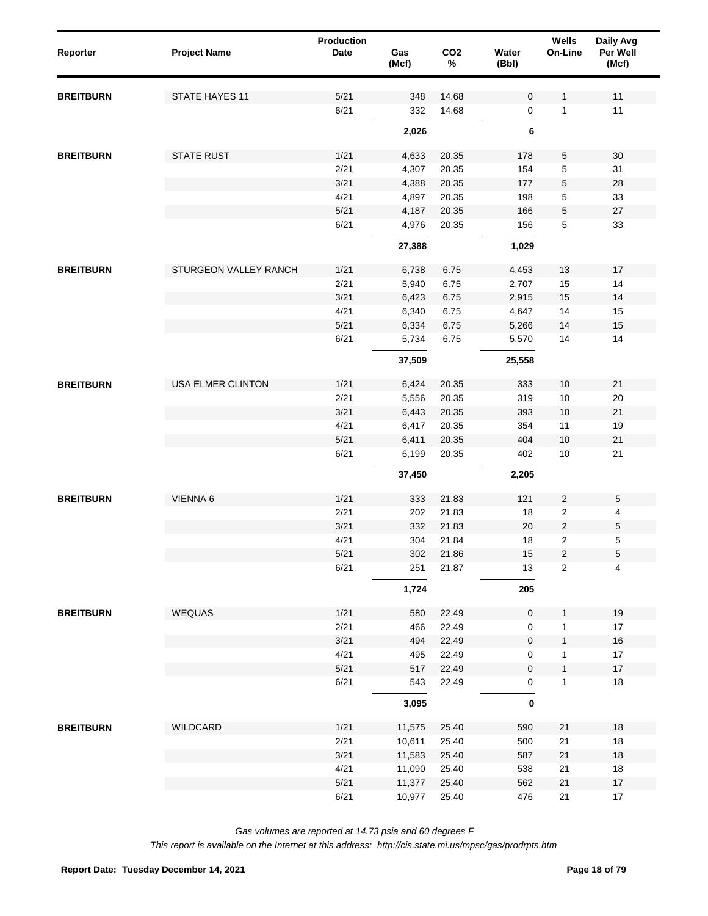| Reporter         | <b>Project Name</b>   | <b>Production</b><br>Date | Gas<br>(Mcf) | CO <sub>2</sub><br>$\%$ | Water<br>(Bbl) | Wells<br>On-Line        | Daily Avg<br>Per Well<br>(Mcf) |
|------------------|-----------------------|---------------------------|--------------|-------------------------|----------------|-------------------------|--------------------------------|
| <b>BREITBURN</b> | STATE HAYES 11        | 5/21                      | 348          | 14.68                   | 0              | 1                       | 11                             |
|                  |                       | 6/21                      | 332          | 14.68                   | 0              | 1                       | 11                             |
|                  |                       |                           | 2,026        |                         | 6              |                         |                                |
| <b>BREITBURN</b> | <b>STATE RUST</b>     | 1/21                      | 4,633        | 20.35                   | 178            | 5                       | 30                             |
|                  |                       | 2/21                      | 4,307        | 20.35                   | 154            | 5                       | 31                             |
|                  |                       | 3/21                      | 4,388        | 20.35                   | 177            | 5                       | 28                             |
|                  |                       | 4/21                      | 4,897        | 20.35                   | 198            | 5                       | 33                             |
|                  |                       | 5/21                      | 4,187        | 20.35                   | 166            | 5                       | $27\,$                         |
|                  |                       | 6/21                      | 4,976        | 20.35                   | 156            | 5                       | 33                             |
|                  |                       |                           | 27,388       |                         | 1,029          |                         |                                |
| <b>BREITBURN</b> | STURGEON VALLEY RANCH | 1/21                      | 6,738        | 6.75                    | 4,453          | 13                      | 17                             |
|                  |                       | 2/21                      | 5,940        | 6.75                    | 2,707          | 15                      | 14                             |
|                  |                       | 3/21                      | 6,423        | 6.75                    | 2,915          | 15                      | 14                             |
|                  |                       | 4/21                      | 6,340        | 6.75                    | 4,647          | 14                      | 15                             |
|                  |                       | 5/21                      | 6,334        | 6.75                    | 5,266          | 14                      | 15                             |
|                  |                       | 6/21                      | 5,734        | 6.75                    | 5,570          | 14                      | 14                             |
|                  |                       |                           | 37,509       |                         | 25,558         |                         |                                |
| <b>BREITBURN</b> | USA ELMER CLINTON     | 1/21                      | 6,424        | 20.35                   | 333            | 10                      | 21                             |
|                  |                       | 2/21                      | 5,556        | 20.35                   | 319            | 10                      | 20                             |
|                  |                       | 3/21                      | 6,443        | 20.35                   | 393            | 10                      | 21                             |
|                  |                       | 4/21                      | 6,417        | 20.35                   | 354            | 11                      | 19                             |
|                  |                       | 5/21                      | 6,411        | 20.35                   | 404            | 10                      | 21                             |
|                  |                       | 6/21                      | 6,199        | 20.35                   | 402            | 10                      | 21                             |
|                  |                       |                           | 37,450       |                         | 2,205          |                         |                                |
| <b>BREITBURN</b> | VIENNA 6              | 1/21                      | 333          | 21.83                   | 121            | $\overline{c}$          | $\sqrt{5}$                     |
|                  |                       | 2/21                      | 202          | 21.83                   | 18             | 2                       | 4                              |
|                  |                       | 3/21                      | 332          | 21.83                   | 20             | $\overline{\mathbf{c}}$ | $\,$ 5 $\,$                    |
|                  |                       | 4/21                      | 304          | 21.84                   | 18             | $\overline{2}$          | $\sqrt{5}$                     |
|                  |                       | 5/21                      | 302          | 21.86                   | 15             | 2                       | $\,$ 5 $\,$                    |
|                  |                       | 6/21                      | 251          | 21.87                   | 13             | $\overline{2}$          | $\overline{4}$                 |
|                  |                       |                           | 1,724        |                         | 205            |                         |                                |
| <b>BREITBURN</b> | WEQUAS                | 1/21                      | 580          | 22.49                   | 0              | $\mathbf{1}$            | 19                             |
|                  |                       | 2/21                      | 466          | 22.49                   | 0              | 1                       | 17                             |
|                  |                       | 3/21                      | 494          | 22.49                   | $\pmb{0}$      | $\mathbf{1}$            | $16\,$                         |
|                  |                       | 4/21                      | 495          | 22.49                   | 0              | 1                       | $17\,$                         |
|                  |                       | 5/21                      | 517          | 22.49                   | 0              | $\mathbf{1}$            | $17\,$                         |
|                  |                       | 6/21                      | 543          | 22.49                   | 0              | 1                       | $18$                           |
|                  |                       |                           | 3,095        |                         | $\bf{0}$       |                         |                                |
| <b>BREITBURN</b> | WILDCARD              | 1/21                      | 11,575       | 25.40                   | 590            | 21                      | 18                             |
|                  |                       | 2/21                      | 10,611       | 25.40                   | 500            | 21                      | $18$                           |
|                  |                       | 3/21                      | 11,583       | 25.40                   | 587            | $21$                    | $18\,$                         |
|                  |                       | 4/21                      | 11,090       | 25.40                   | 538            | 21                      | 18                             |
|                  |                       | 5/21                      | 11,377       | 25.40                   | 562            | $21$                    | 17                             |
|                  |                       | 6/21                      | 10,977       | 25.40                   | 476            | 21                      | $17\,$                         |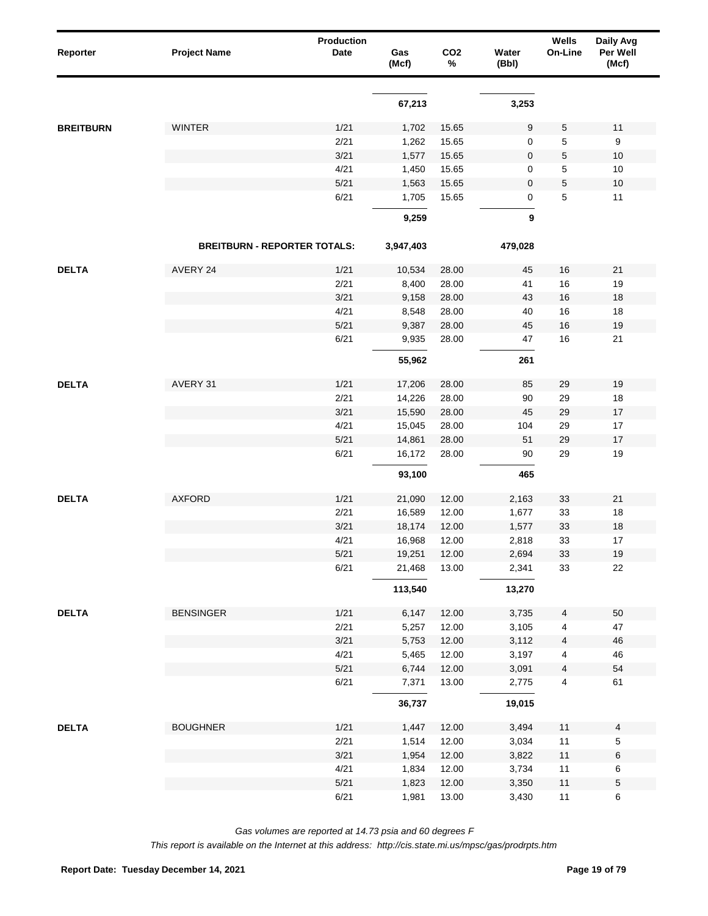| Reporter         | <b>Project Name</b>                 | Production<br><b>Date</b> | Gas<br>(Mcf)    | CO <sub>2</sub><br>$\%$ | Water<br>(Bbl) | Wells<br>On-Line | Daily Avg<br>Per Well<br>(Mcf) |  |
|------------------|-------------------------------------|---------------------------|-----------------|-------------------------|----------------|------------------|--------------------------------|--|
|                  |                                     |                           | 67,213          |                         | 3,253          |                  |                                |  |
| <b>BREITBURN</b> | <b>WINTER</b>                       | 1/21                      | 1,702           | 15.65                   | 9              | 5                | 11                             |  |
|                  |                                     | 2/21                      | 1,262           | 15.65                   | 0              | 5                | 9                              |  |
|                  |                                     | 3/21                      | 1,577           | 15.65                   | 0              | $\mathbf 5$      | 10                             |  |
|                  |                                     | 4/21                      | 1,450           | 15.65                   | 0              | 5                | 10                             |  |
|                  |                                     | 5/21                      | 1,563           | 15.65                   | 0              | $\mathbf 5$      | $10$                           |  |
|                  |                                     | 6/21                      | 1,705           | 15.65                   | 0              | $\mathbf 5$      | 11                             |  |
|                  |                                     |                           | 9,259           |                         | 9              |                  |                                |  |
|                  | <b>BREITBURN - REPORTER TOTALS:</b> |                           | 3,947,403       |                         | 479,028        |                  |                                |  |
|                  | AVERY 24                            |                           |                 |                         |                |                  |                                |  |
| <b>DELTA</b>     |                                     | 1/21<br>2/21              | 10,534<br>8,400 | 28.00<br>28.00          | 45<br>41       | 16<br>16         | 21<br>19                       |  |
|                  |                                     | 3/21                      | 9,158           |                         | 43             | 16               | 18                             |  |
|                  |                                     | 4/21                      | 8,548           | 28.00<br>28.00          | 40             | 16               | 18                             |  |
|                  |                                     | 5/21                      | 9,387           | 28.00                   | 45             | 16               | 19                             |  |
|                  |                                     | 6/21                      | 9,935           | 28.00                   | 47             | 16               | 21                             |  |
|                  |                                     |                           |                 |                         |                |                  |                                |  |
|                  |                                     |                           | 55,962          |                         | 261            |                  |                                |  |
| <b>DELTA</b>     | AVERY 31                            | 1/21                      | 17,206          | 28.00                   | 85             | 29               | 19                             |  |
|                  |                                     | 2/21                      | 14,226          | 28.00                   | 90             | 29               | 18                             |  |
|                  |                                     | 3/21                      | 15,590          | 28.00                   | 45             | 29               | 17                             |  |
|                  |                                     | 4/21                      | 15,045          | 28.00                   | 104            | 29               | 17                             |  |
|                  |                                     | 5/21                      | 14,861          | 28.00                   | 51             | 29               | 17                             |  |
|                  |                                     | 6/21                      | 16,172          | 28.00                   | 90             | 29               | 19                             |  |
|                  |                                     |                           | 93,100          |                         | 465            |                  |                                |  |
| <b>DELTA</b>     | <b>AXFORD</b>                       | 1/21                      | 21,090          | 12.00                   | 2,163          | 33               | 21                             |  |
|                  |                                     | 2/21                      | 16,589          | 12.00                   | 1,677          | 33               | 18                             |  |
|                  |                                     | 3/21                      | 18,174          | 12.00                   | 1,577          | 33               | 18                             |  |
|                  |                                     | 4/21                      | 16,968          | 12.00                   | 2,818          | 33               | 17                             |  |
|                  |                                     | $5/21$                    | 19,251          | 12.00                   | 2,694          | $33\,$           | 19                             |  |
|                  |                                     | 6/21                      | 21,468          | 13.00                   | 2,341          | 33               | 22                             |  |
|                  |                                     |                           | 113,540         |                         | 13,270         |                  |                                |  |
| <b>DELTA</b>     | <b>BENSINGER</b>                    | 1/21                      | 6,147           | 12.00                   | 3,735          | $\overline{4}$   | 50                             |  |
|                  |                                     | 2/21                      | 5,257           | 12.00                   | 3,105          | $\overline{4}$   | 47                             |  |
|                  |                                     | 3/21                      | 5,753           | 12.00                   | 3,112          | $\overline{4}$   | 46                             |  |
|                  |                                     | 4/21                      | 5,465           | 12.00                   | 3,197          | $\overline{4}$   | 46                             |  |
|                  |                                     | 5/21                      | 6,744           | 12.00                   | 3,091          | $\overline{4}$   | 54                             |  |
|                  |                                     | 6/21                      | 7,371           | 13.00                   | 2,775          | $\overline{4}$   | 61                             |  |
|                  |                                     |                           | 36,737          |                         | 19,015         |                  |                                |  |
| <b>DELTA</b>     | <b>BOUGHNER</b>                     | 1/21                      | 1,447           | 12.00                   | 3,494          | $11$             | 4                              |  |
|                  |                                     | 2/21                      | 1,514           | 12.00                   | 3,034          | 11               | 5                              |  |
|                  |                                     | 3/21                      | 1,954           | 12.00                   | 3,822          | $11$             | 6                              |  |
|                  |                                     | 4/21                      | 1,834           | 12.00                   | 3,734          | 11               | 6                              |  |
|                  |                                     | 5/21                      | 1,823           | 12.00                   | 3,350          | $11$             | 5                              |  |
|                  |                                     | 6/21                      | 1,981           | 13.00                   | 3,430          | 11               | 6                              |  |
|                  |                                     |                           |                 |                         |                |                  |                                |  |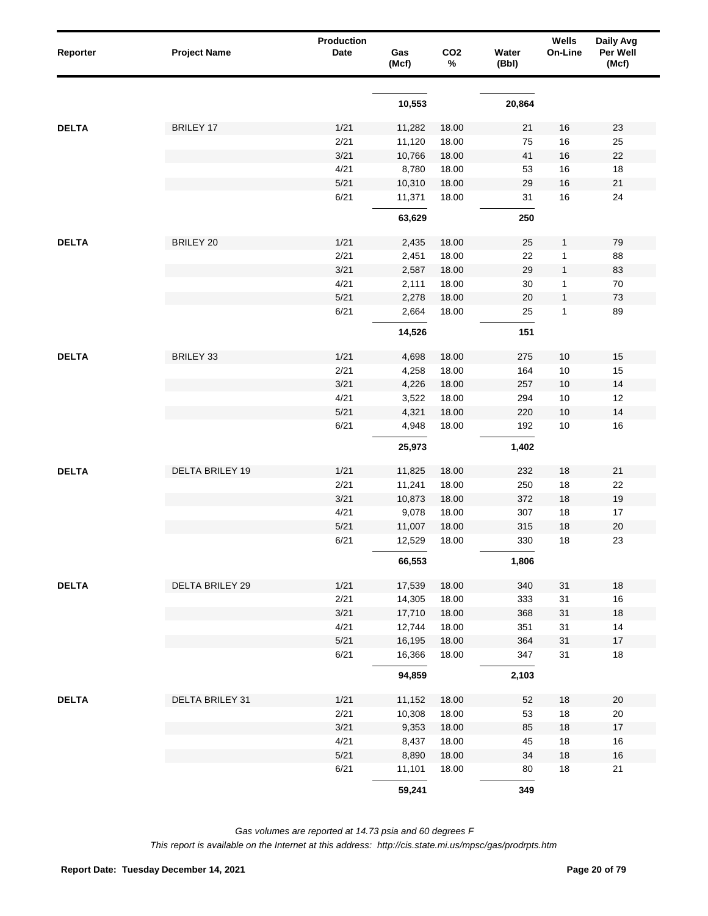| Reporter     | <b>Project Name</b>    | Production<br>Date | Gas<br>(Mcf)     | CO <sub>2</sub><br>% | Water<br>(Bbl) | Wells<br>On-Line | Daily Avg<br>Per Well<br>(Mcf) |
|--------------|------------------------|--------------------|------------------|----------------------|----------------|------------------|--------------------------------|
|              |                        |                    | 10,553           |                      | 20,864         |                  |                                |
| <b>DELTA</b> | <b>BRILEY 17</b>       | 1/21               |                  |                      |                | 16               | 23                             |
|              |                        | 2/21               | 11,282<br>11,120 | 18.00<br>18.00       | 21<br>75       | 16               | 25                             |
|              |                        | 3/21               | 10,766           | 18.00                | 41             | 16               | 22                             |
|              |                        | 4/21               | 8,780            | 18.00                | 53             | 16               | 18                             |
|              |                        | 5/21               | 10,310           | 18.00                | 29             | 16               | $21$                           |
|              |                        | 6/21               | 11,371           | 18.00                | 31             | 16               | 24                             |
|              |                        |                    | 63,629           |                      | 250            |                  |                                |
| <b>DELTA</b> | BRILEY 20              | 1/21               | 2,435            | 18.00                | 25             | $\mathbf{1}$     | 79                             |
|              |                        | 2/21               | 2,451            | 18.00                | 22             | 1                | 88                             |
|              |                        | 3/21               | 2,587            | 18.00                | 29             | $\mathbf{1}$     | 83                             |
|              |                        | 4/21               | 2,111            | 18.00                | 30             | 1                | 70                             |
|              |                        | 5/21               | 2,278            | 18.00                | 20             | $\mathbf{1}$     | 73                             |
|              |                        | 6/21               | 2,664            | 18.00                | 25             | $\mathbf{1}$     | 89                             |
|              |                        |                    | 14,526           |                      | 151            |                  |                                |
| <b>DELTA</b> | BRILEY 33              | 1/21               | 4,698            | 18.00                | 275            | $10$             | $15$                           |
|              |                        | 2/21               | 4,258            | 18.00                | 164            | 10               | 15                             |
|              |                        | 3/21               | 4,226            | 18.00                | 257            | $10$             | 14                             |
|              |                        | 4/21               | 3,522            | 18.00                | 294            | $10\,$           | 12                             |
|              |                        | 5/21               | 4,321            | 18.00                | 220            | $10$             | 14                             |
|              |                        | 6/21               | 4,948            | 18.00                | 192            | $10$             | 16                             |
|              |                        |                    | 25,973           |                      | 1,402          |                  |                                |
| <b>DELTA</b> | <b>DELTA BRILEY 19</b> | 1/21               | 11,825           | 18.00                | 232            | 18               | 21                             |
|              |                        | 2/21               | 11,241           | 18.00                | 250            | 18               | 22                             |
|              |                        | 3/21               | 10,873           | 18.00                | 372            | 18               | $19$                           |
|              |                        | 4/21               | 9,078            | 18.00                | 307            | 18               | 17                             |
|              |                        | 5/21               | 11,007           | 18.00                | 315            | 18               | $20\,$                         |
|              |                        | 6/21               | 12,529           | 18.00                | 330            | 18               | 23                             |
|              |                        |                    | 66,553           |                      | 1,806          |                  |                                |
| <b>DELTA</b> | DELTA BRILEY 29        | 1/21               | 17,539           | 18.00                | 340            | 31               | $18\,$                         |
|              |                        | 2/21               | 14,305           | 18.00                | 333            | 31               | 16                             |
|              |                        | 3/21               | 17,710           | 18.00                | 368            | 31               | 18                             |
|              |                        | 4/21               | 12,744           | 18.00                | 351            | 31               | 14                             |
|              |                        | 5/21               | 16,195           | 18.00                | 364            | 31               | $17\,$                         |
|              |                        | 6/21               | 16,366           | 18.00                | 347            | 31               | $18$                           |
|              |                        |                    | 94,859           |                      | 2,103          |                  |                                |
| <b>DELTA</b> | DELTA BRILEY 31        | 1/21               | 11,152           | 18.00                | 52             | 18               | $20\,$                         |
|              |                        | 2/21               | 10,308           | 18.00                | 53             | 18               | 20                             |
|              |                        | 3/21               | 9,353            | 18.00                | 85             | 18               | $17$                           |
|              |                        | 4/21               | 8,437            | 18.00                | 45             | 18               | 16                             |
|              |                        | 5/21               | 8,890            | 18.00                | 34             | 18               | $16$                           |
|              |                        | 6/21               | 11,101           | 18.00                | 80             | $18$             | 21                             |
|              |                        |                    | 59,241           |                      | 349            |                  |                                |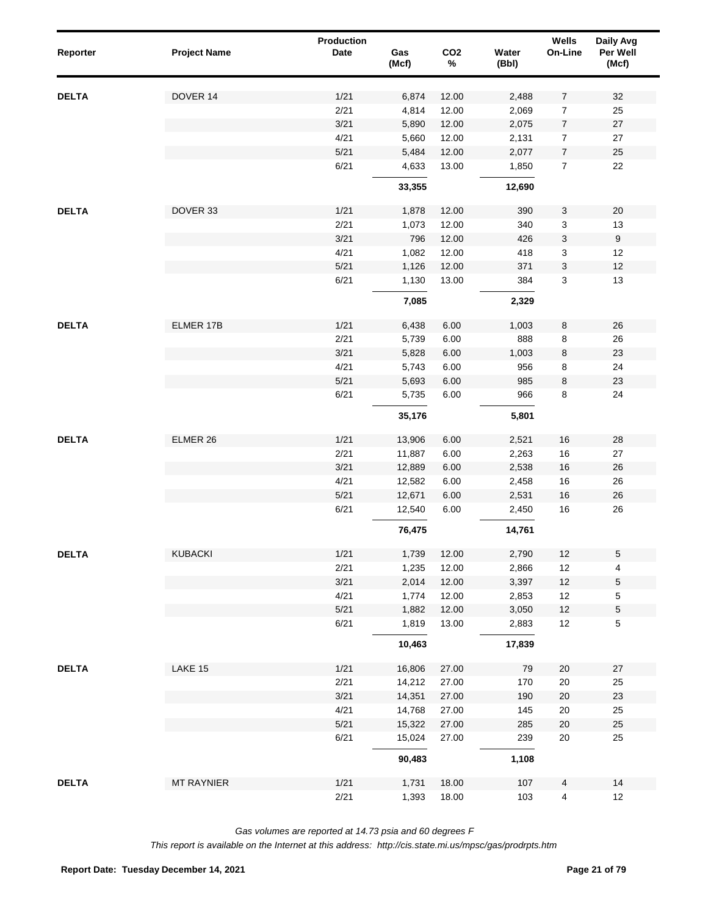| Reporter     | <b>Project Name</b> | Production<br>Date | Gas<br>(Mcf) | CO <sub>2</sub><br>$\%$ | Water<br>(Bbl) | Wells<br>On-Line | Daily Avg<br>Per Well<br>(Mcf) |
|--------------|---------------------|--------------------|--------------|-------------------------|----------------|------------------|--------------------------------|
| <b>DELTA</b> | DOVER 14            | 1/21               | 6,874        | 12.00                   | 2,488          | 7                | 32                             |
|              |                     | 2/21               | 4,814        | 12.00                   | 2,069          | 7                | 25                             |
|              |                     | 3/21               | 5,890        | 12.00                   | 2,075          | 7                | 27                             |
|              |                     | 4/21               | 5,660        | 12.00                   | 2,131          | 7                | 27                             |
|              |                     | 5/21               | 5,484        | 12.00                   | 2,077          | 7                | 25                             |
|              |                     | 6/21               | 4,633        | 13.00                   | 1,850          | $\boldsymbol{7}$ | 22                             |
|              |                     |                    | 33,355       |                         | 12,690         |                  |                                |
| <b>DELTA</b> | DOVER 33            | 1/21               | 1,878        | 12.00                   | 390            | 3                | 20                             |
|              |                     | 2/21               | 1,073        | 12.00                   | 340            | 3                | 13                             |
|              |                     | 3/21               | 796          | 12.00                   | 426            | 3                | $\boldsymbol{9}$               |
|              |                     | 4/21               | 1,082        | 12.00                   | 418            | 3                | 12                             |
|              |                     | 5/21               | 1,126        | 12.00                   | 371            | 3                | 12                             |
|              |                     | 6/21               | 1,130        | 13.00                   | 384            | 3                | 13                             |
|              |                     |                    | 7,085        |                         | 2,329          |                  |                                |
| <b>DELTA</b> | ELMER 17B           | 1/21               | 6,438        | 6.00                    | 1,003          | 8                | 26                             |
|              |                     | 2/21               | 5,739        | 6.00                    | 888            | 8                | 26                             |
|              |                     | 3/21               | 5,828        | 6.00                    | 1,003          | $\bf 8$          | 23                             |
|              |                     | 4/21               | 5,743        | 6.00                    | 956            | 8                | 24                             |
|              |                     | 5/21               | 5,693        | 6.00                    | 985            | $\bf 8$          | 23                             |
|              |                     | 6/21               | 5,735        | 6.00                    | 966            | 8                | 24                             |
|              |                     |                    | 35,176       |                         | 5,801          |                  |                                |
| <b>DELTA</b> | ELMER 26            | 1/21               | 13,906       | 6.00                    | 2,521          | 16               | 28                             |
|              |                     | 2/21               | 11,887       | 6.00                    | 2,263          | 16               | 27                             |
|              |                     | 3/21               | 12,889       | 6.00                    | 2,538          | 16               | $26\,$                         |
|              |                     | 4/21               | 12,582       | 6.00                    | 2,458          | 16               | 26                             |
|              |                     | 5/21               | 12,671       | 6.00                    | 2,531          | 16               | $26\,$                         |
|              |                     | 6/21               | 12,540       | 6.00                    | 2,450          | 16               | 26                             |
|              |                     |                    | 76,475       |                         | 14,761         |                  |                                |
| <b>DELTA</b> | KUBACKI             | 1/21               | 1,739        | 12.00                   | 2,790          | 12               | $\,$ 5 $\,$                    |
|              |                     | 2/21               | 1,235        | 12.00                   | 2,866          | 12               | 4                              |
|              |                     | 3/21               | 2,014        | 12.00                   | 3,397          | 12               | $\,$ 5 $\,$                    |
|              |                     | 4/21               | 1,774        | 12.00                   | 2,853          | 12               | $\,$ 5 $\,$                    |
|              |                     | 5/21               | 1,882        | 12.00                   | 3,050          | 12               | $\,$ 5 $\,$                    |
|              |                     | 6/21               | 1,819        | 13.00                   | 2,883          | $12$             | $\,$ 5 $\,$                    |
|              |                     |                    | 10,463       |                         | 17,839         |                  |                                |
| <b>DELTA</b> | LAKE 15             | 1/21               | 16,806       | 27.00                   | 79             | $20\,$           | 27                             |
|              |                     | 2/21               | 14,212       | 27.00                   | 170            | $20\,$           | 25                             |
|              |                     | 3/21               | 14,351       | 27.00                   | 190            | 20               | $23\,$                         |
|              |                     | 4/21               | 14,768       | 27.00                   | 145            | $20\,$           | 25                             |
|              |                     | 5/21               | 15,322       | 27.00                   | 285            | 20               | $25\,$                         |
|              |                     | 6/21               | 15,024       | 27.00                   | 239            | $20\,$           | 25                             |
|              |                     |                    | 90,483       |                         | 1,108          |                  |                                |
| <b>DELTA</b> | <b>MT RAYNIER</b>   | 1/21               | 1,731        | 18.00                   | 107            | 4                | 14                             |
|              |                     | 2/21               | 1,393        | 18.00                   | 103            | 4                | 12                             |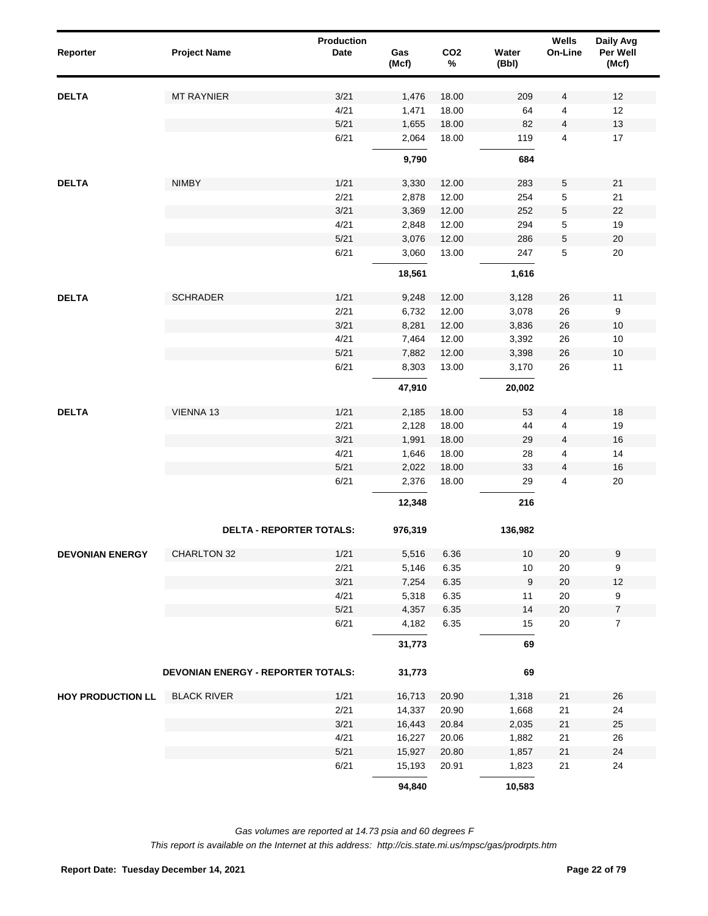| Reporter                 | <b>Project Name</b>                | Production<br><b>Date</b> | Gas<br>(Mcf) | CO <sub>2</sub><br>$\%$ | Water<br>(Bbl) | Wells<br>On-Line | Daily Avg<br>Per Well<br>(Mcf) |
|--------------------------|------------------------------------|---------------------------|--------------|-------------------------|----------------|------------------|--------------------------------|
| <b>DELTA</b>             | <b>MT RAYNIER</b>                  | 3/21                      | 1,476        | 18.00                   | 209            | 4                | 12                             |
|                          |                                    | 4/21                      | 1,471        | 18.00                   | 64             | 4                | 12                             |
|                          |                                    | 5/21                      | 1,655        | 18.00                   | 82             | $\overline{4}$   | 13                             |
|                          |                                    | 6/21                      | 2,064        | 18.00                   | 119            | $\overline{4}$   | 17                             |
|                          |                                    |                           | 9,790        |                         | 684            |                  |                                |
| <b>DELTA</b>             | <b>NIMBY</b>                       | 1/21                      | 3,330        | 12.00                   | 283            | 5                | 21                             |
|                          |                                    | 2/21                      | 2,878        | 12.00                   | 254            | 5                | 21                             |
|                          |                                    | 3/21                      | 3,369        | 12.00                   | 252            | $\,$ 5 $\,$      | 22                             |
|                          |                                    | 4/21                      | 2,848        | 12.00                   | 294            | 5                | 19                             |
|                          |                                    | $5/21$                    | 3,076        | 12.00                   | 286            | $\,$ 5 $\,$      | $20\,$                         |
|                          |                                    | 6/21                      | 3,060        | 13.00                   | 247            | 5                | 20                             |
|                          |                                    |                           | 18,561       |                         | 1,616          |                  |                                |
| <b>DELTA</b>             | <b>SCHRADER</b>                    | 1/21                      | 9,248        | 12.00                   | 3,128          | 26               | 11                             |
|                          |                                    | 2/21                      | 6,732        | 12.00                   | 3,078          | 26               | $\boldsymbol{9}$               |
|                          |                                    | 3/21                      | 8,281        | 12.00                   | 3,836          | $26\,$           | 10                             |
|                          |                                    | 4/21                      | 7,464        | 12.00                   | 3,392          | 26               | 10                             |
|                          |                                    | $5/21$                    | 7,882        | 12.00                   | 3,398          | $26\,$           | 10                             |
|                          |                                    | 6/21                      | 8,303        | 13.00                   | 3,170          | 26               | 11                             |
|                          |                                    |                           | 47,910       |                         | 20,002         |                  |                                |
| <b>DELTA</b>             | VIENNA 13                          | 1/21                      | 2,185        | 18.00                   | 53             | 4                | 18                             |
|                          |                                    | 2/21                      | 2,128        | 18.00                   | 44             | 4                | 19                             |
|                          |                                    | 3/21                      | 1,991        | 18.00                   | 29             | 4                | 16                             |
|                          |                                    | 4/21                      | 1,646        | 18.00                   | 28             | 4                | 14                             |
|                          |                                    | 5/21                      | 2,022        | 18.00                   | 33             | 4                | 16                             |
|                          |                                    | 6/21                      | 2,376        | 18.00                   | 29             | $\overline{4}$   | 20                             |
|                          |                                    |                           | 12,348       |                         | 216            |                  |                                |
|                          | <b>DELTA - REPORTER TOTALS:</b>    |                           | 976,319      |                         | 136,982        |                  |                                |
| <b>DEVONIAN ENERGY</b>   | CHARLTON 32                        | 1/21                      | 5,516        | 6.36                    | 10             | 20               | $\boldsymbol{9}$               |
|                          |                                    | 2/21                      | 5,146        | 6.35                    | 10             | $20\,$           | 9                              |
|                          |                                    | 3/21                      | 7,254        | 6.35                    | $9\,$          | $20\,$           | 12                             |
|                          |                                    | 4/21                      | 5,318        | 6.35                    | 11             | $20\,$           | 9                              |
|                          |                                    | $5/21$                    | 4,357        | 6.35                    | 14             | $20\,$           | $\boldsymbol{7}$               |
|                          |                                    | 6/21                      | 4,182        | 6.35                    | 15             | 20               | $\overline{7}$                 |
|                          |                                    |                           | 31,773       |                         | 69             |                  |                                |
|                          | DEVONIAN ENERGY - REPORTER TOTALS: |                           | 31,773       |                         | 69             |                  |                                |
| <b>HOY PRODUCTION LL</b> | <b>BLACK RIVER</b>                 | 1/21                      | 16,713       | 20.90                   | 1,318          | 21               | 26                             |
|                          |                                    | 2/21                      | 14,337       | 20.90                   | 1,668          | 21               | 24                             |
|                          |                                    | 3/21                      | 16,443       | 20.84                   | 2,035          | 21               | 25                             |
|                          |                                    | 4/21                      | 16,227       | 20.06                   | 1,882          | 21               | 26                             |
|                          |                                    | 5/21                      | 15,927       | 20.80                   | 1,857          | $21$             | 24                             |
|                          |                                    | 6/21                      | 15,193       | 20.91                   | 1,823          | 21               | 24                             |
|                          |                                    |                           | 94,840       |                         | 10,583         |                  |                                |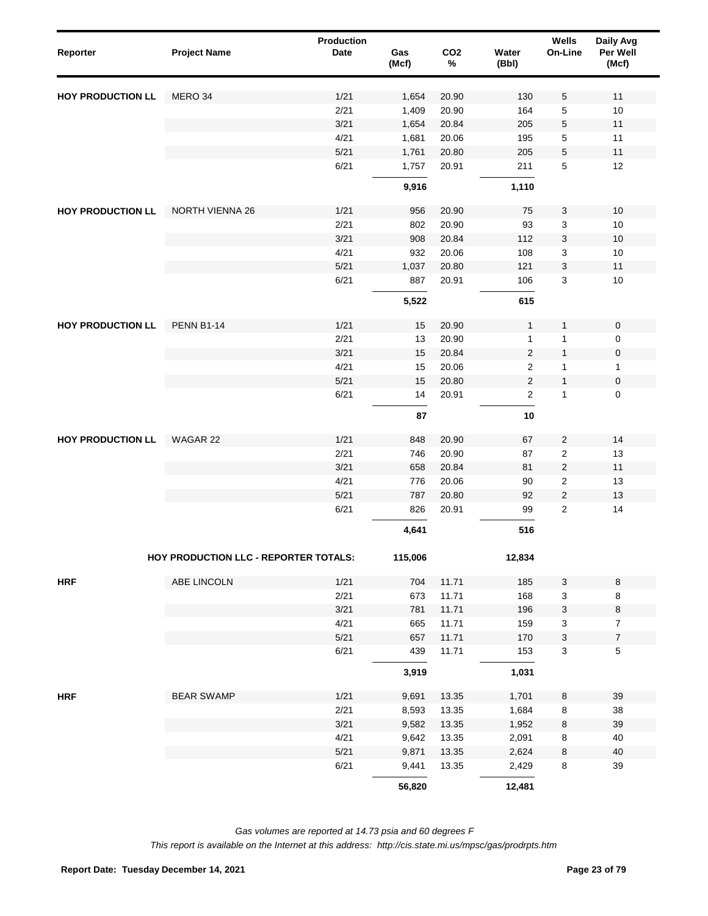| Reporter                 | <b>Project Name</b>                   | <b>Production</b><br>Date | Gas<br>(Mcf) | CO <sub>2</sub><br>$\%$ | Water<br>(Bbl) | Wells<br>On-Line        | Daily Avg<br>Per Well<br>(Mcf) |
|--------------------------|---------------------------------------|---------------------------|--------------|-------------------------|----------------|-------------------------|--------------------------------|
| <b>HOY PRODUCTION LL</b> | MERO 34                               | 1/21                      | 1,654        | 20.90                   | 130            | 5                       | 11                             |
|                          |                                       | 2/21                      | 1,409        | 20.90                   | 164            | 5                       | 10                             |
|                          |                                       | 3/21                      | 1,654        | 20.84                   | 205            | 5                       | 11                             |
|                          |                                       | 4/21                      | 1,681        | 20.06                   | 195            | 5                       | 11                             |
|                          |                                       | 5/21                      | 1,761        | 20.80                   | 205            | 5                       | 11                             |
|                          |                                       | 6/21                      | 1,757        | 20.91                   | 211            | 5                       | 12                             |
|                          |                                       |                           | 9,916        |                         | 1,110          |                         |                                |
| <b>HOY PRODUCTION LL</b> | <b>NORTH VIENNA 26</b>                | 1/21                      | 956          | 20.90                   | 75             | 3                       | 10                             |
|                          |                                       | 2/21                      | 802          | 20.90                   | 93             | 3                       | 10                             |
|                          |                                       | 3/21                      | 908          | 20.84                   | 112            | 3                       | $10\,$                         |
|                          |                                       | 4/21                      | 932          | 20.06                   | 108            | 3                       | 10                             |
|                          |                                       | 5/21                      | 1,037        | 20.80                   | 121            | 3                       | 11                             |
|                          |                                       | 6/21                      | 887          | 20.91                   | 106            | 3                       | 10                             |
|                          |                                       |                           | 5,522        |                         | 615            |                         |                                |
| <b>HOY PRODUCTION LL</b> | <b>PENN B1-14</b>                     | 1/21                      | 15           | 20.90                   | $\mathbf{1}$   | 1                       | $\mathsf{O}\xspace$            |
|                          |                                       | 2/21                      | 13           | 20.90                   | 1              | 1                       | $\mathsf 0$                    |
|                          |                                       | 3/21                      | 15           | 20.84                   | $\overline{c}$ | $\mathbf{1}$            | $\mathbf 0$                    |
|                          |                                       | 4/21                      | 15           | 20.06                   | $\overline{2}$ | 1                       | $\mathbf{1}$                   |
|                          |                                       | 5/21                      | 15           | 20.80                   | $\overline{2}$ | $\mathbf{1}$            | $\mathbf 0$                    |
|                          |                                       | 6/21                      | 14           | 20.91                   | 2              | 1                       | $\mathsf 0$                    |
|                          |                                       |                           | 87           |                         | 10             |                         |                                |
| <b>HOY PRODUCTION LL</b> | WAGAR 22                              | 1/21                      | 848          | 20.90                   | 67             | $\overline{2}$          | 14                             |
|                          |                                       | 2/21                      | 746          | 20.90                   | 87             | $\boldsymbol{2}$        | 13                             |
|                          |                                       | 3/21                      | 658          | 20.84                   | 81             | $\overline{\mathbf{c}}$ | 11                             |
|                          |                                       | 4/21                      | 776          | 20.06                   | 90             | 2                       | 13                             |
|                          |                                       | 5/21                      | 787          | 20.80                   | 92             | $\sqrt{2}$              | 13                             |
|                          |                                       | 6/21                      | 826          | 20.91                   | 99             | $\overline{2}$          | 14                             |
|                          |                                       |                           | 4,641        |                         | 516            |                         |                                |
|                          | HOY PRODUCTION LLC - REPORTER TOTALS: |                           | 115,006      |                         | 12,834         |                         |                                |
| <b>HRF</b>               | ABE LINCOLN                           | 1/21                      | 704          | 11.71                   | 185            | 3                       | $\bf 8$                        |
|                          |                                       | 2/21                      | 673          | 11.71                   | 168            | 3                       | 8                              |
|                          |                                       | 3/21                      | 781          | 11.71                   | 196            | 3                       | 8                              |
|                          |                                       | 4/21                      | 665          | 11.71                   | 159            | 3                       | $\overline{7}$                 |
|                          |                                       | 5/21                      | 657          | 11.71                   | 170            | 3                       | $\boldsymbol{7}$               |
|                          |                                       | 6/21                      | 439          | 11.71                   | 153            | 3                       | $\,$ 5 $\,$                    |
|                          |                                       |                           | 3,919        |                         | 1,031          |                         |                                |
| <b>HRF</b>               | <b>BEAR SWAMP</b>                     | 1/21                      | 9,691        | 13.35                   | 1,701          | $\bf 8$                 | 39                             |
|                          |                                       | 2/21                      | 8,593        | 13.35                   | 1,684          | 8                       | 38                             |
|                          |                                       | 3/21                      | 9,582        | 13.35                   | 1,952          | 8                       | 39                             |
|                          |                                       | 4/21                      | 9,642        | 13.35                   | 2,091          | 8                       | 40                             |
|                          |                                       | 5/21                      | 9,871        | 13.35                   | 2,624          | 8                       | 40                             |
|                          |                                       | 6/21                      | 9,441        | 13.35                   | 2,429          | 8                       | 39                             |
|                          |                                       |                           | 56,820       |                         | 12,481         |                         |                                |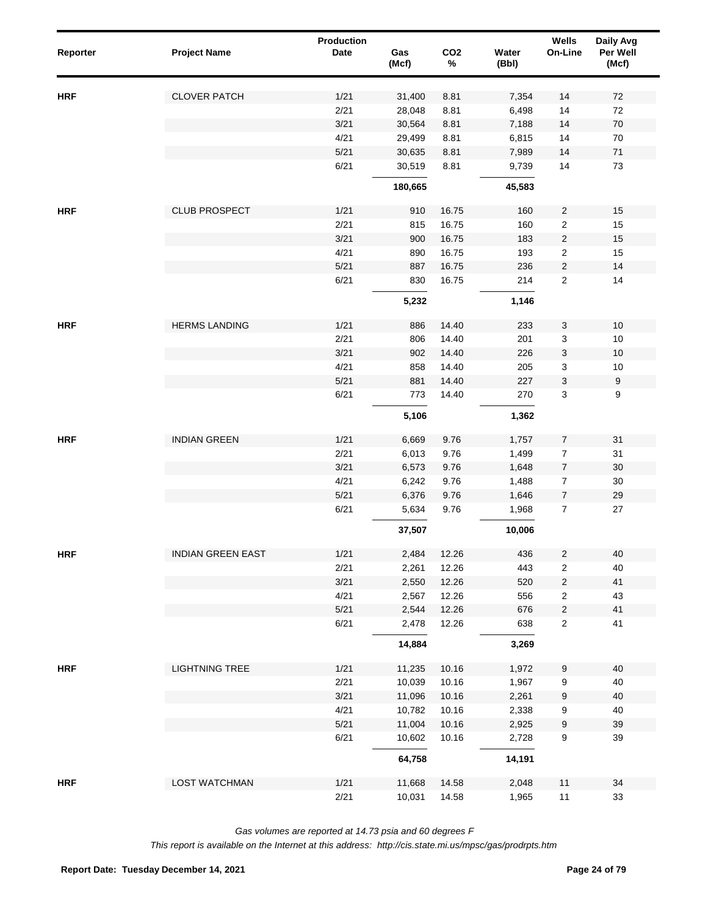| Reporter   | <b>Project Name</b>      | <b>Production</b><br>Date | Gas<br>(Mcf) | CO <sub>2</sub><br>$\%$ | Water<br>(Bbl) | Wells<br>On-Line                 | Daily Avg<br>Per Well<br>(Mcf) |
|------------|--------------------------|---------------------------|--------------|-------------------------|----------------|----------------------------------|--------------------------------|
| <b>HRF</b> | <b>CLOVER PATCH</b>      | 1/21                      | 31,400       | 8.81                    | 7,354          | 14                               | $72\,$                         |
|            |                          | 2/21                      | 28,048       | 8.81                    | 6,498          | 14                               | 72                             |
|            |                          | 3/21                      | 30,564       | 8.81                    | 7,188          | 14                               | $70\,$                         |
|            |                          | 4/21                      | 29,499       | 8.81                    | 6,815          | 14                               | 70                             |
|            |                          | 5/21                      | 30,635       | 8.81                    | 7,989          | 14                               | $71$                           |
|            |                          | 6/21                      | 30,519       | 8.81                    | 9,739          | 14                               | 73                             |
|            |                          |                           | 180,665      |                         | 45,583         |                                  |                                |
| <b>HRF</b> | <b>CLUB PROSPECT</b>     | 1/21                      | 910          | 16.75                   | 160            | $\overline{c}$                   | 15                             |
|            |                          | 2/21                      | 815          | 16.75                   | 160            | $\overline{2}$                   | 15                             |
|            |                          | 3/21                      | 900          | 16.75                   | 183            | $\overline{2}$                   | 15                             |
|            |                          | 4/21                      | 890          | 16.75                   | 193            | $\overline{c}$                   | 15                             |
|            |                          | 5/21<br>6/21              | 887<br>830   | 16.75<br>16.75          | 236<br>214     | $\overline{c}$<br>$\overline{2}$ | 14<br>14                       |
|            |                          |                           | 5,232        |                         | 1,146          |                                  |                                |
|            |                          |                           |              |                         |                |                                  |                                |
| <b>HRF</b> | <b>HERMS LANDING</b>     | 1/21<br>2/21              | 886          | 14.40                   | 233            | 3                                | 10<br>10                       |
|            |                          | 3/21                      | 806<br>902   | 14.40<br>14.40          | 201<br>226     | 3<br>$\ensuremath{\mathsf{3}}$   | 10                             |
|            |                          | 4/21                      | 858          | 14.40                   | 205            | 3                                | $10$                           |
|            |                          | 5/21                      | 881          | 14.40                   | 227            | $\ensuremath{\mathsf{3}}$        | $\boldsymbol{9}$               |
|            |                          | 6/21                      | 773          | 14.40                   | 270            | 3                                | 9                              |
|            |                          |                           | 5,106        |                         | 1,362          |                                  |                                |
| <b>HRF</b> | <b>INDIAN GREEN</b>      | 1/21                      | 6,669        | 9.76                    | 1,757          | $\overline{7}$                   | 31                             |
|            |                          | 2/21                      | 6,013        | 9.76                    | 1,499          | $\overline{7}$                   | 31                             |
|            |                          | 3/21                      | 6,573        | 9.76                    | 1,648          | $\overline{7}$                   | 30                             |
|            |                          | 4/21                      | 6,242        | 9.76                    | 1,488          | $\overline{7}$                   | 30                             |
|            |                          | 5/21                      | 6,376        | 9.76                    | 1,646          | $\overline{7}$                   | 29                             |
|            |                          | 6/21                      | 5,634        | 9.76                    | 1,968          | $\overline{7}$                   | 27                             |
|            |                          |                           | 37,507       |                         | 10,006         |                                  |                                |
| <b>HRF</b> | <b>INDIAN GREEN EAST</b> | 1/21                      | 2,484        | 12.26                   | 436            | $\overline{c}$                   | 40                             |
|            |                          | 2/21                      | 2,261        | 12.26                   | 443            | 2                                | 40                             |
|            |                          | 3/21                      | 2,550        | 12.26                   | 520            | $\sqrt{2}$                       | 41                             |
|            |                          | 4/21                      | 2,567        | 12.26                   | 556            | $\overline{\mathbf{c}}$          | 43                             |
|            |                          | 5/21                      | 2,544        | 12.26                   | 676            | $\sqrt{2}$                       | 41                             |
|            |                          | 6/21                      | 2,478        | 12.26                   | 638            | $\overline{\mathbf{c}}$          | 41                             |
|            |                          |                           | 14,884       |                         | 3,269          |                                  |                                |
| <b>HRF</b> | <b>LIGHTNING TREE</b>    | 1/21                      | 11,235       | 10.16                   | 1,972          | 9                                | 40                             |
|            |                          | 2/21                      | 10,039       | 10.16                   | 1,967          | 9                                | 40                             |
|            |                          | 3/21                      | 11,096       | 10.16                   | 2,261          | 9                                | 40                             |
|            |                          | 4/21                      | 10,782       | 10.16                   | 2,338          | 9                                | 40                             |
|            |                          | 5/21                      | 11,004       | 10.16                   | 2,925          | 9                                | 39                             |
|            |                          | 6/21                      | 10,602       | 10.16                   | 2,728          | 9                                | 39                             |
|            |                          |                           | 64,758       |                         | 14,191         |                                  |                                |
| <b>HRF</b> | <b>LOST WATCHMAN</b>     | 1/21                      | 11,668       | 14.58                   | 2,048          | $11$                             | 34                             |
|            |                          | 2/21                      | 10,031       | 14.58                   | 1,965          | 11                               | 33                             |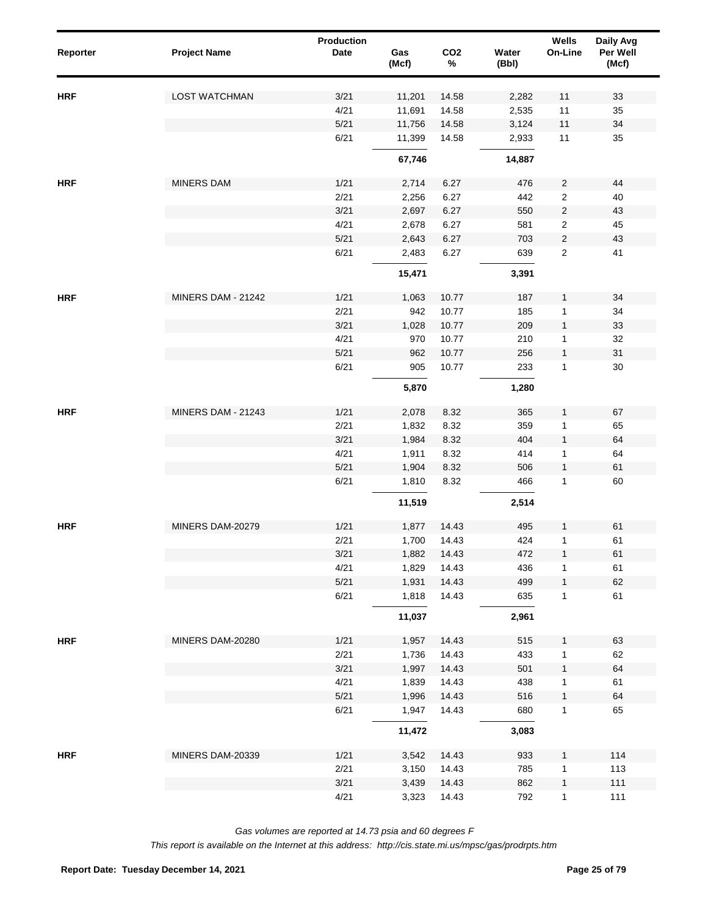| Reporter   | <b>Project Name</b>       | Production<br>Date | Gas<br>(Mcf) | CO <sub>2</sub><br>$\%$ | Water<br>(Bbl) | Wells<br>On-Line | Daily Avg<br>Per Well<br>(Mcf) |
|------------|---------------------------|--------------------|--------------|-------------------------|----------------|------------------|--------------------------------|
| <b>HRF</b> | <b>LOST WATCHMAN</b>      | 3/21               | 11,201       | 14.58                   | 2,282          | 11               | 33                             |
|            |                           | 4/21               | 11,691       | 14.58                   | 2,535          | 11               | 35                             |
|            |                           | 5/21               | 11,756       | 14.58                   | 3,124          | $11$             | 34                             |
|            |                           | 6/21               | 11,399       | 14.58                   | 2,933          | 11               | 35                             |
|            |                           |                    | 67,746       |                         | 14,887         |                  |                                |
| <b>HRF</b> | <b>MINERS DAM</b>         | 1/21               | 2,714        | 6.27                    | 476            | $\overline{c}$   | 44                             |
|            |                           | 2/21               | 2,256        | 6.27                    | 442            | $\overline{2}$   | 40                             |
|            |                           | 3/21               | 2,697        | 6.27                    | 550            | $\sqrt{2}$       | 43                             |
|            |                           | 4/21               | 2,678        | 6.27                    | 581            | $\overline{2}$   | 45                             |
|            |                           | 5/21               | 2,643        | 6.27                    | 703            | $\overline{2}$   | 43                             |
|            |                           | 6/21               | 2,483        | 6.27                    | 639            | $\overline{2}$   | 41                             |
|            |                           |                    | 15,471       |                         | 3,391          |                  |                                |
| <b>HRF</b> | MINERS DAM - 21242        | 1/21               | 1,063        | 10.77                   | 187            | $\mathbf{1}$     | 34                             |
|            |                           | 2/21               | 942          | 10.77                   | 185            | $\mathbf{1}$     | 34                             |
|            |                           | 3/21               | 1,028        | 10.77                   | 209            | $\mathbf{1}$     | 33                             |
|            |                           | 4/21               | 970          | 10.77                   | 210            | $\mathbf{1}$     | 32                             |
|            |                           | 5/21               | 962          | 10.77                   | 256            | $\mathbf{1}$     | 31                             |
|            |                           | 6/21               | 905          | 10.77                   | 233            | $\mathbf{1}$     | 30                             |
|            |                           |                    | 5,870        |                         | 1,280          |                  |                                |
| <b>HRF</b> | <b>MINERS DAM - 21243</b> | 1/21               | 2,078        | 8.32                    | 365            | $\mathbf{1}$     | 67                             |
|            |                           | 2/21               | 1,832        | 8.32                    | 359            | 1                | 65                             |
|            |                           | 3/21               | 1,984        | 8.32                    | 404            | $\mathbf{1}$     | 64                             |
|            |                           | 4/21               | 1,911        | 8.32                    | 414            | 1                | 64                             |
|            |                           | 5/21               | 1,904        | 8.32                    | 506            | $\mathbf{1}$     | 61                             |
|            |                           | 6/21               | 1,810        | 8.32                    | 466            | 1                | 60                             |
|            |                           |                    | 11,519       |                         | 2,514          |                  |                                |
| <b>HRF</b> | MINERS DAM-20279          | 1/21               | 1,877        | 14.43                   | 495            | 1                | 61                             |
|            |                           | 2/21               | 1,700        | 14.43                   | 424            | 1                | 61                             |
|            |                           | 3/21               | 1,882        | 14.43                   | 472            | $\mathbf{1}$     | 61                             |
|            |                           | 4/21               | 1,829        | 14.43                   | 436            | 1                | 61                             |
|            |                           | 5/21               | 1,931        | 14.43                   | 499            | $\mathbf{1}$     | 62                             |
|            |                           | 6/21               | 1,818        | 14.43                   | 635            | $\mathbf{1}$     | 61                             |
|            |                           |                    | 11,037       |                         | 2,961          |                  |                                |
| <b>HRF</b> | MINERS DAM-20280          | 1/21               | 1,957        | 14.43                   | 515            | $\mathbf{1}$     | 63                             |
|            |                           | 2/21               | 1,736        | 14.43                   | 433            | 1                | 62                             |
|            |                           | 3/21               | 1,997        | 14.43                   | 501            | $\mathbf{1}$     | 64                             |
|            |                           | 4/21               | 1,839        | 14.43                   | 438            | 1                | 61                             |
|            |                           | 5/21               | 1,996        | 14.43                   | 516            | $\mathbf{1}$     | 64                             |
|            |                           | 6/21               | 1,947        | 14.43                   | 680            | 1                | 65                             |
|            |                           |                    | 11,472       |                         | 3,083          |                  |                                |
| <b>HRF</b> | MINERS DAM-20339          | 1/21               | 3,542        | 14.43                   | 933            | $\mathbf{1}$     | 114                            |
|            |                           | 2/21               | 3,150        | 14.43                   | 785            | 1                | 113                            |
|            |                           | 3/21               | 3,439        | 14.43                   | 862            | $\mathbf{1}$     | $111$                          |
|            |                           | 4/21               | 3,323        | 14.43                   | 792            | $\mathbf{1}$     | 111                            |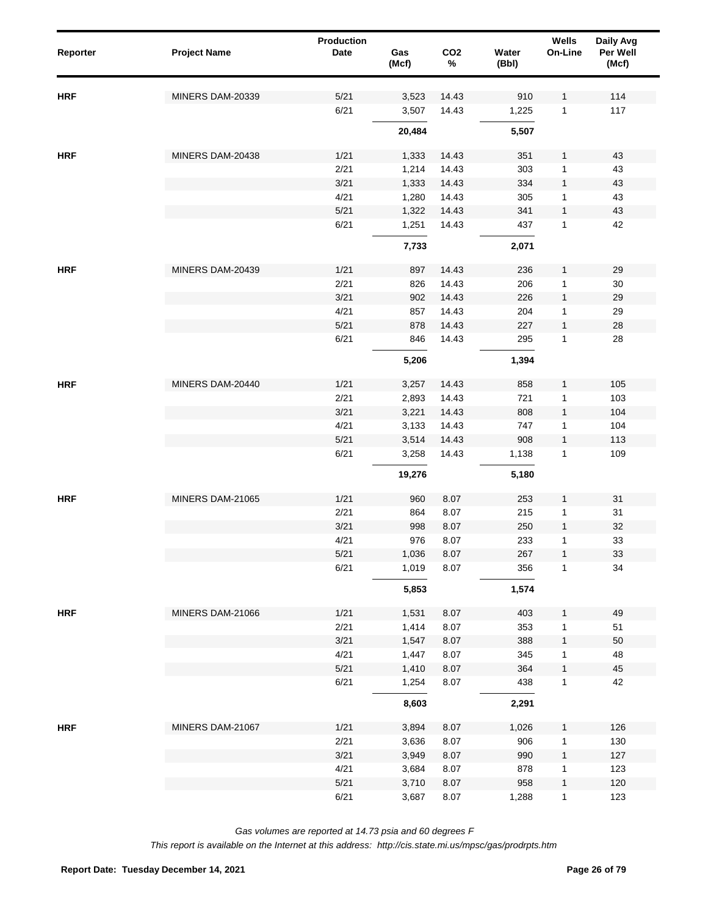| Reporter   | <b>Project Name</b> | <b>Production</b><br><b>Date</b> | Gas<br>(Mcf) | CO <sub>2</sub><br>$\%$ | Water<br>(Bbl) | Wells<br>On-Line | Daily Avg<br>Per Well<br>(Mcf) |
|------------|---------------------|----------------------------------|--------------|-------------------------|----------------|------------------|--------------------------------|
| <b>HRF</b> | MINERS DAM-20339    | 5/21                             | 3,523        | 14.43                   | 910            | 1                | 114                            |
|            |                     | 6/21                             | 3,507        | 14.43                   | 1,225          | $\mathbf{1}$     | 117                            |
|            |                     |                                  | 20,484       |                         | 5,507          |                  |                                |
| <b>HRF</b> | MINERS DAM-20438    | 1/21                             | 1,333        | 14.43                   | 351            | 1                | 43                             |
|            |                     | 2/21                             | 1,214        | 14.43                   | 303            | $\mathbf{1}$     | 43                             |
|            |                     | 3/21                             | 1,333        | 14.43                   | 334            | $\mathbf{1}$     | 43                             |
|            |                     | 4/21                             | 1,280        | 14.43                   | 305            | $\mathbf{1}$     | 43                             |
|            |                     | 5/21                             | 1,322        | 14.43                   | 341            | $\mathbf{1}$     | 43                             |
|            |                     | 6/21                             | 1,251        | 14.43                   | 437            | $\mathbf{1}$     | 42                             |
|            |                     |                                  | 7,733        |                         | 2,071          |                  |                                |
| <b>HRF</b> | MINERS DAM-20439    | 1/21                             | 897          | 14.43                   | 236            | $\mathbf{1}$     | 29                             |
|            |                     | 2/21                             | 826          | 14.43                   | 206            | $\mathbf 1$      | 30                             |
|            |                     | 3/21                             | 902          | 14.43                   | 226            | $\mathbf{1}$     | 29                             |
|            |                     | 4/21                             | 857          | 14.43                   | 204            | $\mathbf 1$      | 29                             |
|            |                     | 5/21                             | 878          | 14.43                   | 227            | $\mathbf{1}$     | 28                             |
|            |                     | 6/21                             | 846          | 14.43                   | 295            | $\mathbf{1}$     | 28                             |
|            |                     |                                  | 5,206        |                         | 1,394          |                  |                                |
| <b>HRF</b> | MINERS DAM-20440    | 1/21                             | 3,257        | 14.43                   | 858            | $\mathbf{1}$     | 105                            |
|            |                     | 2/21                             | 2,893        | 14.43                   | 721            | 1                | 103                            |
|            |                     | 3/21                             | 3,221        | 14.43                   | 808            | $\mathbf{1}$     | 104                            |
|            |                     | 4/21                             | 3,133        | 14.43                   | 747            | 1                | 104                            |
|            |                     | 5/21                             | 3,514        | 14.43                   | 908            | $\mathbf{1}$     | 113                            |
|            |                     | 6/21                             | 3,258        | 14.43                   | 1,138          | $\mathbf{1}$     | 109                            |
|            |                     |                                  | 19,276       |                         | 5,180          |                  |                                |
| <b>HRF</b> | MINERS DAM-21065    | 1/21                             | 960          | 8.07                    | 253            | $\mathbf{1}$     | 31                             |
|            |                     | 2/21                             | 864          | 8.07                    | 215            | $\mathbf 1$      | 31                             |
|            |                     | 3/21                             | 998          | 8.07                    | 250            | $\mathbf{1}$     | 32                             |
|            |                     | 4/21                             | 976          | 8.07                    | 233            | $\mathbf{1}$     | 33                             |
|            |                     | $5/21$                           | 1,036        | 8.07                    | 267            | $\mathbf{1}$     | 33                             |
|            |                     | 6/21                             | 1,019        | 8.07                    | 356            | $\mathbf{1}$     | 34                             |
|            |                     |                                  | 5,853        |                         | 1,574          |                  |                                |
| <b>HRF</b> | MINERS DAM-21066    | 1/21                             | 1,531        | 8.07                    | 403            | $\mathbf{1}$     | 49                             |
|            |                     | 2/21                             | 1,414        | 8.07                    | 353            | 1                | 51                             |
|            |                     | 3/21                             | 1,547        | 8.07                    | 388            | $\mathbf{1}$     | 50                             |
|            |                     | 4/21                             | 1,447        | 8.07                    | 345            | 1                | 48                             |
|            |                     | 5/21                             | 1,410        | 8.07                    | 364            | $\mathbf{1}$     | 45                             |
|            |                     | 6/21                             | 1,254        | 8.07                    | 438            | $\mathbf{1}$     | 42                             |
|            |                     |                                  | 8,603        |                         | 2,291          |                  |                                |
| <b>HRF</b> | MINERS DAM-21067    | 1/21                             | 3,894        | 8.07                    | 1,026          | $\mathbf{1}$     | 126                            |
|            |                     | 2/21                             | 3,636        | 8.07                    | 906            | 1                | 130                            |
|            |                     | 3/21                             | 3,949        | 8.07                    | 990            | $\mathbf{1}$     | 127                            |
|            |                     | 4/21                             | 3,684        | 8.07                    | 878            | 1                | 123                            |
|            |                     | 5/21                             | 3,710        | 8.07                    | 958            | $\mathbf{1}$     | 120                            |
|            |                     | 6/21                             | 3,687        | 8.07                    | 1,288          | $\mathbf{1}$     | 123                            |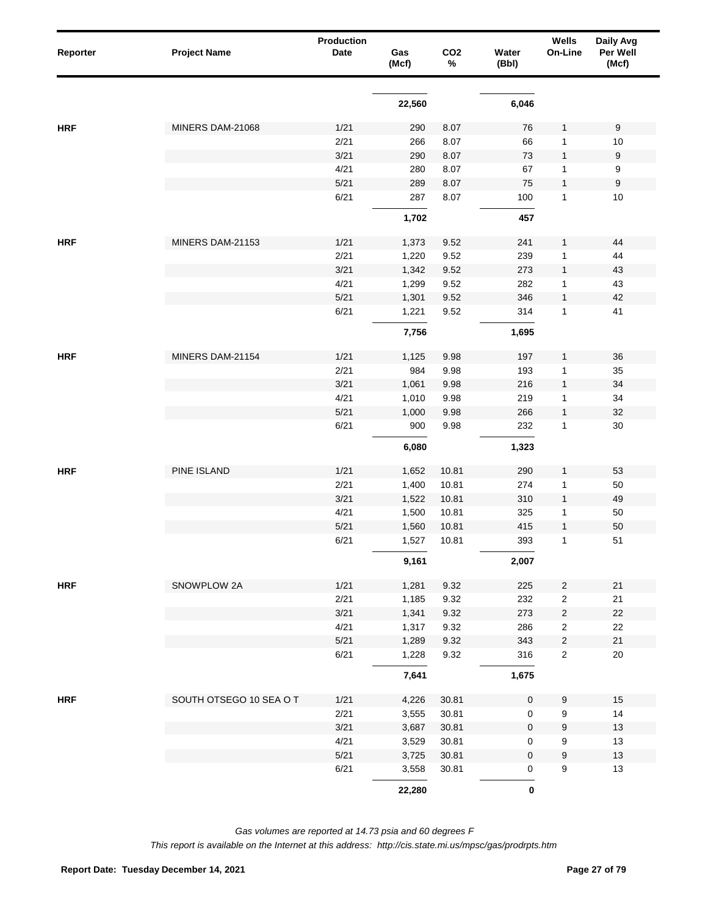| Reporter   | <b>Project Name</b>     | <b>Production</b><br>Date | Gas<br>(Mcf) | CO <sub>2</sub><br>% | Water<br>(Bbl)   | Wells<br>On-Line        | Daily Avg<br>Per Well<br>(Mcf) |
|------------|-------------------------|---------------------------|--------------|----------------------|------------------|-------------------------|--------------------------------|
|            |                         |                           | 22,560       |                      | 6,046            |                         |                                |
| <b>HRF</b> | MINERS DAM-21068        | 1/21                      | 290          | 8.07                 | 76               | 1                       | $9\,$                          |
|            |                         | 2/21                      | 266          | 8.07                 | 66               | 1                       | 10                             |
|            |                         | 3/21                      | 290          | 8.07                 | 73               | 1                       | 9                              |
|            |                         | 4/21                      | 280          | 8.07                 | 67               | 1                       | 9                              |
|            |                         | 5/21                      | 289          | 8.07                 | 75               | 1                       | $\boldsymbol{9}$               |
|            |                         | 6/21                      | 287          | 8.07                 | 100              | $\mathbf{1}$            | $10$                           |
|            |                         |                           | 1,702        |                      | 457              |                         |                                |
| <b>HRF</b> | MINERS DAM-21153        | 1/21                      | 1,373        | 9.52                 | 241              | 1                       | 44                             |
|            |                         | 2/21                      | 1,220        | 9.52                 | 239              | 1                       | 44                             |
|            |                         | 3/21                      | 1,342        | 9.52                 | 273              | 1                       | 43                             |
|            |                         | 4/21                      | 1,299        | 9.52                 | 282              | 1                       | 43                             |
|            |                         | 5/21                      | 1,301        | 9.52                 | 346              | $\mathbf{1}$            | 42                             |
|            |                         | 6/21                      | 1,221        | 9.52                 | 314              | $\mathbf{1}$            | 41                             |
|            |                         |                           | 7,756        |                      | 1,695            |                         |                                |
| <b>HRF</b> | MINERS DAM-21154        | 1/21                      | 1,125        | 9.98                 | 197              | 1                       | 36                             |
|            |                         | 2/21                      | 984          | 9.98                 | 193              | $\mathbf{1}$            | 35                             |
|            |                         | 3/21                      | 1,061        | 9.98                 | 216              | 1                       | 34                             |
|            |                         | 4/21                      | 1,010        | 9.98                 | 219              | $\mathbf{1}$            | 34                             |
|            |                         | 5/21                      | 1,000        | 9.98                 | 266              | 1                       | 32                             |
|            |                         | 6/21                      | 900          | 9.98                 | 232              | 1                       | 30                             |
|            |                         |                           | 6,080        |                      | 1,323            |                         |                                |
| <b>HRF</b> | PINE ISLAND             | 1/21                      | 1,652        | 10.81                | 290              | 1                       | 53                             |
|            |                         | 2/21                      | 1,400        | 10.81                | 274              | 1                       | 50                             |
|            |                         | 3/21                      | 1,522        | 10.81                | 310              | 1                       | 49                             |
|            |                         | 4/21                      | 1,500        | 10.81                | 325              | 1                       | 50                             |
|            |                         | 5/21                      | 1,560        | 10.81                | 415              | 1                       | 50                             |
|            |                         | 6/21                      | 1,527        | 10.81                | 393              | 1                       | 51                             |
|            |                         |                           | 9,161        |                      | 2,007            |                         |                                |
| <b>HRF</b> | SNOWPLOW 2A             | 1/21                      | 1,281        | 9.32                 | 225              | 2                       | 21                             |
|            |                         | 2/21                      | 1,185        | 9.32                 | 232              | $\overline{\mathbf{c}}$ | 21                             |
|            |                         | 3/21                      | 1,341        | 9.32                 | 273              | $\overline{\mathbf{c}}$ | $22\,$                         |
|            |                         | 4/21                      | 1,317        | 9.32                 | 286              | $\overline{\mathbf{c}}$ | 22                             |
|            |                         | $5/21$                    | 1,289        | 9.32                 | 343              | $\overline{\mathbf{c}}$ | 21                             |
|            |                         | 6/21                      | 1,228        | 9.32                 | 316              | $\overline{\mathbf{c}}$ | $20\,$                         |
|            |                         |                           | 7,641        |                      | 1,675            |                         |                                |
| <b>HRF</b> | SOUTH OTSEGO 10 SEA O T | 1/21                      | 4,226        | 30.81                | $\pmb{0}$        | 9                       | $15$                           |
|            |                         | 2/21                      | 3,555        | 30.81                | $\mathsf 0$      | 9                       | 14                             |
|            |                         | 3/21                      | 3,687        | 30.81                | $\boldsymbol{0}$ | 9                       | $13$                           |
|            |                         | 4/21                      | 3,529        | 30.81                | 0                | 9                       | $13$                           |
|            |                         | 5/21                      | 3,725        | 30.81                | $\boldsymbol{0}$ | 9                       | 13                             |
|            |                         | 6/21                      | 3,558        | 30.81                | 0                | 9                       | $13$                           |
|            |                         |                           | 22,280       |                      | $\pmb{0}$        |                         |                                |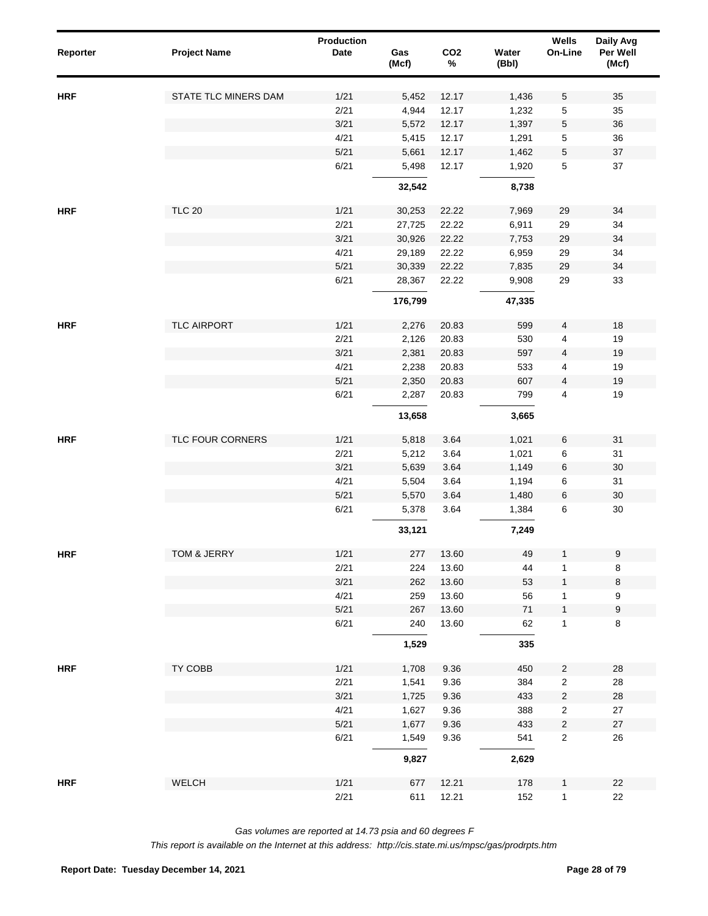| Reporter   | <b>Project Name</b>  | Production<br>Date | Gas<br>(Mcf)   | CO <sub>2</sub><br>$\%$ | Water<br>(Bbl) | Wells<br>On-Line                 | Daily Avg<br>Per Well<br>(Mcf) |
|------------|----------------------|--------------------|----------------|-------------------------|----------------|----------------------------------|--------------------------------|
| <b>HRF</b> | STATE TLC MINERS DAM | 1/21               | 5,452          | 12.17                   | 1,436          | 5                                | 35                             |
|            |                      | 2/21               | 4,944          | 12.17                   | 1,232          | 5                                | 35                             |
|            |                      | 3/21               | 5,572          | 12.17                   | 1,397          | 5                                | 36                             |
|            |                      | 4/21               | 5,415          | 12.17                   | 1,291          | $\,$ 5 $\,$                      | 36                             |
|            |                      | 5/21               | 5,661          | 12.17                   | 1,462          | $\sqrt{5}$                       | 37                             |
|            |                      | 6/21               | 5,498          | 12.17                   | 1,920          | 5                                | 37                             |
|            |                      |                    | 32,542         |                         | 8,738          |                                  |                                |
| <b>HRF</b> | <b>TLC 20</b>        | 1/21               | 30,253         | 22.22                   | 7,969          | 29                               | 34                             |
|            |                      | 2/21               | 27,725         | 22.22                   | 6,911          | 29                               | 34                             |
|            |                      | 3/21               | 30,926         | 22.22                   | 7,753          | 29                               | 34                             |
|            |                      | 4/21               | 29,189         | 22.22                   | 6,959          | 29                               | 34                             |
|            |                      | 5/21               | 30,339         | 22.22                   | 7,835          | 29                               | 34                             |
|            |                      | 6/21               | 28,367         | 22.22                   | 9,908          | 29                               | 33                             |
|            |                      |                    | 176,799        |                         | 47,335         |                                  |                                |
| <b>HRF</b> | TLC AIRPORT          | 1/21               | 2,276          | 20.83                   | 599            | 4                                | 18                             |
|            |                      | 2/21               | 2,126          | 20.83                   | 530            | 4                                | 19                             |
|            |                      | 3/21               | 2,381          | 20.83                   | 597            | 4                                | 19                             |
|            |                      | 4/21               | 2,238          | 20.83                   | 533            | 4                                | 19                             |
|            |                      | 5/21               | 2,350          | 20.83                   | 607            | 4                                | 19                             |
|            |                      | 6/21               | 2,287          | 20.83                   | 799            | 4                                | 19                             |
|            |                      |                    | 13,658         |                         | 3,665          |                                  |                                |
| <b>HRF</b> | TLC FOUR CORNERS     | 1/21               | 5,818          | 3.64                    | 1,021          | 6                                | 31                             |
|            |                      | 2/21               | 5,212          | 3.64                    | 1,021          | 6                                | 31                             |
|            |                      | 3/21               | 5,639          | 3.64                    | 1,149          | $\,6\,$                          | $30\,$                         |
|            |                      | 4/21               | 5,504          | 3.64                    | 1,194          | 6                                | 31                             |
|            |                      | 5/21               | 5,570          | 3.64                    | 1,480          | $\,6\,$                          | $30\,$                         |
|            |                      | 6/21               | 5,378          | 3.64                    | 1,384          | 6                                | $30\,$                         |
|            |                      |                    | 33,121         |                         | 7,249          |                                  |                                |
| <b>HRF</b> | TOM & JERRY          | 1/21               | 277            | 13.60                   | 49             | $\mathbf{1}$                     | 9                              |
|            |                      | 2/21               | 224            | 13.60                   | 44             | 1                                | 8                              |
|            |                      | 3/21               | 262            | 13.60                   | 53             | $\mathbf{1}$                     | 8                              |
|            |                      | 4/21               | 259            | 13.60                   | 56             | 1                                | 9                              |
|            |                      | 5/21               | 267            | 13.60                   | 71             | $\mathbf{1}$                     | $\boldsymbol{9}$               |
|            |                      | 6/21               | 240            | 13.60                   | 62             | 1                                | 8                              |
|            |                      |                    | 1,529          |                         | 335            |                                  |                                |
| <b>HRF</b> | TY COBB              | 1/21               | 1,708          | 9.36                    | 450            | $\overline{2}$                   | 28                             |
|            |                      | 2/21               | 1,541          | 9.36                    | 384            | $\overline{\mathbf{c}}$          | 28                             |
|            |                      | 3/21               | 1,725          | 9.36                    | 433            | $\overline{c}$                   | 28                             |
|            |                      | 4/21               | 1,627          | 9.36                    | 388            | $\overline{\mathbf{c}}$          | 27                             |
|            |                      | 5/21<br>6/21       | 1,677<br>1,549 | 9.36<br>9.36            | 433<br>541     | $\overline{c}$<br>$\overline{c}$ | 27<br>26                       |
|            |                      |                    | 9,827          |                         | 2,629          |                                  |                                |
|            |                      |                    |                |                         |                |                                  |                                |
| <b>HRF</b> | WELCH                | 1/21               | 677            | 12.21                   | 178            | 1                                | 22                             |
|            |                      | 2/21               | 611            | 12.21                   | 152            | $\mathbf{1}$                     | 22                             |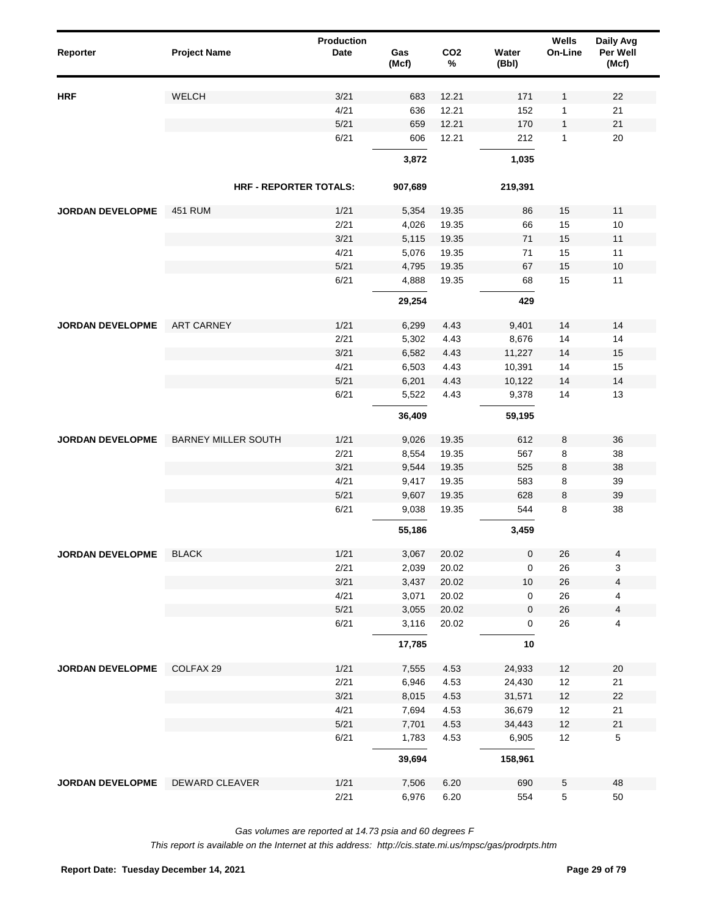| Reporter                | <b>Project Name</b>           | <b>Production</b><br>Date | Gas<br>(Mcf) | CO <sub>2</sub><br>% | Water<br>(Bbl) | Wells<br>On-Line | Daily Avg<br>Per Well<br>(Mcf) |  |
|-------------------------|-------------------------------|---------------------------|--------------|----------------------|----------------|------------------|--------------------------------|--|
| <b>HRF</b>              | WELCH                         | 3/21                      | 683          | 12.21                | 171            | 1                | 22                             |  |
|                         |                               | 4/21                      | 636          | 12.21                | 152            | 1                | 21                             |  |
|                         |                               | 5/21                      | 659          | 12.21                | 170            | 1                | 21                             |  |
|                         |                               | 6/21                      | 606          | 12.21                | 212            | 1                | 20                             |  |
|                         |                               |                           | 3,872        |                      | 1,035          |                  |                                |  |
|                         | <b>HRF - REPORTER TOTALS:</b> |                           | 907,689      |                      | 219,391        |                  |                                |  |
|                         |                               |                           |              |                      |                |                  |                                |  |
| <b>JORDAN DEVELOPME</b> | <b>451 RUM</b>                | 1/21                      | 5,354        | 19.35                | 86             | 15               | 11                             |  |
|                         |                               | 2/21                      | 4,026        | 19.35                | 66             | 15               | 10                             |  |
|                         |                               | 3/21                      | 5,115        | 19.35                | 71             | 15               | 11                             |  |
|                         |                               | 4/21                      | 5,076        | 19.35                | 71             | 15               | 11                             |  |
|                         |                               | 5/21                      | 4,795        | 19.35                | 67             | 15               | 10                             |  |
|                         |                               | 6/21                      | 4,888        | 19.35                | 68             | 15               | 11                             |  |
|                         |                               |                           | 29,254       |                      | 429            |                  |                                |  |
| <b>JORDAN DEVELOPME</b> | <b>ART CARNEY</b>             | 1/21                      | 6,299        | 4.43                 | 9,401          | 14               | 14                             |  |
|                         |                               | 2/21                      | 5,302        | 4.43                 | 8,676          | 14               | 14                             |  |
|                         |                               | 3/21                      | 6,582        | 4.43                 | 11,227         | 14               | 15                             |  |
|                         |                               | 4/21                      | 6,503        | 4.43                 | 10,391         | 14               | 15                             |  |
|                         |                               | 5/21                      | 6,201        | 4.43                 | 10,122         | 14               | 14                             |  |
|                         |                               | 6/21                      | 5,522        | 4.43                 | 9,378          | 14               | 13                             |  |
|                         |                               |                           | 36,409       |                      | 59,195         |                  |                                |  |
| <b>JORDAN DEVELOPME</b> | <b>BARNEY MILLER SOUTH</b>    | 1/21                      | 9,026        | 19.35                | 612            | 8                | 36                             |  |
|                         |                               | 2/21                      | 8,554        | 19.35                | 567            | 8                | 38                             |  |
|                         |                               | 3/21                      | 9,544        | 19.35                | 525            | 8                | 38                             |  |
|                         |                               | 4/21                      | 9,417        | 19.35                | 583            | 8                | 39                             |  |
|                         |                               | 5/21                      | 9,607        | 19.35                | 628            | 8                | 39                             |  |
|                         |                               | 6/21                      | 9,038        | 19.35                | 544            | 8                | 38                             |  |
|                         |                               |                           | 55,186       |                      | 3,459          |                  |                                |  |
| <b>JORDAN DEVELOPME</b> | <b>BLACK</b>                  | 1/21                      | 3,067        | 20.02                | 0              | 26               | 4                              |  |
|                         |                               | 2/21                      | 2,039        | 20.02                | 0              | 26               | 3                              |  |
|                         |                               | 3/21                      | 3,437        | 20.02                | $10$           | 26               | 4                              |  |
|                         |                               | 4/21                      | 3,071        | 20.02                | 0              | 26               | 4                              |  |
|                         |                               | 5/21                      | 3,055        | 20.02                | 0              | 26               | 4                              |  |
|                         |                               | 6/21                      | 3,116        | 20.02                | 0              | 26               | 4                              |  |
|                         |                               |                           | 17,785       |                      | 10             |                  |                                |  |
| JORDAN DEVELOPME        | COLFAX 29                     | 1/21                      | 7,555        | 4.53                 | 24,933         | 12               | 20                             |  |
|                         |                               | 2/21                      | 6,946        | 4.53                 | 24,430         | 12               | 21                             |  |
|                         |                               | 3/21                      | 8,015        | 4.53                 | 31,571         | 12               | 22                             |  |
|                         |                               | 4/21                      | 7,694        | 4.53                 | 36,679         | 12               | 21                             |  |
|                         |                               | 5/21                      | 7,701        | 4.53                 | 34,443         | $12$             | $21$                           |  |
|                         |                               | 6/21                      | 1,783        | 4.53                 | 6,905          | 12               | $\mathbf 5$                    |  |
|                         |                               |                           | 39,694       |                      | 158,961        |                  |                                |  |
| JORDAN DEVELOPME        | DEWARD CLEAVER                | 1/21                      | 7,506        | 6.20                 | 690            | 5                | 48                             |  |
|                         |                               | 2/21                      | 6,976        | 6.20                 | 554            | 5                | 50                             |  |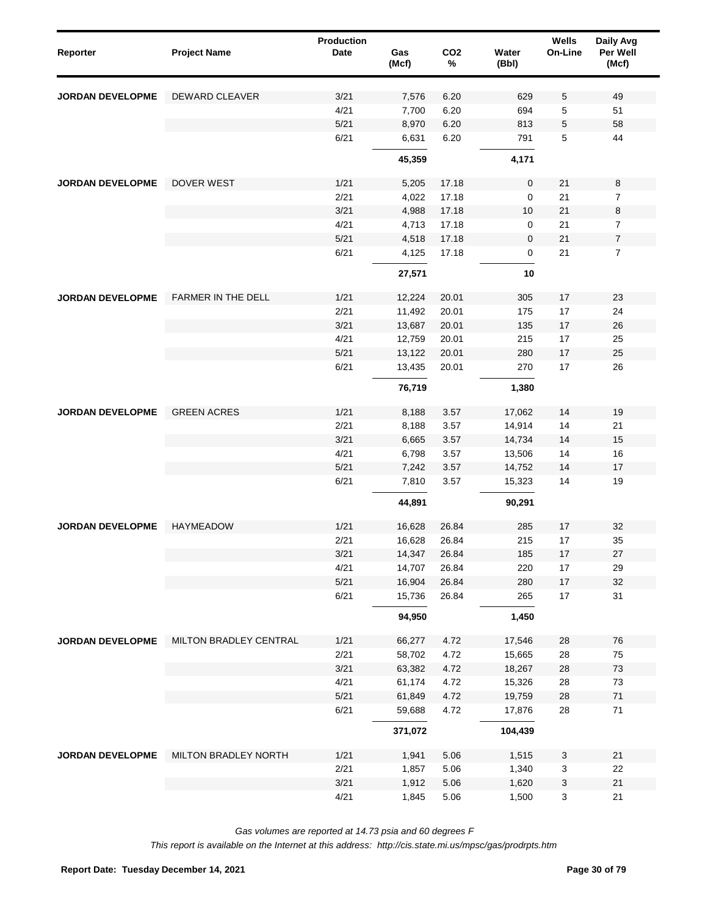| Reporter                | <b>Project Name</b>       | <b>Production</b><br><b>Date</b> | Gas<br>(Mcf) | CO <sub>2</sub><br>$\%$ | Water<br>(Bbl) | Wells<br>On-Line          | Daily Avg<br>Per Well<br>(Mcf) |
|-------------------------|---------------------------|----------------------------------|--------------|-------------------------|----------------|---------------------------|--------------------------------|
| <b>JORDAN DEVELOPME</b> | DEWARD CLEAVER            | 3/21                             | 7,576        | 6.20                    | 629            | 5                         | 49                             |
|                         |                           | 4/21                             | 7,700        | 6.20                    | 694            | 5                         | 51                             |
|                         |                           | 5/21                             | 8,970        | 6.20                    | 813            | 5                         | 58                             |
|                         |                           | 6/21                             | 6,631        | 6.20                    | 791            | 5                         | 44                             |
|                         |                           |                                  | 45,359       |                         | 4,171          |                           |                                |
| <b>JORDAN DEVELOPME</b> | <b>DOVER WEST</b>         | 1/21                             | 5,205        | 17.18                   | $\pmb{0}$      | 21                        | 8                              |
|                         |                           | 2/21                             | 4,022        | 17.18                   | 0              | 21                        | 7                              |
|                         |                           | 3/21                             | 4,988        | 17.18                   | 10             | 21                        | 8                              |
|                         |                           | 4/21                             | 4,713        | 17.18                   | 0              | 21                        | $\overline{7}$                 |
|                         |                           | $5/21$                           | 4,518        | 17.18                   | $\mathbf 0$    | 21                        | $\boldsymbol{7}$               |
|                         |                           | 6/21                             | 4,125        | 17.18                   | 0              | 21                        | 7                              |
|                         |                           |                                  | 27,571       |                         | 10             |                           |                                |
| <b>JORDAN DEVELOPME</b> | <b>FARMER IN THE DELL</b> | 1/21                             | 12,224       | 20.01                   | 305            | 17                        | 23                             |
|                         |                           | 2/21                             | 11,492       | 20.01                   | 175            | 17                        | 24                             |
|                         |                           | 3/21                             | 13,687       | 20.01                   | 135            | 17                        | 26                             |
|                         |                           | 4/21                             | 12,759       | 20.01                   | 215            | 17                        | 25                             |
|                         |                           | 5/21                             | 13,122       | 20.01                   | 280            | 17                        | 25                             |
|                         |                           | 6/21                             | 13,435       | 20.01                   | 270            | 17                        | 26                             |
|                         |                           |                                  | 76,719       |                         | 1,380          |                           |                                |
| <b>JORDAN DEVELOPME</b> | <b>GREEN ACRES</b>        | 1/21                             | 8,188        | 3.57                    | 17,062         | 14                        | 19                             |
|                         |                           | 2/21                             | 8,188        | 3.57                    | 14,914         | 14                        | 21                             |
|                         |                           | 3/21                             | 6,665        | 3.57                    | 14,734         | 14                        | 15                             |
|                         |                           | 4/21                             | 6,798        | 3.57                    | 13,506         | 14                        | 16                             |
|                         |                           | 5/21                             | 7,242        | 3.57                    | 14,752         | 14                        | 17                             |
|                         |                           | 6/21                             | 7,810        | 3.57                    | 15,323         | 14                        | 19                             |
|                         |                           |                                  | 44,891       |                         | 90,291         |                           |                                |
| <b>JORDAN DEVELOPME</b> | <b>HAYMEADOW</b>          | 1/21                             | 16,628       | 26.84                   | 285            | 17                        | 32                             |
|                         |                           | 2/21                             | 16,628       | 26.84                   | 215            | 17                        | 35                             |
|                         |                           | 3/21                             | 14,347       | 26.84                   | 185            | $17$                      | $27\,$                         |
|                         |                           | 4/21                             | 14,707       | 26.84                   | 220            | 17                        | 29                             |
|                         |                           | 5/21                             | 16,904       | 26.84                   | 280            | $17\,$                    | 32                             |
|                         |                           | 6/21                             | 15,736       | 26.84                   | 265            | $17$                      | 31                             |
|                         |                           |                                  | 94,950       |                         | 1,450          |                           |                                |
| JORDAN DEVELOPME        | MILTON BRADLEY CENTRAL    | 1/21                             | 66,277       | 4.72                    | 17,546         | 28                        | ${\bf 76}$                     |
|                         |                           | 2/21                             | 58,702       | 4.72                    | 15,665         | 28                        | 75                             |
|                         |                           | 3/21                             | 63,382       | 4.72                    | 18,267         | 28                        | 73                             |
|                         |                           | 4/21                             | 61,174       | 4.72                    | 15,326         | 28                        | 73                             |
|                         |                           | 5/21                             | 61,849       | 4.72                    | 19,759         | 28                        | $71$                           |
|                         |                           | 6/21                             | 59,688       | 4.72                    | 17,876         | 28                        | $71$                           |
|                         |                           |                                  | 371,072      |                         | 104,439        |                           |                                |
| <b>JORDAN DEVELOPME</b> | MILTON BRADLEY NORTH      | 1/21                             | 1,941        | 5.06                    | 1,515          | $\mathbf{3}$              | 21                             |
|                         |                           | 2/21                             | 1,857        | 5.06                    | 1,340          | $\ensuremath{\mathsf{3}}$ | 22                             |
|                         |                           | 3/21                             | 1,912        | 5.06                    | 1,620          | $\ensuremath{\mathsf{3}}$ | 21                             |
|                         |                           | 4/21                             | 1,845        | 5.06                    | 1,500          | $\mathbf 3$               | 21                             |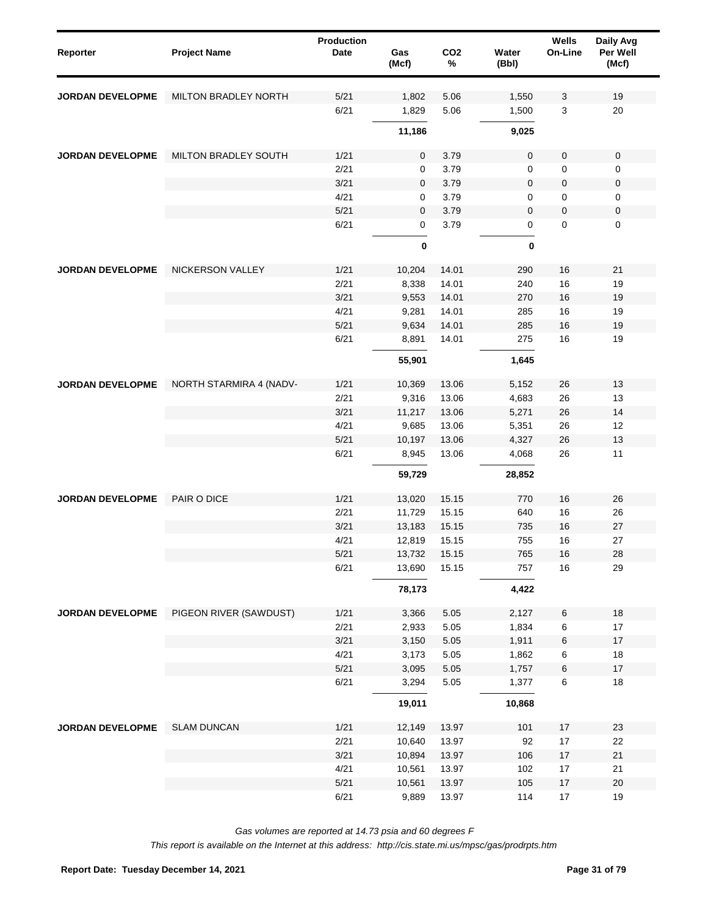| Reporter                | <b>Project Name</b>         | <b>Production</b><br>Date | Gas<br>(Mcf) | CO <sub>2</sub><br>% | Water<br>(Bbl) | Wells<br>On-Line | Daily Avg<br>Per Well<br>(Mcf) |
|-------------------------|-----------------------------|---------------------------|--------------|----------------------|----------------|------------------|--------------------------------|
| <b>JORDAN DEVELOPME</b> | <b>MILTON BRADLEY NORTH</b> | 5/21                      | 1,802        | 5.06                 | 1,550          | 3                | 19                             |
|                         |                             | 6/21                      | 1,829        | 5.06                 | 1,500          | 3                | 20                             |
|                         |                             |                           | 11,186       |                      | 9,025          |                  |                                |
| <b>JORDAN DEVELOPME</b> | MILTON BRADLEY SOUTH        | 1/21                      | 0            | 3.79                 | $\pmb{0}$      | 0                | $\pmb{0}$                      |
|                         |                             | 2/21                      | 0            | 3.79                 | 0              | 0                | 0                              |
|                         |                             | 3/21                      | 0            | 3.79                 | $\pmb{0}$      | 0                | $\pmb{0}$                      |
|                         |                             | 4/21                      | 0            | 3.79                 | 0              | 0                | $\mathbf 0$                    |
|                         |                             | 5/21                      | 0            | 3.79                 | $\mathbf 0$    | 0                | $\pmb{0}$                      |
|                         |                             | 6/21                      | 0            | 3.79                 | 0              | 0                | $\mathbf 0$                    |
|                         |                             |                           | $\pmb{0}$    |                      | 0              |                  |                                |
| <b>JORDAN DEVELOPME</b> | <b>NICKERSON VALLEY</b>     | 1/21                      | 10,204       | 14.01                | 290            | 16               | 21                             |
|                         |                             | 2/21                      | 8,338        | 14.01                | 240            | 16               | 19                             |
|                         |                             | 3/21                      | 9,553        | 14.01                | 270            | 16               | 19                             |
|                         |                             | 4/21                      | 9,281        | 14.01                | 285            | 16               | 19                             |
|                         |                             | 5/21                      | 9,634        | 14.01                | 285            | 16               | 19                             |
|                         |                             | 6/21                      | 8,891        | 14.01                | 275            | 16               | 19                             |
|                         |                             |                           | 55,901       |                      | 1,645          |                  |                                |
| <b>JORDAN DEVELOPME</b> | NORTH STARMIRA 4 (NADV-     | 1/21                      | 10,369       | 13.06                | 5,152          | 26               | 13                             |
|                         |                             | 2/21                      | 9,316        | 13.06                | 4,683          | 26               | 13                             |
|                         |                             | 3/21                      | 11,217       | 13.06                | 5,271          | 26               | 14                             |
|                         |                             | 4/21                      | 9,685        | 13.06                | 5,351          | 26               | 12                             |
|                         |                             | 5/21                      | 10,197       | 13.06                | 4,327          | 26               | 13                             |
|                         |                             | 6/21                      | 8,945        | 13.06                | 4,068          | 26               | 11                             |
|                         |                             |                           | 59,729       |                      | 28,852         |                  |                                |
| <b>JORDAN DEVELOPME</b> | PAIR O DICE                 | 1/21                      | 13,020       | 15.15                | 770            | 16               | 26                             |
|                         |                             | 2/21                      | 11,729       | 15.15                | 640            | 16               | 26                             |
|                         |                             | 3/21                      | 13,183       | 15.15                | 735            | 16               | 27                             |
|                         |                             | 4/21                      | 12,819       | 15.15                | 755            | 16               | 27                             |
|                         |                             | 5/21                      | 13,732       | 15.15                | 765            | 16               | 28                             |
|                         |                             | 6/21                      | 13,690       | 15.15                | 757            | $16\,$           | 29                             |
|                         |                             |                           | 78,173       |                      | 4,422          |                  |                                |
| JORDAN DEVELOPME        | PIGEON RIVER (SAWDUST)      | 1/21                      | 3,366        | 5.05                 | 2,127          | 6                | $18$                           |
|                         |                             | 2/21                      | 2,933        | 5.05                 | 1,834          | 6                | $17$                           |
|                         |                             | 3/21                      | 3,150        | 5.05                 | 1,911          | 6                | $17$                           |
|                         |                             | 4/21                      | 3,173        | 5.05                 | 1,862          | 6                | $18$                           |
|                         |                             | 5/21                      | 3,095        | 5.05                 | 1,757          | 6                | $17$                           |
|                         |                             | 6/21                      | 3,294        | 5.05                 | 1,377          | 6                | $18$                           |
|                         |                             |                           | 19,011       |                      | 10,868         |                  |                                |
| JORDAN DEVELOPME        | <b>SLAM DUNCAN</b>          | 1/21                      | 12,149       | 13.97                | 101            | 17               | 23                             |
|                         |                             | 2/21                      | 10,640       | 13.97                | 92             | $17\,$           | 22                             |
|                         |                             | 3/21                      | 10,894       | 13.97                | 106            | 17               | $21$                           |
|                         |                             | 4/21                      | 10,561       | 13.97                | 102            | $17\,$           | 21                             |
|                         |                             | 5/21                      | 10,561       | 13.97                | 105            | $17\,$           | $20\,$                         |
|                         |                             | 6/21                      | 9,889        | 13.97                | 114            | $17\,$           | 19                             |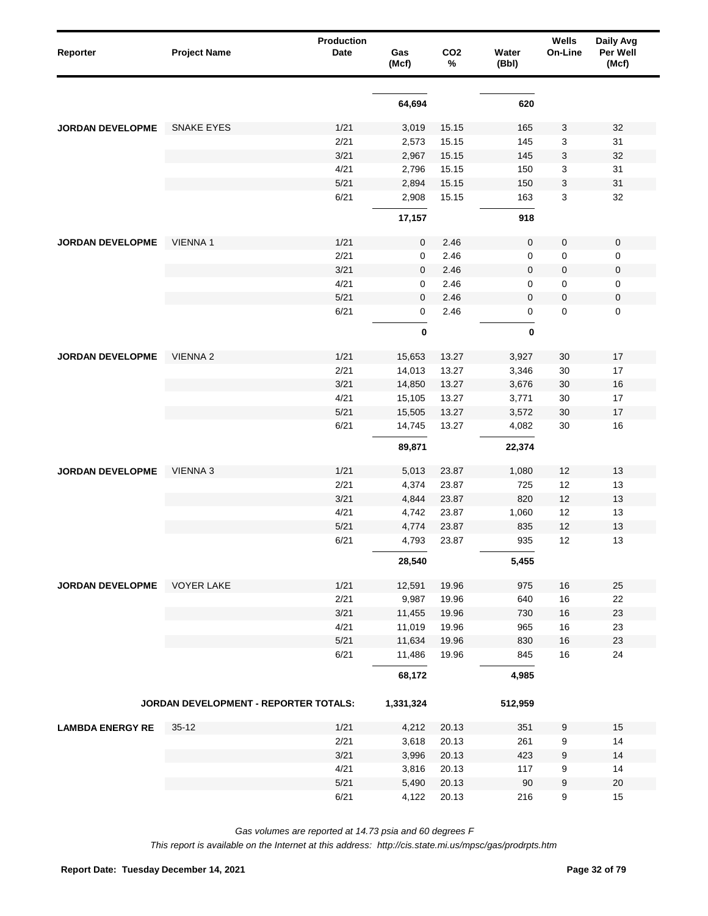| Reporter                | <b>Project Name</b>                   | <b>Production</b><br>Date | Gas<br>(Mcf) | CO <sub>2</sub><br>% | Water<br>(Bbl) | Wells<br>On-Line | Daily Avg<br>Per Well<br>(Mcf) |
|-------------------------|---------------------------------------|---------------------------|--------------|----------------------|----------------|------------------|--------------------------------|
|                         |                                       |                           |              |                      |                |                  |                                |
|                         |                                       |                           | 64,694       |                      | 620            |                  |                                |
| <b>JORDAN DEVELOPME</b> | <b>SNAKE EYES</b>                     | 1/21                      | 3,019        | 15.15                | 165            | 3                | 32                             |
|                         |                                       | 2/21                      | 2,573        | 15.15                | 145            | 3                | 31                             |
|                         |                                       | 3/21                      | 2,967        | 15.15                | 145            | 3                | 32                             |
|                         |                                       | 4/21                      | 2,796        | 15.15                | 150            | 3                | 31                             |
|                         |                                       | 5/21                      | 2,894        | 15.15                | 150            | 3                | 31                             |
|                         |                                       | 6/21                      | 2,908        | 15.15                | 163            | 3                | 32                             |
|                         |                                       |                           | 17,157       |                      | 918            |                  |                                |
| <b>JORDAN DEVELOPME</b> | <b>VIENNA1</b>                        | 1/21                      | 0            | 2.46                 | $\pmb{0}$      | 0                | $\pmb{0}$                      |
|                         |                                       | 2/21                      | 0            | 2.46                 | 0              | 0                | 0                              |
|                         |                                       | 3/21                      | 0            | 2.46                 | $\mathbf 0$    | 0                | $\pmb{0}$                      |
|                         |                                       | 4/21                      | 0            | 2.46                 | 0              | 0                | 0                              |
|                         |                                       | 5/21                      | 0            | 2.46                 | $\mathbf 0$    | 0                | $\pmb{0}$                      |
|                         |                                       | 6/21                      | 0            | 2.46                 | 0              | 0                | $\mathbf 0$                    |
|                         |                                       |                           | $\mathbf 0$  |                      | $\bf{0}$       |                  |                                |
| <b>JORDAN DEVELOPME</b> | <b>VIENNA 2</b>                       | 1/21                      | 15,653       | 13.27                | 3,927          | 30               | 17                             |
|                         |                                       | 2/21                      | 14,013       | 13.27                | 3,346          | 30               | 17                             |
|                         |                                       | 3/21                      | 14,850       | 13.27                | 3,676          | 30               | 16                             |
|                         |                                       | 4/21                      | 15,105       | 13.27                | 3,771          | 30               | 17                             |
|                         |                                       | 5/21                      | 15,505       | 13.27                | 3,572          | 30               | 17                             |
|                         |                                       | 6/21                      | 14,745       | 13.27                | 4,082          | 30               | 16                             |
|                         |                                       |                           | 89,871       |                      | 22,374         |                  |                                |
| <b>JORDAN DEVELOPME</b> | <b>VIENNA 3</b>                       | 1/21                      | 5,013        | 23.87                | 1,080          | 12               | 13                             |
|                         |                                       | 2/21                      | 4,374        | 23.87                | 725            | 12               | 13                             |
|                         |                                       | 3/21                      | 4,844        | 23.87                | 820            | 12               | 13                             |
|                         |                                       | 4/21                      | 4,742        | 23.87                | 1,060          | 12               | 13                             |
|                         |                                       | 5/21                      | 4,774        | 23.87                | 835            | 12               | 13                             |
|                         |                                       | 6/21                      | 4,793        | 23.87                | 935            | 12               | 13                             |
|                         |                                       |                           | 28,540       |                      | 5,455          |                  |                                |
| <b>JORDAN DEVELOPME</b> | <b>VOYER LAKE</b>                     | 1/21                      | 12,591       | 19.96                | 975            | $16\,$           | 25                             |
|                         |                                       | 2/21                      | 9,987        | 19.96                | 640            | 16               | 22                             |
|                         |                                       | 3/21                      | 11,455       | 19.96                | 730            | $16\,$           | 23                             |
|                         |                                       | 4/21                      | 11,019       | 19.96                | 965            | 16               | 23                             |
|                         |                                       | 5/21                      | 11,634       | 19.96                | 830            | $16\,$           | 23                             |
|                         |                                       | 6/21                      | 11,486       | 19.96                | 845            | $16\,$           | 24                             |
|                         |                                       |                           | 68,172       |                      | 4,985          |                  |                                |
|                         | JORDAN DEVELOPMENT - REPORTER TOTALS: |                           | 1,331,324    |                      | 512,959        |                  |                                |
| <b>LAMBDA ENERGY RE</b> | $35-12$                               | 1/21                      | 4,212        | 20.13                | 351            | 9                | 15                             |
|                         |                                       | 2/21                      | 3,618        | 20.13                | 261            | 9                | 14                             |
|                         |                                       | 3/21                      | 3,996        | 20.13                | 423            | 9                | 14                             |
|                         |                                       | 4/21                      | 3,816        | 20.13                | 117            | 9                | 14                             |
|                         |                                       | 5/21                      | 5,490        | 20.13                | 90             | 9                | $20\,$                         |
|                         |                                       | 6/21                      | 4,122        | 20.13                | 216            | 9                | 15                             |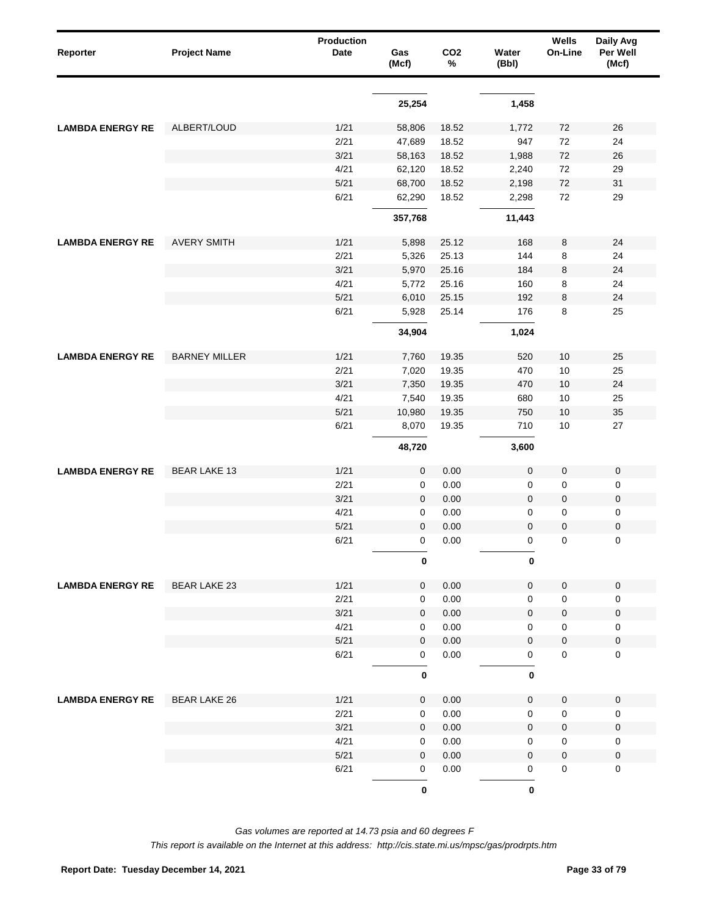| Reporter                | <b>Project Name</b>  | <b>Production</b><br>Date | Gas<br>(Mcf) | CO <sub>2</sub><br>% | Water<br>(Bbl)   | Wells<br>On-Line | Daily Avg<br>Per Well<br>(Mcf) |
|-------------------------|----------------------|---------------------------|--------------|----------------------|------------------|------------------|--------------------------------|
|                         |                      |                           |              |                      |                  |                  |                                |
|                         |                      |                           | 25,254       |                      | 1,458            |                  |                                |
| <b>LAMBDA ENERGY RE</b> | ALBERT/LOUD          | 1/21                      | 58,806       | 18.52                | 1,772            | 72               | 26                             |
|                         |                      | 2/21                      | 47,689       | 18.52                | 947              | 72               | 24                             |
|                         |                      | 3/21                      | 58,163       | 18.52                | 1,988            | 72               | $26\,$                         |
|                         |                      | 4/21                      | 62,120       | 18.52                | 2,240            | 72               | 29                             |
|                         |                      | 5/21                      | 68,700       | 18.52                | 2,198            | 72               | 31                             |
|                         |                      | 6/21                      | 62,290       | 18.52                | 2,298            | 72               | 29                             |
|                         |                      |                           | 357,768      |                      | 11,443           |                  |                                |
| <b>LAMBDA ENERGY RE</b> | <b>AVERY SMITH</b>   | 1/21                      | 5,898        | 25.12                | 168              | 8                | 24                             |
|                         |                      | 2/21                      | 5,326        | 25.13                | 144              | 8                | 24                             |
|                         |                      | 3/21                      | 5,970        | 25.16                | 184              | 8                | 24                             |
|                         |                      | 4/21                      | 5,772        | 25.16                | 160              | 8                | 24                             |
|                         |                      | 5/21                      | 6,010        | 25.15                | 192              | 8                | 24                             |
|                         |                      | 6/21                      | 5,928        | 25.14                | 176              | 8                | 25                             |
|                         |                      |                           | 34,904       |                      | 1,024            |                  |                                |
| <b>LAMBDA ENERGY RE</b> | <b>BARNEY MILLER</b> | 1/21                      | 7,760        | 19.35                | 520              | 10               | 25                             |
|                         |                      | 2/21                      | 7,020        | 19.35                | 470              | 10               | 25                             |
|                         |                      | 3/21                      | 7,350        | 19.35                | 470              | 10               | 24                             |
|                         |                      | 4/21                      | 7,540        | 19.35                | 680              | 10               | 25                             |
|                         |                      | 5/21                      | 10,980       | 19.35                | 750              | 10               | 35                             |
|                         |                      | 6/21                      | 8,070        | 19.35                | 710              | 10               | 27                             |
|                         |                      |                           | 48,720       |                      | 3,600            |                  |                                |
| <b>LAMBDA ENERGY RE</b> | <b>BEAR LAKE 13</b>  | 1/21                      | $\pmb{0}$    | 0.00                 | $\boldsymbol{0}$ | $\pmb{0}$        | $\pmb{0}$                      |
|                         |                      | 2/21                      | 0            | 0.00                 | 0                | 0                | 0                              |
|                         |                      | 3/21                      | $\mathbf 0$  | 0.00                 | $\mathbf 0$      | 0                | $\pmb{0}$                      |
|                         |                      | 4/21                      | 0            | 0.00                 | 0                | 0                | 0                              |
|                         |                      | 5/21                      | $\mathbf 0$  | 0.00                 | $\mathbf 0$      | 0                | $\pmb{0}$                      |
|                         |                      | 6/21                      | 0            | 0.00                 | 0                | 0                | $\pmb{0}$                      |
|                         |                      |                           | $\bf{0}$     |                      | 0                |                  |                                |
| <b>LAMBDA ENERGY RE</b> | <b>BEAR LAKE 23</b>  | 1/21                      | $\mathbf 0$  | 0.00                 | 0                | $\pmb{0}$        | $\mathbf 0$                    |
|                         |                      | 2/21                      | $\pmb{0}$    | 0.00                 | 0                | 0                | $\mathbf 0$                    |
|                         |                      | 3/21                      | 0            | 0.00                 | 0                | 0                | $\pmb{0}$                      |
|                         |                      | 4/21                      | 0            | 0.00                 | 0                | 0                | $\pmb{0}$                      |
|                         |                      | 5/21                      | 0            | 0.00                 | 0                | 0                | $\pmb{0}$                      |
|                         |                      | 6/21                      | 0            | 0.00                 | 0                | 0                | $\mathbf 0$                    |
|                         |                      |                           | $\pmb{0}$    |                      | 0                |                  |                                |
| <b>LAMBDA ENERGY RE</b> | <b>BEAR LAKE 26</b>  | 1/21                      | 0            | 0.00                 | 0                | 0                | $\mathbf 0$                    |
|                         |                      | 2/21                      | 0            | 0.00                 | 0                | 0                | $\pmb{0}$                      |
|                         |                      | 3/21                      | $\mathbf 0$  | 0.00                 | $\mathbf 0$      | 0                | $\pmb{0}$                      |
|                         |                      | 4/21                      | 0            | 0.00                 | 0                | 0                | 0                              |
|                         |                      | 5/21                      | $\mathbf 0$  | 0.00                 | 0                | 0                | $\pmb{0}$                      |
|                         |                      | 6/21                      | 0            | 0.00                 | 0                | 0                | $\mathbf 0$                    |
|                         |                      |                           | $\mathbf 0$  |                      | $\bf{0}$         |                  |                                |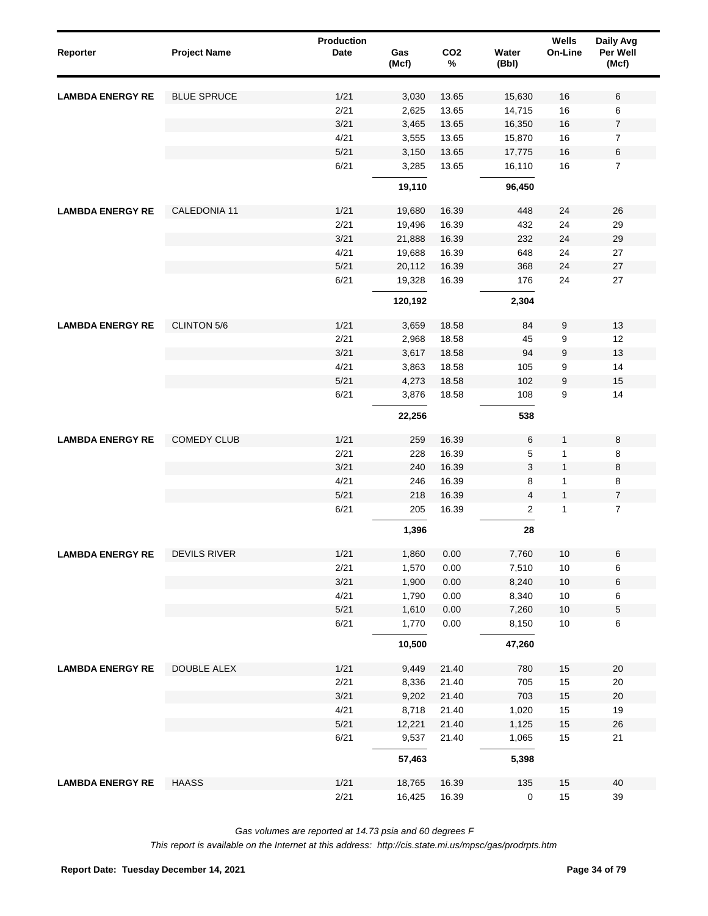| Reporter                | <b>Project Name</b> | <b>Production</b><br><b>Date</b> | Gas<br>(Mcf) | CO <sub>2</sub><br>$\%$ | Water<br>(Bbl) | Wells<br>On-Line | Daily Avg<br>Per Well<br>(Mcf) |
|-------------------------|---------------------|----------------------------------|--------------|-------------------------|----------------|------------------|--------------------------------|
| <b>LAMBDA ENERGY RE</b> | <b>BLUE SPRUCE</b>  | 1/21                             | 3,030        | 13.65                   | 15,630         | 16               | 6                              |
|                         |                     | 2/21                             | 2,625        | 13.65                   | 14,715         | $16\,$           | 6                              |
|                         |                     | 3/21                             | 3,465        | 13.65                   | 16,350         | $16\,$           | $\boldsymbol{7}$               |
|                         |                     | 4/21                             | 3,555        | 13.65                   | 15,870         | $16\,$           | $\overline{7}$                 |
|                         |                     | 5/21                             | 3,150        | 13.65                   | 17,775         | $16\,$           | $\,6$                          |
|                         |                     | 6/21                             | 3,285        | 13.65                   | 16,110         | 16               | $\overline{7}$                 |
|                         |                     |                                  | 19,110       |                         | 96,450         |                  |                                |
| <b>LAMBDA ENERGY RE</b> | CALEDONIA 11        | 1/21                             | 19,680       | 16.39                   | 448            | 24               | 26                             |
|                         |                     | 2/21                             | 19,496       | 16.39                   | 432            | 24               | 29                             |
|                         |                     | 3/21                             | 21,888       | 16.39                   | 232            | 24               | 29                             |
|                         |                     | 4/21                             | 19,688       | 16.39                   | 648            | 24               | 27                             |
|                         |                     | $5/21$                           | 20,112       | 16.39                   | 368            | 24               | 27                             |
|                         |                     | 6/21                             | 19,328       | 16.39                   | 176            | 24               | 27                             |
|                         |                     |                                  | 120,192      |                         | 2,304          |                  |                                |
| <b>LAMBDA ENERGY RE</b> | <b>CLINTON 5/6</b>  | 1/21                             | 3,659        | 18.58                   | 84             | 9                | 13                             |
|                         |                     | 2/21                             | 2,968        | 18.58                   | 45             | 9                | 12                             |
|                         |                     | 3/21                             | 3,617        | 18.58                   | 94             | $\boldsymbol{9}$ | 13                             |
|                         |                     | 4/21                             | 3,863        | 18.58                   | 105            | 9                | 14                             |
|                         |                     | 5/21                             | 4,273        | 18.58                   | 102            | 9                | 15                             |
|                         |                     | 6/21                             | 3,876        | 18.58                   | 108            | 9                | 14                             |
|                         |                     |                                  | 22,256       |                         | 538            |                  |                                |
| <b>LAMBDA ENERGY RE</b> | <b>COMEDY CLUB</b>  | 1/21                             | 259          | 16.39                   | 6              | 1                | 8                              |
|                         |                     | 2/21                             | 228          | 16.39                   | 5              | $\mathbf{1}$     | 8                              |
|                         |                     | 3/21                             | 240          | 16.39                   | 3              | $\mathbf{1}$     | 8                              |
|                         |                     | 4/21                             | 246          | 16.39                   | 8              | 1                | 8                              |
|                         |                     | $5/21$                           | 218          | 16.39                   | 4              | $\mathbf{1}$     | $\boldsymbol{7}$               |
|                         |                     | 6/21                             | 205          | 16.39                   | $\overline{c}$ | $\mathbf{1}$     | $\overline{7}$                 |
|                         |                     |                                  | 1,396        |                         | 28             |                  |                                |
| <b>LAMBDA ENERGY RE</b> | <b>DEVILS RIVER</b> | 1/21                             | 1,860        | 0.00                    | 7,760          | $10$             | $\,6$                          |
|                         |                     | 2/21                             | 1,570        | 0.00                    | 7,510          | $10$             | 6                              |
|                         |                     | 3/21                             | 1,900        | 0.00                    | 8,240          | $10$             | $\,6$                          |
|                         |                     | 4/21                             | 1,790        | 0.00                    | 8,340          | $10$             | 6                              |
|                         |                     | 5/21                             | 1,610        | 0.00                    | 7,260          | $10$             | $\mathbf 5$                    |
|                         |                     | 6/21                             | 1,770        | 0.00                    | 8,150          | $10$             | 6                              |
|                         |                     |                                  | 10,500       |                         | 47,260         |                  |                                |
| <b>LAMBDA ENERGY RE</b> | DOUBLE ALEX         | 1/21                             | 9,449        | 21.40                   | 780            | 15               | 20                             |
|                         |                     | 2/21                             | 8,336        | 21.40                   | 705            | 15               | 20                             |
|                         |                     | 3/21                             | 9,202        | 21.40                   | 703            | 15               | 20                             |
|                         |                     | 4/21                             | 8,718        | 21.40                   | 1,020          | 15               | 19                             |
|                         |                     | 5/21                             | 12,221       | 21.40                   | 1,125          | 15               | 26                             |
|                         |                     | 6/21                             | 9,537        | 21.40                   | 1,065          | 15               | 21                             |
|                         |                     |                                  | 57,463       |                         | 5,398          |                  |                                |
| <b>LAMBDA ENERGY RE</b> | <b>HAASS</b>        | 1/21                             | 18,765       | 16.39                   | 135            | 15               | 40                             |
|                         |                     | 2/21                             | 16,425       | 16.39                   | 0              | $15$             | 39                             |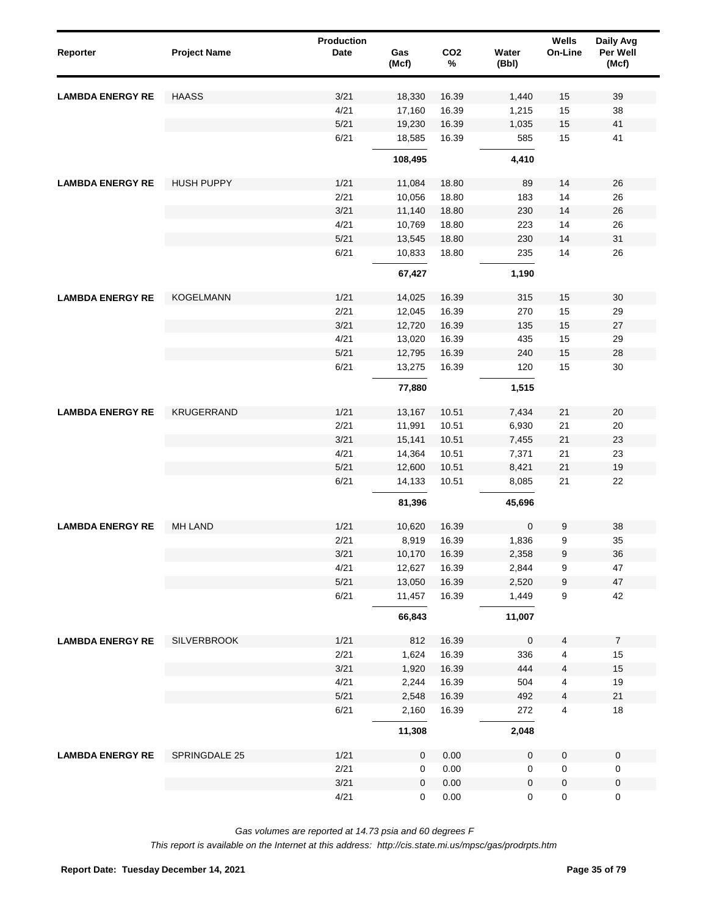| Reporter                | <b>Project Name</b> | <b>Production</b><br><b>Date</b> | Gas<br>(Mcf) | CO <sub>2</sub><br>$\%$ | Water<br>(Bbl) | Wells<br>On-Line | Daily Avg<br>Per Well<br>(Mcf) |
|-------------------------|---------------------|----------------------------------|--------------|-------------------------|----------------|------------------|--------------------------------|
| <b>LAMBDA ENERGY RE</b> | <b>HAASS</b>        | 3/21                             | 18,330       | 16.39                   | 1,440          | 15               | 39                             |
|                         |                     | 4/21                             | 17,160       | 16.39                   | 1,215          | 15               | 38                             |
|                         |                     | 5/21                             | 19,230       | 16.39                   | 1,035          | 15               | 41                             |
|                         |                     | 6/21                             | 18,585       | 16.39                   | 585            | 15               | 41                             |
|                         |                     |                                  | 108,495      |                         | 4,410          |                  |                                |
| <b>LAMBDA ENERGY RE</b> | <b>HUSH PUPPY</b>   | 1/21                             | 11,084       | 18.80                   | 89             | 14               | 26                             |
|                         |                     | 2/21                             | 10,056       | 18.80                   | 183            | 14               | 26                             |
|                         |                     | 3/21                             | 11,140       | 18.80                   | 230            | 14               | 26                             |
|                         |                     | 4/21                             | 10,769       | 18.80                   | 223            | 14               | 26                             |
|                         |                     | 5/21                             | 13,545       | 18.80                   | 230            | 14               | 31                             |
|                         |                     | 6/21                             | 10,833       | 18.80                   | 235            | 14               | 26                             |
|                         |                     |                                  | 67,427       |                         | 1,190          |                  |                                |
| <b>LAMBDA ENERGY RE</b> | <b>KOGELMANN</b>    | 1/21                             | 14,025       | 16.39                   | 315            | 15               | 30                             |
|                         |                     | 2/21                             | 12,045       | 16.39                   | 270            | 15               | 29                             |
|                         |                     | 3/21                             | 12,720       | 16.39                   | 135            | 15               | 27                             |
|                         |                     | 4/21                             | 13,020       | 16.39                   | 435            | 15               | 29                             |
|                         |                     | 5/21                             | 12,795       | 16.39                   | 240            | 15               | 28                             |
|                         |                     | 6/21                             | 13,275       | 16.39                   | 120            | 15               | 30                             |
|                         |                     |                                  | 77,880       |                         | 1,515          |                  |                                |
| <b>LAMBDA ENERGY RE</b> | <b>KRUGERRAND</b>   | 1/21                             | 13,167       | 10.51                   | 7,434          | 21               | 20                             |
|                         |                     | 2/21                             | 11,991       | 10.51                   | 6,930          | 21               | 20                             |
|                         |                     | 3/21                             | 15,141       | 10.51                   | 7,455          | 21               | 23                             |
|                         |                     | 4/21                             | 14,364       | 10.51                   | 7,371          | 21               | 23                             |
|                         |                     | $5/21$                           | 12,600       | 10.51                   | 8,421          | 21               | 19                             |
|                         |                     | 6/21                             | 14,133       | 10.51                   | 8,085          | 21               | 22                             |
|                         |                     |                                  | 81,396       |                         | 45,696         |                  |                                |
| <b>LAMBDA ENERGY RE</b> | <b>MH LAND</b>      | 1/21                             | 10,620       | 16.39                   | $\mathbf 0$    | 9                | 38                             |
|                         |                     | 2/21                             | 8,919        | 16.39                   | 1,836          | 9                | 35                             |
|                         |                     | 3/21                             | 10,170       | 16.39                   | 2,358          | 9                | 36                             |
|                         |                     | 4/21                             | 12,627       | 16.39                   | 2,844          | 9                | 47                             |
|                         |                     | 5/21                             | 13,050       | 16.39                   | 2,520          | 9                | 47                             |
|                         |                     | 6/21                             | 11,457       | 16.39                   | 1,449          | 9                | 42                             |
|                         |                     |                                  | 66,843       |                         | 11,007         |                  |                                |
| <b>LAMBDA ENERGY RE</b> | <b>SILVERBROOK</b>  | 1/21                             | 812          | 16.39                   | $\pmb{0}$      | 4                | $\overline{7}$                 |
|                         |                     | 2/21                             | 1,624        | 16.39                   | 336            | 4                | 15                             |
|                         |                     | 3/21                             | 1,920        | 16.39                   | 444            | 4                | 15                             |
|                         |                     | 4/21                             | 2,244        | 16.39                   | 504            | 4                | 19                             |
|                         |                     | 5/21                             | 2,548        | 16.39                   | 492            | 4                | 21                             |
|                         |                     | 6/21                             | 2,160        | 16.39                   | 272            | 4                | 18                             |
|                         |                     |                                  | 11,308       |                         | 2,048          |                  |                                |
| <b>LAMBDA ENERGY RE</b> | SPRINGDALE 25       | 1/21                             | $\mathbf 0$  | 0.00                    | 0              | $\pmb{0}$        | $\pmb{0}$                      |
|                         |                     | 2/21                             | 0            | 0.00                    | 0              | $\pmb{0}$        | 0                              |
|                         |                     | 3/21                             | 0            | 0.00                    | $\pmb{0}$      | $\pmb{0}$        | $\pmb{0}$                      |
|                         |                     | 4/21                             | 0            | 0.00                    | 0              | $\pmb{0}$        | 0                              |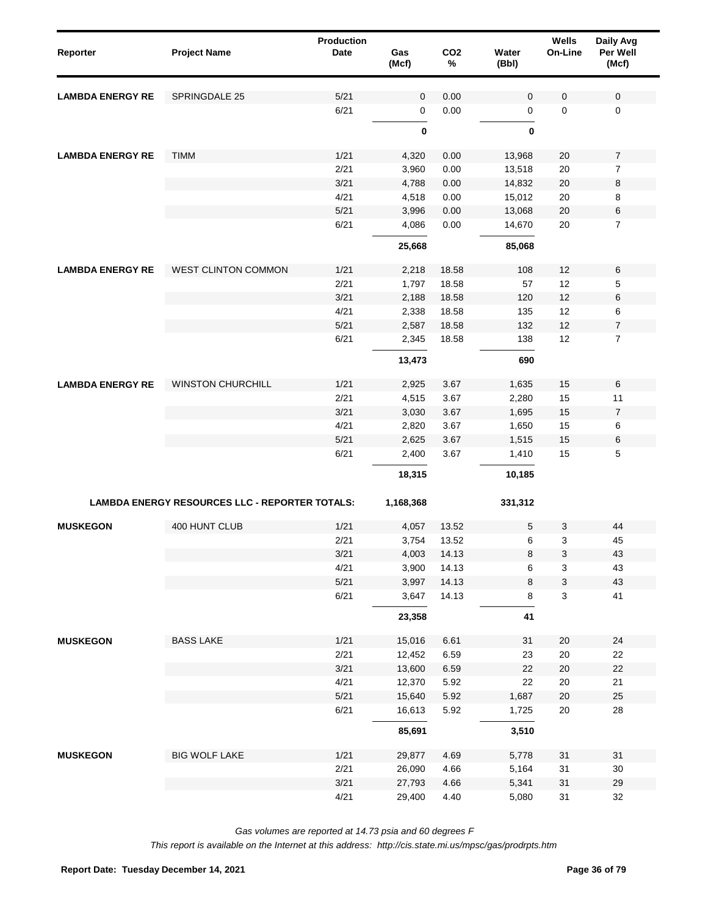| Reporter                | <b>Project Name</b>                                   | Production<br>Date | Gas<br>(Mcf) | CO <sub>2</sub><br>% | Water<br>(Bbl) | Wells<br>On-Line | Daily Avg<br>Per Well<br>(Mcf) |
|-------------------------|-------------------------------------------------------|--------------------|--------------|----------------------|----------------|------------------|--------------------------------|
| <b>LAMBDA ENERGY RE</b> | <b>SPRINGDALE 25</b>                                  | 5/21               | 0            | 0.00                 | $\mathbf 0$    | 0                | $\mathbf 0$                    |
|                         |                                                       | 6/21               | 0            | 0.00                 | 0              | 0                | 0                              |
|                         |                                                       |                    | $\bf{0}$     |                      | 0              |                  |                                |
| <b>LAMBDA ENERGY RE</b> | <b>TIMM</b>                                           | 1/21               | 4,320        | 0.00                 | 13,968         | 20               | $\overline{7}$                 |
|                         |                                                       | 2/21               | 3,960        | 0.00                 | 13,518         | 20               | $\overline{7}$                 |
|                         |                                                       | 3/21               | 4,788        | 0.00                 | 14,832         | 20               | 8                              |
|                         |                                                       | 4/21               | 4,518        | 0.00                 | 15,012         | 20               | 8                              |
|                         |                                                       | 5/21               | 3,996        | 0.00                 | 13,068         | 20               | 6                              |
|                         |                                                       | 6/21               | 4,086        | 0.00                 | 14,670         | 20               | $\overline{7}$                 |
|                         |                                                       |                    | 25,668       |                      | 85,068         |                  |                                |
| <b>LAMBDA ENERGY RE</b> | <b>WEST CLINTON COMMON</b>                            | 1/21               | 2,218        | 18.58                | 108            | 12               | 6                              |
|                         |                                                       | 2/21               | 1,797        | 18.58                | 57             | 12               | 5                              |
|                         |                                                       | 3/21               | 2,188        | 18.58                | 120            | 12               | 6                              |
|                         |                                                       | 4/21               | 2,338        | 18.58                | 135            | 12               | 6                              |
|                         |                                                       | 5/21               | 2,587        | 18.58                | 132            | 12               | $\boldsymbol{7}$               |
|                         |                                                       | 6/21               | 2,345        | 18.58                | 138            | 12               | $\overline{7}$                 |
|                         |                                                       |                    | 13,473       |                      | 690            |                  |                                |
| <b>LAMBDA ENERGY RE</b> | <b>WINSTON CHURCHILL</b>                              | 1/21               | 2,925        | 3.67                 | 1,635          | 15               | 6                              |
|                         |                                                       | 2/21               | 4,515        | 3.67                 | 2,280          | 15               | 11                             |
|                         |                                                       | 3/21               | 3,030        | 3.67                 | 1,695          | 15               | $\overline{7}$                 |
|                         |                                                       | 4/21               | 2,820        | 3.67                 | 1,650          | 15               | 6                              |
|                         |                                                       | 5/21               | 2,625        | 3.67                 | 1,515          | 15               | 6                              |
|                         |                                                       | 6/21               | 2,400        | 3.67                 | 1,410          | 15               | 5                              |
|                         |                                                       |                    | 18,315       |                      | 10,185         |                  |                                |
|                         | <b>LAMBDA ENERGY RESOURCES LLC - REPORTER TOTALS:</b> |                    | 1,168,368    |                      | 331,312        |                  |                                |
| <b>MUSKEGON</b>         | 400 HUNT CLUB                                         | 1/21               | 4,057        | 13.52                | 5              | 3                | 44                             |
|                         |                                                       | 2/21               | 3,754        | 13.52                | 6              | 3                | 45                             |
|                         |                                                       | 3/21               | 4,003        | 14.13                | 8              | 3                | 43                             |
|                         |                                                       | 4/21               | 3,900        | 14.13                | 6              | 3                | 43                             |
|                         |                                                       | $5/21$             | 3,997        | 14.13                | 8              | 3                | 43                             |
|                         |                                                       | 6/21               | 3,647        | 14.13                | 8              | 3                | 41                             |
|                         |                                                       |                    | 23,358       |                      | 41             |                  |                                |
| <b>MUSKEGON</b>         | <b>BASS LAKE</b>                                      | 1/21               | 15,016       | 6.61                 | 31             | $20\,$           | 24                             |
|                         |                                                       | 2/21               | 12,452       | 6.59                 | 23             | 20               | 22                             |
|                         |                                                       | 3/21               | 13,600       | 6.59                 | 22             | $20\,$           | $22\,$                         |
|                         |                                                       | 4/21               | 12,370       | 5.92                 | 22             | $20\,$           | 21                             |
|                         |                                                       | $5/21$             | 15,640       | 5.92                 | 1,687          | $20\,$           | 25                             |
|                         |                                                       | 6/21               | 16,613       | 5.92                 | 1,725          | $20\,$           | 28                             |
|                         |                                                       |                    | 85,691       |                      | 3,510          |                  |                                |
| <b>MUSKEGON</b>         | <b>BIG WOLF LAKE</b>                                  | 1/21               | 29,877       | 4.69                 | 5,778          | 31               | 31                             |
|                         |                                                       | 2/21               | 26,090       | 4.66                 | 5,164          | 31               | $30\,$                         |
|                         |                                                       | 3/21               | 27,793       | 4.66                 | 5,341          | 31               | 29                             |
|                         |                                                       | 4/21               | 29,400       | 4.40                 | 5,080          | 31               | 32                             |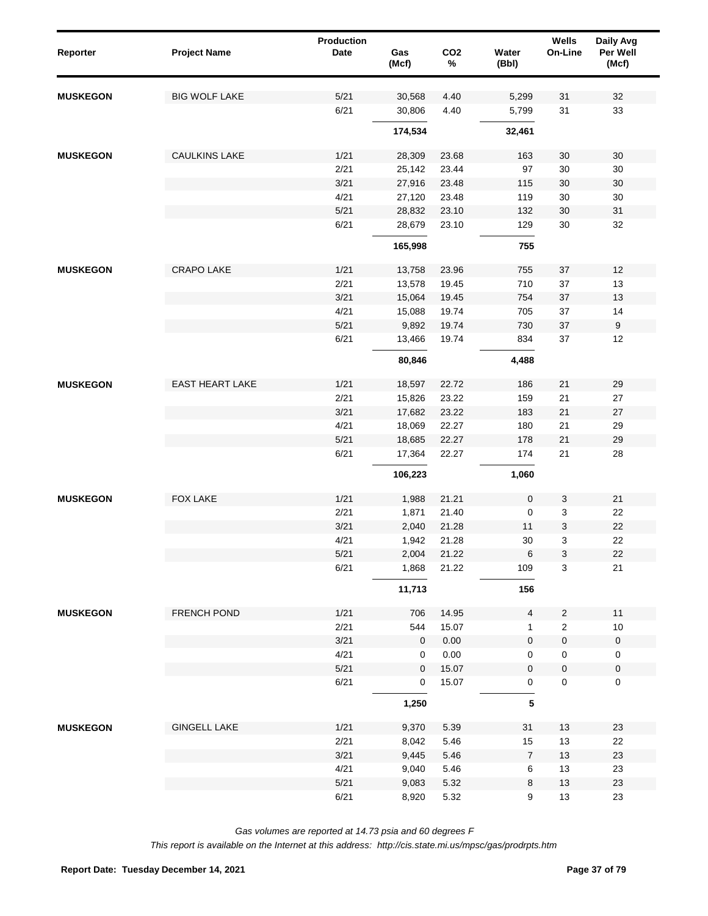| Reporter        | <b>Project Name</b>    | Production<br><b>Date</b> | Gas<br>(Mcf) | CO <sub>2</sub><br>$\%$ | Water<br>(Bbl)      | <b>Wells</b><br>On-Line   | Daily Avg<br>Per Well<br>(Mcf) |
|-----------------|------------------------|---------------------------|--------------|-------------------------|---------------------|---------------------------|--------------------------------|
| <b>MUSKEGON</b> | <b>BIG WOLF LAKE</b>   | 5/21                      | 30,568       | 4.40                    | 5,299               | 31                        | 32                             |
|                 |                        | 6/21                      | 30,806       | 4.40                    | 5,799               | 31                        | 33                             |
|                 |                        |                           | 174,534      |                         | 32,461              |                           |                                |
| <b>MUSKEGON</b> | <b>CAULKINS LAKE</b>   | 1/21                      | 28,309       | 23.68                   | 163                 | 30                        | 30                             |
|                 |                        | 2/21                      | 25,142       | 23.44                   | 97                  | 30                        | 30                             |
|                 |                        | 3/21                      | 27,916       | 23.48                   | 115                 | $30\,$                    | 30                             |
|                 |                        | 4/21                      | 27,120       | 23.48                   | 119                 | $30\,$                    | 30                             |
|                 |                        | 5/21                      | 28,832       | 23.10                   | 132                 | 30                        | 31                             |
|                 |                        | 6/21                      | 28,679       | 23.10                   | 129                 | 30                        | 32                             |
|                 |                        |                           | 165,998      |                         | 755                 |                           |                                |
| <b>MUSKEGON</b> | <b>CRAPO LAKE</b>      | 1/21                      | 13,758       | 23.96                   | 755                 | 37                        | 12                             |
|                 |                        | 2/21                      | 13,578       | 19.45                   | 710                 | 37                        | 13                             |
|                 |                        | 3/21                      | 15,064       | 19.45                   | 754                 | $37\,$                    | 13                             |
|                 |                        | 4/21                      | 15,088       | 19.74                   | 705                 | 37                        | 14                             |
|                 |                        | 5/21                      | 9,892        | 19.74                   | 730                 | $37\,$                    | $\boldsymbol{9}$               |
|                 |                        | 6/21                      | 13,466       | 19.74                   | 834                 | 37                        | 12                             |
|                 |                        |                           | 80,846       |                         | 4,488               |                           |                                |
| <b>MUSKEGON</b> | <b>EAST HEART LAKE</b> | 1/21                      | 18,597       | 22.72                   | 186                 | 21                        | 29                             |
|                 |                        | 2/21                      | 15,826       | 23.22                   | 159                 | 21                        | 27                             |
|                 |                        | 3/21                      | 17,682       | 23.22                   | 183                 | 21                        | 27                             |
|                 |                        | 4/21                      | 18,069       | 22.27                   | 180                 | 21                        | 29                             |
|                 |                        | $5/21$                    | 18,685       | 22.27                   | 178                 | 21                        | 29                             |
|                 |                        | 6/21                      | 17,364       | 22.27                   | 174                 | 21                        | 28                             |
|                 |                        |                           | 106,223      |                         | 1,060               |                           |                                |
|                 |                        |                           |              |                         |                     |                           |                                |
| <b>MUSKEGON</b> | FOX LAKE               | 1/21                      | 1,988        | 21.21                   | $\pmb{0}$           | 3                         | 21                             |
|                 |                        | 2/21                      | 1,871        | 21.40                   | 0                   | $\ensuremath{\mathsf{3}}$ | 22                             |
|                 |                        | 3/21                      | 2,040        | 21.28                   | 11                  | $\ensuremath{\mathsf{3}}$ | 22                             |
|                 |                        | 4/21                      | 1,942        | 21.28                   | 30                  | 3                         | 22                             |
|                 |                        | 5/21                      | 2,004        | 21.22                   | 6                   | $\ensuremath{\mathsf{3}}$ | 22                             |
|                 |                        | 6/21                      | 1,868        | 21.22                   | 109                 | $\mathbf{3}$              | 21                             |
|                 |                        |                           | 11,713       |                         | 156                 |                           |                                |
| <b>MUSKEGON</b> | FRENCH POND            | 1/21                      | 706          | 14.95                   | $\overline{4}$      | $\overline{c}$            | 11                             |
|                 |                        | 2/21                      | 544          | 15.07                   | $\mathbf{1}$        | $\overline{c}$            | $10$                           |
|                 |                        | 3/21                      | $\mathbf 0$  | 0.00                    | $\mathbf{0}$        | $\pmb{0}$                 | $\mathbf 0$                    |
|                 |                        | 4/21                      | 0            | 0.00                    | 0                   | $\mathsf 0$               | $\mathbf 0$                    |
|                 |                        | 5/21                      | $\mathbf 0$  | 15.07                   | $\mathbf 0$         | $\mathsf 0$               | $\pmb{0}$                      |
|                 |                        | 6/21                      | 0            | 15.07                   | $\mathsf{O}\xspace$ | $\mathsf{O}\xspace$       | $\pmb{0}$                      |
|                 |                        |                           | 1,250        |                         | $\sqrt{5}$          |                           |                                |
| <b>MUSKEGON</b> | <b>GINGELL LAKE</b>    | 1/21                      | 9,370        | 5.39                    | 31                  | $13$                      | 23                             |
|                 |                        | 2/21                      | 8,042        | 5.46                    | 15                  | 13                        | 22                             |
|                 |                        | 3/21                      | 9,445        | 5.46                    | $\overline{7}$      | 13                        | 23                             |
|                 |                        | 4/21                      | 9,040        | 5.46                    | 6                   | 13                        | 23                             |
|                 |                        | 5/21                      | 9,083        | 5.32                    | 8                   | 13                        | 23                             |
|                 |                        | 6/21                      | 8,920        | 5.32                    | 9                   | 13                        | 23                             |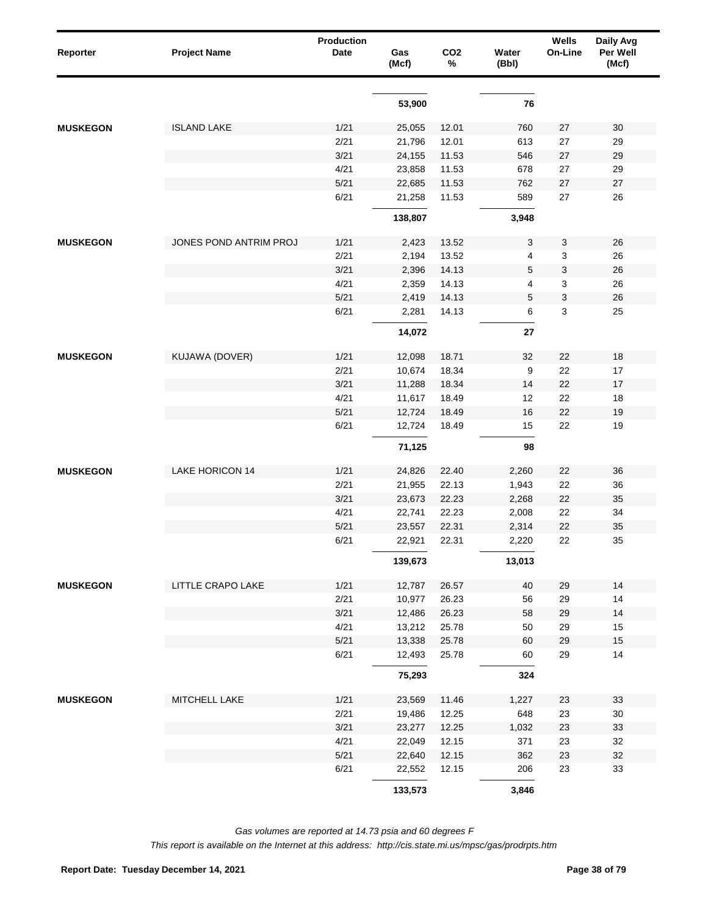| Reporter        | <b>Project Name</b>    | <b>Production</b><br>Date | Gas<br>(Mcf) | CO <sub>2</sub><br>% | Water<br>(Bbl) | Wells<br>On-Line | Daily Avg<br>Per Well<br>(Mcf) |
|-----------------|------------------------|---------------------------|--------------|----------------------|----------------|------------------|--------------------------------|
|                 |                        |                           | 53,900       |                      | 76             |                  |                                |
|                 |                        |                           |              |                      |                |                  |                                |
| <b>MUSKEGON</b> | <b>ISLAND LAKE</b>     | 1/21                      | 25,055       | 12.01                | 760            | 27               | 30                             |
|                 |                        | 2/21                      | 21,796       | 12.01                | 613            | 27               | 29                             |
|                 |                        | 3/21                      | 24,155       | 11.53                | 546            | $27\,$           | 29                             |
|                 |                        | 4/21                      | 23,858       | 11.53                | 678            | 27               | 29                             |
|                 |                        | 5/21                      | 22,685       | 11.53                | 762            | 27               | $27\,$                         |
|                 |                        | 6/21                      | 21,258       | 11.53                | 589            | 27               | 26                             |
|                 |                        |                           | 138,807      |                      | 3,948          |                  |                                |
| <b>MUSKEGON</b> | JONES POND ANTRIM PROJ | 1/21                      | 2,423        | 13.52                | 3              | 3                | 26                             |
|                 |                        | 2/21                      | 2,194        | 13.52                | 4              | 3                | 26                             |
|                 |                        | 3/21                      | 2,396        | 14.13                | 5              | 3                | 26                             |
|                 |                        | 4/21                      | 2,359        | 14.13                | 4              | 3                | 26                             |
|                 |                        | $5/21$                    | 2,419        | 14.13                | 5              | 3                | 26                             |
|                 |                        | 6/21                      | 2,281        | 14.13                | 6              | 3                | 25                             |
|                 |                        |                           | 14,072       |                      | 27             |                  |                                |
|                 |                        |                           |              |                      |                |                  |                                |
| <b>MUSKEGON</b> | KUJAWA (DOVER)         | 1/21                      | 12,098       | 18.71                | 32             | 22               | 18                             |
|                 |                        | 2/21                      | 10,674       | 18.34                | 9              | 22               | 17                             |
|                 |                        | 3/21                      | 11,288       | 18.34                | 14             | 22               | 17                             |
|                 |                        | 4/21                      | 11,617       | 18.49                | 12             | 22               | 18                             |
|                 |                        | $5/21$                    | 12,724       | 18.49                | 16             | 22               | 19                             |
|                 |                        | 6/21                      | 12,724       | 18.49                | 15             | 22               | 19                             |
|                 |                        |                           | 71,125       |                      | 98             |                  |                                |
| <b>MUSKEGON</b> | <b>LAKE HORICON 14</b> | 1/21                      | 24,826       | 22.40                | 2,260          | 22               | 36                             |
|                 |                        | 2/21                      | 21,955       | 22.13                | 1,943          | 22               | 36                             |
|                 |                        | 3/21                      | 23,673       | 22.23                | 2,268          | 22               | 35                             |
|                 |                        | 4/21                      | 22,741       | 22.23                | 2,008          | 22               | 34                             |
|                 |                        | 5/21                      | 23,557       | 22.31                | 2,314          | 22               | 35                             |
|                 |                        | 6/21                      | 22,921       | 22.31                | 2,220          | 22               | 35                             |
|                 |                        |                           | 139,673      |                      | 13,013         |                  |                                |
| <b>MUSKEGON</b> | LITTLE CRAPO LAKE      | 1/21                      | 12,787       | 26.57                | 40             | 29               | 14                             |
|                 |                        | 2/21                      | 10,977       | 26.23                | 56             | 29               | 14                             |
|                 |                        | 3/21                      | 12,486       | 26.23                | 58             | 29               | 14                             |
|                 |                        | 4/21                      | 13,212       | 25.78                | 50             | 29               | 15                             |
|                 |                        | 5/21                      | 13,338       | 25.78                | 60             | 29               | 15                             |
|                 |                        | 6/21                      | 12,493       | 25.78                | 60             | 29               | 14                             |
|                 |                        |                           | 75,293       |                      | 324            |                  |                                |
| <b>MUSKEGON</b> | MITCHELL LAKE          | 1/21                      | 23,569       | 11.46                | 1,227          | 23               | 33                             |
|                 |                        | 2/21                      | 19,486       | 12.25                | 648            | 23               | $30\,$                         |
|                 |                        | 3/21                      | 23,277       | 12.25                | 1,032          | 23               | 33                             |
|                 |                        | 4/21                      | 22,049       | 12.15                | 371            | 23               | 32                             |
|                 |                        | 5/21                      | 22,640       | 12.15                | 362            | 23               | 32                             |
|                 |                        | 6/21                      | 22,552       | 12.15                | 206            | 23               | 33                             |
|                 |                        |                           | 133,573      |                      | 3,846          |                  |                                |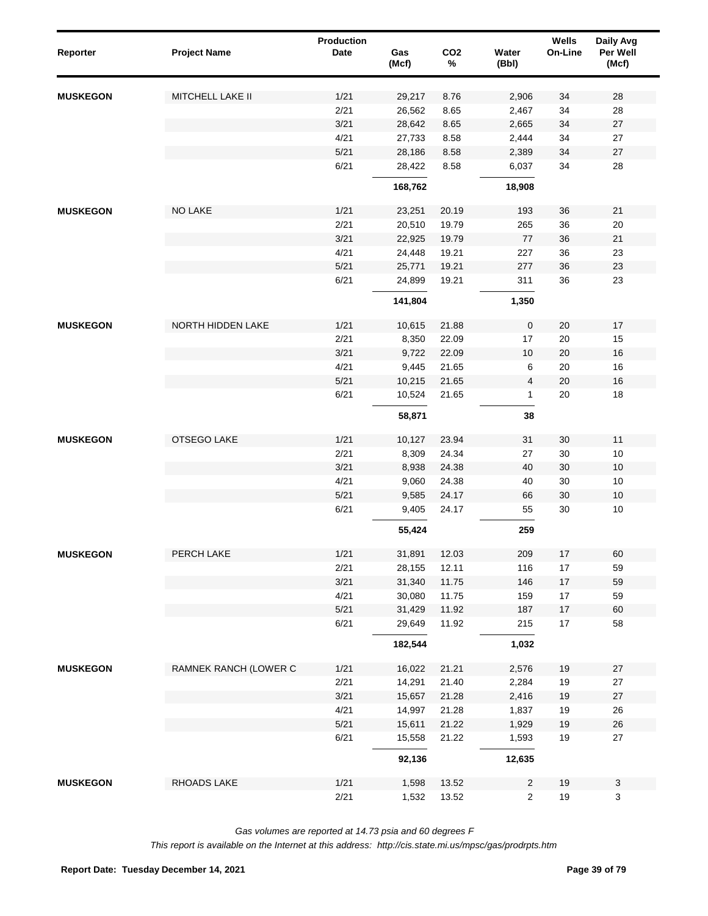| Reporter        | <b>Project Name</b>   | <b>Production</b><br><b>Date</b> | Gas<br>(Mcf)   | CO <sub>2</sub><br>$\%$ | Water<br>(Bbl)                 | Wells<br>On-Line | Daily Avg<br>Per Well<br>(Mcf) |
|-----------------|-----------------------|----------------------------------|----------------|-------------------------|--------------------------------|------------------|--------------------------------|
| <b>MUSKEGON</b> | MITCHELL LAKE II      | 1/21                             | 29,217         | 8.76                    | 2,906                          | 34               | 28                             |
|                 |                       | 2/21                             | 26,562         | 8.65                    | 2,467                          | 34               | 28                             |
|                 |                       | 3/21                             | 28,642         | 8.65                    | 2,665                          | 34               | 27                             |
|                 |                       | 4/21                             | 27,733         | 8.58                    | 2,444                          | 34               | 27                             |
|                 |                       | 5/21                             | 28,186         | 8.58                    | 2,389                          | 34               | 27                             |
|                 |                       | 6/21                             | 28,422         | 8.58                    | 6,037                          | 34               | 28                             |
|                 |                       |                                  | 168,762        |                         | 18,908                         |                  |                                |
| <b>MUSKEGON</b> | NO LAKE               | 1/21                             | 23,251         | 20.19                   | 193                            | 36               | 21                             |
|                 |                       | 2/21                             | 20,510         | 19.79                   | 265                            | 36               | 20                             |
|                 |                       | 3/21                             | 22,925         | 19.79                   | 77                             | 36               | 21                             |
|                 |                       | 4/21                             | 24,448         | 19.21                   | 227                            | 36               | 23                             |
|                 |                       | 5/21                             | 25,771         | 19.21                   | 277                            | 36               | 23                             |
|                 |                       | 6/21                             | 24,899         | 19.21                   | 311                            | 36               | 23                             |
|                 |                       |                                  | 141,804        |                         | 1,350                          |                  |                                |
| <b>MUSKEGON</b> | NORTH HIDDEN LAKE     | 1/21                             | 10,615         | 21.88                   | $\mathbf 0$                    | 20               | 17                             |
|                 |                       | 2/21                             | 8,350          | 22.09                   | 17                             | $20\,$           | 15                             |
|                 |                       | 3/21                             | 9,722          | 22.09                   | 10                             | $20\,$           | 16                             |
|                 |                       | 4/21                             | 9,445          | 21.65                   | 6                              | 20               | 16                             |
|                 |                       | 5/21                             | 10,215         | 21.65                   | $\overline{4}$                 | $20\,$           | 16                             |
|                 |                       | 6/21                             | 10,524         | 21.65                   | $\mathbf{1}$                   | 20               | 18                             |
|                 |                       |                                  | 58,871         |                         | 38                             |                  |                                |
| <b>MUSKEGON</b> | OTSEGO LAKE           | 1/21                             | 10,127         | 23.94                   | 31                             | 30               | 11                             |
|                 |                       | 2/21                             | 8,309          | 24.34                   | 27                             | $30\,$           | 10                             |
|                 |                       | 3/21                             | 8,938          | 24.38                   | 40                             | 30               | 10                             |
|                 |                       | 4/21                             | 9,060          | 24.38                   | 40                             | 30               | 10                             |
|                 |                       | 5/21                             | 9,585          | 24.17                   | 66                             | 30               | 10                             |
|                 |                       | 6/21                             | 9,405          | 24.17                   | 55                             | 30               | 10                             |
|                 |                       |                                  | 55,424         |                         | 259                            |                  |                                |
| <b>MUSKEGON</b> | PERCH LAKE            | 1/21                             | 31,891         | 12.03                   | 209                            | $17\,$           | 60                             |
|                 |                       | 2/21                             | 28,155         | 12.11                   | 116                            | $17\,$           | 59                             |
|                 |                       | 3/21                             | 31,340         | 11.75                   | 146                            | $17\,$           | 59                             |
|                 |                       | 4/21                             | 30,080         | 11.75                   | 159                            | $17\,$           | 59                             |
|                 |                       | 5/21                             | 31,429         | 11.92                   | 187                            | $17\,$           | 60                             |
|                 |                       | 6/21                             | 29,649         | 11.92                   | 215                            | 17               | 58                             |
|                 |                       |                                  | 182,544        |                         | 1,032                          |                  |                                |
| <b>MUSKEGON</b> | RAMNEK RANCH (LOWER C | 1/21                             | 16,022         | 21.21                   | 2,576                          | 19               | 27                             |
|                 |                       | 2/21                             | 14,291         | 21.40                   | 2,284                          | 19               | 27                             |
|                 |                       | 3/21                             | 15,657         | 21.28                   | 2,416                          | 19               | 27                             |
|                 |                       | 4/21                             | 14,997         | 21.28                   | 1,837                          | 19               | 26                             |
|                 |                       | $5/21$                           | 15,611         | 21.22                   | 1,929                          | 19               | 26                             |
|                 |                       | 6/21                             | 15,558         | 21.22                   | 1,593                          | 19               | 27                             |
|                 |                       |                                  | 92,136         |                         | 12,635                         |                  |                                |
| <b>MUSKEGON</b> | RHOADS LAKE           | 1/21<br>2/21                     | 1,598<br>1,532 | 13.52<br>13.52          | $\mathbf{2}$<br>$\overline{2}$ | 19<br>$19$       | $\mathsf 3$<br>3               |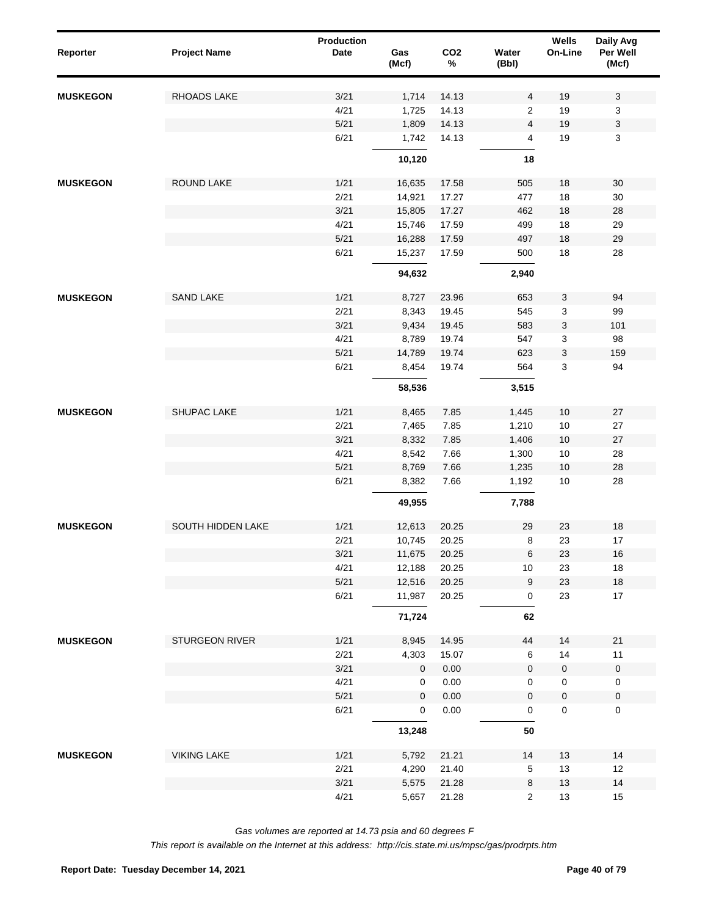| Reporter        | <b>Project Name</b>      | Production<br><b>Date</b> | Gas<br>(Mcf) | CO <sub>2</sub><br>$\%$ | Water<br>(Bbl)      | <b>Wells</b><br>On-Line | Daily Avg<br>Per Well<br>(Mcf) |
|-----------------|--------------------------|---------------------------|--------------|-------------------------|---------------------|-------------------------|--------------------------------|
| <b>MUSKEGON</b> | RHOADS LAKE              | 3/21                      | 1,714        | 14.13                   | $\overline{4}$      | 19                      | 3                              |
|                 |                          | 4/21                      | 1,725        | 14.13                   | $\overline{2}$      | 19                      | 3                              |
|                 |                          | $5/21$                    | 1,809        | 14.13                   | $\overline{4}$      | 19                      | 3                              |
|                 |                          | 6/21                      | 1,742        | 14.13                   | $\overline{4}$      | 19                      | 3                              |
|                 |                          |                           | 10,120       |                         | 18                  |                         |                                |
| <b>MUSKEGON</b> | <b>ROUND LAKE</b>        | 1/21                      | 16,635       | 17.58                   | 505                 | 18                      | 30                             |
|                 |                          | 2/21                      | 14,921       | 17.27                   | 477                 | 18                      | 30                             |
|                 |                          | 3/21                      | 15,805       | 17.27                   | 462                 | 18                      | 28                             |
|                 |                          | 4/21                      | 15,746       | 17.59                   | 499                 | 18                      | 29                             |
|                 |                          | 5/21                      | 16,288       | 17.59                   | 497                 | 18                      | 29                             |
|                 |                          | 6/21                      | 15,237       | 17.59                   | 500                 | 18                      | 28                             |
|                 |                          |                           | 94,632       |                         | 2,940               |                         |                                |
| <b>MUSKEGON</b> | SAND LAKE                | 1/21                      | 8,727        | 23.96                   | 653                 | 3                       | 94                             |
|                 |                          | 2/21                      | 8,343        | 19.45                   | 545                 | 3                       | 99                             |
|                 |                          | 3/21                      | 9,434        | 19.45                   | 583                 | 3                       | 101                            |
|                 |                          | 4/21                      | 8,789        | 19.74                   | 547                 | 3                       | 98                             |
|                 |                          | 5/21                      | 14,789       | 19.74                   | 623                 | 3                       | 159                            |
|                 |                          | 6/21                      | 8,454        | 19.74                   | 564                 | $\mathbf{3}$            | 94                             |
|                 |                          |                           | 58,536       |                         | 3,515               |                         |                                |
| <b>MUSKEGON</b> | SHUPAC LAKE              | 1/21                      | 8,465        | 7.85                    | 1,445               | 10                      | 27                             |
|                 |                          | 2/21                      | 7,465        | 7.85                    | 1,210               | $10\,$                  | 27                             |
|                 |                          | 3/21                      | 8,332        | 7.85                    | 1,406               | 10                      | 27                             |
|                 |                          | 4/21                      | 8,542        | 7.66                    | 1,300               | $10\,$                  | 28                             |
|                 |                          | $5/21$                    | 8,769        | 7.66                    | 1,235               | 10                      | 28                             |
|                 |                          | 6/21                      | 8,382        | 7.66                    | 1,192               | $10$                    | 28                             |
|                 |                          |                           | 49,955       |                         | 7,788               |                         |                                |
| <b>MUSKEGON</b> | <b>SOUTH HIDDEN LAKE</b> | 1/21                      | 12,613       | 20.25                   | 29                  | 23                      | 18                             |
|                 |                          | 2/21                      | 10,745       | 20.25                   | 8                   | 23                      | 17                             |
|                 |                          | 3/21                      | 11,675       | 20.25                   | $\,6$               | 23                      | 16                             |
|                 |                          | 4/21                      | 12,188       | 20.25                   | $10\,$              | 23                      | 18                             |
|                 |                          | $5/21$                    | 12,516       | 20.25                   | 9                   | 23                      | $18$                           |
|                 |                          | 6/21                      | 11,987       | 20.25                   | $\mathsf{O}\xspace$ | 23                      | 17                             |
|                 |                          |                           | 71,724       |                         | 62                  |                         |                                |
| <b>MUSKEGON</b> | STURGEON RIVER           | 1/21                      | 8,945        | 14.95                   | 44                  | 14                      | 21                             |
|                 |                          | 2/21                      | 4,303        | 15.07                   | 6                   | 14                      | 11                             |
|                 |                          | 3/21                      | $\mathbf 0$  | 0.00                    | $\mathbf 0$         | $\mathbf 0$             | $\mathbf 0$                    |
|                 |                          | 4/21                      | 0            | 0.00                    | 0                   | $\mathsf 0$             | $\mathbf 0$                    |
|                 |                          | 5/21                      | $\mathbf 0$  | 0.00                    | $\mathbf 0$         | $\mathsf 0$             | $\pmb{0}$                      |
|                 |                          | 6/21                      | 0            | 0.00                    | $\mathsf{O}\xspace$ | $\mathbf 0$             | $\pmb{0}$                      |
|                 |                          |                           | 13,248       |                         | 50                  |                         |                                |
| <b>MUSKEGON</b> | <b>VIKING LAKE</b>       | 1/21                      | 5,792        | 21.21                   | 14                  | 13                      | 14                             |
|                 |                          | 2/21                      | 4,290        | 21.40                   | $\sqrt{5}$          | 13                      | 12                             |
|                 |                          | 3/21                      | 5,575        | 21.28                   | $\bf 8$             | 13                      | 14                             |
|                 |                          | 4/21                      | 5,657        | 21.28                   | $\overline{2}$      | 13                      | 15                             |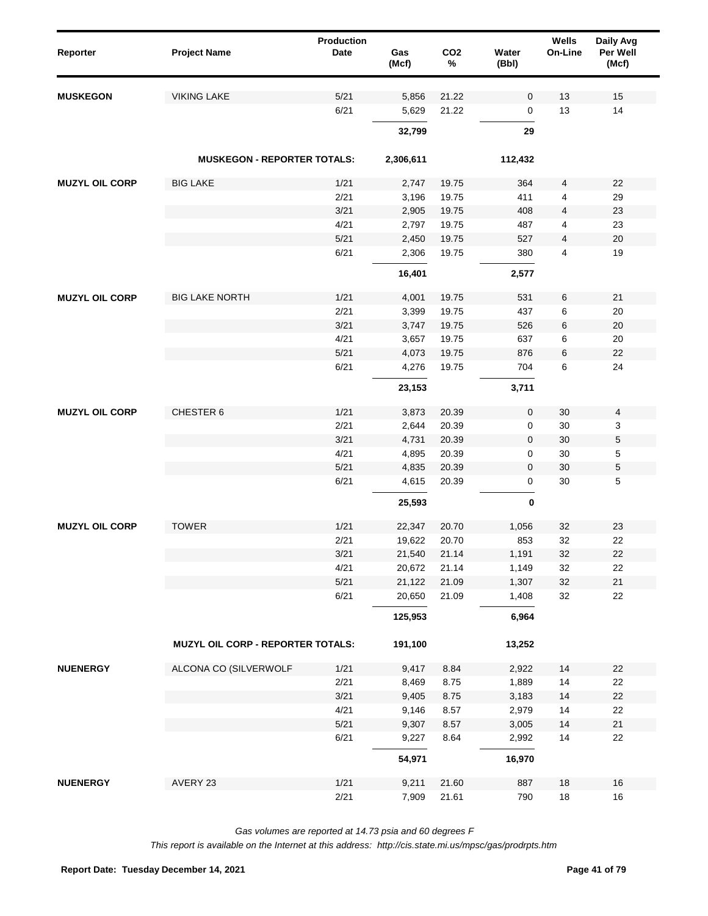| Reporter              | <b>Project Name</b>                | <b>Production</b><br>Date | Gas<br>(Mcf) | CO <sub>2</sub><br>% | Water<br>(Bbl) | Wells<br>On-Line | Daily Avg<br>Per Well<br>(Mcf) |  |
|-----------------------|------------------------------------|---------------------------|--------------|----------------------|----------------|------------------|--------------------------------|--|
| <b>MUSKEGON</b>       | <b>VIKING LAKE</b>                 | 5/21                      | 5,856        | 21.22                | 0              | 13               | 15                             |  |
|                       |                                    | 6/21                      | 5,629        | 21.22                | 0              | 13               | 14                             |  |
|                       |                                    |                           | 32,799       |                      | 29             |                  |                                |  |
|                       | <b>MUSKEGON - REPORTER TOTALS:</b> |                           | 2,306,611    |                      | 112,432        |                  |                                |  |
| <b>MUZYL OIL CORP</b> | <b>BIG LAKE</b>                    | 1/21                      | 2,747        | 19.75                | 364            | 4                | 22                             |  |
|                       |                                    | 2/21                      | 3,196        | 19.75                | 411            | 4                | 29                             |  |
|                       |                                    | 3/21                      | 2,905        | 19.75                | 408            | 4                | 23                             |  |
|                       |                                    | 4/21                      | 2,797        | 19.75                | 487            | 4                | 23                             |  |
|                       |                                    | 5/21                      | 2,450        | 19.75                | 527            | 4                | 20                             |  |
|                       |                                    | 6/21                      | 2,306        | 19.75                | 380            | 4                | 19                             |  |
|                       |                                    |                           | 16,401       |                      | 2,577          |                  |                                |  |
| <b>MUZYL OIL CORP</b> | <b>BIG LAKE NORTH</b>              | 1/21                      | 4,001        | 19.75                | 531            | 6                | 21                             |  |
|                       |                                    | 2/21                      | 3,399        | 19.75                | 437            | 6                | 20                             |  |
|                       |                                    | 3/21                      | 3,747        | 19.75                | 526            | 6                | 20                             |  |
|                       |                                    | 4/21                      | 3,657        | 19.75                | 637            | 6                | 20                             |  |
|                       |                                    | 5/21                      | 4,073        | 19.75                | 876            | 6                | 22                             |  |
|                       |                                    | 6/21                      | 4,276        | 19.75                | 704            | 6                | 24                             |  |
|                       |                                    |                           | 23,153       |                      | 3,711          |                  |                                |  |
| <b>MUZYL OIL CORP</b> | CHESTER 6                          | 1/21                      | 3,873        | 20.39                | 0              | 30               | 4                              |  |
|                       |                                    | 2/21                      | 2,644        | 20.39                | 0              | 30               | 3                              |  |
|                       |                                    | 3/21                      | 4,731        | 20.39                | 0              | 30               | 5                              |  |
|                       |                                    | 4/21                      | 4,895        | 20.39                | 0              | 30               | 5                              |  |
|                       |                                    | 5/21                      | 4,835        | 20.39                | 0              | 30               | 5                              |  |
|                       |                                    | 6/21                      | 4,615        | 20.39                | 0              | 30               | 5                              |  |
|                       |                                    |                           | 25,593       |                      | 0              |                  |                                |  |
| <b>MUZYL OIL CORP</b> | <b>TOWER</b>                       | 1/21                      | 22,347       | 20.70                | 1,056          | 32               | 23                             |  |
|                       |                                    | 2/21                      | 19,622       | 20.70                | 853            | 32               | 22                             |  |
|                       |                                    | 3/21                      | 21,540       | 21.14                | 1,191          | 32               | 22                             |  |
|                       |                                    | 4/21                      | 20,672       | 21.14                | 1,149          | 32               | 22                             |  |
|                       |                                    | 5/21                      | 21,122       | 21.09                | 1,307          | 32               | $21$                           |  |
|                       |                                    | 6/21                      | 20,650       | 21.09                | 1,408          | 32               | 22                             |  |
|                       |                                    |                           | 125,953      |                      | 6,964          |                  |                                |  |
|                       | MUZYL OIL CORP - REPORTER TOTALS:  |                           | 191,100      |                      | 13,252         |                  |                                |  |
| <b>NUENERGY</b>       | ALCONA CO (SILVERWOLF              | 1/21                      | 9,417        | 8.84                 | 2,922          | 14               | 22                             |  |
|                       |                                    | 2/21                      | 8,469        | 8.75                 | 1,889          | 14               | 22                             |  |
|                       |                                    | 3/21                      | 9,405        | 8.75                 | 3,183          | 14               | 22                             |  |
|                       |                                    | 4/21                      | 9,146        | 8.57                 | 2,979          | 14               | 22                             |  |
|                       |                                    | 5/21                      | 9,307        | 8.57                 | 3,005          | 14               | 21                             |  |
|                       |                                    | 6/21                      | 9,227        | 8.64                 | 2,992          | 14               | 22                             |  |
|                       |                                    |                           | 54,971       |                      | 16,970         |                  |                                |  |
| <b>NUENERGY</b>       | AVERY 23                           | 1/21                      | 9,211        | 21.60                | 887            | 18               | 16                             |  |
|                       |                                    | 2/21                      | 7,909        | 21.61                | 790            | $18\,$           | $16\,$                         |  |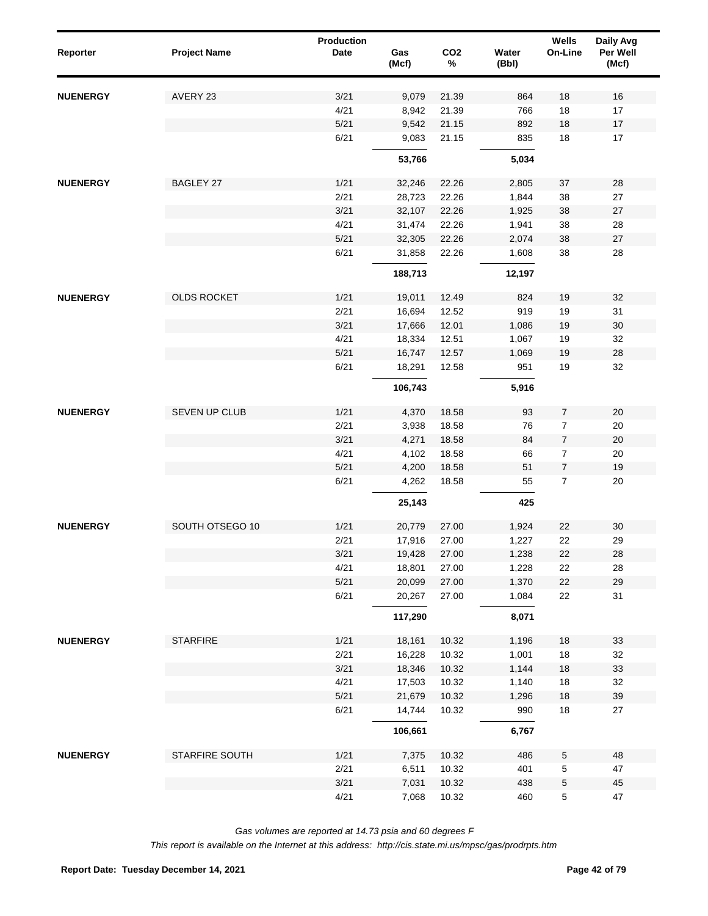| Reporter        | <b>Project Name</b> | <b>Production</b><br><b>Date</b> | Gas<br>(Mcf) | CO <sub>2</sub><br>$\%$ | Water<br>(Bbl) | Wells<br>On-Line | Daily Avg<br>Per Well<br>(Mcf) |
|-----------------|---------------------|----------------------------------|--------------|-------------------------|----------------|------------------|--------------------------------|
| <b>NUENERGY</b> | AVERY 23            | 3/21                             | 9,079        | 21.39                   | 864            | 18               | 16                             |
|                 |                     | 4/21                             | 8,942        | 21.39                   | 766            | 18               | 17                             |
|                 |                     | 5/21                             | 9,542        | 21.15                   | 892            | 18               | 17                             |
|                 |                     | 6/21                             | 9,083        | 21.15                   | 835            | 18               | 17                             |
|                 |                     |                                  | 53,766       |                         | 5,034          |                  |                                |
| <b>NUENERGY</b> | <b>BAGLEY 27</b>    | 1/21                             | 32,246       | 22.26                   | 2,805          | 37               | 28                             |
|                 |                     | 2/21                             | 28,723       | 22.26                   | 1,844          | 38               | 27                             |
|                 |                     | 3/21                             | 32,107       | 22.26                   | 1,925          | 38               | 27                             |
|                 |                     | 4/21                             | 31,474       | 22.26                   | 1,941          | 38               | 28                             |
|                 |                     | 5/21                             | 32,305       | 22.26                   | 2,074          | 38               | 27                             |
|                 |                     | 6/21                             | 31,858       | 22.26                   | 1,608          | 38               | 28                             |
|                 |                     |                                  | 188,713      |                         | 12,197         |                  |                                |
| <b>NUENERGY</b> | <b>OLDS ROCKET</b>  | 1/21                             | 19,011       | 12.49                   | 824            | 19               | 32                             |
|                 |                     | 2/21                             | 16,694       | 12.52                   | 919            | 19               | 31                             |
|                 |                     | 3/21                             | 17,666       | 12.01                   | 1,086          | 19               | 30                             |
|                 |                     | 4/21                             | 18,334       | 12.51                   | 1,067          | 19               | 32                             |
|                 |                     | 5/21                             | 16,747       | 12.57                   | 1,069          | 19               | 28                             |
|                 |                     | 6/21                             | 18,291       | 12.58                   | 951            | 19               | 32                             |
|                 |                     |                                  | 106,743      |                         | 5,916          |                  |                                |
| <b>NUENERGY</b> | SEVEN UP CLUB       | 1/21                             | 4,370        | 18.58                   | 93             | $\overline{7}$   | $20\,$                         |
|                 |                     | 2/21                             | 3,938        | 18.58                   | 76             | $\overline{7}$   | 20                             |
|                 |                     | 3/21                             | 4,271        | 18.58                   | 84             | $\overline{7}$   | 20                             |
|                 |                     | 4/21                             | 4,102        | 18.58                   | 66             | $\overline{7}$   | 20                             |
|                 |                     | 5/21                             | 4,200        | 18.58                   | 51             | $\overline{7}$   | 19                             |
|                 |                     | 6/21                             | 4,262        | 18.58                   | 55             | $\overline{7}$   | 20                             |
|                 |                     |                                  | 25,143       |                         | 425            |                  |                                |
| <b>NUENERGY</b> | SOUTH OTSEGO 10     | 1/21                             | 20,779       | 27.00                   | 1,924          | 22               | 30                             |
|                 |                     | 2/21                             | 17,916       | 27.00                   | 1,227          | 22               | 29                             |
|                 |                     | 3/21                             | 19,428       | 27.00                   | 1,238          | 22               | 28                             |
|                 |                     | 4/21                             | 18,801       | 27.00                   | 1,228          | 22               | 28                             |
|                 |                     | 5/21                             | 20,099       | 27.00                   | 1,370          | 22               | 29                             |
|                 |                     | 6/21                             | 20,267       | 27.00                   | 1,084          | 22               | 31                             |
|                 |                     |                                  | 117,290      |                         | 8,071          |                  |                                |
| <b>NUENERGY</b> | <b>STARFIRE</b>     | 1/21                             | 18,161       | 10.32                   | 1,196          | 18               | 33                             |
|                 |                     | 2/21                             | 16,228       | 10.32                   | 1,001          | $18$             | 32                             |
|                 |                     | 3/21                             | 18,346       | 10.32                   | 1,144          | $18$             | 33                             |
|                 |                     | 4/21                             | 17,503       | 10.32                   | 1,140          | $18$             | 32                             |
|                 |                     | 5/21                             | 21,679       | 10.32                   | 1,296          | $18$             | 39                             |
|                 |                     | 6/21                             | 14,744       | 10.32                   | 990            | 18               | 27                             |
|                 |                     |                                  | 106,661      |                         | 6,767          |                  |                                |
| <b>NUENERGY</b> | STARFIRE SOUTH      | 1/21                             | 7,375        | 10.32                   | 486            | $\,$ 5 $\,$      | 48                             |
|                 |                     | 2/21                             | 6,511        | 10.32                   | 401            | $\,$ 5 $\,$      | 47                             |
|                 |                     | 3/21                             | 7,031        | 10.32                   | 438            | $\mathbf 5$      | 45                             |
|                 |                     | 4/21                             | 7,068        | 10.32                   | 460            | $\,$ 5 $\,$      | 47                             |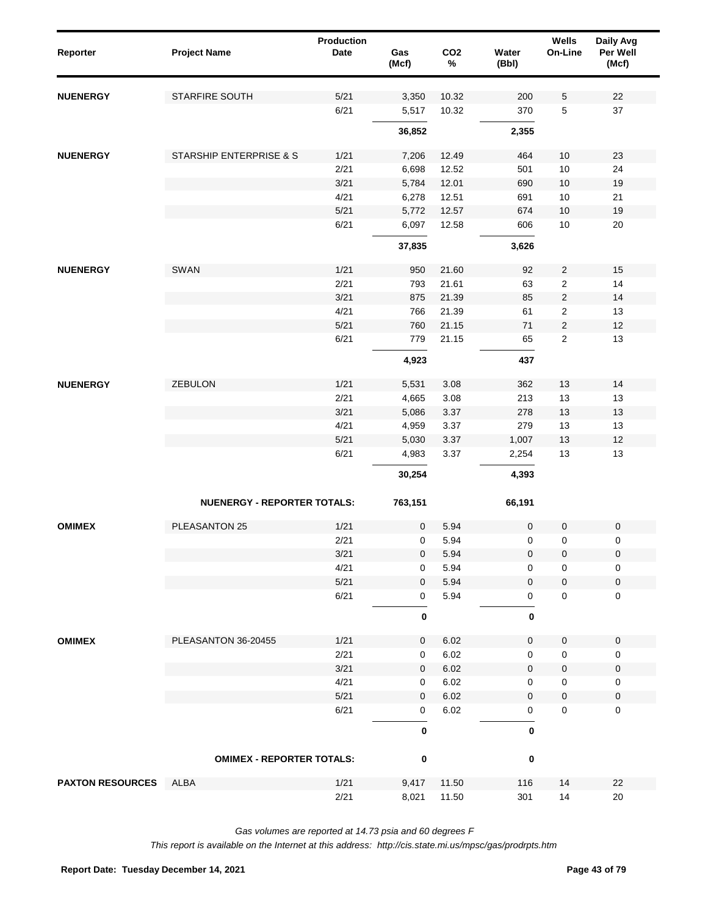| Reporter                | <b>Project Name</b>                | <b>Production</b><br>Date | Gas<br>(Mcf)    | CO <sub>2</sub><br>$\%$ | Water<br>(Bbl) | Wells<br>On-Line | Daily Avg<br>Per Well<br>(Mcf) |
|-------------------------|------------------------------------|---------------------------|-----------------|-------------------------|----------------|------------------|--------------------------------|
| <b>NUENERGY</b>         | STARFIRE SOUTH                     | 5/21                      | 3,350           | 10.32                   | 200            | 5                | 22                             |
|                         |                                    | 6/21                      | 5,517           | 10.32                   | 370            | $\mathbf 5$      | 37                             |
|                         |                                    |                           | 36,852          |                         | 2,355          |                  |                                |
| <b>NUENERGY</b>         | STARSHIP ENTERPRISE & S            | 1/21                      | 7,206           | 12.49                   | 464            | 10               | 23                             |
|                         |                                    | 2/21                      | 6,698           | 12.52                   | 501            | 10               | 24                             |
|                         |                                    | 3/21                      | 5,784           | 12.01                   | 690            | 10               | 19                             |
|                         |                                    | 4/21                      | 6,278           | 12.51                   | 691            | 10               | 21                             |
|                         |                                    | 5/21                      | 5,772           | 12.57                   | 674            | 10               | 19                             |
|                         |                                    | 6/21                      | 6,097           | 12.58                   | 606            | 10               | 20                             |
|                         |                                    |                           | 37,835          |                         | 3,626          |                  |                                |
| <b>NUENERGY</b>         | SWAN                               | 1/21                      | 950             | 21.60                   | 92             | $\sqrt{2}$       | 15                             |
|                         |                                    | 2/21                      | 793             | 21.61                   | 63             | $\sqrt{2}$       | 14                             |
|                         |                                    | 3/21                      | 875             | 21.39                   | 85             | $\sqrt{2}$       | 14                             |
|                         |                                    | 4/21                      | 766             | 21.39                   | 61             | $\sqrt{2}$       | 13                             |
|                         |                                    | 5/21                      | 760             | 21.15                   | 71             | $\sqrt{2}$       | 12                             |
|                         |                                    | 6/21                      | 779             | 21.15                   | 65             | $\sqrt{2}$       | 13                             |
|                         |                                    |                           | 4,923           |                         | 437            |                  |                                |
|                         | ZEBULON                            |                           |                 |                         |                |                  |                                |
| <b>NUENERGY</b>         |                                    | 1/21<br>2/21              | 5,531<br>4,665  | 3.08<br>3.08            | 362<br>213     | 13<br>13         | 14<br>13                       |
|                         |                                    | 3/21                      |                 | 3.37                    |                |                  |                                |
|                         |                                    | 4/21                      | 5,086           | 3.37                    | 278            | 13               | 13                             |
|                         |                                    |                           | 4,959           |                         | 279            | 13               | 13                             |
|                         |                                    | 5/21                      | 5,030           | 3.37                    | 1,007          | 13               | 12                             |
|                         |                                    | 6/21                      | 4,983<br>30,254 | 3.37                    | 2,254<br>4,393 | 13               | 13                             |
|                         | <b>NUENERGY - REPORTER TOTALS:</b> |                           |                 |                         |                |                  |                                |
|                         |                                    |                           | 763,151         |                         | 66,191         |                  |                                |
| <b>OMIMEX</b>           | PLEASANTON 25                      | 1/21                      | 0               | 5.94                    | $\mathbf 0$    | $\mathbf 0$      | $\pmb{0}$                      |
|                         |                                    | 2/21                      | 0               | 5.94                    | 0              | $\mathbf 0$      | 0                              |
|                         |                                    | 3/21                      | $\pmb{0}$       | 5.94                    | 0              | 0                | $\pmb{0}$                      |
|                         |                                    | 4/21                      | 0               | 5.94                    | 0              | 0                | 0                              |
|                         |                                    | $5/21$                    | $\mathbf 0$     | 5.94                    | 0              | $\pmb{0}$        | $\pmb{0}$                      |
|                         |                                    | 6/21                      | 0               | 5.94                    | 0              | $\pmb{0}$        | $\mathsf 0$                    |
|                         |                                    |                           | 0               |                         | 0              |                  |                                |
| <b>OMIMEX</b>           | PLEASANTON 36-20455                | 1/21                      | 0               | 6.02                    | 0              | $\pmb{0}$        | $\mathbf 0$                    |
|                         |                                    | 2/21                      | 0               | 6.02                    | 0              | $\mathbf 0$      | 0                              |
|                         |                                    | 3/21                      | $\pmb{0}$       | 6.02                    | 0              | $\pmb{0}$        | $\pmb{0}$                      |
|                         |                                    | 4/21                      | 0               | 6.02                    | 0              | $\mathbf 0$      | 0                              |
|                         |                                    | 5/21                      | $\pmb{0}$       | 6.02                    | 0              | $\pmb{0}$        | $\pmb{0}$                      |
|                         |                                    | 6/21                      | 0               | 6.02                    | 0              | $\mathbf 0$      | $\mathbf 0$                    |
|                         |                                    |                           | 0               |                         | $\bf{0}$       |                  |                                |
|                         | <b>OMIMEX - REPORTER TOTALS:</b>   |                           | 0               |                         | 0              |                  |                                |
| <b>PAXTON RESOURCES</b> | ALBA                               | 1/21                      | 9,417           | 11.50                   | 116            | 14               | 22                             |
|                         |                                    | 2/21                      | 8,021           | 11.50                   | 301            | 14               | $20\,$                         |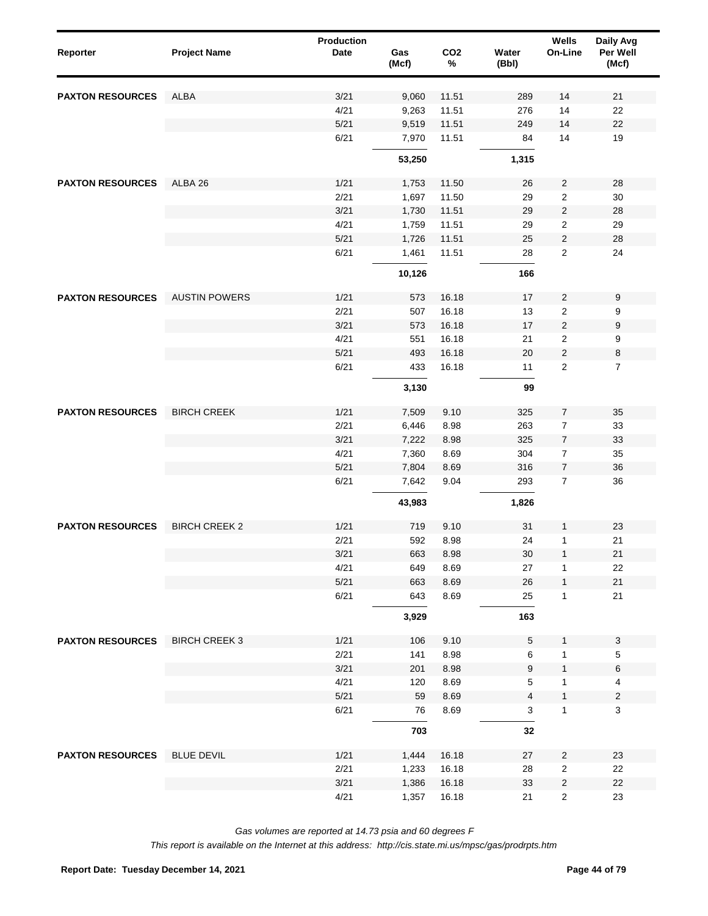| Reporter                | <b>Project Name</b>  | Production<br>Date | Gas<br>(Mcf) | CO <sub>2</sub><br>$\%$ | Water<br>(Bbl) | Wells<br>On-Line        | Daily Avg<br>Per Well<br>(Mcf) |
|-------------------------|----------------------|--------------------|--------------|-------------------------|----------------|-------------------------|--------------------------------|
| <b>PAXTON RESOURCES</b> | <b>ALBA</b>          | 3/21               | 9,060        | 11.51                   | 289            | 14                      | 21                             |
|                         |                      | 4/21               | 9,263        | 11.51                   | 276            | 14                      | 22                             |
|                         |                      | 5/21               | 9,519        | 11.51                   | 249            | 14                      | 22                             |
|                         |                      | 6/21               | 7,970        | 11.51                   | 84             | 14                      | 19                             |
|                         |                      |                    | 53,250       |                         | 1,315          |                         |                                |
| <b>PAXTON RESOURCES</b> | ALBA 26              | 1/21               | 1,753        | 11.50                   | 26             | $\overline{2}$          | 28                             |
|                         |                      | 2/21               | 1,697        | 11.50                   | 29             | 2                       | 30                             |
|                         |                      | 3/21               | 1,730        | 11.51                   | 29             | $\overline{c}$          | 28                             |
|                         |                      | 4/21               | 1,759        | 11.51                   | 29             | 2                       | 29                             |
|                         |                      | 5/21               | 1,726        | 11.51                   | 25             | $\overline{\mathbf{c}}$ | 28                             |
|                         |                      | 6/21               | 1,461        | 11.51                   | 28             | $\overline{2}$          | 24                             |
|                         |                      |                    | 10,126       |                         | 166            |                         |                                |
| <b>PAXTON RESOURCES</b> | <b>AUSTIN POWERS</b> | 1/21               | 573          | 16.18                   | 17             | $\overline{\mathbf{c}}$ | 9                              |
|                         |                      | 2/21               | 507          | 16.18                   | 13             | $\overline{2}$          | 9                              |
|                         |                      | 3/21               | 573          | 16.18                   | 17             | $\overline{\mathbf{c}}$ | 9                              |
|                         |                      | 4/21               | 551          | 16.18                   | 21             | $\overline{2}$          | 9                              |
|                         |                      | 5/21               | 493          | 16.18                   | 20             | $\overline{\mathbf{c}}$ | 8                              |
|                         |                      | 6/21               | 433          | 16.18                   | 11             | $\overline{2}$          | $\overline{7}$                 |
|                         |                      |                    | 3,130        |                         | 99             |                         |                                |
| <b>PAXTON RESOURCES</b> | <b>BIRCH CREEK</b>   | 1/21               | 7,509        | 9.10                    | 325            | $\overline{7}$          | 35                             |
|                         |                      | 2/21               | 6,446        | 8.98                    | 263            | $\overline{7}$          | 33                             |
|                         |                      | 3/21               | 7,222        | 8.98                    | 325            | $\overline{7}$          | 33                             |
|                         |                      | 4/21               | 7,360        | 8.69                    | 304            | $\overline{7}$          | 35                             |
|                         |                      | 5/21               | 7,804        | 8.69                    | 316            | $\overline{7}$          | 36                             |
|                         |                      | 6/21               | 7,642        | 9.04                    | 293            | $\overline{7}$          | 36                             |
|                         |                      |                    | 43,983       |                         | 1,826          |                         |                                |
| <b>PAXTON RESOURCES</b> | <b>BIRCH CREEK 2</b> | 1/21               | 719          | 9.10                    | 31             | 1                       | 23                             |
|                         |                      | 2/21               | 592          | 8.98                    | 24             | 1                       | 21                             |
|                         |                      | 3/21               | 663          | 8.98                    | $30\,$         | $\mathbf{1}$            | 21                             |
|                         |                      | 4/21               | 649          | 8.69                    | 27             | 1                       | 22                             |
|                         |                      | 5/21               | 663          | 8.69                    | 26             | $\mathbf{1}$            | 21                             |
|                         |                      | 6/21               | 643          | 8.69                    | 25             | 1                       | 21                             |
|                         |                      |                    | 3,929        |                         | 163            |                         |                                |
| <b>PAXTON RESOURCES</b> | <b>BIRCH CREEK 3</b> | 1/21               | 106          | 9.10                    | 5              | $\mathbf{1}$            | $\mathbf 3$                    |
|                         |                      | 2/21               | 141          | 8.98                    | 6              | 1                       | $\,$ 5 $\,$                    |
|                         |                      | 3/21               | 201          | 8.98                    | 9              | 1                       | $\,6$                          |
|                         |                      | 4/21               | 120          | 8.69                    | 5              | 1                       | $\overline{4}$                 |
|                         |                      | 5/21               | 59           | 8.69                    | 4              | $\mathbf{1}$            | $\sqrt{2}$                     |
|                         |                      | 6/21               | 76           | 8.69                    | 3              | 1                       | 3                              |
|                         |                      |                    | 703          |                         | 32             |                         |                                |
| <b>PAXTON RESOURCES</b> | <b>BLUE DEVIL</b>    | 1/21               | 1,444        | 16.18                   | 27             | $\overline{2}$          | 23                             |
|                         |                      | 2/21               | 1,233        | 16.18                   | 28             | $\overline{2}$          | 22                             |
|                         |                      | 3/21               | 1,386        | 16.18                   | 33             | $\overline{\mathbf{c}}$ | 22                             |
|                         |                      | 4/21               | 1,357        | 16.18                   | 21             | $\overline{c}$          | 23                             |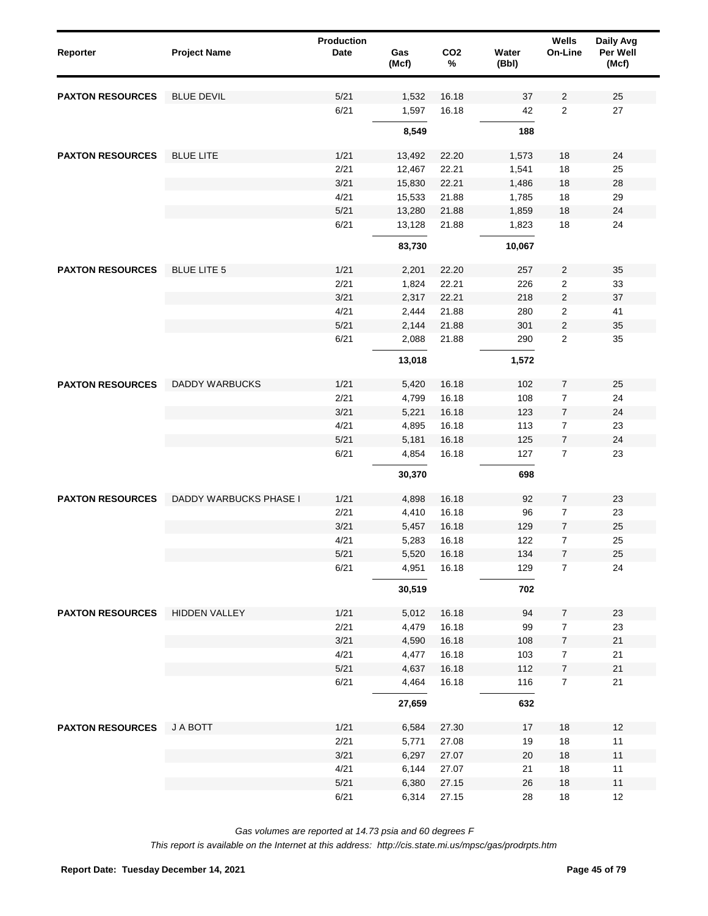| Reporter                | <b>Project Name</b>    | <b>Production</b><br><b>Date</b> | Gas<br>(Mcf)   | CO <sub>2</sub><br>$\%$ | Water<br>(Bbl) | Wells<br>On-Line                 | Daily Avg<br>Per Well<br>(Mcf) |
|-------------------------|------------------------|----------------------------------|----------------|-------------------------|----------------|----------------------------------|--------------------------------|
| <b>PAXTON RESOURCES</b> | <b>BLUE DEVIL</b>      | 5/21                             | 1,532          | 16.18                   | 37             | $\overline{2}$                   | 25                             |
|                         |                        | 6/21                             | 1,597          | 16.18                   | 42             | $\mathbf{2}$                     | 27                             |
|                         |                        |                                  | 8,549          |                         | 188            |                                  |                                |
| <b>PAXTON RESOURCES</b> | <b>BLUE LITE</b>       | 1/21                             | 13,492         | 22.20                   | 1,573          | 18                               | 24                             |
|                         |                        | 2/21                             | 12,467         | 22.21                   | 1,541          | 18                               | 25                             |
|                         |                        | 3/21                             | 15,830         | 22.21                   | 1,486          | 18                               | 28                             |
|                         |                        | 4/21                             | 15,533         | 21.88                   | 1,785          | 18                               | 29                             |
|                         |                        | 5/21                             | 13,280         | 21.88                   | 1,859          | 18                               | 24                             |
|                         |                        | 6/21                             | 13,128         | 21.88                   | 1,823          | 18                               | 24                             |
|                         |                        |                                  | 83,730         |                         | 10,067         |                                  |                                |
| <b>PAXTON RESOURCES</b> | <b>BLUE LITE 5</b>     | 1/21                             | 2,201          | 22.20                   | 257            | $\overline{2}$                   | 35                             |
|                         |                        | 2/21                             | 1,824          | 22.21                   | 226            | $\boldsymbol{2}$                 | 33                             |
|                         |                        | 3/21                             | 2,317          | 22.21                   | 218            | $\sqrt{2}$                       | 37                             |
|                         |                        | 4/21                             | 2,444          | 21.88                   | 280            | $\boldsymbol{2}$                 | 41                             |
|                         |                        | 5/21                             | 2,144          | 21.88                   | 301            | $\sqrt{2}$                       | 35                             |
|                         |                        | 6/21                             | 2,088          | 21.88                   | 290            | $\overline{2}$                   | 35                             |
|                         |                        |                                  | 13,018         |                         | 1,572          |                                  |                                |
| <b>PAXTON RESOURCES</b> | <b>DADDY WARBUCKS</b>  | 1/21                             | 5,420          | 16.18                   | 102            | $\overline{7}$                   | 25                             |
|                         |                        | 2/21                             | 4,799          | 16.18                   | 108            | $\overline{7}$                   | 24                             |
|                         |                        | 3/21                             | 5,221          | 16.18                   | 123            | $\overline{7}$                   | 24                             |
|                         |                        | 4/21                             | 4,895          | 16.18                   | 113            | $\overline{7}$                   | 23                             |
|                         |                        | 5/21                             | 5,181          | 16.18                   | 125            | $\overline{7}$                   | 24                             |
|                         |                        | 6/21                             | 4,854          | 16.18                   | 127            | $\overline{7}$                   | 23                             |
|                         |                        |                                  | 30,370         |                         | 698            |                                  |                                |
| <b>PAXTON RESOURCES</b> | DADDY WARBUCKS PHASE I | 1/21                             | 4,898          | 16.18                   | 92             | $\overline{7}$                   | 23                             |
|                         |                        |                                  |                |                         |                |                                  |                                |
|                         |                        | 2/21<br>3/21                     | 4,410<br>5,457 | 16.18<br>16.18          | 96<br>129      | $\overline{7}$<br>$\overline{7}$ | 23<br>25                       |
|                         |                        | 4/21                             | 5,283          | 16.18                   | 122            | $\overline{7}$                   | 25                             |
|                         |                        | $5/21$                           | 5,520          | 16.18                   | 134            | $\overline{7}$                   | 25                             |
|                         |                        | 6/21                             | 4,951          | 16.18                   | 129            | $\overline{7}$                   | 24                             |
|                         |                        |                                  | 30,519         |                         | 702            |                                  |                                |
| <b>PAXTON RESOURCES</b> | <b>HIDDEN VALLEY</b>   | 1/21                             | 5,012          | 16.18                   | 94             | $\overline{7}$                   | 23                             |
|                         |                        | 2/21                             | 4,479          | 16.18                   | 99             | $\overline{7}$                   | 23                             |
|                         |                        | 3/21                             | 4,590          | 16.18                   | 108            | $\overline{7}$                   | $21$                           |
|                         |                        | 4/21                             | 4,477          | 16.18                   | 103            | $\overline{7}$                   | 21                             |
|                         |                        | 5/21                             | 4,637          | 16.18                   | 112            | $\overline{7}$                   | 21                             |
|                         |                        | 6/21                             | 4,464          | 16.18                   | 116            | $\overline{7}$                   | $21$                           |
|                         |                        |                                  | 27,659         |                         | 632            |                                  |                                |
|                         |                        |                                  |                |                         |                |                                  |                                |
| <b>PAXTON RESOURCES</b> | J A BOTT               | 1/21                             | 6,584          | 27.30                   | 17             | $18$                             | 12                             |
|                         |                        | 2/21                             | 5,771          | 27.08                   | 19             | $18\,$                           | 11                             |
|                         |                        | 3/21                             | 6,297          | 27.07                   | 20             | $18$                             | 11                             |
|                         |                        | 4/21                             | 6,144          | 27.07                   | 21             | $18$                             | 11                             |
|                         |                        | 5/21                             | 6,380          | 27.15                   | 26             | $18$                             | $11$                           |
|                         |                        | 6/21                             | 6,314          | 27.15                   | 28             | $18\,$                           | 12                             |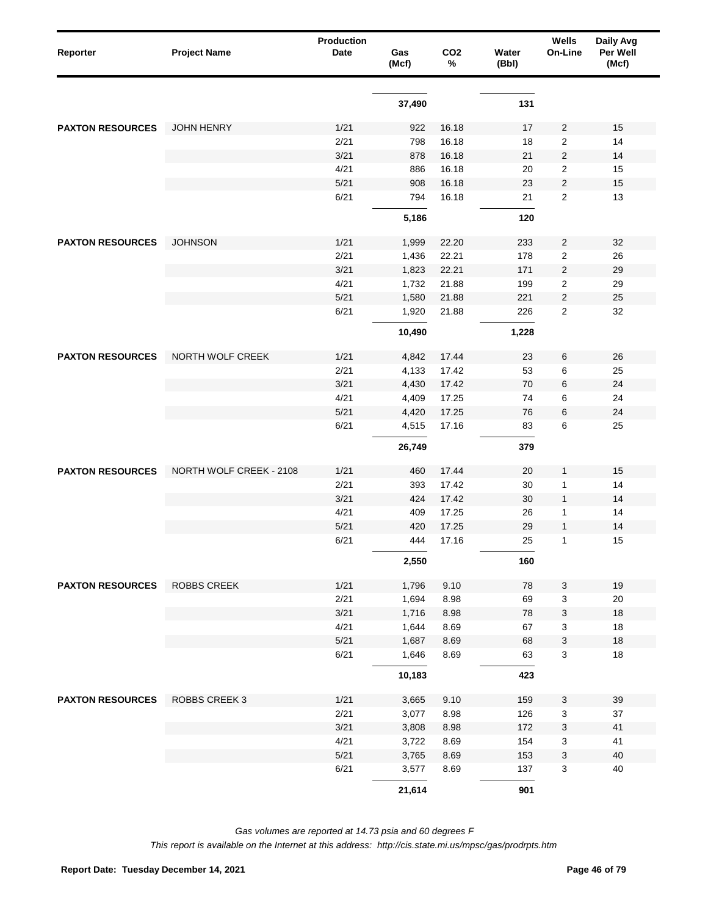| Reporter                | <b>Project Name</b>     | Production<br>Date | Gas<br>(Mcf) | CO <sub>2</sub><br>% | Water<br>(Bbl) | Wells<br>On-Line | Daily Avg<br>Per Well<br>(Mcf) |
|-------------------------|-------------------------|--------------------|--------------|----------------------|----------------|------------------|--------------------------------|
|                         |                         |                    | 37,490       |                      | 131            |                  |                                |
|                         |                         |                    |              |                      |                |                  |                                |
| <b>PAXTON RESOURCES</b> | <b>JOHN HENRY</b>       | 1/21               | 922          | 16.18                | 17             | 2                | 15                             |
|                         |                         | 2/21               | 798          | 16.18                | 18             | 2                | 14                             |
|                         |                         | 3/21               | 878          | 16.18                | 21             | $\overline{c}$   | 14                             |
|                         |                         | 4/21               | 886          | 16.18                | 20             | 2                | 15                             |
|                         |                         | 5/21               | 908          | 16.18                | 23             | $\overline{c}$   | 15                             |
|                         |                         | 6/21               | 794          | 16.18                | 21             | $\overline{2}$   | 13                             |
|                         |                         |                    | 5,186        |                      | 120            |                  |                                |
| <b>PAXTON RESOURCES</b> | <b>JOHNSON</b>          | 1/21               | 1,999        | 22.20                | 233            | 2                | 32                             |
|                         |                         | 2/21               | 1,436        | 22.21                | 178            | 2                | 26                             |
|                         |                         | 3/21               | 1,823        | 22.21                | 171            | $\overline{c}$   | 29                             |
|                         |                         | 4/21               | 1,732        | 21.88                | 199            | 2                | 29                             |
|                         |                         | 5/21               | 1,580        | 21.88                | 221            | $\overline{c}$   | 25                             |
|                         |                         | 6/21               | 1,920        | 21.88                | 226            | 2                | 32                             |
|                         |                         |                    | 10,490       |                      | 1,228          |                  |                                |
| <b>PAXTON RESOURCES</b> | NORTH WOLF CREEK        | 1/21               | 4,842        | 17.44                | 23             | 6                | 26                             |
|                         |                         | 2/21               | 4,133        | 17.42                | 53             | 6                | 25                             |
|                         |                         | 3/21               | 4,430        | 17.42                | 70             | 6                | 24                             |
|                         |                         | 4/21               | 4,409        | 17.25                | 74             | 6                | 24                             |
|                         |                         | 5/21               | 4,420        | 17.25                | 76             | 6                | 24                             |
|                         |                         | 6/21               | 4,515        | 17.16                | 83             | 6                | 25                             |
|                         |                         |                    | 26,749       |                      | 379            |                  |                                |
|                         |                         |                    |              |                      |                |                  |                                |
| <b>PAXTON RESOURCES</b> | NORTH WOLF CREEK - 2108 | 1/21               | 460          | 17.44                | 20             | 1                | 15                             |
|                         |                         | 2/21               | 393          | 17.42                | 30             | 1                | 14                             |
|                         |                         | 3/21               | 424          | 17.42                | 30             | 1                | 14                             |
|                         |                         | 4/21<br>5/21       | 409          | 17.25                | 26             | 1                | 14                             |
|                         |                         | 6/21               | 420<br>444   | 17.25<br>17.16       | 29<br>25       | 1<br>1           | 14<br>15                       |
|                         |                         |                    |              |                      |                |                  |                                |
|                         |                         |                    | 2,550        |                      | 160            |                  |                                |
| <b>PAXTON RESOURCES</b> | <b>ROBBS CREEK</b>      | 1/21               | 1,796        | 9.10                 | 78             | 3                | $19$                           |
|                         |                         | 2/21               | 1,694        | 8.98                 | 69             | 3                | 20                             |
|                         |                         | 3/21               | 1,716        | 8.98                 | 78             | 3                | 18                             |
|                         |                         | 4/21               | 1,644        | 8.69                 | 67             | 3                | 18                             |
|                         |                         | 5/21               | 1,687        | 8.69                 | 68             | 3                | $18$                           |
|                         |                         | 6/21               | 1,646        | 8.69                 | 63             | 3                | 18                             |
|                         |                         |                    | 10,183       |                      | 423            |                  |                                |
| <b>PAXTON RESOURCES</b> | <b>ROBBS CREEK 3</b>    | 1/21               | 3,665        | 9.10                 | 159            | 3                | 39                             |
|                         |                         | 2/21               | 3,077        | 8.98                 | 126            | 3                | 37                             |
|                         |                         | 3/21               | 3,808        | 8.98                 | 172            | 3                | 41                             |
|                         |                         | 4/21               | 3,722        | 8.69                 | 154            | 3                | 41                             |
|                         |                         | 5/21               | 3,765        | 8.69                 | 153            | 3                | 40                             |
|                         |                         | 6/21               | 3,577        | 8.69                 | 137            | 3                | 40                             |
|                         |                         |                    | 21,614       |                      | 901            |                  |                                |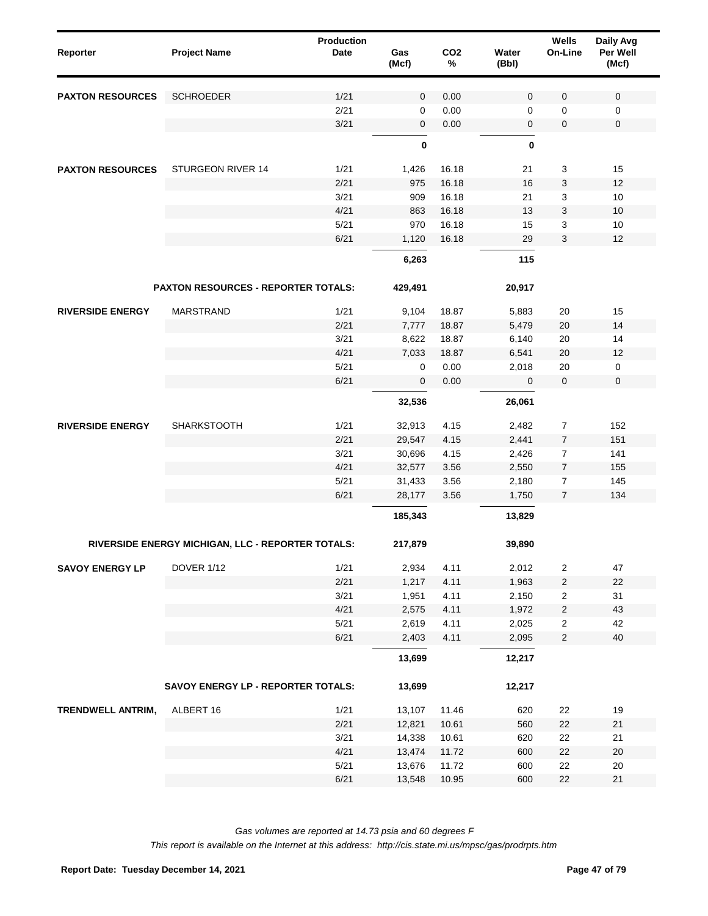| Reporter                | <b>Project Name</b>                               | Production<br>Date | Gas<br>(Mcf) | CO <sub>2</sub><br>% | Water<br>(Bbl) | Wells<br>On-Line | Daily Avg<br>Per Well<br>(Mcf) |  |
|-------------------------|---------------------------------------------------|--------------------|--------------|----------------------|----------------|------------------|--------------------------------|--|
| <b>PAXTON RESOURCES</b> | <b>SCHROEDER</b>                                  | 1/21               | $\mathbf 0$  | 0.00                 | $\mathbf 0$    | 0                | $\mathbf 0$                    |  |
|                         |                                                   | 2/21               | 0            | 0.00                 | 0              | 0                | 0                              |  |
|                         |                                                   | 3/21               | $\mathbf 0$  | 0.00                 | 0              | 0                | $\mathbf 0$                    |  |
|                         |                                                   |                    | 0            |                      | 0              |                  |                                |  |
| <b>PAXTON RESOURCES</b> | STURGEON RIVER 14                                 | 1/21               | 1,426        | 16.18                | 21             | 3                | 15                             |  |
|                         |                                                   | 2/21               | 975          | 16.18                | 16             | 3                | 12                             |  |
|                         |                                                   | 3/21               | 909          | 16.18                | 21             | 3                | 10                             |  |
|                         |                                                   | 4/21               | 863          | 16.18                | 13             | 3                | 10                             |  |
|                         |                                                   | 5/21               | 970          | 16.18                | 15             | 3                | 10                             |  |
|                         |                                                   | 6/21               | 1,120        | 16.18                | 29             | 3                | 12                             |  |
|                         |                                                   |                    | 6,263        |                      | 115            |                  |                                |  |
|                         | <b>PAXTON RESOURCES - REPORTER TOTALS:</b>        |                    | 429,491      |                      | 20,917         |                  |                                |  |
| <b>RIVERSIDE ENERGY</b> | <b>MARSTRAND</b>                                  | 1/21               | 9,104        | 18.87                | 5,883          | 20               | 15                             |  |
|                         |                                                   | 2/21               | 7,777        | 18.87                | 5,479          | 20               | 14                             |  |
|                         |                                                   | 3/21               | 8,622        | 18.87                | 6,140          | 20               | 14                             |  |
|                         |                                                   | 4/21               | 7,033        | 18.87                | 6,541          | 20               | 12                             |  |
|                         |                                                   | 5/21               | 0            | 0.00                 | 2,018          | 20               | $\mathsf 0$                    |  |
|                         |                                                   | 6/21               | 0            | 0.00                 | 0              | $\mathbf 0$      | $\mathbf 0$                    |  |
|                         |                                                   |                    | 32,536       |                      | 26,061         |                  |                                |  |
| <b>RIVERSIDE ENERGY</b> | <b>SHARKSTOOTH</b>                                | 1/21               | 32,913       | 4.15                 | 2,482          | $\overline{7}$   | 152                            |  |
|                         |                                                   | 2/21               | 29,547       | 4.15                 | 2,441          | $\overline{7}$   | 151                            |  |
|                         |                                                   | 3/21               | 30,696       | 4.15                 | 2,426          | 7                | 141                            |  |
|                         |                                                   | 4/21               | 32,577       | 3.56                 | 2,550          | $\overline{7}$   | 155                            |  |
|                         |                                                   | 5/21               | 31,433       | 3.56                 | 2,180          | 7                | 145                            |  |
|                         |                                                   | 6/21               | 28,177       | 3.56                 | 1,750          | $\overline{7}$   | 134                            |  |
|                         |                                                   |                    | 185,343      |                      | 13,829         |                  |                                |  |
|                         | RIVERSIDE ENERGY MICHIGAN, LLC - REPORTER TOTALS: |                    | 217,879      |                      | 39,890         |                  |                                |  |
| <b>SAVOY ENERGY LP</b>  | <b>DOVER 1/12</b>                                 | 1/21               | 2,934        | 4.11                 | 2,012          | $\overline{2}$   | 47                             |  |
|                         |                                                   | 2/21               | 1,217        | 4.11                 | 1,963          | $\overline{2}$   | 22                             |  |
|                         |                                                   | 3/21               | 1,951        | 4.11                 | 2,150          | $\overline{c}$   | 31                             |  |
|                         |                                                   | 4/21               | 2,575        | 4.11                 | 1,972          | $\sqrt{2}$       | 43                             |  |
|                         |                                                   | 5/21               | 2,619        | 4.11                 | 2,025          | $\overline{2}$   | 42                             |  |
|                         |                                                   | 6/21               | 2,403        | 4.11                 | 2,095          | $\overline{2}$   | 40                             |  |
|                         |                                                   |                    | 13,699       |                      | 12,217         |                  |                                |  |
|                         | SAVOY ENERGY LP - REPORTER TOTALS:                |                    | 13,699       |                      | 12,217         |                  |                                |  |
| TRENDWELL ANTRIM,       | ALBERT 16                                         | 1/21               | 13,107       | 11.46                | 620            | 22               | 19                             |  |
|                         |                                                   | 2/21               | 12,821       | 10.61                | 560            | 22               | 21                             |  |
|                         |                                                   | 3/21               | 14,338       | 10.61                | 620            | 22               | 21                             |  |
|                         |                                                   | 4/21               | 13,474       | 11.72                | 600            | 22               | 20                             |  |
|                         |                                                   | 5/21               | 13,676       | 11.72                | 600            | 22               | $20\,$                         |  |
|                         |                                                   | 6/21               | 13,548       | 10.95                | 600            | 22               | 21                             |  |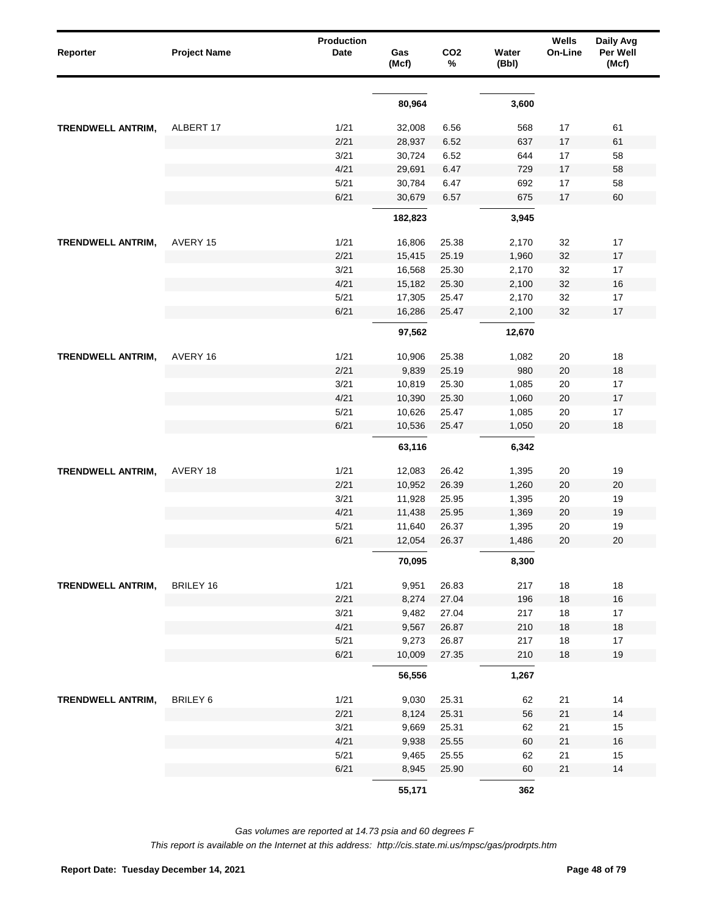| Reporter                 | <b>Project Name</b> | <b>Production</b><br>Date | Gas<br>(Mcf) | CO <sub>2</sub><br>% | Water<br>(Bbl) | Wells<br>On-Line | Daily Avg<br>Per Well<br>(Mcf) |
|--------------------------|---------------------|---------------------------|--------------|----------------------|----------------|------------------|--------------------------------|
|                          |                     |                           | 80,964       |                      | 3,600          |                  |                                |
| <b>TRENDWELL ANTRIM,</b> | ALBERT 17           | 1/21                      | 32,008       | 6.56                 | 568            | 17               | 61                             |
|                          |                     | 2/21                      | 28,937       | 6.52                 | 637            | 17               | 61                             |
|                          |                     | 3/21                      | 30,724       | 6.52                 | 644            | 17               | 58                             |
|                          |                     | 4/21                      | 29,691       | 6.47                 | 729            | 17               | 58                             |
|                          |                     | 5/21                      | 30,784       | 6.47                 | 692            | 17               | 58                             |
|                          |                     | 6/21                      | 30,679       | 6.57                 | 675            | 17               | 60                             |
|                          |                     |                           | 182,823      |                      | 3,945          |                  |                                |
| <b>TRENDWELL ANTRIM,</b> | AVERY 15            | 1/21                      | 16,806       | 25.38                | 2,170          | 32               | 17                             |
|                          |                     | 2/21                      | 15,415       | 25.19                | 1,960          | 32               | 17                             |
|                          |                     | 3/21                      | 16,568       | 25.30                | 2,170          | 32               | 17                             |
|                          |                     | 4/21                      | 15,182       | 25.30                | 2,100          | 32               | $16$                           |
|                          |                     | 5/21                      | 17,305       | 25.47                | 2,170          | 32               | 17                             |
|                          |                     | 6/21                      | 16,286       | 25.47                | 2,100          | 32               | 17                             |
|                          |                     |                           | 97,562       |                      | 12,670         |                  |                                |
| <b>TRENDWELL ANTRIM,</b> | AVERY 16            | 1/21                      | 10,906       | 25.38                | 1,082          | 20               | 18                             |
|                          |                     | 2/21                      | 9,839        | 25.19                | 980            | 20               | 18                             |
|                          |                     | 3/21                      | 10,819       | 25.30                | 1,085          | 20               | 17                             |
|                          |                     | 4/21                      | 10,390       | 25.30                | 1,060          | 20               | 17                             |
|                          |                     | 5/21                      | 10,626       | 25.47                | 1,085          | 20               | 17                             |
|                          |                     | 6/21                      | 10,536       | 25.47                | 1,050          | 20               | 18                             |
|                          |                     |                           | 63,116       |                      | 6,342          |                  |                                |
| <b>TRENDWELL ANTRIM,</b> | AVERY 18            | 1/21                      | 12,083       | 26.42                | 1,395          | 20               | 19                             |
|                          |                     | 2/21                      | 10,952       | 26.39                | 1,260          | 20               | 20                             |
|                          |                     | 3/21                      | 11,928       | 25.95                | 1,395          | 20               | 19                             |
|                          |                     | 4/21                      | 11,438       | 25.95                | 1,369          | 20               | 19                             |
|                          |                     | 5/21                      | 11,640       | 26.37                | 1,395          | 20               | 19                             |
|                          |                     | 6/21                      | 12,054       | 26.37                | 1,486          | 20               | 20                             |
|                          |                     |                           | 70,095       |                      | 8,300          |                  |                                |
| TRENDWELL ANTRIM,        | <b>BRILEY 16</b>    | 1/21                      | 9,951        | 26.83                | 217            | 18               | 18                             |
|                          |                     | 2/21                      | 8,274        | 27.04                | 196            | $18$             | $16$                           |
|                          |                     | 3/21                      | 9,482        | 27.04                | 217            | 18               | 17                             |
|                          |                     | 4/21                      | 9,567        | 26.87                | 210            | $18$             | $18$                           |
|                          |                     | 5/21                      | 9,273        | 26.87                | 217            | 18               | $17$                           |
|                          |                     | 6/21                      | 10,009       | 27.35                | 210            | $18$             | $19$                           |
|                          |                     |                           | 56,556       |                      | 1,267          |                  |                                |
| TRENDWELL ANTRIM,        | <b>BRILEY 6</b>     | 1/21                      | 9,030        | 25.31                | 62             | 21               | 14                             |
|                          |                     | 2/21                      | 8,124        | 25.31                | 56             | 21               | 14                             |
|                          |                     | 3/21                      | 9,669        | 25.31                | 62             | 21               | 15                             |
|                          |                     | 4/21                      | 9,938        | 25.55                | 60             | 21               | $16$                           |
|                          |                     | 5/21                      | 9,465        | 25.55                | 62             | 21               | 15                             |
|                          |                     | 6/21                      | 8,945        | 25.90                | 60             | 21               | 14                             |
|                          |                     |                           | 55,171       |                      | 362            |                  |                                |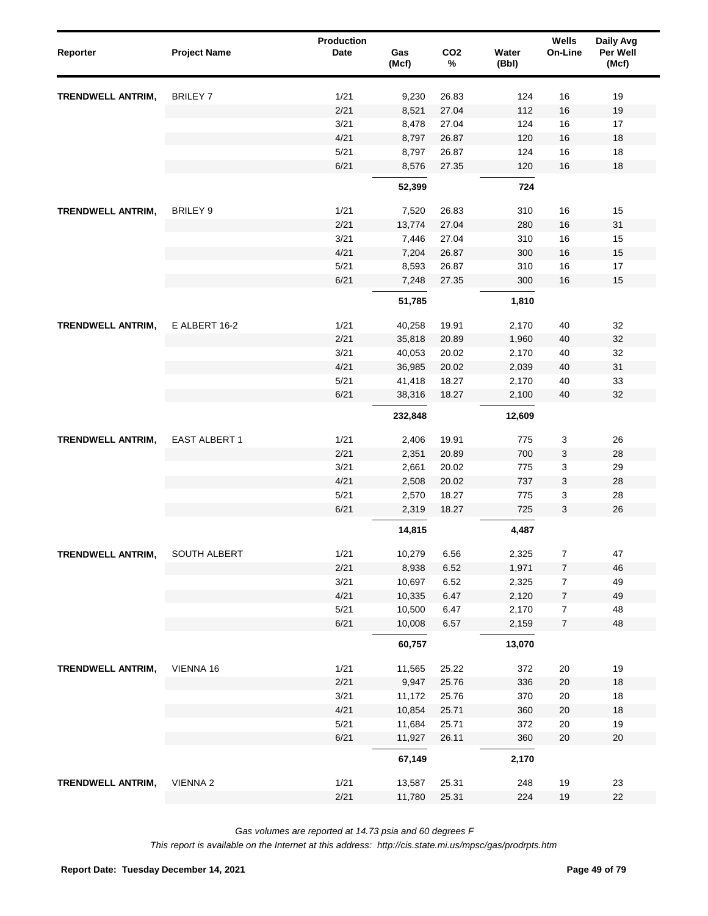| Reporter                 | <b>Project Name</b>  | <b>Production</b><br>Date | Gas<br>(Mcf) | CO <sub>2</sub><br>% | Water<br>(Bbl) | Wells<br>On-Line | Daily Avg<br>Per Well<br>(Mcf) |
|--------------------------|----------------------|---------------------------|--------------|----------------------|----------------|------------------|--------------------------------|
| <b>TRENDWELL ANTRIM,</b> | <b>BRILEY 7</b>      | 1/21                      | 9,230        | 26.83                | 124            | 16               | 19                             |
|                          |                      | 2/21                      | 8,521        | 27.04                | 112            | 16               | 19                             |
|                          |                      | 3/21                      | 8,478        | 27.04                | 124            | 16               | 17                             |
|                          |                      | 4/21                      | 8,797        | 26.87                | 120            | 16               | 18                             |
|                          |                      | 5/21                      | 8,797        | 26.87                | 124            | 16               | 18                             |
|                          |                      | 6/21                      | 8,576        | 27.35                | 120            | 16               | 18                             |
|                          |                      |                           | 52,399       |                      | 724            |                  |                                |
| <b>TRENDWELL ANTRIM,</b> | <b>BRILEY 9</b>      | 1/21                      | 7,520        | 26.83                | 310            | 16               | 15                             |
|                          |                      | 2/21                      | 13,774       | 27.04                | 280            | 16               | 31                             |
|                          |                      | 3/21                      | 7,446        | 27.04                | 310            | 16               | 15                             |
| <b>TRENDWELL ANTRIM,</b> |                      | 4/21                      | 7,204        | 26.87                | 300            | 16               | 15                             |
|                          |                      | 5/21                      | 8,593        | 26.87                | 310            | 16               | 17                             |
|                          |                      | 6/21                      | 7,248        | 27.35                | 300            | 16               | 15                             |
|                          |                      |                           | 51,785       |                      | 1,810          |                  |                                |
|                          | E ALBERT 16-2        | 1/21                      | 40,258       | 19.91                | 2,170          | 40               | 32                             |
|                          |                      | 2/21                      | 35,818       | 20.89                | 1,960          | 40               | 32                             |
|                          |                      | 3/21                      | 40,053       | 20.02                | 2,170          | 40               | 32                             |
|                          |                      | 4/21                      | 36,985       | 20.02                | 2,039          | 40               | 31                             |
|                          |                      | 5/21                      | 41,418       | 18.27                | 2,170          | 40               | 33                             |
|                          |                      | 6/21                      | 38,316       | 18.27                | 2,100          | 40               | 32                             |
|                          |                      |                           | 232,848      |                      | 12,609         |                  |                                |
| <b>TRENDWELL ANTRIM,</b> | <b>EAST ALBERT 1</b> | 1/21                      | 2,406        | 19.91                | 775            | 3                | 26                             |
|                          |                      | 2/21                      | 2,351        | 20.89                | 700            | 3                | 28                             |
|                          |                      | 3/21                      | 2,661        | 20.02                | 775            | 3                | 29                             |
|                          |                      | 4/21                      | 2,508        | 20.02                | 737            | 3                | 28                             |
|                          |                      | 5/21                      | 2,570        | 18.27                | 775            | 3                | 28                             |
|                          |                      | 6/21                      | 2,319        | 18.27                | 725            | 3                | 26                             |
|                          |                      |                           | 14,815       |                      | 4,487          |                  |                                |
| TRENDWELL ANTRIM,        | SOUTH ALBERT         | 1/21                      | 10,279       | 6.56                 | 2,325          | 7                | 47                             |
|                          |                      | 2/21                      | 8,938        | 6.52                 | 1,971          | 7                | 46                             |
|                          |                      | 3/21                      | 10,697       | 6.52                 | 2,325          | $\overline{7}$   | 49                             |
|                          |                      | 4/21                      | 10,335       | 6.47                 | 2,120          | $\boldsymbol{7}$ | 49                             |
|                          |                      | 5/21                      | 10,500       | 6.47                 | 2,170          | $\overline{7}$   | 48                             |
|                          |                      | 6/21                      | 10,008       | 6.57                 | 2,159          | $\overline{7}$   | 48                             |
|                          |                      |                           | 60,757       |                      | 13,070         |                  |                                |
| TRENDWELL ANTRIM,        | VIENNA 16            | 1/21                      | 11,565       | 25.22                | 372            | 20               | 19                             |
|                          |                      | 2/21                      | 9,947        | 25.76                | 336            | 20               | $18$                           |
|                          |                      | 3/21                      | 11,172       | 25.76                | 370            | 20               | 18                             |
|                          |                      | 4/21                      | 10,854       | 25.71                | 360            | 20               | 18                             |
|                          |                      | 5/21                      | 11,684       | 25.71                | 372            | 20               | 19                             |
|                          |                      | 6/21                      | 11,927       | 26.11                | 360            | 20               | $20\,$                         |
|                          |                      |                           | 67,149       |                      | 2,170          |                  |                                |
| TRENDWELL ANTRIM,        | VIENNA <sub>2</sub>  | 1/21                      | 13,587       | 25.31                | 248            | 19               | 23                             |
|                          |                      | 2/21                      | 11,780       | 25.31                | 224            | 19               | 22                             |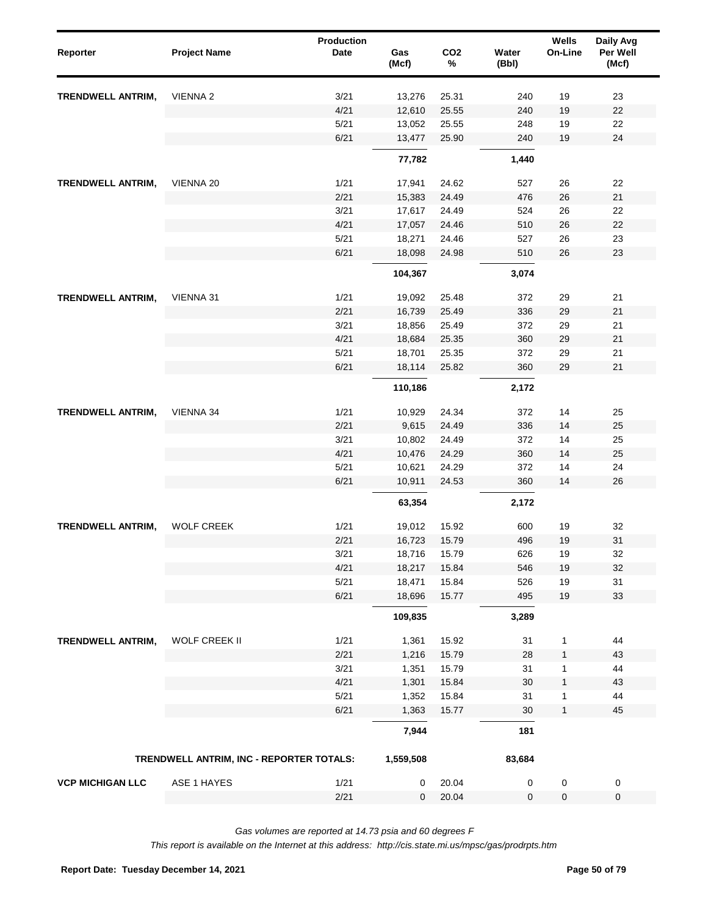| Reporter                 | <b>Project Name</b>                      | Production<br><b>Date</b> | Gas<br>(Mcf)   | CO <sub>2</sub><br>$\%$ | Water<br>(Bbl) | Wells<br>On-Line | Daily Avg<br>Per Well<br>(Mcf) |
|--------------------------|------------------------------------------|---------------------------|----------------|-------------------------|----------------|------------------|--------------------------------|
| <b>TRENDWELL ANTRIM,</b> | VIENNA <sub>2</sub>                      | 3/21                      | 13,276         | 25.31                   | 240            | 19               | 23                             |
|                          |                                          | 4/21                      | 12,610         | 25.55                   | 240            | 19               | 22                             |
|                          |                                          | 5/21                      | 13,052         | 25.55                   | 248            | 19               | 22                             |
|                          |                                          | 6/21                      | 13,477         | 25.90                   | 240            | 19               | 24                             |
|                          |                                          |                           | 77,782         |                         | 1,440          |                  |                                |
| TRENDWELL ANTRIM,        | VIENNA 20                                | 1/21                      | 17,941         | 24.62                   | 527            | 26               | 22                             |
|                          |                                          | 2/21                      | 15,383         | 24.49                   | 476            | 26               | 21                             |
|                          |                                          | 3/21                      | 17,617         | 24.49                   | 524            | 26               | 22                             |
|                          |                                          | 4/21                      | 17,057         | 24.46                   | 510            | 26               | 22                             |
|                          |                                          | 5/21                      | 18,271         | 24.46                   | 527            | 26               | 23                             |
|                          |                                          | 6/21                      | 18,098         | 24.98                   | 510            | 26               | 23                             |
|                          |                                          |                           | 104,367        |                         | 3,074          |                  |                                |
| <b>TRENDWELL ANTRIM,</b> | VIENNA 31                                | 1/21                      | 19,092         | 25.48                   | 372            | 29               | 21                             |
|                          |                                          | 2/21                      | 16,739         | 25.49                   | 336            | 29               | 21                             |
|                          |                                          | 3/21                      | 18,856         | 25.49                   | 372            | 29               | 21                             |
|                          |                                          | 4/21                      | 18,684         | 25.35                   | 360            | 29               | 21                             |
| <b>TRENDWELL ANTRIM,</b> |                                          | 5/21                      | 18,701         | 25.35                   | 372            | 29               | 21                             |
|                          |                                          | 6/21                      | 18,114         | 25.82                   | 360            | 29               | 21                             |
|                          |                                          |                           | 110,186        |                         | 2,172          |                  |                                |
|                          | VIENNA 34                                | 1/21                      | 10,929         | 24.34                   | 372            | 14               | 25                             |
|                          |                                          | 2/21                      | 9,615          | 24.49                   | 336            | 14               | 25                             |
|                          |                                          | 3/21                      | 10,802         | 24.49                   | 372            | 14               | 25                             |
|                          |                                          | 4/21                      | 10,476         | 24.29                   | 360            | 14               | 25                             |
|                          |                                          | 5/21                      | 10,621         | 24.29                   | 372            | 14               | 24                             |
|                          |                                          | 6/21                      | 10,911         | 24.53                   | 360            | 14               | 26                             |
|                          |                                          |                           | 63,354         |                         | 2,172          |                  |                                |
| <b>TRENDWELL ANTRIM,</b> | <b>WOLF CREEK</b>                        | 1/21                      | 19,012         | 15.92                   | 600            | 19               | 32                             |
|                          |                                          | 2/21                      | 16,723         | 15.79                   | 496            | 19               | 31                             |
|                          |                                          | 3/21                      | 18,716         | 15.79                   | 626            | 19               | 32                             |
|                          |                                          | 4/21                      | 18,217         | 15.84                   | 546            | $19$             | 32                             |
|                          |                                          | 5/21                      | 18,471         | 15.84                   | 526            | 19               | 31                             |
|                          |                                          | 6/21                      | 18,696         | 15.77                   | 495            | $19$             | 33                             |
|                          |                                          |                           | 109,835        |                         | 3,289          |                  |                                |
| TRENDWELL ANTRIM,        | WOLF CREEK II                            | 1/21                      | 1,361          | 15.92                   | 31             | $\mathbf 1$      | 44                             |
|                          |                                          | 2/21                      | 1,216          | 15.79                   | 28             | 1                | 43                             |
|                          |                                          | 3/21                      | 1,351          | 15.79                   | 31             | 1                | 44                             |
|                          |                                          | 4/21                      | 1,301          | 15.84                   | 30             | 1                | 43                             |
|                          |                                          | 5/21                      | 1,352          | 15.84                   | 31             | 1                | 44                             |
|                          |                                          | 6/21                      | 1,363<br>7,944 | 15.77                   | 30             | $\mathbf{1}$     | 45                             |
|                          |                                          |                           |                |                         | 181            |                  |                                |
|                          | TRENDWELL ANTRIM, INC - REPORTER TOTALS: |                           | 1,559,508      |                         | 83,684         |                  |                                |
| <b>VCP MICHIGAN LLC</b>  | ASE 1 HAYES                              | 1/21                      | 0              | 20.04                   | 0              | $\pmb{0}$        | $\pmb{0}$                      |
|                          |                                          | 2/21                      | 0              | 20.04                   | 0              | $\pmb{0}$        | $\pmb{0}$                      |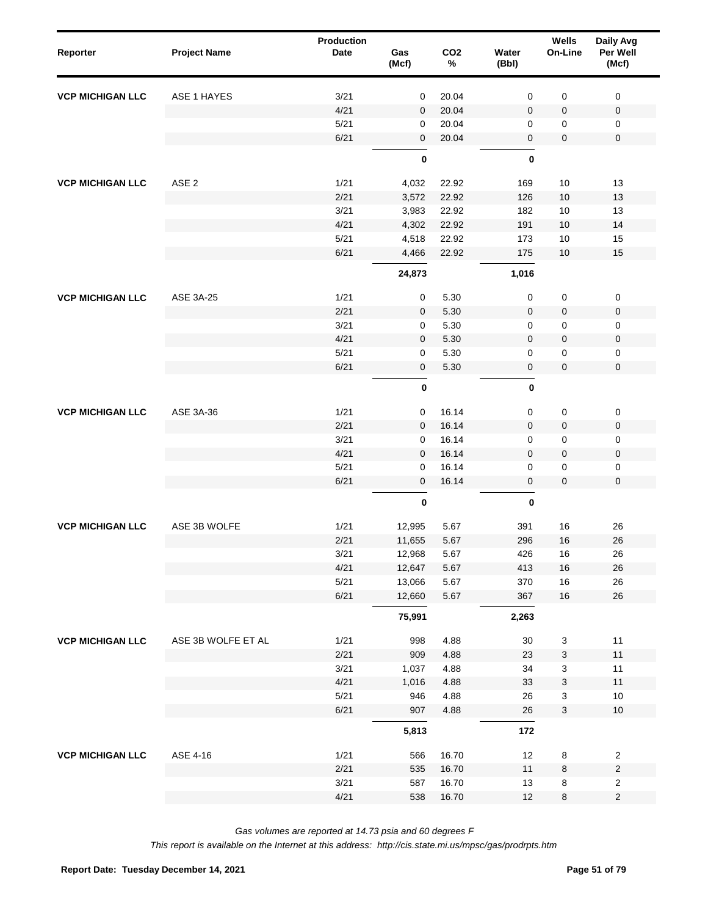| Reporter                | <b>Project Name</b> | Production<br>Date | Gas<br>(Mcf) | CO <sub>2</sub><br>$\%$ | Water<br>(Bbl) | Wells<br>On-Line          | Daily Avg<br>Per Well<br>(Mcf) |  |
|-------------------------|---------------------|--------------------|--------------|-------------------------|----------------|---------------------------|--------------------------------|--|
| <b>VCP MICHIGAN LLC</b> | ASE 1 HAYES         | 3/21               | 0            | 20.04                   | 0              | 0                         | 0                              |  |
|                         |                     | 4/21               | $\mathbf 0$  | 20.04                   | 0              | 0                         | $\mathbf 0$                    |  |
|                         |                     | 5/21               | 0            | 20.04                   | 0              | 0                         | 0                              |  |
|                         |                     | 6/21               | $\mathbf 0$  | 20.04                   | 0              | 0                         | $\mathsf 0$                    |  |
|                         |                     |                    | $\pmb{0}$    |                         | $\bf{0}$       |                           |                                |  |
| <b>VCP MICHIGAN LLC</b> | ASE <sub>2</sub>    | 1/21               | 4,032        | 22.92                   | 169            | 10                        | 13                             |  |
|                         |                     | 2/21               | 3,572        | 22.92                   | 126            | 10                        | 13                             |  |
|                         |                     | 3/21               | 3,983        | 22.92                   | 182            | 10                        | 13                             |  |
|                         |                     | 4/21               | 4,302        | 22.92                   | 191            | 10                        | 14                             |  |
|                         |                     | 5/21               | 4,518        | 22.92                   | 173            | 10                        | 15                             |  |
|                         |                     | 6/21               | 4,466        | 22.92                   | 175            | 10                        | 15                             |  |
|                         |                     |                    | 24,873       |                         | 1,016          |                           |                                |  |
| <b>VCP MICHIGAN LLC</b> | <b>ASE 3A-25</b>    | 1/21               | 0            | 5.30                    | 0              | $\pmb{0}$                 | 0                              |  |
|                         |                     | 2/21               | $\mathbf 0$  | 5.30                    | 0              | 0                         | 0                              |  |
|                         |                     | 3/21               | 0            | 5.30                    | 0              | 0                         | 0                              |  |
|                         |                     | 4/21               | $\mathbf 0$  | 5.30                    | 0              | 0                         | 0                              |  |
|                         |                     | 5/21               | 0            | 5.30                    | 0              | 0                         | 0                              |  |
|                         |                     | 6/21               | $\pmb{0}$    | 5.30                    | 0              | 0                         | $\mathsf 0$                    |  |
|                         |                     |                    | $\pmb{0}$    |                         | $\bf{0}$       |                           |                                |  |
| <b>VCP MICHIGAN LLC</b> | ASE 3A-36           | 1/21               | 0            | 16.14                   | 0              | $\pmb{0}$                 | $\pmb{0}$                      |  |
|                         |                     | 2/21               | $\mathbf 0$  | 16.14                   | 0              | 0                         | 0                              |  |
|                         |                     | 3/21               | 0            | 16.14                   | 0              | 0                         | 0                              |  |
|                         |                     | 4/21               | $\mathbf 0$  | 16.14                   | 0              | 0                         | 0                              |  |
|                         |                     | 5/21               | $\mathbf 0$  | 16.14                   | 0              | 0                         | 0                              |  |
|                         |                     | 6/21               | $\mathbf 0$  | 16.14                   | 0              | 0                         | $\mathbf 0$                    |  |
|                         |                     |                    | $\pmb{0}$    |                         | $\pmb{0}$      |                           |                                |  |
| <b>VCP MICHIGAN LLC</b> | ASE 3B WOLFE        | 1/21               | 12,995       | 5.67                    | 391            | 16                        | 26                             |  |
|                         |                     | 2/21               | 11,655       | 5.67                    | 296            | 16                        | 26                             |  |
|                         |                     | 3/21               | 12,968       | 5.67                    | 426            | $16$                      | 26                             |  |
|                         |                     | 4/21               | 12,647       | 5.67                    | 413            | 16                        | 26                             |  |
|                         |                     | 5/21               | 13,066       | 5.67                    | 370            | 16                        | 26                             |  |
|                         |                     | 6/21               | 12,660       | 5.67                    | 367            | $16\,$                    | $26\,$                         |  |
|                         |                     |                    | 75,991       |                         | 2,263          |                           |                                |  |
| <b>VCP MICHIGAN LLC</b> | ASE 3B WOLFE ET AL  | 1/21               | 998          | 4.88                    | $30\,$         | $\ensuremath{\mathsf{3}}$ | 11                             |  |
|                         |                     | 2/21               | 909          | 4.88                    | 23             | 3                         | 11                             |  |
|                         |                     | 3/21               | 1,037        | 4.88                    | 34             | 3                         | 11                             |  |
|                         |                     | 4/21               | 1,016        | 4.88                    | 33             | 3                         | 11                             |  |
|                         |                     | 5/21               | 946          | 4.88                    | 26             | 3                         | $10$                           |  |
|                         |                     | 6/21               | 907          | 4.88                    | $26\,$         | 3                         | $10$                           |  |
|                         |                     |                    | 5,813        |                         | 172            |                           |                                |  |
| <b>VCP MICHIGAN LLC</b> | ASE 4-16            | 1/21               | 566          | 16.70                   | 12             | 8                         | $\overline{\mathbf{c}}$        |  |
|                         |                     | 2/21               | 535          | 16.70                   | 11             | 8                         | $\sqrt{2}$                     |  |
|                         |                     | 3/21               | 587          | 16.70                   | 13             | 8                         | $\overline{\mathbf{c}}$        |  |
|                         |                     | 4/21               | 538          | 16.70                   | 12             | 8                         | $\sqrt{2}$                     |  |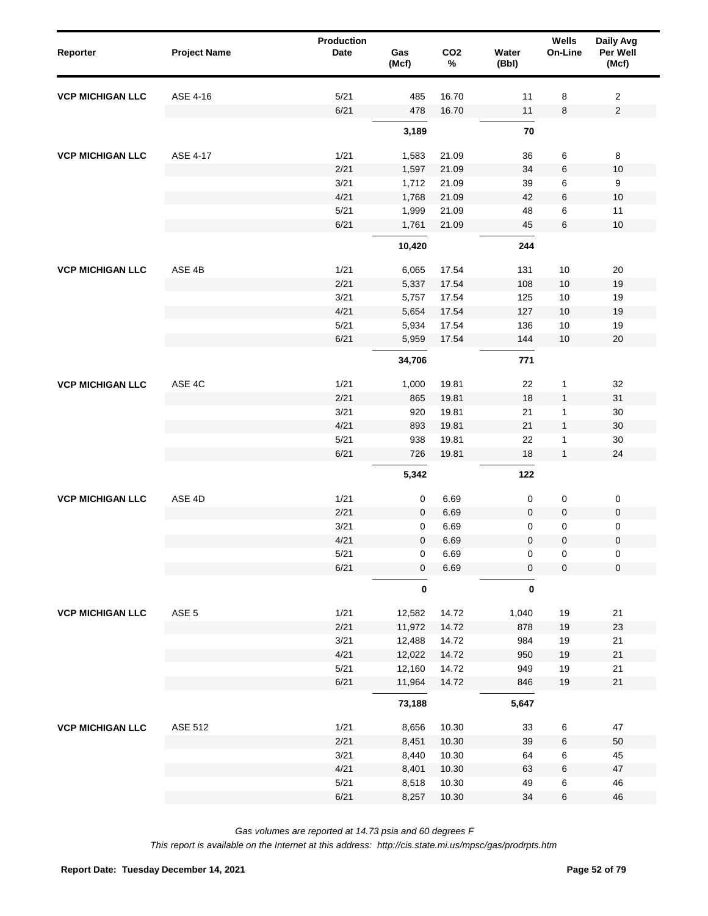| Reporter                | <b>Project Name</b> | Production<br><b>Date</b> | Gas<br>(Mcf)     | CO <sub>2</sub><br>$\%$ | Water<br>(Bbl) | <b>Wells</b><br>On-Line | Daily Avg<br>Per Well<br>(Mcf) |
|-------------------------|---------------------|---------------------------|------------------|-------------------------|----------------|-------------------------|--------------------------------|
| <b>VCP MICHIGAN LLC</b> | ASE 4-16            | 5/21                      | 485              | 16.70                   | 11             | 8                       | 2                              |
|                         |                     | 6/21                      | 478              | 16.70                   | 11             | 8                       | $\mathbf 2$                    |
|                         |                     |                           | 3,189            |                         | 70             |                         |                                |
| <b>VCP MICHIGAN LLC</b> | ASE 4-17            | 1/21                      | 1,583            | 21.09                   | 36             | 6                       | 8                              |
|                         |                     | 2/21                      | 1,597            | 21.09                   | 34             | 6                       | 10                             |
|                         |                     | 3/21                      | 1,712            | 21.09                   | 39             | 6                       | 9                              |
|                         |                     | 4/21                      | 1,768            | 21.09                   | 42             | 6                       | 10                             |
|                         |                     | 5/21                      | 1,999            | 21.09                   | 48             | 6                       | 11                             |
|                         |                     | 6/21                      | 1,761            | 21.09                   | 45             | 6                       | 10                             |
|                         |                     |                           | 10,420           |                         | 244            |                         |                                |
| <b>VCP MICHIGAN LLC</b> | ASE 4B              | 1/21                      | 6,065            | 17.54                   | 131            | $10$                    | 20                             |
|                         |                     | 2/21                      | 5,337            | 17.54                   | 108            | 10                      | 19                             |
|                         |                     | 3/21                      | 5,757            | 17.54                   | 125            | $10$                    | 19                             |
|                         |                     | 4/21                      | 5,654            | 17.54                   | 127            | $10$                    | 19                             |
|                         |                     | 5/21                      | 5,934            | 17.54                   | 136            | $10$                    | 19                             |
|                         |                     | 6/21                      | 5,959            | 17.54                   | 144            | 10                      | 20                             |
|                         |                     |                           | 34,706           |                         | 771            |                         |                                |
| <b>VCP MICHIGAN LLC</b> | ASE 4C              | 1/21                      | 1,000            | 19.81                   | 22             | $\mathbf{1}$            | 32                             |
|                         |                     | 2/21                      | 865              | 19.81                   | 18             | $\mathbf{1}$            | 31                             |
|                         |                     | 3/21                      | 920              | 19.81                   | 21             | $\mathbf{1}$            | 30                             |
|                         |                     | 4/21                      | 893              | 19.81                   | 21             | $\mathbf{1}$            | 30                             |
|                         |                     | 5/21                      | 938              | 19.81                   | 22             | $\mathbf{1}$            | 30                             |
|                         |                     | 6/21                      | 726              | 19.81                   | 18             | $\mathbf{1}$            | 24                             |
|                         |                     |                           | 5,342            |                         | 122            |                         |                                |
|                         | ASE 4D              | 1/21                      | $\pmb{0}$        | 6.69                    | 0              | $\pmb{0}$               | 0                              |
|                         |                     | 2/21                      | $\mathbf 0$      | 6.69                    | $\pmb{0}$      | $\pmb{0}$               | $\pmb{0}$                      |
| <b>VCP MICHIGAN LLC</b> |                     | 3/21                      | 0                | 6.69                    | $\pmb{0}$      | 0                       | 0                              |
|                         |                     | 4/21                      | 0                | 6.69                    | $\mathbf 0$    | $\mathbf 0$             | $\pmb{0}$                      |
|                         |                     | 5/21                      | $\boldsymbol{0}$ | 6.69                    | 0              | $\pmb{0}$               | 0                              |
|                         |                     | 6/21                      | $\pmb{0}$        | 6.69                    | $\mathbf 0$    | $\pmb{0}$               | $\mathbf 0$                    |
|                         |                     |                           | $\pmb{0}$        |                         | $\pmb{0}$      |                         |                                |
| <b>VCP MICHIGAN LLC</b> | ASE <sub>5</sub>    | 1/21                      | 12,582           | 14.72                   | 1,040          | 19                      | 21                             |
|                         |                     | 2/21                      | 11,972           | 14.72                   | 878            | 19                      | 23                             |
|                         |                     | 3/21                      | 12,488           | 14.72                   | 984            | 19                      | 21                             |
|                         |                     | 4/21                      | 12,022           | 14.72                   | 950            | 19                      | $21$                           |
|                         |                     | 5/21                      | 12,160           | 14.72                   | 949            | 19                      | 21                             |
|                         |                     | 6/21                      | 11,964           | 14.72                   | 846            | 19                      | $21$                           |
|                         |                     |                           | 73,188           |                         | 5,647          |                         |                                |
| <b>VCP MICHIGAN LLC</b> | ASE 512             | 1/21                      | 8,656            | 10.30                   | 33             | $\,6$                   | 47                             |
|                         |                     | 2/21                      | 8,451            | 10.30                   | 39             | 6                       | 50                             |
|                         |                     | 3/21                      | 8,440            | 10.30                   | 64             | 6                       | 45                             |
|                         |                     | 4/21                      | 8,401            | 10.30                   | 63             | $\,6$                   | $47\,$                         |
|                         |                     | 5/21                      | 8,518            | 10.30                   | 49             | 6                       | 46                             |
|                         |                     | 6/21                      | 8,257            | 10.30                   | 34             | $\,6$                   | 46                             |
|                         |                     |                           |                  |                         |                |                         |                                |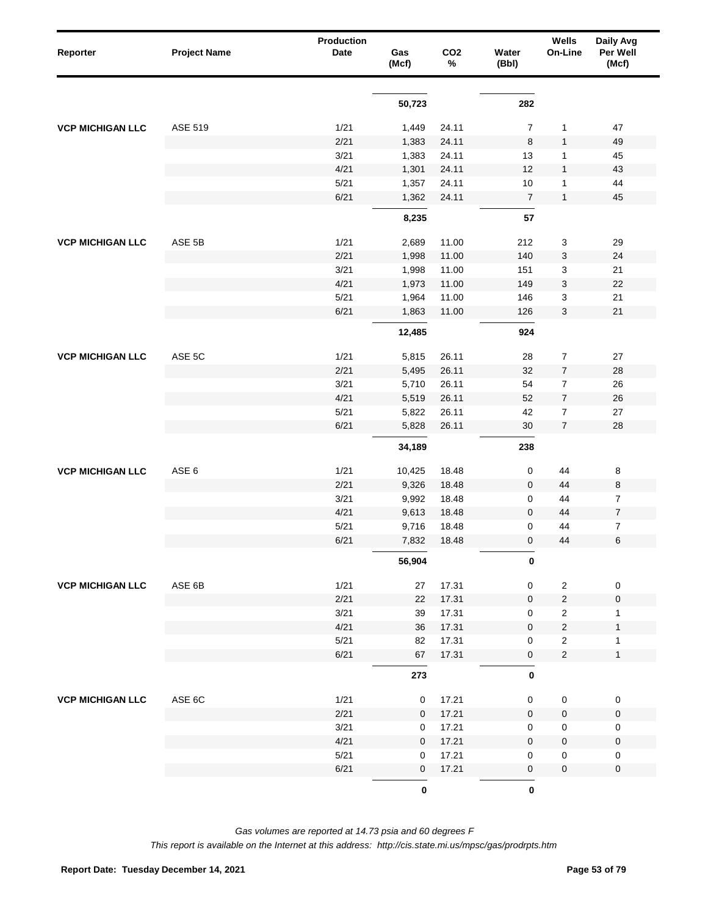| Reporter                                           | <b>Project Name</b> | Production<br>Date | Gas<br>(Mcf) | CO <sub>2</sub><br>% | Water<br>(Bbl) | Wells<br>On-Line        | Daily Avg<br>Per Well<br>(Mcf) |
|----------------------------------------------------|---------------------|--------------------|--------------|----------------------|----------------|-------------------------|--------------------------------|
|                                                    |                     |                    | 50,723       |                      | 282            |                         |                                |
|                                                    |                     |                    |              |                      |                |                         |                                |
| <b>VCP MICHIGAN LLC</b>                            | ASE 519             | 1/21               | 1,449        | 24.11                | $\overline{7}$ | 1                       | 47                             |
| <b>VCP MICHIGAN LLC</b><br><b>VCP MICHIGAN LLC</b> |                     | 2/21               | 1,383        | 24.11                | 8              | $\mathbf{1}$            | 49                             |
|                                                    |                     | 3/21               | 1,383        | 24.11                | 13             | 1                       | 45                             |
|                                                    |                     | 4/21               | 1,301        | 24.11                | 12             | $\mathbf{1}$            | 43                             |
|                                                    |                     | 5/21               | 1,357        | 24.11                | 10             | 1                       | 44                             |
|                                                    |                     | 6/21               | 1,362        | 24.11                | $\overline{7}$ | $\mathbf{1}$            | 45                             |
|                                                    |                     |                    | 8,235        |                      | 57             |                         |                                |
| <b>VCP MICHIGAN LLC</b>                            | ASE 5B              | 1/21               | 2,689        | 11.00                | 212            | 3                       | 29                             |
|                                                    |                     | 2/21               | 1,998        | 11.00                | 140            | 3                       | 24                             |
|                                                    |                     | 3/21               | 1,998        | 11.00                | 151            | 3                       | 21                             |
|                                                    |                     | 4/21               | 1,973        | 11.00                | 149            | 3                       | 22                             |
|                                                    |                     | 5/21               | 1,964        | 11.00                | 146            | 3                       | 21                             |
|                                                    |                     | 6/21               | 1,863        | 11.00                | 126            | 3                       | 21                             |
|                                                    |                     |                    | 12,485       |                      | 924            |                         |                                |
|                                                    | ASE 5C              | 1/21               | 5,815        | 26.11                | 28             | 7                       | 27                             |
|                                                    |                     | 2/21               | 5,495        | 26.11                | 32             | $\overline{7}$          | 28                             |
|                                                    |                     | 3/21               | 5,710        | 26.11                | 54             | 7                       | 26                             |
|                                                    |                     | 4/21               | 5,519        | 26.11                | 52             | $\boldsymbol{7}$        | 26                             |
|                                                    |                     | 5/21               | 5,822        | 26.11                | 42             | 7                       | 27                             |
|                                                    |                     | 6/21               | 5,828        | 26.11                | 30             | $\overline{7}$          | 28                             |
|                                                    |                     |                    | 34,189       |                      | 238            |                         |                                |
|                                                    | ASE 6               | 1/21               | 10,425       | 18.48                | 0              | 44                      | 8                              |
|                                                    |                     | 2/21               | 9,326        | 18.48                | $\mathbf 0$    | 44                      | $\bf 8$                        |
|                                                    |                     | 3/21               | 9,992        | 18.48                | 0              | 44                      | $\overline{7}$                 |
|                                                    |                     | 4/21               | 9,613        | 18.48                | $\mathbf 0$    | 44                      | $\boldsymbol{7}$               |
|                                                    |                     | 5/21               | 9,716        | 18.48                | 0              | 44                      | $\overline{7}$                 |
|                                                    |                     | 6/21               | 7,832        | 18.48                | $\mathbf 0$    | 44                      | $\,6$                          |
|                                                    |                     |                    | 56,904       |                      | $\pmb{0}$      |                         |                                |
| <b>VCP MICHIGAN LLC</b>                            | ASE 6B              | 1/21               | 27           | 17.31                | 0              | $\overline{\mathbf{c}}$ | $\pmb{0}$                      |
|                                                    |                     | 2/21               | 22           | 17.31                | $\pmb{0}$      | $\overline{c}$          | $\pmb{0}$                      |
|                                                    |                     | 3/21               | 39           | 17.31                | 0              | $\overline{\mathbf{c}}$ | $\mathbf{1}$                   |
|                                                    |                     | 4/21               | 36           | 17.31                | $\pmb{0}$      | $\overline{\mathbf{c}}$ | $\mathbf{1}$                   |
|                                                    |                     | 5/21               | 82           | 17.31                | 0              | $\overline{\mathbf{c}}$ | $\mathbf{1}$                   |
|                                                    |                     | 6/21               | 67           | 17.31                | $\pmb{0}$      | $\overline{\mathbf{c}}$ | $\mathbf{1}$                   |
|                                                    |                     |                    | 273          |                      | $\pmb{0}$      |                         |                                |
| <b>VCP MICHIGAN LLC</b>                            | ASE 6C              | 1/21               | 0            | 17.21                | 0              | $\pmb{0}$               | $\pmb{0}$                      |
|                                                    |                     | 2/21               | $\mathbf 0$  | 17.21                | $\pmb{0}$      | 0                       | $\pmb{0}$                      |
|                                                    |                     | 3/21               | 0            | 17.21                | 0              | 0                       | $\pmb{0}$                      |
|                                                    |                     | 4/21               | 0            | 17.21                | $\mathbf 0$    | 0                       | $\pmb{0}$                      |
|                                                    |                     | $5/21$             | 0            | 17.21                | 0              | 0                       | $\pmb{0}$                      |
|                                                    |                     | 6/21               | 0            | 17.21                | $\pmb{0}$      | 0                       | $\pmb{0}$                      |
|                                                    |                     |                    | $\pmb{0}$    |                      | $\pmb{0}$      |                         |                                |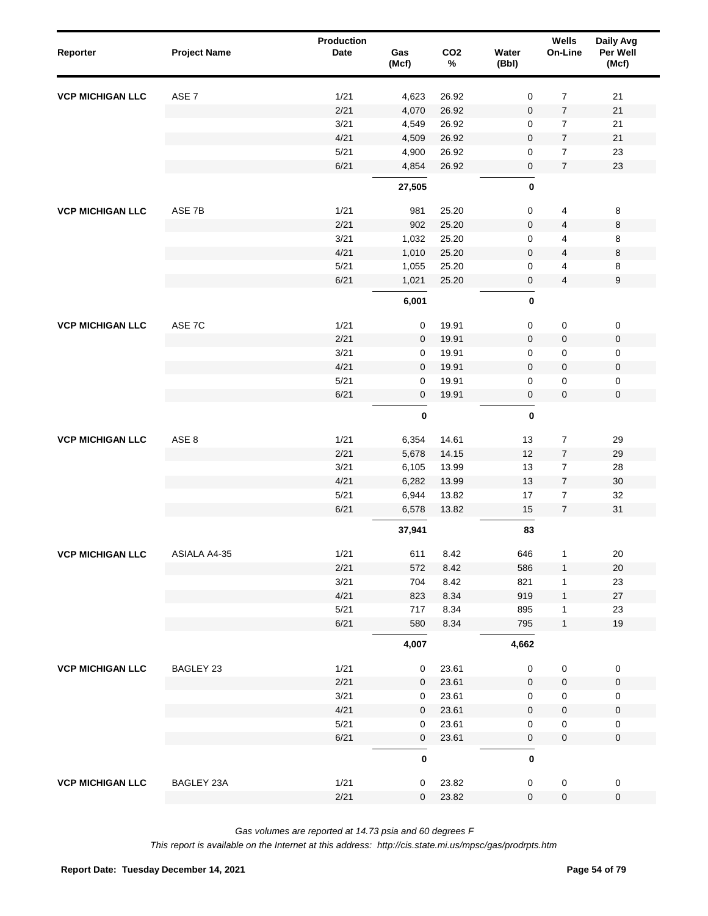| Reporter                | <b>Project Name</b> | <b>Production</b><br>Date | Gas<br>(Mcf) | CO <sub>2</sub><br>$\%$ | Water<br>(Bbl) | Wells<br>On-Line | Daily Avg<br>Per Well<br>(Mcf) |  |
|-------------------------|---------------------|---------------------------|--------------|-------------------------|----------------|------------------|--------------------------------|--|
| <b>VCP MICHIGAN LLC</b> | ASE <sub>7</sub>    | 1/21                      | 4,623        | 26.92                   | $\pmb{0}$      | $\boldsymbol{7}$ | 21                             |  |
|                         |                     | 2/21                      | 4,070        | 26.92                   | $\mathbf 0$    | $\boldsymbol{7}$ | 21                             |  |
|                         |                     | 3/21                      | 4,549        | 26.92                   | 0              | $\overline{7}$   | 21                             |  |
|                         |                     | 4/21                      | 4,509        | 26.92                   | $\mathbf 0$    | $\boldsymbol{7}$ | 21                             |  |
|                         |                     | 5/21                      | 4,900        | 26.92                   | 0              | $\overline{7}$   | 23                             |  |
|                         |                     | 6/21                      | 4,854        | 26.92                   | 0              | $\overline{7}$   | 23                             |  |
|                         |                     |                           | 27,505       |                         | $\pmb{0}$      |                  |                                |  |
| <b>VCP MICHIGAN LLC</b> | ASE 7B              | 1/21                      | 981          | 25.20                   | 0              | 4                | $\bf 8$                        |  |
|                         |                     | 2/21                      | 902          | 25.20                   | 0              | 4                | 8                              |  |
|                         |                     | 3/21                      | 1,032        | 25.20                   | 0              | 4                | 8                              |  |
|                         |                     | 4/21                      | 1,010        | 25.20                   | 0              | 4                | 8                              |  |
|                         |                     | 5/21                      | 1,055        | 25.20                   | 0              | 4                | 8                              |  |
|                         |                     | 6/21                      | 1,021        | 25.20                   | 0              | 4                | 9                              |  |
|                         |                     |                           | 6,001        |                         | $\pmb{0}$      |                  |                                |  |
| <b>VCP MICHIGAN LLC</b> | ASE 7C              | 1/21                      | $\mathbf 0$  | 19.91                   | 0              | 0                | $\mathsf 0$                    |  |
|                         |                     | 2/21                      | $\mathbf 0$  | 19.91                   | $\mathbf 0$    | $\pmb{0}$        | $\mathsf 0$                    |  |
|                         |                     | 3/21                      | 0            | 19.91                   | 0              | 0                | $\mathsf 0$                    |  |
|                         |                     | 4/21                      | $\mathbf 0$  | 19.91                   | $\mathbf 0$    | $\pmb{0}$        | $\mathsf 0$                    |  |
|                         |                     | 5/21                      | 0            | 19.91                   | 0              | 0                | $\mathbf 0$                    |  |
|                         |                     | 6/21                      | $\pmb{0}$    | 19.91                   | 0              | $\pmb{0}$        | $\mathsf 0$                    |  |
|                         |                     |                           | $\pmb{0}$    |                         | $\mathbf 0$    |                  |                                |  |
|                         | ASE 8               | 1/21                      | 6,354        | 14.61                   | 13             | $\boldsymbol{7}$ | 29                             |  |
|                         |                     | 2/21                      | 5,678        | 14.15                   | 12             | $\boldsymbol{7}$ | 29                             |  |
| <b>VCP MICHIGAN LLC</b> |                     | 3/21                      | 6,105        | 13.99                   | 13             | $\boldsymbol{7}$ | 28                             |  |
|                         |                     | 4/21                      | 6,282        | 13.99                   | 13             | $\boldsymbol{7}$ | $30\,$                         |  |
|                         |                     | 5/21                      | 6,944        | 13.82                   | $17$           | $\boldsymbol{7}$ | 32                             |  |
|                         |                     | 6/21                      | 6,578        | 13.82                   | 15             | $\overline{7}$   | 31                             |  |
|                         |                     |                           | 37,941       |                         | 83             |                  |                                |  |
| <b>VCP MICHIGAN LLC</b> | ASIALA A4-35        | 1/21                      | 611          | 8.42                    | 646            | 1                | $20\,$                         |  |
|                         |                     | 2/21                      | 572          | 8.42                    | 586            | $\mathbf{1}$     | 20                             |  |
|                         |                     | 3/21                      | 704          | 8.42                    | 821            | 1                | 23                             |  |
|                         |                     | 4/21                      | 823          | 8.34                    | 919            | $\mathbf{1}$     | 27                             |  |
|                         |                     | 5/21                      | 717          | 8.34                    | 895            | 1                | 23                             |  |
|                         |                     | 6/21                      | 580          | 8.34                    | 795            | $\mathbf{1}$     | 19                             |  |
|                         |                     |                           | 4,007        |                         | 4,662          |                  |                                |  |
| <b>VCP MICHIGAN LLC</b> | BAGLEY 23           | 1/21                      | $\mathbf 0$  | 23.61                   | $\pmb{0}$      | $\pmb{0}$        | $\pmb{0}$                      |  |
|                         |                     | 2/21                      | $\mathbf 0$  | 23.61                   | 0              | $\pmb{0}$        | $\pmb{0}$                      |  |
|                         |                     | 3/21                      | 0            | 23.61                   | 0              | $\pmb{0}$        | 0                              |  |
|                         |                     | 4/21                      | $\mathbf 0$  | 23.61                   | 0              | $\pmb{0}$        | $\pmb{0}$                      |  |
|                         |                     | 5/21                      | 0            | 23.61                   | 0              | $\pmb{0}$        | 0                              |  |
|                         |                     | 6/21                      | $\pmb{0}$    | 23.61                   | $\pmb{0}$      | $\pmb{0}$        | $\pmb{0}$                      |  |
|                         |                     |                           | $\pmb{0}$    |                         | $\pmb{0}$      |                  |                                |  |
| <b>VCP MICHIGAN LLC</b> | BAGLEY 23A          | 1/21                      | 0            | 23.82                   | 0              | $\pmb{0}$        | 0                              |  |
|                         |                     | 2/21                      | $\mathbf 0$  | 23.82                   | 0              | $\pmb{0}$        | $\pmb{0}$                      |  |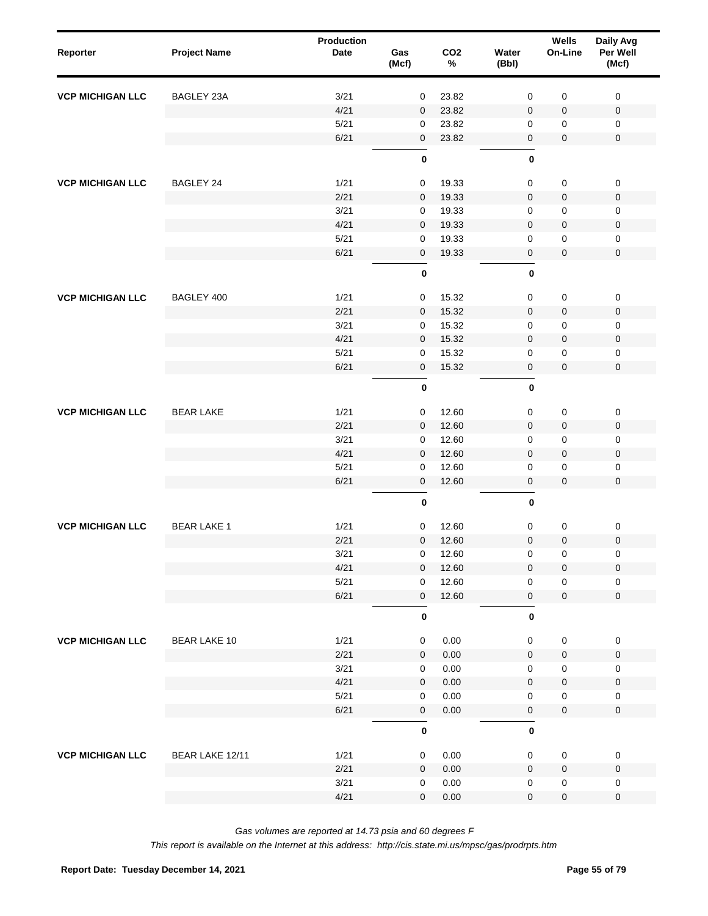| Reporter                | <b>Project Name</b> | <b>Production</b><br>Date | Gas<br>(Mcf)        | CO <sub>2</sub><br>$\%$ | Water<br>(Bbl)      | Wells<br>On-Line | Daily Avg<br>Per Well<br>(Mcf) |  |
|-------------------------|---------------------|---------------------------|---------------------|-------------------------|---------------------|------------------|--------------------------------|--|
| <b>VCP MICHIGAN LLC</b> | BAGLEY 23A          | 3/21                      | $\mathbf 0$         | 23.82                   | $\pmb{0}$           | $\mathbf 0$      | $\mathbf 0$                    |  |
|                         |                     | 4/21                      | $\mathbf{0}$        | 23.82                   | $\mathbf 0$         | $\pmb{0}$        | $\pmb{0}$                      |  |
|                         |                     | 5/21                      | 0                   | 23.82                   | 0                   | 0                | 0                              |  |
|                         |                     | 6/21                      | $\mathbf 0$         | 23.82                   | 0                   | $\pmb{0}$        | $\pmb{0}$                      |  |
|                         |                     |                           | 0                   |                         | 0                   |                  |                                |  |
| <b>VCP MICHIGAN LLC</b> | BAGLEY 24           | 1/21                      | $\mathbf 0$         | 19.33                   | $\pmb{0}$           | $\pmb{0}$        | $\pmb{0}$                      |  |
|                         |                     | 2/21                      | $\mathbf 0$         | 19.33                   | $\pmb{0}$           | $\pmb{0}$        | $\pmb{0}$                      |  |
|                         |                     | 3/21                      | $\mathbf 0$         | 19.33                   | 0                   | $\mathbf 0$      | $\mathbf 0$                    |  |
|                         |                     | 4/21                      | $\mathbf 0$         | 19.33                   | $\pmb{0}$           | $\mathbf 0$      | $\pmb{0}$                      |  |
|                         |                     | 5/21                      | 0                   | 19.33                   | 0                   | $\mathbf 0$      | $\pmb{0}$                      |  |
|                         |                     | 6/21                      | $\mathbf 0$         | 19.33                   | 0                   | $\pmb{0}$        | $\pmb{0}$                      |  |
|                         |                     |                           | 0                   |                         | $\pmb{0}$           |                  |                                |  |
| <b>VCP MICHIGAN LLC</b> | BAGLEY 400          | 1/21                      | $\mathbf 0$         | 15.32                   | 0                   | $\pmb{0}$        | $\pmb{0}$                      |  |
|                         |                     | 2/21                      | $\mathbf 0$         | 15.32                   | $\mathbf 0$         | $\pmb{0}$        | $\pmb{0}$                      |  |
|                         |                     | 3/21                      | 0                   | 15.32                   | 0                   | 0                | $\mathbf 0$                    |  |
|                         |                     | 4/21                      | $\mathbf 0$         | 15.32                   | $\mathbf 0$         | $\pmb{0}$        | $\pmb{0}$                      |  |
|                         |                     | 5/21                      | 0                   | 15.32                   | 0                   | $\mathbf 0$      | $\mathbf 0$                    |  |
|                         |                     | 6/21                      | $\pmb{0}$           | 15.32                   | 0                   | $\pmb{0}$        | $\pmb{0}$                      |  |
|                         |                     |                           | $\pmb{0}$           |                         | $\mathbf 0$         |                  |                                |  |
|                         | <b>BEAR LAKE</b>    | 1/21                      | $\mathbf 0$         | 12.60                   | 0                   | 0                | $\pmb{0}$                      |  |
| <b>VCP MICHIGAN LLC</b> |                     | 2/21                      | $\mathbf 0$         | 12.60                   | $\pmb{0}$           | $\pmb{0}$        | $\pmb{0}$                      |  |
|                         |                     | 3/21                      | $\mathbf 0$         | 12.60                   | $\pmb{0}$           | $\mathbf 0$      | $\pmb{0}$                      |  |
|                         |                     | 4/21                      | $\mathbf 0$         | 12.60                   | $\pmb{0}$           | $\mathbf 0$      | $\pmb{0}$                      |  |
|                         |                     | 5/21                      | 0                   | 12.60                   | $\mathbf 0$         | $\mathbf 0$      | $\pmb{0}$                      |  |
|                         |                     | 6/21                      | $\pmb{0}$           | 12.60                   | 0                   | $\pmb{0}$        | $\mathbf 0$                    |  |
|                         |                     |                           | $\pmb{0}$           |                         | $\pmb{0}$           |                  |                                |  |
| <b>VCP MICHIGAN LLC</b> | <b>BEAR LAKE 1</b>  | 1/21                      | $\mathbf 0$         | 12.60                   | 0                   | 0                | $\pmb{0}$                      |  |
|                         |                     | 2/21                      | $\mathbf 0$         | 12.60                   | $\mathbf 0$         | 0                | $\boldsymbol{0}$               |  |
|                         |                     | 3/21                      | $\mathsf{O}\xspace$ | 12.60                   | 0                   | 0                | 0                              |  |
|                         |                     | 4/21                      | $\overline{0}$      | 12.60                   | $\mathsf 0$         | 0                | $\pmb{0}$                      |  |
|                         |                     | 5/21                      | 0                   | 12.60                   | $\mathsf{O}\xspace$ | 0                | $\mathsf 0$                    |  |
|                         |                     | 6/21                      | $\mathbf 0$         | 12.60                   | $\mathbf 0$         | $\pmb{0}$        | $\mathbf 0$                    |  |
|                         |                     |                           | $\pmb{0}$           |                         | $\pmb{0}$           |                  |                                |  |
| <b>VCP MICHIGAN LLC</b> | <b>BEAR LAKE 10</b> | 1/21                      | $\mathsf 0$         | 0.00                    | $\mathsf{O}\xspace$ | $\pmb{0}$        | 0                              |  |
|                         |                     | 2/21                      | $\mathbf 0$         | 0.00                    | $\mathsf{O}\xspace$ | $\mathbf 0$      | $\mathbf 0$                    |  |
|                         |                     | 3/21                      | $\mathbf 0$         | 0.00                    | $\mathsf{O}\xspace$ | $\pmb{0}$        | 0                              |  |
|                         |                     | 4/21                      | $\mathbf 0$         | 0.00                    | $\mathsf{O}\xspace$ | $\pmb{0}$        | $\pmb{0}$                      |  |
|                         |                     | 5/21                      | $\mathsf{O}\xspace$ | 0.00                    | $\mathsf{O}\xspace$ | $\pmb{0}$        | 0                              |  |
|                         |                     | 6/21                      | $\mathsf 0$         | 0.00                    | $\pmb{0}$           | $\mathbf 0$      | $\mathsf 0$                    |  |
|                         |                     |                           | $\pmb{0}$           |                         | $\pmb{0}$           |                  |                                |  |
| <b>VCP MICHIGAN LLC</b> | BEAR LAKE 12/11     | 1/21                      | 0                   | 0.00                    | $\mathbf 0$         | $\pmb{0}$        | 0                              |  |
|                         |                     | 2/21                      | $\mathbf 0$         | 0.00                    | $\mathbf 0$         | $\pmb{0}$        | 0                              |  |
|                         |                     | 3/21                      | 0                   | 0.00                    | 0                   | $\pmb{0}$        | 0                              |  |
|                         |                     | 4/21                      | $\mathbf 0$         | 0.00                    | $\mathsf{O}\xspace$ | 0                | 0                              |  |
|                         |                     |                           |                     |                         |                     |                  |                                |  |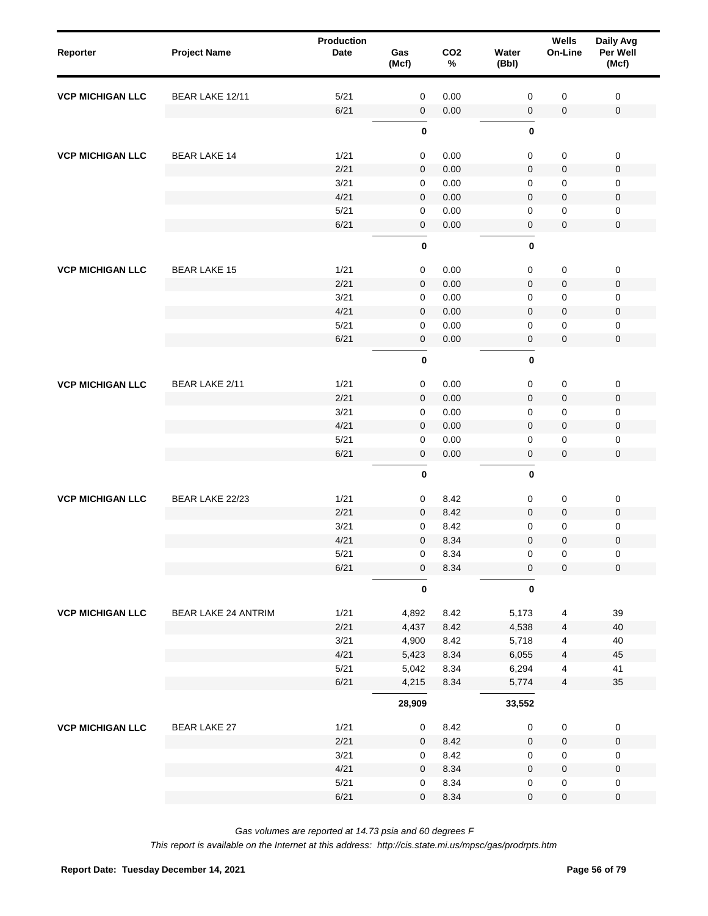| Reporter                | <b>Project Name</b>        | <b>Production</b><br><b>Date</b> | Gas<br>(Mcf) | CO <sub>2</sub><br>$\%$ | Water<br>(Bbl) | Wells<br>On-Line        | Daily Avg<br>Per Well<br>(Mcf) |  |
|-------------------------|----------------------------|----------------------------------|--------------|-------------------------|----------------|-------------------------|--------------------------------|--|
| <b>VCP MICHIGAN LLC</b> | BEAR LAKE 12/11            | 5/21                             | $\mathbf 0$  | 0.00                    | 0              | 0                       | $\mathbf 0$                    |  |
|                         |                            | 6/21                             | $\mathbf 0$  | 0.00                    | 0              | $\pmb{0}$               | $\mathsf 0$                    |  |
|                         |                            |                                  | $\pmb{0}$    |                         | $\mathbf 0$    |                         |                                |  |
| <b>VCP MICHIGAN LLC</b> | <b>BEAR LAKE 14</b>        | 1/21                             | $\pmb{0}$    | 0.00                    | 0              | 0                       | $\mathsf 0$                    |  |
|                         |                            | 2/21                             | $\mathbf 0$  | 0.00                    | 0              | $\pmb{0}$               | $\mathsf 0$                    |  |
|                         |                            | 3/21                             | $\mathbf 0$  | 0.00                    | 0              | 0                       | 0                              |  |
|                         |                            | 4/21                             | $\mathbf 0$  | 0.00                    | 0              | $\mathbf 0$             | 0                              |  |
|                         |                            | 5/21                             | $\mathbf 0$  | 0.00                    | 0              | 0                       | 0                              |  |
|                         |                            | 6/21                             | $\pmb{0}$    | 0.00                    | 0              | $\pmb{0}$               | $\mathsf 0$                    |  |
|                         |                            |                                  | $\pmb{0}$    |                         | $\mathbf 0$    |                         |                                |  |
| <b>VCP MICHIGAN LLC</b> | <b>BEAR LAKE 15</b>        | 1/21                             | $\mathbf 0$  | 0.00                    | 0              | 0                       | $\mathbf 0$                    |  |
|                         |                            | 2/21                             | $\mathbf 0$  | 0.00                    | $\mathbf 0$    | $\mathbf 0$             | $\mathbf 0$                    |  |
|                         |                            | 3/21                             | 0            | 0.00                    | 0              | 0                       | 0                              |  |
|                         |                            | 4/21                             | $\mathbf 0$  | 0.00                    | 0              | $\pmb{0}$               | $\mathbf 0$                    |  |
|                         |                            | 5/21                             | 0            | 0.00                    | 0              | 0                       | $\mathbf 0$                    |  |
|                         |                            | 6/21                             | $\pmb{0}$    | 0.00                    | 0              | $\pmb{0}$               | $\mathsf 0$                    |  |
|                         |                            |                                  | $\pmb{0}$    |                         | $\mathbf 0$    |                         |                                |  |
| <b>VCP MICHIGAN LLC</b> | BEAR LAKE 2/11             | 1/21                             | $\pmb{0}$    | 0.00                    | 0              | 0                       | $\mathsf 0$                    |  |
|                         |                            | 2/21                             | $\mathbf 0$  | 0.00                    | 0              | $\mathbf 0$             | $\mathsf 0$                    |  |
|                         |                            | 3/21                             | $\mathbf 0$  | 0.00                    | 0              | 0                       | $\mathbf 0$                    |  |
|                         |                            | 4/21                             | $\mathbf 0$  | 0.00                    | $\mathbf 0$    | $\mathbf 0$             | 0                              |  |
|                         |                            | 5/21                             | $\mathbf 0$  | 0.00                    | 0              | 0                       | $\mathsf 0$                    |  |
|                         |                            | 6/21                             | $\pmb{0}$    | 0.00                    | 0              | $\pmb{0}$               | $\mathbf 0$                    |  |
|                         |                            |                                  | $\pmb{0}$    |                         | $\mathbf 0$    |                         |                                |  |
| <b>VCP MICHIGAN LLC</b> | BEAR LAKE 22/23            | 1/21                             | $\mathbf 0$  | 8.42                    | 0              | 0                       | $\mathsf 0$                    |  |
|                         |                            | 2/21                             | $\mathbf 0$  | 8.42                    | $\mathbf 0$    | $\mathbf 0$             | $\mathsf 0$                    |  |
|                         |                            | 3/21                             | 0            | 8.42                    | 0              | 0                       | 0                              |  |
|                         |                            | 4/21                             | $\mathbf 0$  | 8.34                    | 0              | 0                       | $\mathbf 0$                    |  |
|                         |                            | 5/21                             | $\pmb{0}$    | 8.34                    | 0              | 0                       | $\mathsf 0$                    |  |
|                         |                            | 6/21                             | $\pmb{0}$    | 8.34                    | $\pmb{0}$      | $\pmb{0}$               | $\pmb{0}$                      |  |
|                         |                            |                                  | $\pmb{0}$    |                         | $\mathbf 0$    |                         |                                |  |
| <b>VCP MICHIGAN LLC</b> | <b>BEAR LAKE 24 ANTRIM</b> | 1/21                             | 4,892        | 8.42                    | 5,173          | 4                       | 39                             |  |
|                         |                            | 2/21                             | 4,437        | 8.42                    | 4,538          | $\overline{4}$          | 40                             |  |
|                         |                            | 3/21                             | 4,900        | 8.42                    | 5,718          | 4                       | 40                             |  |
|                         |                            | 4/21                             | 5,423        | 8.34                    | 6,055          | $\overline{4}$          | 45                             |  |
|                         |                            | 5/21                             | 5,042        | 8.34                    | 6,294          | 4                       | 41                             |  |
|                         |                            | 6/21                             | 4,215        | 8.34                    | 5,774          | $\overline{\mathbf{4}}$ | 35                             |  |
|                         |                            |                                  | 28,909       |                         | 33,552         |                         |                                |  |
| <b>VCP MICHIGAN LLC</b> | <b>BEAR LAKE 27</b>        | 1/21                             | $\mathbf 0$  | 8.42                    | 0              | $\pmb{0}$               | $\pmb{0}$                      |  |
|                         |                            | 2/21                             | $\mathbf 0$  | 8.42                    | $\mathbf 0$    | $\pmb{0}$               | $\mathsf 0$                    |  |
|                         |                            | 3/21                             | 0            | 8.42                    | 0              | $\pmb{0}$               | $\mathbf 0$                    |  |
|                         |                            | 4/21                             | $\mathbf 0$  | 8.34                    | $\mathbf 0$    | $\pmb{0}$               | $\mathsf 0$                    |  |
|                         |                            | 5/21                             | 0            | 8.34                    | 0              | $\pmb{0}$               | 0                              |  |
|                         |                            | 6/21                             | $\mathbf 0$  | 8.34                    | 0              | 0                       | $\pmb{0}$                      |  |
|                         |                            |                                  |              |                         |                |                         |                                |  |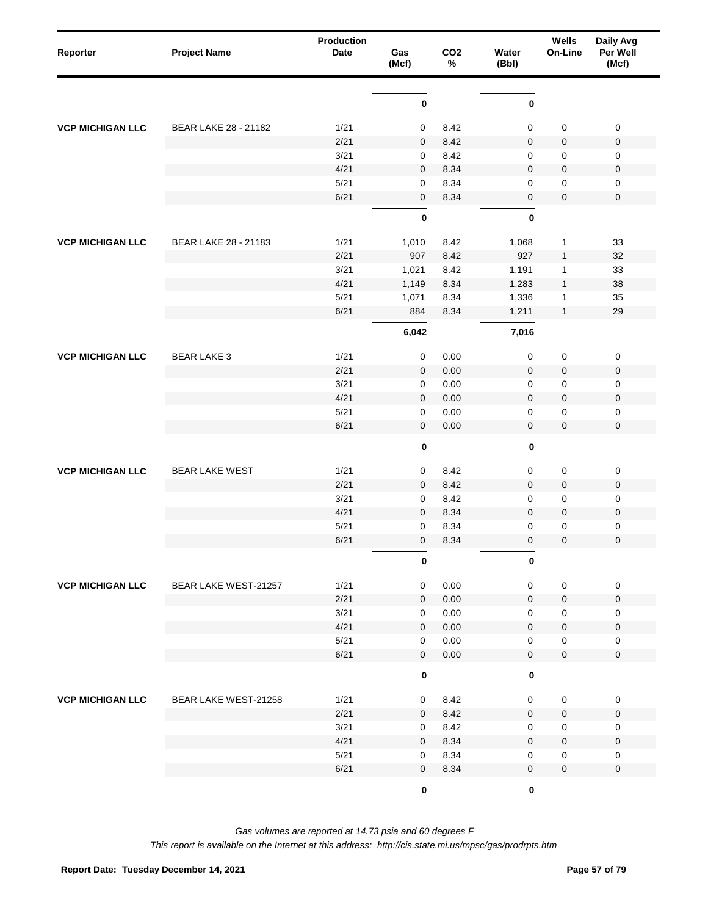| Reporter                | <b>Project Name</b>   | <b>Production</b><br><b>Date</b> | Gas<br>(Mcf) | CO <sub>2</sub><br>$\%$ | Water<br>(Bbl)      | Wells<br>On-Line | Daily Avg<br>Per Well<br>(Mcf) |
|-------------------------|-----------------------|----------------------------------|--------------|-------------------------|---------------------|------------------|--------------------------------|
|                         |                       |                                  |              |                         |                     |                  |                                |
|                         |                       |                                  | 0            |                         | 0                   |                  |                                |
| <b>VCP MICHIGAN LLC</b> | BEAR LAKE 28 - 21182  | 1/21                             | 0            | 8.42                    | 0                   | $\pmb{0}$        | $\pmb{0}$                      |
|                         |                       | 2/21                             | $\mathbf 0$  | 8.42                    | $\mathbf 0$         | $\pmb{0}$        | $\pmb{0}$                      |
|                         |                       | 3/21                             | 0            | 8.42                    | 0                   | $\pmb{0}$        | $\pmb{0}$                      |
|                         |                       | 4/21                             | $\mathbf 0$  | 8.34                    | $\mathbf 0$         | $\pmb{0}$        | $\pmb{0}$                      |
|                         |                       | 5/21                             | 0            | 8.34                    | 0                   | $\pmb{0}$        | $\pmb{0}$                      |
|                         |                       | 6/21                             | $\mathbf 0$  | 8.34                    | $\pmb{0}$           | $\pmb{0}$        | $\pmb{0}$                      |
|                         |                       |                                  | 0            |                         | 0                   |                  |                                |
| <b>VCP MICHIGAN LLC</b> | BEAR LAKE 28 - 21183  | 1/21                             | 1,010        | 8.42                    | 1,068               | $\mathbf{1}$     | 33                             |
|                         |                       | 2/21                             | 907          | 8.42                    | 927                 | $\mathbf{1}$     | 32                             |
|                         |                       | 3/21                             | 1,021        | 8.42                    | 1,191               | $\mathbf 1$      | 33                             |
|                         |                       | 4/21                             | 1,149        | 8.34                    | 1,283               | $\mathbf{1}$     | 38                             |
|                         |                       | 5/21                             | 1,071        | 8.34                    | 1,336               | $\mathbf 1$      | 35                             |
|                         |                       | 6/21                             | 884          | 8.34                    | 1,211               | $\mathbf{1}$     | 29                             |
|                         |                       |                                  | 6,042        |                         | 7,016               |                  |                                |
|                         | <b>BEAR LAKE 3</b>    | 1/21                             | 0            | 0.00                    | 0                   | $\pmb{0}$        | $\pmb{0}$                      |
| <b>VCP MICHIGAN LLC</b> |                       | 2/21                             | $\mathbf 0$  | 0.00                    | $\mathbf 0$         | $\pmb{0}$        | $\pmb{0}$                      |
|                         |                       | 3/21                             | 0            | 0.00                    | 0                   | $\pmb{0}$        | $\pmb{0}$                      |
|                         |                       | 4/21                             | $\mathbf 0$  | 0.00                    | $\mathbf 0$         | $\pmb{0}$        | $\pmb{0}$                      |
|                         |                       | 5/21                             | 0            | 0.00                    | 0                   | $\pmb{0}$        | $\pmb{0}$                      |
|                         |                       | 6/21                             | $\mathbf 0$  | 0.00                    | $\pmb{0}$           | $\mathbf 0$      | $\mathbf 0$                    |
|                         |                       |                                  | 0            |                         | 0                   |                  |                                |
| <b>VCP MICHIGAN LLC</b> | <b>BEAR LAKE WEST</b> | 1/21                             | $\mathbf 0$  | 8.42                    | 0                   | $\pmb{0}$        | $\pmb{0}$                      |
|                         |                       | 2/21                             | $\mathbf 0$  | 8.42                    | $\pmb{0}$           | $\pmb{0}$        | $\pmb{0}$                      |
|                         |                       | 3/21                             | 0            | 8.42                    | 0                   | $\pmb{0}$        | $\pmb{0}$                      |
|                         |                       | 4/21                             | $\mathbf 0$  | 8.34                    | $\pmb{0}$           | $\pmb{0}$        | $\pmb{0}$                      |
|                         |                       | 5/21                             | 0            | 8.34                    | 0                   | $\pmb{0}$        | 0                              |
|                         |                       | 6/21                             | $\mathbf 0$  | 8.34                    | $\mathbf 0$         | $\mathbf 0$      | $\pmb{0}$                      |
|                         |                       |                                  | 0            |                         | 0                   |                  |                                |
| <b>VCP MICHIGAN LLC</b> | BEAR LAKE WEST-21257  | 1/21                             | $\mathbf 0$  | 0.00                    | $\mathbf 0$         | $\mathbf 0$      | $\pmb{0}$                      |
|                         |                       | 2/21                             | 0            | 0.00                    | $\mathbf{0}$        | $\mathbf 0$      | $\pmb{0}$                      |
|                         |                       | 3/21                             | 0            | 0.00                    | 0                   | $\mathbf 0$      | $\pmb{0}$                      |
|                         |                       | 4/21                             | 0            | 0.00                    | $\mathbf{0}$        | $\pmb{0}$        | $\pmb{0}$                      |
|                         |                       | 5/21                             | 0            | 0.00                    | 0                   | $\pmb{0}$        | $\pmb{0}$                      |
|                         |                       | 6/21                             | 0            | 0.00                    | $\mathsf{O}\xspace$ | $\mathbf 0$      | $\pmb{0}$                      |
|                         |                       |                                  | 0            |                         | $\mathbf 0$         |                  |                                |
| <b>VCP MICHIGAN LLC</b> | BEAR LAKE WEST-21258  | 1/21                             | 0            | 8.42                    | 0                   | $\pmb{0}$        | $\pmb{0}$                      |
|                         |                       | 2/21                             | $\mathbf{0}$ | 8.42                    | 0                   | $\pmb{0}$        | $\mathbf 0$                    |
|                         |                       | 3/21                             | 0            | 8.42                    | $\mathbf 0$         | $\pmb{0}$        | 0                              |
|                         |                       | 4/21                             | $\mathbf{0}$ | 8.34                    | $\mathbf 0$         | $\pmb{0}$        | $\pmb{0}$                      |
|                         |                       | 5/21                             | 0            | 8.34                    | $\mathbf 0$         | $\pmb{0}$        | 0                              |
|                         |                       | 6/21                             | 0            | 8.34                    | $\mathsf{O}\xspace$ | $\mathbf 0$      | $\mathbf 0$                    |
|                         |                       |                                  | $\mathbf 0$  |                         | $\mathbf 0$         |                  |                                |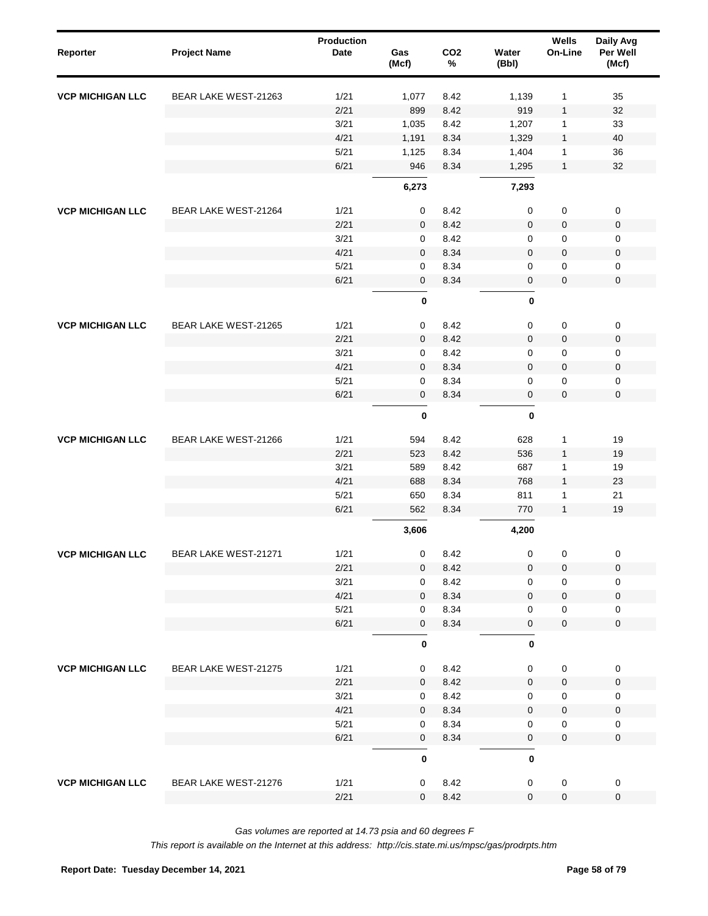| Reporter                | <b>Project Name</b>  | <b>Production</b><br><b>Date</b> | Gas<br>(Mcf)   | CO <sub>2</sub><br>$\%$ | Water<br>(Bbl)                  | Wells<br>On-Line    | Daily Avg<br>Per Well<br>(Mcf) |
|-------------------------|----------------------|----------------------------------|----------------|-------------------------|---------------------------------|---------------------|--------------------------------|
| <b>VCP MICHIGAN LLC</b> | BEAR LAKE WEST-21263 | 1/21                             | 1,077          | 8.42                    | 1,139                           | $\mathbf{1}$        | 35                             |
|                         |                      | 2/21                             | 899            | 8.42                    | 919                             | $\mathbf{1}$        | 32                             |
|                         |                      | 3/21                             | 1,035          | 8.42                    | 1,207                           | $\mathbf{1}$        | 33                             |
|                         |                      | 4/21                             | 1,191          | 8.34                    | 1,329                           | $\mathbf{1}$        | 40                             |
|                         |                      | 5/21                             | 1,125          | 8.34                    | 1,404                           | $\mathbf{1}$        | 36                             |
|                         |                      | 6/21                             | 946<br>6,273   | 8.34                    | 1,295<br>7,293                  | $\mathbf{1}$        | 32                             |
| <b>VCP MICHIGAN LLC</b> | BEAR LAKE WEST-21264 | 1/21                             | 0              | 8.42                    | 0                               | $\pmb{0}$           | $\pmb{0}$                      |
|                         |                      | 2/21                             | 0              | 8.42                    | $\mathbf 0$                     | $\pmb{0}$           | $\pmb{0}$                      |
|                         |                      | 3/21                             | 0              | 8.42                    | 0                               | $\pmb{0}$           | 0                              |
|                         |                      | 4/21                             | 0              | 8.34                    | $\mathbf 0$                     | $\pmb{0}$           | $\pmb{0}$                      |
|                         |                      | 5/21                             | 0              | 8.34                    | 0                               | $\mathbf 0$         | 0                              |
|                         |                      | 6/21                             | $\mathbf 0$    | 8.34                    | $\pmb{0}$                       | $\mathbf 0$         | $\pmb{0}$                      |
|                         |                      |                                  | $\pmb{0}$      |                         | $\pmb{0}$                       |                     |                                |
| <b>VCP MICHIGAN LLC</b> | BEAR LAKE WEST-21265 | 1/21                             | 0              | 8.42                    | $\pmb{0}$                       | $\pmb{0}$           | $\pmb{0}$                      |
|                         |                      | 2/21                             | $\mathbf 0$    | 8.42                    | $\pmb{0}$                       | $\pmb{0}$           | $\pmb{0}$                      |
|                         |                      | 3/21                             | 0              | 8.42                    | 0                               | $\boldsymbol{0}$    | 0                              |
|                         |                      | 4/21                             | $\mathbf{0}$   | 8.34                    | $\mathbf 0$                     | $\pmb{0}$           | $\pmb{0}$                      |
|                         |                      | 5/21                             | 0              | 8.34                    | 0                               | $\mathbf 0$         | 0                              |
|                         |                      | 6/21                             | $\mathbf 0$    | 8.34                    | $\mathbf 0$                     | $\mathbf 0$         | $\mathbf 0$                    |
|                         |                      |                                  | $\pmb{0}$      |                         | $\pmb{0}$                       |                     |                                |
| <b>VCP MICHIGAN LLC</b> | BEAR LAKE WEST-21266 | 1/21                             | 594            | 8.42                    | 628                             | $\mathbf{1}$        | 19                             |
|                         |                      | 2/21                             | 523            | 8.42                    | 536                             | $\mathbf{1}$        | 19                             |
|                         |                      | 3/21                             | 589            | 8.42                    | 687                             | 1                   | 19                             |
|                         |                      | 4/21                             | 688            | 8.34                    | 768                             | $\mathbf{1}$        | 23                             |
|                         |                      | 5/21                             | 650            | 8.34                    | 811                             | $\mathbf{1}$        | 21                             |
|                         |                      | 6/21                             | 562            | 8.34                    | 770                             | $\mathbf{1}$        | 19                             |
|                         |                      |                                  | 3,606          |                         | 4,200                           |                     |                                |
| <b>VCP MICHIGAN LLC</b> | BEAR LAKE WEST-21271 | 1/21                             | 0              | 8.42                    | 0                               | $\pmb{0}$           | $\boldsymbol{0}$               |
|                         |                      | 2/21                             | 0              | 8.42                    | 0                               | $\pmb{0}$           | $\pmb{0}$                      |
|                         |                      | 3/21                             | 0              | 8.42                    | $\mathbf 0$                     | $\pmb{0}$           | 0                              |
|                         |                      | 4/21                             | 0              | 8.34                    | 0                               | $\pmb{0}$           | $\pmb{0}$                      |
|                         |                      | 5/21                             | 0              | 8.34                    | 0                               | $\pmb{0}$           | 0                              |
|                         |                      | 6/21                             | 0<br>$\pmb{0}$ | 8.34                    | $\mathsf{O}\xspace$<br>$\bf{0}$ | $\pmb{0}$           | $\pmb{0}$                      |
| <b>VCP MICHIGAN LLC</b> | BEAR LAKE WEST-21275 | 1/21                             | 0              | 8.42                    | 0                               | $\pmb{0}$           | $\pmb{0}$                      |
|                         |                      | 2/21                             | 0              | 8.42                    | $\mathbf{0}$                    | $\mathsf{O}\xspace$ | $\pmb{0}$                      |
|                         |                      | 3/21                             | 0              | 8.42                    | 0                               | $\mathbf 0$         | $\mathbf 0$                    |
|                         |                      | 4/21                             | 0              | 8.34                    | $\mathbf 0$                     | $\pmb{0}$           | $\pmb{0}$                      |
|                         |                      | 5/21                             | 0              | 8.34                    | 0                               | $\mathbf 0$         | $\mathbf 0$                    |
|                         |                      | 6/21                             | 0              | 8.34                    | $\mathsf 0$                     | $\pmb{0}$           | $\pmb{0}$                      |
|                         |                      |                                  | $\mathbf 0$    |                         | 0                               |                     |                                |
| <b>VCP MICHIGAN LLC</b> | BEAR LAKE WEST-21276 | 1/21                             | 0              | 8.42                    | 0                               | $\pmb{0}$           | $\pmb{0}$                      |
|                         |                      | 2/21                             | 0              | 8.42                    | 0                               | $\mathbf 0$         | $\pmb{0}$                      |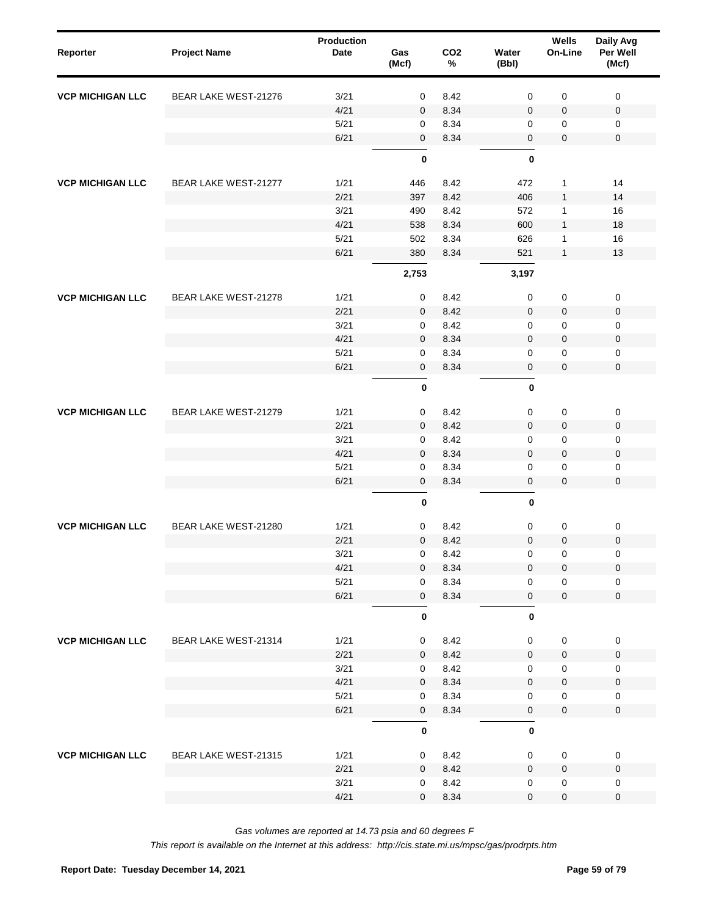| Reporter                | <b>Project Name</b>  | Production<br>Date | Gas<br>(Mcf)   | CO <sub>2</sub><br>$\%$ | Water<br>(Bbl)      | Wells<br>On-Line    | Daily Avg<br>Per Well<br>(Mcf) |  |
|-------------------------|----------------------|--------------------|----------------|-------------------------|---------------------|---------------------|--------------------------------|--|
| <b>VCP MICHIGAN LLC</b> | BEAR LAKE WEST-21276 | 3/21               | $\mathbf 0$    | 8.42                    | 0                   | 0                   | 0                              |  |
|                         |                      | 4/21               | $\mathbf 0$    | 8.34                    | $\mathbf 0$         | 0                   | $\mathbf 0$                    |  |
|                         |                      | 5/21               | 0              | 8.34                    | 0                   | 0                   | 0                              |  |
|                         |                      | 6/21               | $\mathbf 0$    | 8.34                    | $\mathbf 0$         | 0                   | 0                              |  |
|                         |                      |                    | $\pmb{0}$      |                         | $\pmb{0}$           |                     |                                |  |
| <b>VCP MICHIGAN LLC</b> | BEAR LAKE WEST-21277 | 1/21               | 446            | 8.42                    | 472                 | 1                   | 14                             |  |
|                         |                      | 2/21               | 397            | 8.42                    | 406                 | $\mathbf{1}$        | 14                             |  |
|                         |                      | 3/21               | 490            | 8.42                    | 572                 | 1                   | 16                             |  |
|                         |                      | 4/21               | 538            | 8.34                    | 600                 | $\mathbf{1}$        | 18                             |  |
|                         |                      | 5/21               | 502            | 8.34                    | 626                 | 1                   | 16                             |  |
|                         |                      | 6/21               | 380            | 8.34                    | 521                 | $\mathbf{1}$        | 13                             |  |
|                         |                      |                    | 2,753          |                         | 3,197               |                     |                                |  |
| <b>VCP MICHIGAN LLC</b> | BEAR LAKE WEST-21278 | 1/21               | 0              | 8.42                    | 0                   | $\pmb{0}$           | $\pmb{0}$                      |  |
|                         |                      | 2/21               | $\mathbf 0$    | 8.42                    | $\mathbf 0$         | 0                   | $\mathbf 0$                    |  |
|                         |                      | 3/21               | 0              | 8.42                    | 0                   | 0                   | 0                              |  |
|                         |                      | 4/21               | $\mathbf 0$    | 8.34                    | $\mathbf 0$         | 0                   | $\mathbf 0$                    |  |
|                         |                      | 5/21               | 0              | 8.34                    | 0                   | 0                   | 0                              |  |
|                         |                      | 6/21               | 0              | 8.34                    | 0                   | 0                   | $\mathsf 0$                    |  |
|                         |                      |                    | $\pmb{0}$      |                         | $\bf{0}$            |                     |                                |  |
| <b>VCP MICHIGAN LLC</b> | BEAR LAKE WEST-21279 | 1/21               | $\mathsf 0$    | 8.42                    | $\mathsf{O}\xspace$ | 0                   | $\mathsf 0$                    |  |
|                         |                      | 2/21               | $\mathbf 0$    | 8.42                    | $\pmb{0}$           | $\mathbf 0$         | 0                              |  |
|                         |                      | 3/21               | 0              | 8.42                    | 0                   | 0                   | 0                              |  |
|                         |                      | 4/21               | $\mathbf 0$    | 8.34                    | $\mathbf 0$         | $\mathbf 0$         | $\pmb{0}$                      |  |
|                         |                      | 5/21               | 0              | 8.34                    | 0                   | $\mathbf 0$         | 0                              |  |
|                         |                      | 6/21               | $\mathbf 0$    | 8.34                    | 0                   | $\overline{0}$      | $\mathbf 0$                    |  |
|                         |                      |                    | $\pmb{0}$      |                         | $\bf{0}$            |                     |                                |  |
| <b>VCP MICHIGAN LLC</b> | BEAR LAKE WEST-21280 | 1/21               | 0              | 8.42                    | 0                   | 0                   | $\pmb{0}$                      |  |
|                         |                      | 2/21               | $\mathbf 0$    | 8.42                    | $\mathbf 0$         | 0                   | $\mathbf 0$                    |  |
|                         |                      | 3/21               | $\mathsf 0$    | 8.42                    | 0                   | 0                   | $\mathsf 0$                    |  |
|                         |                      | 4/21               | $\overline{0}$ | 8.34                    | $\mathbf 0$         | $\mathbf 0$         | $\mathsf{O}\xspace$            |  |
|                         |                      | 5/21               | 0              | 8.34                    | 0                   | 0                   | $\mathbf 0$                    |  |
|                         |                      | 6/21               | $\mathbf 0$    | 8.34                    | $\mathsf{O}\xspace$ | $\mathbf 0$         | $\mathbf 0$                    |  |
|                         |                      |                    | $\mathbf 0$    |                         | $\pmb{0}$           |                     |                                |  |
| <b>VCP MICHIGAN LLC</b> | BEAR LAKE WEST-21314 | 1/21               | 0              | 8.42                    | $\mathbf 0$         | $\mathsf 0$         | $\mathbf 0$                    |  |
|                         |                      | 2/21               | $\mathbf 0$    | 8.42                    | $\mathsf{O}\xspace$ | $\mathbf 0$         | $\mathbf 0$                    |  |
|                         |                      | 3/21               | 0              | 8.42                    | 0                   | $\mathbf 0$         | $\mathbf 0$                    |  |
|                         |                      | 4/21               | $\mathbf 0$    | 8.34                    | $\mathsf{O}\xspace$ | $\mathsf{O}\xspace$ | $\pmb{0}$                      |  |
|                         |                      | 5/21               | 0              | 8.34                    | 0                   | 0                   | 0                              |  |
|                         |                      | 6/21               | $\mathbf 0$    | 8.34                    | $\mathsf{O}\xspace$ | $\mathsf{O}\xspace$ | $\mathbf 0$                    |  |
|                         |                      |                    | $\pmb{0}$      |                         | $\pmb{0}$           |                     |                                |  |
| <b>VCP MICHIGAN LLC</b> | BEAR LAKE WEST-21315 | 1/21               | 0              | 8.42                    | $\mathbf 0$         | $\mathbf 0$         | $\mathbf 0$                    |  |
|                         |                      | 2/21               | $\mathbf{0}$   | 8.42                    | $\mathbf 0$         | 0                   | $\mathsf 0$                    |  |
|                         |                      | 3/21               | 0              | 8.42                    | 0                   | 0                   | $\mathbf 0$                    |  |
|                         |                      | 4/21               | $\mathbf 0$    | 8.34                    | 0                   | $\pmb{0}$           | $\pmb{0}$                      |  |
|                         |                      |                    |                |                         |                     |                     |                                |  |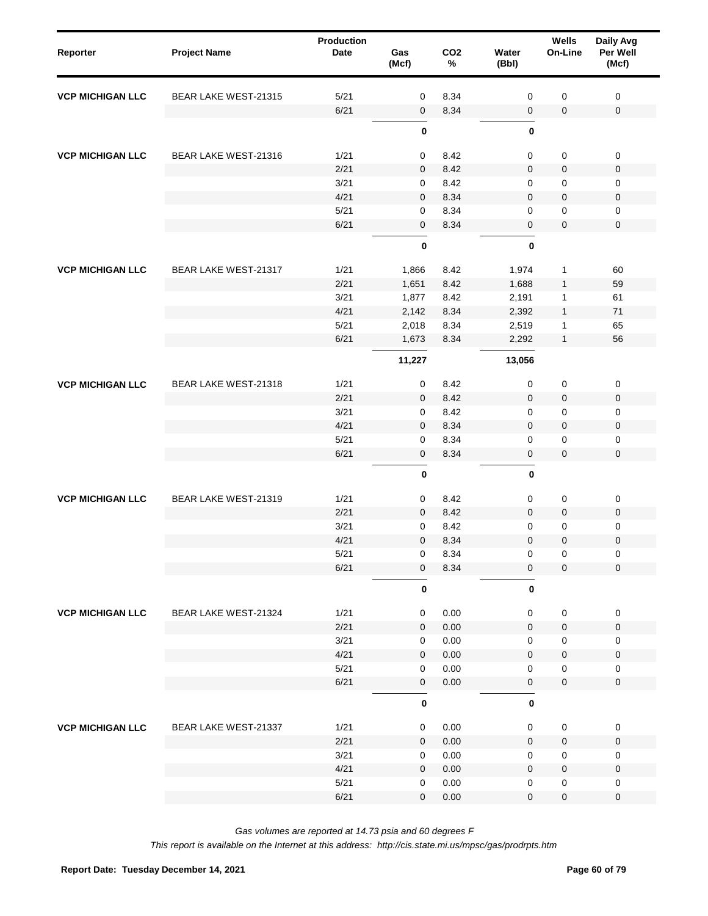| Reporter                | <b>Project Name</b>  | <b>Production</b><br>Date | Gas<br>(Mcf) | CO <sub>2</sub><br>$\%$ | Water<br>(Bbl) | Wells<br>On-Line | Daily Avg<br>Per Well<br>(Mcf) |  |
|-------------------------|----------------------|---------------------------|--------------|-------------------------|----------------|------------------|--------------------------------|--|
| <b>VCP MICHIGAN LLC</b> | BEAR LAKE WEST-21315 | 5/21                      | 0            | 8.34                    | 0              | 0                | $\mathbf 0$                    |  |
|                         |                      | 6/21                      | $\mathbf 0$  | 8.34                    | 0              | 0                | $\mathsf 0$                    |  |
|                         |                      |                           | $\pmb{0}$    |                         | $\bf{0}$       |                  |                                |  |
| <b>VCP MICHIGAN LLC</b> | BEAR LAKE WEST-21316 | 1/21                      | 0            | 8.42                    | 0              | $\pmb{0}$        | $\mathsf 0$                    |  |
|                         |                      | 2/21                      | $\mathbf 0$  | 8.42                    | 0              | 0                | 0                              |  |
|                         |                      | 3/21                      | 0            | 8.42                    | 0              | 0                | 0                              |  |
|                         |                      | 4/21                      | $\mathbf{0}$ | 8.34                    | 0              | 0                | 0                              |  |
|                         |                      | 5/21                      | $\mathbf 0$  | 8.34                    | 0              | 0                | 0                              |  |
|                         |                      | 6/21                      | $\mathbf 0$  | 8.34                    | 0              | 0                | $\mathbf 0$                    |  |
|                         |                      |                           | $\pmb{0}$    |                         | $\bf{0}$       |                  |                                |  |
| <b>VCP MICHIGAN LLC</b> | BEAR LAKE WEST-21317 | 1/21                      | 1,866        | 8.42                    | 1,974          | 1                | 60                             |  |
|                         |                      | 2/21                      | 1,651        | 8.42                    | 1,688          | $\mathbf{1}$     | 59                             |  |
|                         |                      | 3/21                      | 1,877        | 8.42                    | 2,191          | 1                | 61                             |  |
|                         |                      | 4/21                      | 2,142        | 8.34                    | 2,392          | $\mathbf{1}$     | 71                             |  |
|                         |                      | 5/21                      | 2,018        | 8.34                    | 2,519          | 1                | 65                             |  |
|                         |                      | 6/21                      | 1,673        | 8.34                    | 2,292          | $\mathbf{1}$     | 56                             |  |
|                         |                      |                           | 11,227       |                         | 13,056         |                  |                                |  |
| <b>VCP MICHIGAN LLC</b> | BEAR LAKE WEST-21318 | 1/21                      | 0            | 8.42                    | 0              | $\pmb{0}$        | $\mathsf 0$                    |  |
|                         |                      | 2/21                      | $\mathbf 0$  | 8.42                    | 0              | 0                | 0                              |  |
|                         |                      | 3/21                      | 0            | 8.42                    | 0              | 0                | 0                              |  |
|                         |                      | 4/21                      | $\mathbf 0$  | 8.34                    | 0              | 0                | 0                              |  |
|                         |                      | 5/21                      | $\mathbf 0$  | 8.34                    | 0              | 0                | 0                              |  |
|                         |                      | 6/21                      | $\mathbf 0$  | 8.34                    | 0              | $\mathbf 0$      | $\mathbf 0$                    |  |
|                         |                      |                           | $\pmb{0}$    |                         | $\bf{0}$       |                  |                                |  |
| <b>VCP MICHIGAN LLC</b> | BEAR LAKE WEST-21319 | 1/21                      | 0            | 8.42                    | 0              | 0                | $\mathbf 0$                    |  |
|                         |                      | 2/21                      | $\mathbf{0}$ | 8.42                    | $\mathbf 0$    | 0                | 0                              |  |
|                         |                      | 3/21                      | 0            | 8.42                    | 0              | 0                | 0                              |  |
|                         |                      | 4/21                      | $\mathbf 0$  | 8.34                    | 0              | 0                | 0                              |  |
|                         |                      | 5/21                      | 0            | 8.34                    | 0              | 0                | 0                              |  |
|                         |                      | 6/21                      | $\mathbf 0$  | 8.34                    | 0              | 0                | $\mathbf 0$                    |  |
|                         |                      |                           | $\pmb{0}$    |                         | $\pmb{0}$      |                  |                                |  |
| <b>VCP MICHIGAN LLC</b> | BEAR LAKE WEST-21324 | 1/21                      | $\mathbf 0$  | 0.00                    | 0              | $\pmb{0}$        | $\mathbf 0$                    |  |
|                         |                      | 2/21                      | $\mathbf 0$  | 0.00                    | $\mathbf 0$    | $\mathbf 0$      | $\mathbf 0$                    |  |
|                         |                      | 3/21                      | 0            | 0.00                    | 0              | 0                | $\mathbf 0$                    |  |
|                         |                      | 4/21                      | $\mathbf 0$  | 0.00                    | 0              | $\mathbf 0$      | $\pmb{0}$                      |  |
|                         |                      | 5/21                      | 0            | 0.00                    | 0              | 0                | $\mathsf 0$                    |  |
|                         |                      | 6/21                      | $\mathbf 0$  | 0.00                    | 0              | $\pmb{0}$        | $\mathbf 0$                    |  |
|                         |                      |                           | $\mathbf 0$  |                         | $\pmb{0}$      |                  |                                |  |
| <b>VCP MICHIGAN LLC</b> | BEAR LAKE WEST-21337 | 1/21                      | $\mathbf 0$  | 0.00                    | 0              | 0                | $\mathbf 0$                    |  |
|                         |                      | 2/21                      | $\mathbf{0}$ | 0.00                    | $\mathbf 0$    | $\mathbf 0$      | $\mathbf 0$                    |  |
|                         |                      | 3/21                      | 0            | 0.00                    | 0              | $\mathbf 0$      | 0                              |  |
|                         |                      | 4/21                      | $\mathbf{0}$ | 0.00                    | $\mathbf 0$    | $\mathbf 0$      | $\mathbf 0$                    |  |
|                         |                      | 5/21                      | 0            | 0.00                    | 0              | $\mathbf 0$      | 0                              |  |
|                         |                      | 6/21                      | $\mathbf{0}$ | 0.00                    | 0              | 0                | $\mathbf 0$                    |  |
|                         |                      |                           |              |                         |                |                  |                                |  |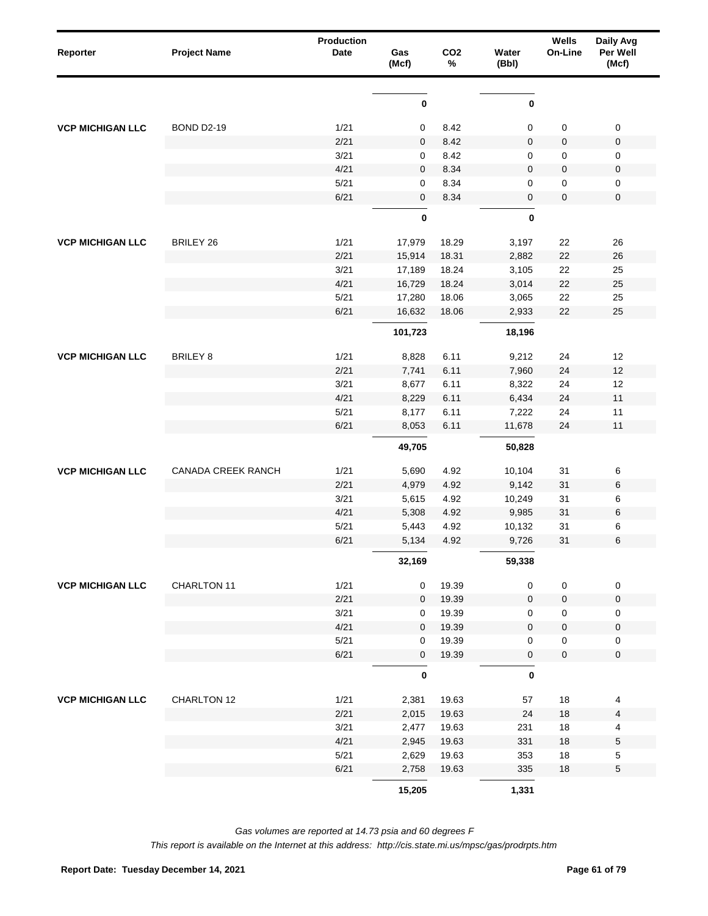| Reporter                | <b>Project Name</b>       | Production<br>Date | Gas<br>(Mcf) | CO <sub>2</sub><br>% | Water<br>(Bbl) | Wells<br>On-Line | Daily Avg<br>Per Well<br>(Mcf) |
|-------------------------|---------------------------|--------------------|--------------|----------------------|----------------|------------------|--------------------------------|
|                         |                           |                    | $\pmb{0}$    |                      | $\pmb{0}$      |                  |                                |
| <b>VCP MICHIGAN LLC</b> | <b>BOND D2-19</b>         | 1/21               | 0            | 8.42                 | 0              | 0                | $\pmb{0}$                      |
|                         |                           | 2/21               | 0            | 8.42                 | $\pmb{0}$      | 0                | $\pmb{0}$                      |
|                         |                           | 3/21               | 0            | 8.42                 | 0              | 0                | 0                              |
|                         |                           | 4/21               | 0            | 8.34                 | $\pmb{0}$      | 0                | $\pmb{0}$                      |
|                         |                           | 5/21               | 0            | 8.34                 | 0              | 0                | $\pmb{0}$                      |
|                         |                           | 6/21               | 0            | 8.34                 | $\pmb{0}$      | 0                | $\pmb{0}$                      |
|                         |                           |                    | $\pmb{0}$    |                      | 0              |                  |                                |
| <b>VCP MICHIGAN LLC</b> | <b>BRILEY 26</b>          | 1/21               | 17,979       | 18.29                | 3,197          | 22               | 26                             |
|                         |                           | 2/21               | 15,914       | 18.31                | 2,882          | 22               | 26                             |
|                         |                           | 3/21               | 17,189       | 18.24                | 3,105          | 22               | 25                             |
|                         |                           | 4/21               | 16,729       | 18.24                | 3,014          | 22               | 25                             |
|                         |                           | 5/21               | 17,280       | 18.06                | 3,065          | 22               | 25                             |
|                         |                           | 6/21               | 16,632       | 18.06                | 2,933          | 22               | 25                             |
|                         |                           |                    | 101,723      |                      | 18,196         |                  |                                |
| <b>VCP MICHIGAN LLC</b> | <b>BRILEY 8</b>           | 1/21               | 8,828        | 6.11                 | 9,212          | 24               | 12                             |
|                         |                           | 2/21               | 7,741        | 6.11                 | 7,960          | 24               | 12                             |
|                         |                           | 3/21               | 8,677        | 6.11                 | 8,322          | 24               | 12                             |
|                         |                           | 4/21               | 8,229        | 6.11                 | 6,434          | 24               | 11                             |
|                         |                           | 5/21               | 8,177        | 6.11                 | 7,222          | 24               | 11                             |
|                         |                           | 6/21               | 8,053        | 6.11                 | 11,678         | 24               | 11                             |
|                         |                           |                    | 49,705       |                      | 50,828         |                  |                                |
| <b>VCP MICHIGAN LLC</b> | <b>CANADA CREEK RANCH</b> | 1/21               | 5,690        | 4.92                 | 10,104         | 31               | 6                              |
|                         |                           | 2/21               | 4,979        | 4.92                 | 9,142          | 31               | 6                              |
|                         |                           | 3/21               | 5,615        | 4.92                 | 10,249         | 31               | 6                              |
|                         |                           | 4/21               | 5,308        | 4.92                 | 9,985          | 31               | $\,6\,$                        |
|                         |                           | 5/21               | 5,443        | 4.92                 | 10,132         | 31               | 6                              |
|                         |                           | 6/21               | 5,134        | 4.92                 | 9,726          | 31               | $\,6$                          |
|                         |                           |                    | 32,169       |                      | 59,338         |                  |                                |
| <b>VCP MICHIGAN LLC</b> | CHARLTON 11               | 1/21               | 0            | 19.39                | 0              | $\pmb{0}$        | $\pmb{0}$                      |
|                         |                           | 2/21               | 0            | 19.39                | $\pmb{0}$      | 0                | $\pmb{0}$                      |
|                         |                           | 3/21               | 0            | 19.39                | 0              | 0                | $\pmb{0}$                      |
|                         |                           | 4/21               | 0            | 19.39                | $\pmb{0}$      | 0                | $\pmb{0}$                      |
|                         |                           | 5/21               | 0            | 19.39                | 0              | 0                | 0                              |
|                         |                           | 6/21               | 0            | 19.39                | $\pmb{0}$      | 0                | $\pmb{0}$                      |
|                         |                           |                    | $\pmb{0}$    |                      | $\pmb{0}$      |                  |                                |
| <b>VCP MICHIGAN LLC</b> | CHARLTON 12               | 1/21               | 2,381        | 19.63                | 57             | 18               | 4                              |
|                         |                           | 2/21               | 2,015        | 19.63                | 24             | $18$             | 4                              |
|                         |                           | 3/21               | 2,477        | 19.63                | 231            | $18\,$           | 4                              |
|                         |                           | 4/21               | 2,945        | 19.63                | 331            | $18$             | 5                              |
|                         |                           | $5/21$             | 2,629        | 19.63                | 353            | $18\,$           | 5                              |
|                         |                           | 6/21               | 2,758        | 19.63                | 335            | $18\,$           | $\mathbf 5$                    |
|                         |                           |                    | 15,205       |                      | 1,331          |                  |                                |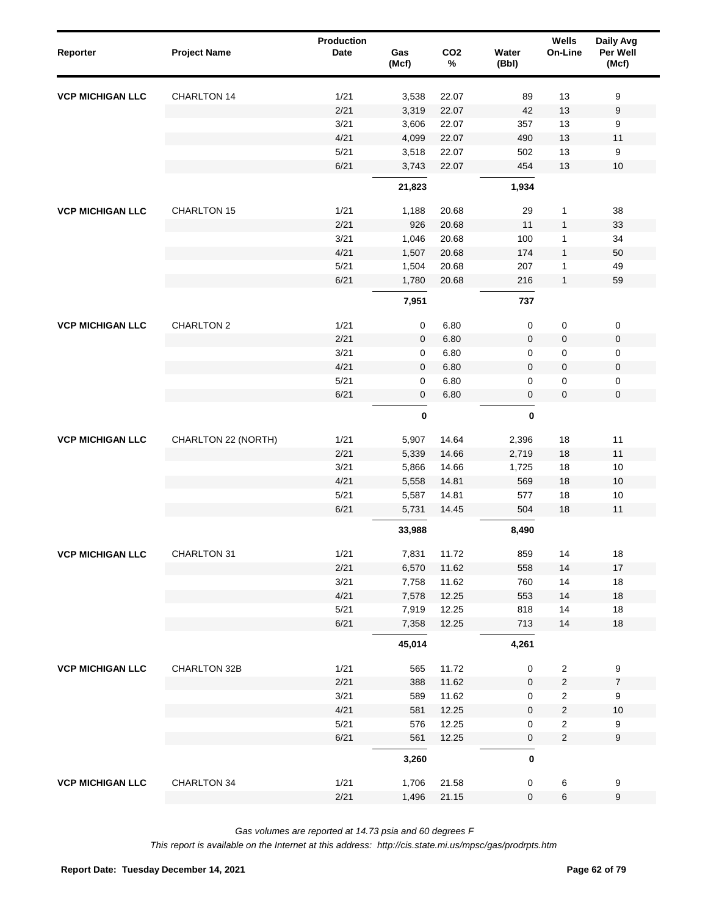| Reporter                | <b>Project Name</b> | <b>Production</b><br><b>Date</b> | Gas<br>(Mcf)    | CO <sub>2</sub><br>$\%$ | Water<br>(Bbl)   | Wells<br>On-Line               | Daily Avg<br>Per Well<br>(Mcf) |
|-------------------------|---------------------|----------------------------------|-----------------|-------------------------|------------------|--------------------------------|--------------------------------|
| <b>VCP MICHIGAN LLC</b> | CHARLTON 14         | 1/21                             | 3,538           | 22.07                   | 89               | 13                             | 9                              |
|                         |                     | 2/21                             | 3,319           | 22.07                   | 42               | 13                             | $\boldsymbol{9}$               |
|                         |                     | 3/21                             | 3,606           | 22.07                   | 357              | 13                             | 9                              |
|                         |                     | 4/21                             | 4,099           | 22.07                   | 490              | 13                             | 11                             |
|                         |                     | 5/21                             | 3,518           | 22.07                   | 502              | 13                             | 9                              |
|                         |                     | 6/21                             | 3,743<br>21,823 | 22.07                   | 454<br>1,934     | 13                             | 10                             |
| <b>VCP MICHIGAN LLC</b> | <b>CHARLTON 15</b>  | 1/21                             | 1,188           | 20.68                   | 29               | $\mathbf{1}$                   | 38                             |
|                         |                     | 2/21                             | 926             | 20.68                   | 11               | $\mathbf{1}$                   | 33                             |
|                         |                     | 3/21                             | 1,046           | 20.68                   | 100              | $\mathbf{1}$                   | 34                             |
|                         |                     | 4/21                             | 1,507           | 20.68                   | 174              | $\mathbf{1}$                   | 50                             |
|                         |                     | 5/21                             | 1,504           | 20.68                   | 207              | $\mathbf{1}$                   | 49                             |
|                         |                     | 6/21                             | 1,780           | 20.68                   | 216              | $\mathbf{1}$                   | 59                             |
|                         |                     |                                  | 7,951           |                         | 737              |                                |                                |
| <b>VCP MICHIGAN LLC</b> | <b>CHARLTON 2</b>   | 1/21                             | $\mathsf 0$     | 6.80                    | 0                | $\pmb{0}$                      | $\pmb{0}$                      |
|                         |                     | 2/21                             | $\mathbf 0$     | 6.80                    | 0                | $\pmb{0}$                      | $\pmb{0}$                      |
|                         |                     | 3/21                             | $\mathbf 0$     | 6.80                    | 0                | $\pmb{0}$                      | $\pmb{0}$                      |
|                         |                     | 4/21                             | $\mathbf 0$     | 6.80                    | $\mathbf 0$      | $\pmb{0}$                      | $\pmb{0}$                      |
|                         |                     | 5/21                             | $\mathbf 0$     | 6.80                    | 0                | $\pmb{0}$                      | $\pmb{0}$                      |
|                         |                     | 6/21                             | $\mathbf 0$     | 6.80                    | $\mathbf 0$      | $\mathbf 0$                    | $\mathbf 0$                    |
|                         |                     |                                  | $\pmb{0}$       |                         | 0                |                                |                                |
| <b>VCP MICHIGAN LLC</b> | CHARLTON 22 (NORTH) | 1/21                             | 5,907           | 14.64                   | 2,396            | 18                             | 11                             |
|                         |                     | 2/21                             | 5,339           | 14.66                   | 2,719            | 18                             | 11                             |
|                         |                     | 3/21                             | 5,866           | 14.66                   | 1,725            | 18                             | 10                             |
|                         |                     | 4/21                             | 5,558           | 14.81                   | 569              | 18                             | 10                             |
|                         |                     | 5/21                             | 5,587           | 14.81                   | 577              | 18                             | 10                             |
|                         |                     | 6/21                             | 5,731           | 14.45                   | 504              | 18                             | 11                             |
|                         |                     |                                  | 33,988          |                         | 8,490            |                                |                                |
| <b>VCP MICHIGAN LLC</b> | CHARLTON 31         | 1/21                             | 7,831           | 11.72                   | 859              | 14                             | $18$                           |
|                         |                     | 2/21                             | 6,570           | 11.62                   | 558              | 14                             | $17$                           |
|                         |                     | 3/21                             | 7,758           | 11.62                   | 760              | 14                             | 18                             |
|                         |                     | 4/21                             | 7,578           | 12.25                   | 553              | 14                             | 18                             |
|                         |                     | $5/21$                           | 7,919           | 12.25                   | 818              | 14                             | 18                             |
|                         |                     | 6/21                             | 7,358           | 12.25                   | 713              | 14                             | 18                             |
|                         |                     |                                  | 45,014          |                         | 4,261            |                                |                                |
| <b>VCP MICHIGAN LLC</b> | CHARLTON 32B        | 1/21                             | 565             | 11.72                   | 0                | $\sqrt{2}$                     | 9                              |
|                         |                     | 2/21                             | 388             | 11.62                   | $\mathbf 0$      | $\overline{\mathbf{c}}$        | $\boldsymbol{7}$               |
|                         |                     | 3/21                             | 589             | 11.62                   | 0                | $\overline{2}$                 | 9                              |
|                         |                     | 4/21<br>5/21                     | 581<br>576      | 12.25<br>12.25          | $\mathbf 0$<br>0 | $\boldsymbol{2}$<br>$\sqrt{2}$ | $10$                           |
|                         |                     | 6/21                             | 561             | 12.25                   | $\pmb{0}$        | $\overline{c}$                 | 9<br>$\boldsymbol{9}$          |
|                         |                     |                                  | 3,260           |                         | $\bf{0}$         |                                |                                |
|                         |                     |                                  |                 |                         |                  |                                |                                |
| <b>VCP MICHIGAN LLC</b> | CHARLTON 34         | 1/21                             | 1,706           | 21.58                   | 0                | 6                              | 9                              |
|                         |                     | 2/21                             | 1,496           | 21.15                   | $\pmb{0}$        | $\,6\,$                        | $\boldsymbol{9}$               |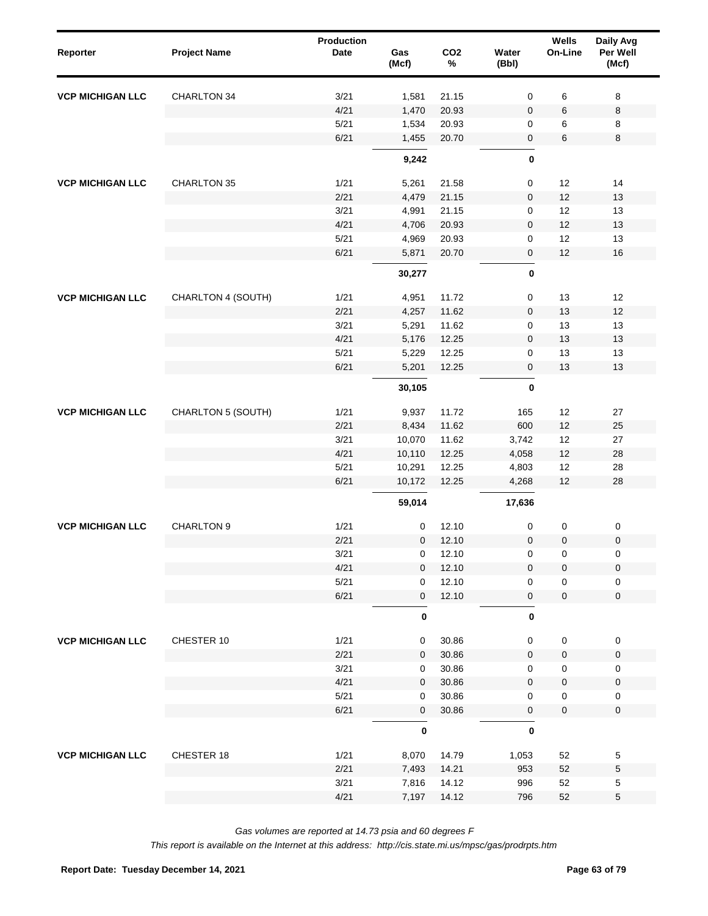| Reporter                | <b>Project Name</b> | <b>Production</b><br>Date | Gas<br>(Mcf) | CO <sub>2</sub><br>$\%$ | Water<br>(Bbl) | Wells<br>On-Line | Daily Avg<br>Per Well<br>(Mcf) |
|-------------------------|---------------------|---------------------------|--------------|-------------------------|----------------|------------------|--------------------------------|
| <b>VCP MICHIGAN LLC</b> | <b>CHARLTON 34</b>  | 3/21                      | 1,581        | 21.15                   | 0              | 6                | 8                              |
|                         |                     | 4/21                      | 1,470        | 20.93                   | 0              | 6                | 8                              |
|                         |                     | 5/21                      | 1,534        | 20.93                   | 0              | 6                | 8                              |
|                         |                     | 6/21                      | 1,455        | 20.70                   | 0              | 6                | 8                              |
|                         |                     |                           | 9,242        |                         | 0              |                  |                                |
| <b>VCP MICHIGAN LLC</b> | <b>CHARLTON 35</b>  | 1/21                      | 5,261        | 21.58                   | 0              | 12               | 14                             |
|                         |                     | 2/21                      | 4,479        | 21.15                   | 0              | 12               | 13                             |
|                         |                     | 3/21                      | 4,991        | 21.15                   | 0              | 12               | 13                             |
|                         |                     | 4/21                      | 4,706        | 20.93                   | 0              | 12               | 13                             |
|                         |                     | 5/21                      | 4,969        | 20.93                   | 0              | 12               | 13                             |
|                         |                     | 6/21                      | 5,871        | 20.70                   | 0              | 12               | 16                             |
|                         |                     |                           | 30,277       |                         | $\bf{0}$       |                  |                                |
| <b>VCP MICHIGAN LLC</b> | CHARLTON 4 (SOUTH)  | 1/21                      | 4,951        | 11.72                   | 0              | 13               | 12                             |
|                         |                     | 2/21                      | 4,257        | 11.62                   | 0              | 13               | 12                             |
|                         |                     | 3/21                      | 5,291        | 11.62                   | 0              | 13               | 13                             |
|                         |                     | 4/21                      | 5,176        | 12.25                   | 0              | 13               | 13                             |
|                         |                     | 5/21                      | 5,229        | 12.25                   | 0              | 13               | 13                             |
|                         |                     | 6/21                      | 5,201        | 12.25                   | 0              | 13               | 13                             |
|                         |                     |                           | 30,105       |                         | 0              |                  |                                |
| <b>VCP MICHIGAN LLC</b> | CHARLTON 5 (SOUTH)  | 1/21                      | 9,937        | 11.72                   | 165            | 12               | 27                             |
|                         |                     | 2/21                      | 8,434        | 11.62                   | 600            | 12               | 25                             |
|                         |                     | 3/21                      | 10,070       | 11.62                   | 3,742          | 12               | 27                             |
|                         |                     | 4/21                      | 10,110       | 12.25                   | 4,058          | 12               | 28                             |
|                         |                     | 5/21                      | 10,291       | 12.25                   | 4,803          | 12               | 28                             |
|                         |                     | 6/21                      | 10,172       | 12.25                   | 4,268          | 12               | 28                             |
|                         |                     |                           | 59,014       |                         | 17,636         |                  |                                |
| <b>VCP MICHIGAN LLC</b> | <b>CHARLTON 9</b>   | 1/21                      | 0            | 12.10                   | 0              | 0                | 0                              |
|                         |                     | 2/21                      | $\mathbf 0$  | 12.10                   | 0              | 0                | $\pmb{0}$                      |
|                         |                     | 3/21                      | 0            | 12.10                   | 0              | 0                | 0                              |
|                         |                     | 4/21                      | $\mathbf{0}$ | 12.10                   | 0              | 0                | $\mathsf{O}\xspace$            |
|                         |                     | 5/21                      | 0            | 12.10                   | 0              | 0                | 0                              |
|                         |                     | 6/21                      | $\mathbf 0$  | 12.10                   | $\pmb{0}$      | 0                | $\pmb{0}$                      |
|                         |                     |                           | $\pmb{0}$    |                         | $\pmb{0}$      |                  |                                |
| <b>VCP MICHIGAN LLC</b> | CHESTER 10          | 1/21                      | 0            | 30.86                   | 0              | $\pmb{0}$        | $\pmb{0}$                      |
|                         |                     | 2/21                      | 0            | 30.86                   | 0              | $\pmb{0}$        | $\pmb{0}$                      |
|                         |                     | 3/21                      | 0            | 30.86                   | 0              | $\mathbf 0$      | 0                              |
|                         |                     | 4/21                      | 0            | 30.86                   | 0              | $\pmb{0}$        | $\pmb{0}$                      |
|                         |                     | 5/21                      | 0            | 30.86                   | 0              | $\mathbf 0$      | 0                              |
|                         |                     | 6/21                      | $\mathbf 0$  | 30.86                   | $\mathbf 0$    | 0                | $\mathbf 0$                    |
|                         |                     |                           | $\pmb{0}$    |                         | $\pmb{0}$      |                  |                                |
| <b>VCP MICHIGAN LLC</b> | CHESTER 18          | 1/21                      | 8,070        | 14.79                   | 1,053          | 52               | 5                              |
|                         |                     | 2/21                      | 7,493        | 14.21                   | 953            | 52               | 5                              |
|                         |                     | 3/21                      | 7,816        | 14.12                   | 996            | 52               | 5                              |
|                         |                     | 4/21                      | 7,197        | 14.12                   | 796            | 52               | 5                              |
|                         |                     |                           |              |                         |                |                  |                                |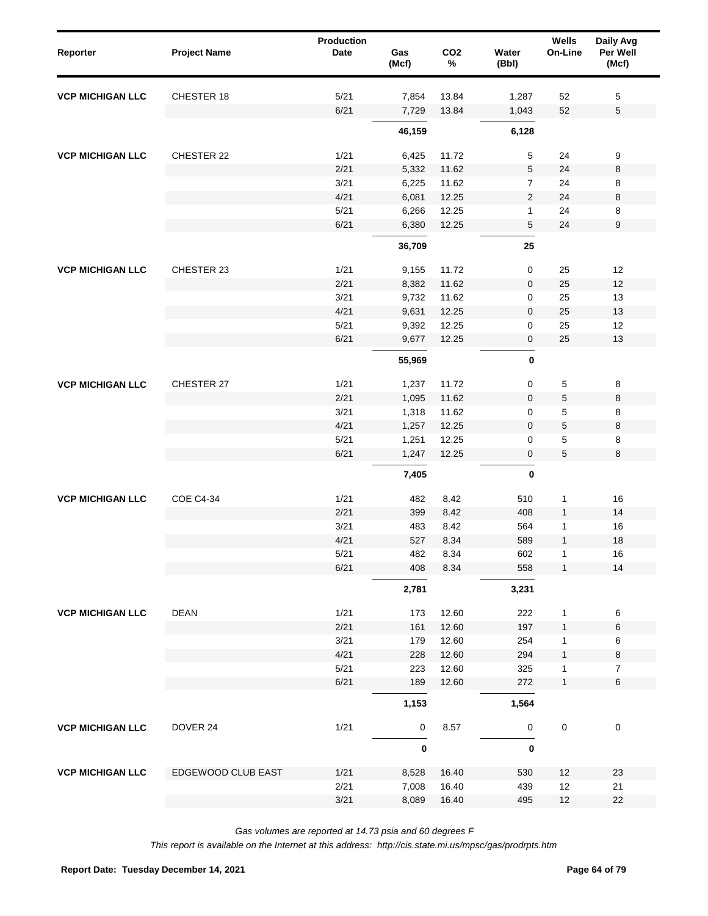| Reporter                | <b>Project Name</b> | <b>Production</b><br><b>Date</b> | Gas<br>(Mcf) | CO <sub>2</sub><br>$\%$ | Water<br>(Bbl) | Wells<br>On-Line | Daily Avg<br>Per Well<br>(Mcf) |
|-------------------------|---------------------|----------------------------------|--------------|-------------------------|----------------|------------------|--------------------------------|
| <b>VCP MICHIGAN LLC</b> | CHESTER 18          | 5/21                             | 7,854        | 13.84                   | 1,287          | 52               | 5                              |
|                         |                     | 6/21                             | 7,729        | 13.84                   | 1,043          | 52               | $\mathbf 5$                    |
|                         |                     |                                  | 46,159       |                         | 6,128          |                  |                                |
| <b>VCP MICHIGAN LLC</b> | CHESTER 22          | 1/21                             | 6,425        | 11.72                   | $\sqrt{5}$     | 24               | 9                              |
|                         |                     | 2/21                             | 5,332        | 11.62                   | $\,$ 5 $\,$    | 24               | 8                              |
|                         |                     | 3/21                             | 6,225        | 11.62                   | $\overline{7}$ | 24               | 8                              |
|                         |                     | 4/21                             | 6,081        | 12.25                   | $\sqrt{2}$     | 24               | 8                              |
|                         |                     | 5/21                             | 6,266        | 12.25                   | $\mathbf{1}$   | 24               | 8                              |
|                         |                     | 6/21                             | 6,380        | 12.25                   | 5              | 24               | $\boldsymbol{9}$               |
|                         |                     |                                  | 36,709       |                         | 25             |                  |                                |
| <b>VCP MICHIGAN LLC</b> | CHESTER 23          | 1/21                             | 9,155        | 11.72                   | 0              | 25               | 12                             |
|                         |                     | 2/21                             | 8,382        | 11.62                   | $\pmb{0}$      | 25               | 12                             |
|                         |                     | 3/21                             | 9,732        | 11.62                   | 0              | 25               | 13                             |
|                         |                     | 4/21                             | 9,631        | 12.25                   | $\pmb{0}$      | 25               | 13                             |
|                         |                     | 5/21                             | 9,392        | 12.25                   | 0              | 25               | 12                             |
|                         |                     | 6/21                             | 9,677        | 12.25                   | 0              | 25               | 13                             |
|                         |                     |                                  | 55,969       |                         | $\bf{0}$       |                  |                                |
| <b>VCP MICHIGAN LLC</b> | CHESTER 27          | 1/21                             | 1,237        | 11.72                   | $\mathbf 0$    | 5                | 8                              |
|                         |                     | 2/21                             | 1,095        | 11.62                   | $\mathbf{0}$   | 5                | 8                              |
|                         |                     | 3/21                             | 1,318        | 11.62                   | 0              | 5                | 8                              |
|                         |                     | 4/21                             | 1,257        | 12.25                   | $\mathbf 0$    | $\mathbf 5$      | 8                              |
|                         |                     | 5/21                             | 1,251        | 12.25                   | 0              | 5                | 8                              |
|                         |                     | 6/21                             | 1,247        | 12.25                   | $\pmb{0}$      | 5                | 8                              |
|                         |                     |                                  | 7,405        |                         | 0              |                  |                                |
| <b>VCP MICHIGAN LLC</b> | <b>COE C4-34</b>    | 1/21                             | 482          | 8.42                    | 510            | $\mathbf{1}$     | 16                             |
|                         |                     | 2/21                             | 399          | 8.42                    | 408            | $\mathbf{1}$     | 14                             |
|                         |                     | 3/21                             | 483          | 8.42                    | 564            | 1                | 16                             |
|                         |                     | 4/21                             | 527          | 8.34                    | 589            | $\mathbf{1}$     | 18                             |
|                         |                     | 5/21                             | 482          | 8.34                    | 602            | $\mathbf{1}$     | $16\,$                         |
|                         |                     | 6/21                             | 408          | 8.34                    | 558            | $\mathbf{1}$     | 14                             |
|                         |                     |                                  | 2,781        |                         | 3,231          |                  |                                |
| <b>VCP MICHIGAN LLC</b> | <b>DEAN</b>         | 1/21                             | 173          | 12.60                   | 222            | $\mathbf{1}$     | 6                              |
|                         |                     | 2/21                             | 161          | 12.60                   | 197            | $\mathbf{1}$     | $\,6\,$                        |
|                         |                     | 3/21                             | 179          | 12.60                   | 254            | 1                | 6                              |
|                         |                     | 4/21                             | 228          | 12.60                   | 294            | $\mathbf{1}$     | 8                              |
|                         |                     | 5/21                             | 223          | 12.60                   | 325            | 1                | $\overline{7}$                 |
|                         |                     | 6/21                             | 189          | 12.60                   | 272            | 1                | 6                              |
|                         |                     |                                  | 1,153        |                         | 1,564          |                  |                                |
| <b>VCP MICHIGAN LLC</b> | DOVER 24            | 1/21                             | 0            | 8.57                    | 0              | $\mathbf 0$      | $\pmb{0}$                      |
|                         |                     |                                  | $\pmb{0}$    |                         | 0              |                  |                                |
| <b>VCP MICHIGAN LLC</b> | EDGEWOOD CLUB EAST  | 1/21                             | 8,528        | 16.40                   | 530            | 12               | 23                             |
|                         |                     | 2/21                             | 7,008        | 16.40                   | 439            | 12               | 21                             |
|                         |                     | 3/21                             | 8,089        | 16.40                   | 495            | 12               | 22                             |
|                         |                     |                                  |              |                         |                |                  |                                |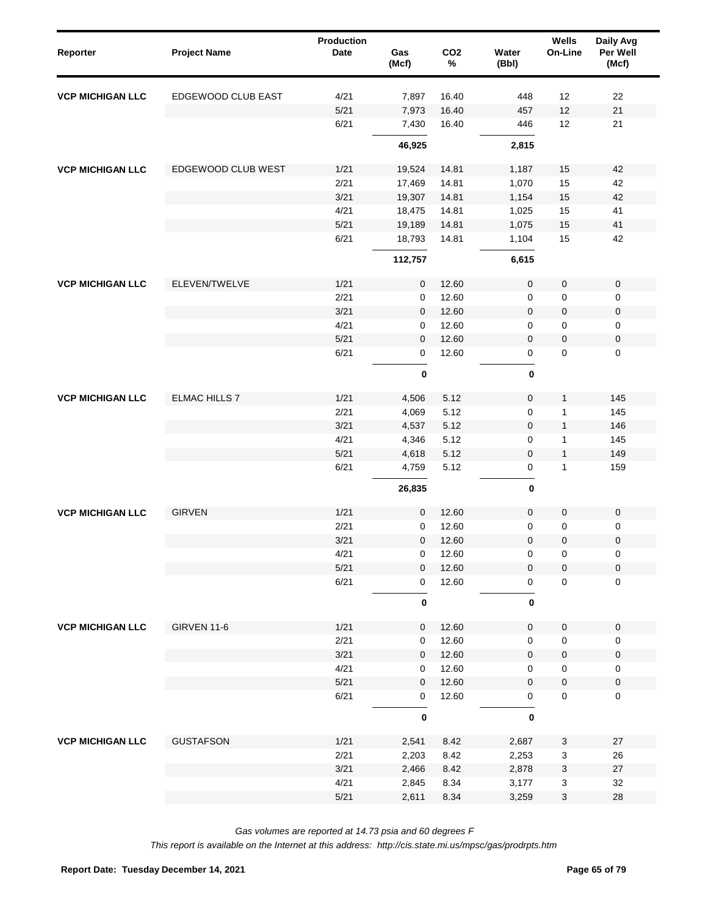| Reporter                | <b>Project Name</b>  | <b>Production</b><br><b>Date</b> | Gas<br>(Mcf) | CO <sub>2</sub><br>$\%$ | Water<br>(Bbl)   | Wells<br>On-Line | Daily Avg<br>Per Well<br>(Mcf) |
|-------------------------|----------------------|----------------------------------|--------------|-------------------------|------------------|------------------|--------------------------------|
| <b>VCP MICHIGAN LLC</b> | EDGEWOOD CLUB EAST   | 4/21                             | 7,897        | 16.40                   | 448              | 12               | 22                             |
|                         |                      | $5/21$                           | 7,973        | 16.40                   | 457              | 12               | 21                             |
|                         |                      | 6/21                             | 7,430        | 16.40                   | 446              | 12               | 21                             |
|                         |                      |                                  | 46,925       |                         | 2,815            |                  |                                |
| <b>VCP MICHIGAN LLC</b> | EDGEWOOD CLUB WEST   | 1/21                             | 19,524       | 14.81                   | 1,187            | 15               | 42                             |
|                         |                      | 2/21                             | 17,469       | 14.81                   | 1,070            | 15               | 42                             |
|                         |                      | 3/21                             | 19,307       | 14.81                   | 1,154            | 15               | 42                             |
|                         |                      | 4/21                             | 18,475       | 14.81                   | 1,025            | 15               | 41                             |
|                         |                      | 5/21                             | 19,189       | 14.81                   | 1,075            | 15               | 41                             |
|                         |                      | 6/21                             | 18,793       | 14.81                   | 1,104            | 15               | 42                             |
|                         |                      |                                  | 112,757      |                         | 6,615            |                  |                                |
| <b>VCP MICHIGAN LLC</b> | ELEVEN/TWELVE        | 1/21                             | 0            | 12.60                   | 0                | $\pmb{0}$        | $\pmb{0}$                      |
|                         |                      | 2/21                             | 0            | 12.60                   | 0                | $\pmb{0}$        | $\pmb{0}$                      |
|                         |                      | 3/21                             | $\mathbf{0}$ | 12.60                   | 0                | $\pmb{0}$        | $\pmb{0}$                      |
|                         |                      | 4/21                             | 0            | 12.60                   | 0                | $\pmb{0}$        | $\pmb{0}$                      |
|                         |                      | $5/21$                           | $\mathbf{0}$ | 12.60                   | $\mathbf 0$      | $\pmb{0}$        | $\pmb{0}$                      |
|                         |                      | 6/21                             | $\mathbf 0$  | 12.60                   | $\mathsf 0$      | $\mathbf 0$      | $\mathbf 0$                    |
|                         |                      |                                  | $\bf{0}$     |                         | 0                |                  |                                |
| <b>VCP MICHIGAN LLC</b> | <b>ELMAC HILLS 7</b> | 1/21                             | 4,506        | 5.12                    | $\mathbf 0$      | 1                | 145                            |
|                         |                      | 2/21                             | 4,069        | 5.12                    | 0                | $\mathbf{1}$     | 145                            |
|                         |                      | 3/21                             | 4,537        | 5.12                    | $\mathbf 0$      | $\mathbf{1}$     | 146                            |
|                         |                      | 4/21                             | 4,346        | 5.12                    | 0                | 1                | 145                            |
|                         |                      | 5/21                             | 4,618        | 5.12                    | $\boldsymbol{0}$ | $\mathbf{1}$     | 149                            |
|                         |                      | 6/21                             | 4,759        | 5.12                    | 0                | $\mathbf{1}$     | 159                            |
|                         |                      |                                  | 26,835       |                         | 0                |                  |                                |
| <b>VCP MICHIGAN LLC</b> | <b>GIRVEN</b>        | 1/21                             | 0            | 12.60                   | 0                | $\pmb{0}$        | $\pmb{0}$                      |
|                         |                      | 2/21                             | 0            | 12.60                   | 0                | $\pmb{0}$        | 0                              |
|                         |                      | 3/21                             | $\mathbf 0$  | 12.60                   | $\mathbf 0$      | $\mathbf 0$      | $\pmb{0}$                      |
|                         |                      | 4/21                             | 0            | 12.60                   | 0                | $\pmb{0}$        | 0                              |
|                         |                      | 5/21                             | 0            | 12.60                   | 0                | $\pmb{0}$        | $\pmb{0}$                      |
|                         |                      | 6/21                             | 0            | 12.60                   | $\mathsf 0$      | $\pmb{0}$        | $\pmb{0}$                      |
|                         |                      |                                  | 0            |                         | 0                |                  |                                |
| <b>VCP MICHIGAN LLC</b> | <b>GIRVEN 11-6</b>   | 1/21                             | 0            | 12.60                   | 0                | $\pmb{0}$        | $\pmb{0}$                      |
|                         |                      | 2/21                             | 0            | 12.60                   | 0                | $\pmb{0}$        | 0                              |
|                         |                      | 3/21                             | 0            | 12.60                   | $\mathbf 0$      | $\pmb{0}$        | $\pmb{0}$                      |
|                         |                      | 4/21                             | 0            | 12.60                   | 0                | $\pmb{0}$        | 0                              |
|                         |                      | $5/21$                           | 0            | 12.60                   | $\mathbf 0$      | $\pmb{0}$        | $\pmb{0}$                      |
|                         |                      | 6/21                             | 0            | 12.60                   | 0                | $\pmb{0}$        | $\pmb{0}$                      |
|                         |                      |                                  | 0            |                         | 0                |                  |                                |
| <b>VCP MICHIGAN LLC</b> | <b>GUSTAFSON</b>     | 1/21                             | 2,541        | 8.42                    | 2,687            | 3                | 27                             |
|                         |                      | 2/21                             | 2,203        | 8.42                    | 2,253            | $\mathbf 3$      | 26                             |
|                         |                      | 3/21                             | 2,466        | 8.42                    | 2,878            | 3                | $27\,$                         |
|                         |                      | 4/21                             | 2,845        | 8.34                    | 3,177            | 3                | 32                             |
|                         |                      | 5/21                             | 2,611        | 8.34                    | 3,259            | $\mathbf 3$      | 28                             |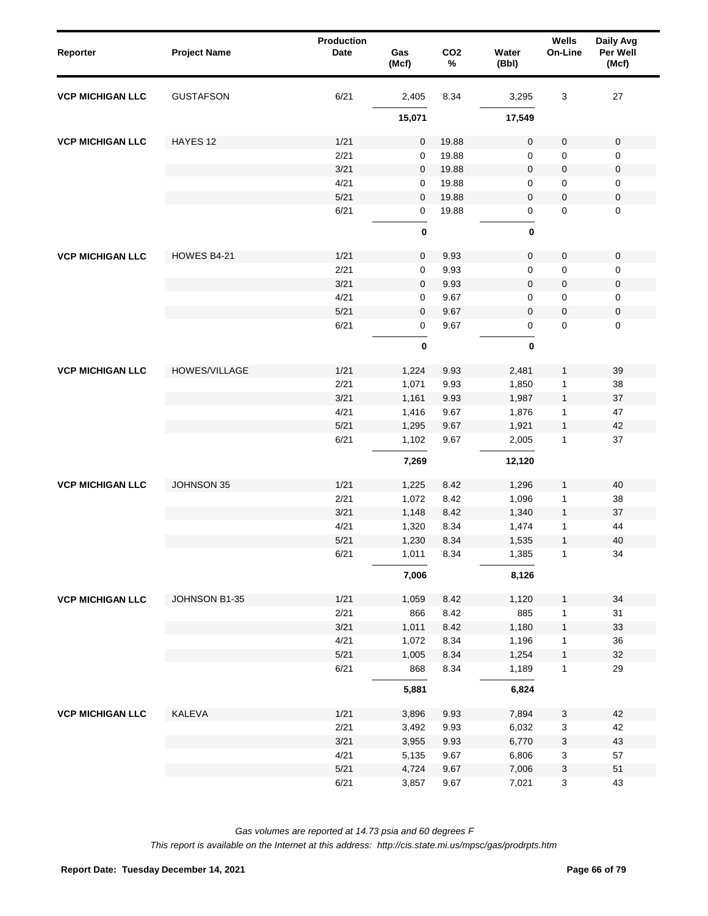| Reporter                | <b>Project Name</b>  | <b>Production</b><br><b>Date</b> | Gas<br>(Mcf) | CO <sub>2</sub><br>$\%$ | Water<br>(Bbl) | Wells<br>On-Line          | Daily Avg<br>Per Well<br>(Mcf) |
|-------------------------|----------------------|----------------------------------|--------------|-------------------------|----------------|---------------------------|--------------------------------|
| <b>VCP MICHIGAN LLC</b> | <b>GUSTAFSON</b>     | 6/21                             | 2,405        | 8.34                    | 3,295          | 3                         | 27                             |
|                         |                      |                                  | 15,071       |                         | 17,549         |                           |                                |
| <b>VCP MICHIGAN LLC</b> | HAYES 12             | 1/21                             | $\mathbf 0$  | 19.88                   | $\mathbf 0$    | $\mathbf 0$               | $\mathbf 0$                    |
|                         |                      | 2/21                             | $\mathbf 0$  | 19.88                   | $\mathbf 0$    | $\mathbf 0$               | 0                              |
|                         |                      | 3/21                             | $\mathbf 0$  | 19.88                   | $\mathsf 0$    | $\pmb{0}$                 | $\pmb{0}$                      |
|                         |                      | 4/21                             | $\mathbf 0$  | 19.88                   | 0              | $\mathbf 0$               | 0                              |
|                         |                      | 5/21                             | $\mathbf 0$  | 19.88                   | $\mathbf 0$    | $\mathbf 0$               | $\pmb{0}$                      |
|                         |                      | 6/21                             | 0            | 19.88                   | 0              | $\mathbf 0$               | 0                              |
|                         |                      |                                  | $\pmb{0}$    |                         | $\bf{0}$       |                           |                                |
| <b>VCP MICHIGAN LLC</b> | HOWES B4-21          | 1/21                             | $\mathbf 0$  | 9.93                    | $\mathbf 0$    | $\mathbf 0$               | $\pmb{0}$                      |
|                         |                      | 2/21                             | 0            | 9.93                    | $\mathbf 0$    | 0                         | 0                              |
|                         |                      | 3/21                             | $\mathbf 0$  | 9.93                    | $\mathbf 0$    | 0                         | $\pmb{0}$                      |
|                         |                      | 4/21                             | 0            | 9.67                    | $\mathbf 0$    | 0                         | 0                              |
|                         |                      | $5/21$                           | $\mathbf{0}$ | 9.67                    | $\mathbf 0$    | $\mathsf{O}\xspace$       | $\pmb{0}$                      |
|                         |                      | 6/21                             | $\mathbf 0$  | 9.67                    | 0              | $\mathbf{0}$              | $\mathbf 0$                    |
|                         |                      |                                  | $\pmb{0}$    |                         | 0              |                           |                                |
| <b>VCP MICHIGAN LLC</b> | <b>HOWES/VILLAGE</b> | 1/21                             | 1,224        | 9.93                    | 2,481          | $\mathbf{1}$              | 39                             |
|                         |                      | 2/21                             | 1,071        | 9.93                    | 1,850          | $\mathbf{1}$              | 38                             |
|                         |                      | 3/21                             | 1,161        | 9.93                    | 1,987          | $\mathbf{1}$              | 37                             |
|                         |                      | 4/21                             | 1,416        | 9.67                    | 1,876          | 1                         | 47                             |
|                         |                      | 5/21                             | 1,295        | 9.67                    | 1,921          | $\mathbf{1}$              | 42                             |
|                         |                      | 6/21                             | 1,102        | 9.67                    | 2,005          | $\mathbf{1}$              | 37                             |
|                         |                      |                                  | 7,269        |                         | 12,120         |                           |                                |
| <b>VCP MICHIGAN LLC</b> | JOHNSON 35           | 1/21                             | 1,225        | 8.42                    | 1,296          | $\mathbf{1}$              | 40                             |
|                         |                      | 2/21                             | 1,072        | 8.42                    | 1,096          | $\mathbf 1$               | 38                             |
|                         |                      | 3/21                             | 1,148        | 8.42                    | 1,340          | $\mathbf{1}$              | 37                             |
|                         |                      | 4/21                             | 1,320        | 8.34                    | 1,474          | $\mathbf{1}$              | 44                             |
|                         |                      | 5/21                             | 1,230        | 8.34                    | 1,535          | $\mathbf{1}$              | 40                             |
|                         |                      | 6/21                             | 1,011        | 8.34                    | 1,385          | $\mathbf{1}$              | 34                             |
|                         |                      |                                  | 7,006        |                         | 8,126          |                           |                                |
| <b>VCP MICHIGAN LLC</b> | JOHNSON B1-35        | 1/21                             | 1,059        | 8.42                    | 1,120          | $\mathbf{1}$              | 34                             |
|                         |                      | 2/21                             | 866          | 8.42                    | 885            | 1                         | 31                             |
|                         |                      | 3/21                             | 1,011        | 8.42                    | 1,180          | $\mathbf{1}$              | 33                             |
|                         |                      | 4/21                             | 1,072        | 8.34                    | 1,196          | $\mathbf{1}$              | 36                             |
|                         |                      | $5/21$                           | 1,005        | 8.34                    | 1,254          | $\mathbf{1}$              | 32                             |
|                         |                      | 6/21                             | 868          | 8.34                    | 1,189          | $\mathbf{1}$              | 29                             |
|                         |                      |                                  | 5,881        |                         | 6,824          |                           |                                |
| <b>VCP MICHIGAN LLC</b> | KALEVA               | 1/21                             | 3,896        | 9.93                    | 7,894          | $\ensuremath{\mathsf{3}}$ | 42                             |
|                         |                      | 2/21                             | 3,492        | 9.93                    | 6,032          | $\ensuremath{\mathsf{3}}$ | 42                             |
|                         |                      | 3/21                             | 3,955        | 9.93                    | 6,770          | $\ensuremath{\mathsf{3}}$ | 43                             |
|                         |                      | 4/21                             | 5,135        | 9.67                    | 6,806          | $\ensuremath{\mathsf{3}}$ | 57                             |
|                         |                      | 5/21                             | 4,724        | 9.67                    | 7,006          | $\ensuremath{\mathsf{3}}$ | $51\,$                         |
|                         |                      | 6/21                             | 3,857        | 9.67                    | 7,021          | $\mathbf 3$               | 43                             |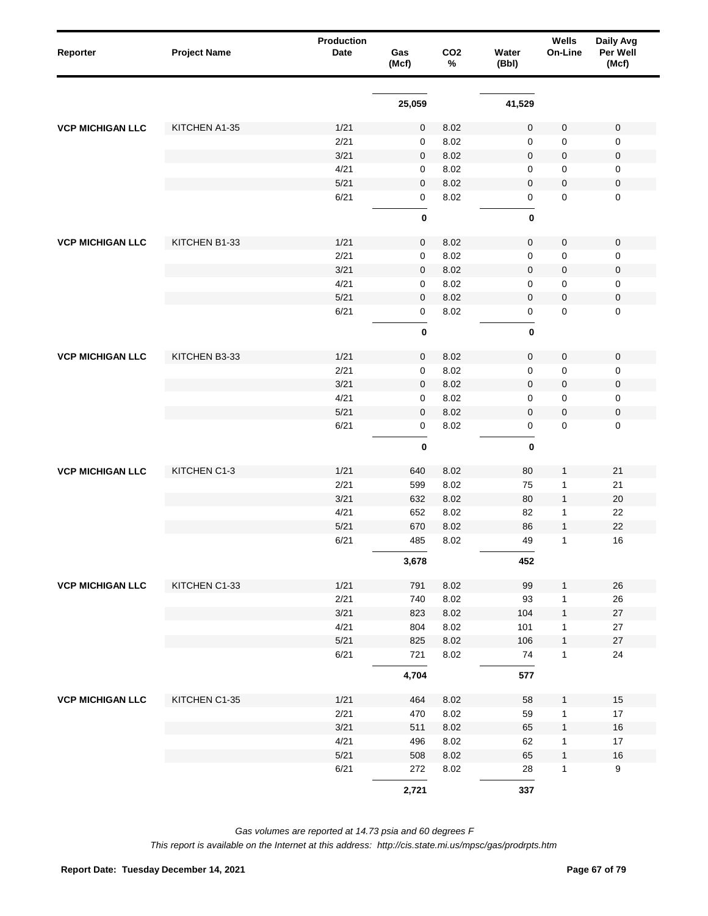| Reporter                | <b>Project Name</b> | <b>Production</b><br>Date | Gas<br>(Mcf) | CO <sub>2</sub><br>$\%$ | Water<br>(Bbl) | Wells<br>On-Line | Daily Avg<br>Per Well<br>(Mcf) |
|-------------------------|---------------------|---------------------------|--------------|-------------------------|----------------|------------------|--------------------------------|
|                         |                     |                           | 25,059       |                         | 41,529         |                  |                                |
| <b>VCP MICHIGAN LLC</b> | KITCHEN A1-35       | 1/21                      | 0            | 8.02                    | $\mathbf 0$    | $\mathsf 0$      | $\pmb{0}$                      |
|                         |                     | 2/21                      | 0            | 8.02                    | $\mathbf 0$    | 0                | 0                              |
|                         |                     | 3/21                      | 0            | 8.02                    | $\mathbf 0$    | $\pmb{0}$        | 0                              |
|                         |                     | 4/21                      | 0            | 8.02                    | 0              | 0                | 0                              |
|                         |                     | 5/21                      | 0            | 8.02                    | $\mathbf 0$    | $\pmb{0}$        | 0                              |
|                         |                     | 6/21                      | 0            | 8.02                    | 0              | $\mathbf 0$      | $\mathsf 0$                    |
|                         |                     |                           | $\pmb{0}$    |                         | 0              |                  |                                |
| <b>VCP MICHIGAN LLC</b> | KITCHEN B1-33       | 1/21                      | 0            | 8.02                    | $\mathsf 0$    | $\pmb{0}$        | 0                              |
|                         |                     | 2/21                      | 0            | 8.02                    | $\mathbf 0$    | $\mathbf 0$      | 0                              |
|                         |                     | 3/21                      | $\mathbf 0$  | 8.02                    | $\mathbf 0$    | $\pmb{0}$        | 0                              |
|                         |                     | 4/21                      | 0            | 8.02                    | 0              | $\mathbf 0$      | 0                              |
|                         |                     | 5/21                      | $\mathbf 0$  | 8.02                    | $\mathbf 0$    | $\pmb{0}$        | 0                              |
|                         |                     | 6/21                      | 0            | 8.02                    | 0              | 0                | 0                              |
|                         |                     |                           | $\pmb{0}$    |                         | 0              |                  |                                |
| <b>VCP MICHIGAN LLC</b> | KITCHEN B3-33       | 1/21                      | 0            | 8.02                    | $\mathsf 0$    | $\mathbf 0$      | $\pmb{0}$                      |
|                         |                     | 2/21                      | 0            | 8.02                    | $\mathbf 0$    | 0                | 0                              |
|                         |                     | 3/21                      | 0            | 8.02                    | $\mathbf 0$    | $\pmb{0}$        | 0                              |
|                         |                     | 4/21                      | 0            | 8.02                    | $\mathbf 0$    | 0                | 0                              |
|                         |                     | 5/21                      | 0            | 8.02                    | $\mathbf 0$    | $\pmb{0}$        | $\pmb{0}$                      |
|                         |                     | 6/21                      | 0            | 8.02                    | $\mathsf 0$    | $\pmb{0}$        | $\mathsf 0$                    |
|                         |                     |                           | $\pmb{0}$    |                         | $\pmb{0}$      |                  |                                |
| <b>VCP MICHIGAN LLC</b> | KITCHEN C1-3        | 1/21                      | 640          | 8.02                    | 80             | 1                | 21                             |
|                         |                     | 2/21                      | 599          | 8.02                    | 75             | 1                | 21                             |
|                         |                     | 3/21                      | 632          | 8.02                    | 80             | $\mathbf{1}$     | 20                             |
|                         |                     | 4/21                      | 652          | 8.02                    | 82             | 1                | 22                             |
|                         |                     | 5/21                      | 670          | 8.02                    | 86             | $\mathbf{1}$     | 22                             |
|                         |                     | 6/21                      | 485          | 8.02                    | 49             | 1                | 16                             |
|                         |                     |                           | 3,678        |                         | 452            |                  |                                |
| <b>VCP MICHIGAN LLC</b> | KITCHEN C1-33       | 1/21                      | 791          | 8.02                    | 99             | $\mathbf{1}$     | 26                             |
|                         |                     | 2/21                      | 740          | 8.02                    | 93             | $\mathbf{1}$     | 26                             |
|                         |                     | 3/21                      | 823          | 8.02                    | 104            | $\mathbf{1}$     | $27\,$                         |
|                         |                     | 4/21                      | 804          | 8.02                    | 101            | 1                | 27                             |
|                         |                     | 5/21                      | 825          | 8.02                    | 106            | $\mathbf{1}$     | $27\,$                         |
|                         |                     | 6/21                      | 721          | 8.02                    | 74             | $\mathbf{1}$     | 24                             |
|                         |                     |                           | 4,704        |                         | 577            |                  |                                |
| <b>VCP MICHIGAN LLC</b> | KITCHEN C1-35       | 1/21                      | 464          | 8.02                    | 58             | 1                | 15                             |
|                         |                     | 2/21                      | 470          | 8.02                    | 59             | 1                | $17\,$                         |
|                         |                     | 3/21                      | 511          | 8.02                    | 65             | 1                | $16\,$                         |
|                         |                     | 4/21                      | 496          | 8.02                    | 62             | 1                | $17\,$                         |
|                         |                     | 5/21                      | 508          | 8.02                    | 65             | 1                | $16\,$                         |
|                         |                     | 6/21                      | 272          | 8.02                    | 28             | $\mathbf{1}$     | $\boldsymbol{9}$               |
|                         |                     |                           | 2,721        |                         | 337            |                  |                                |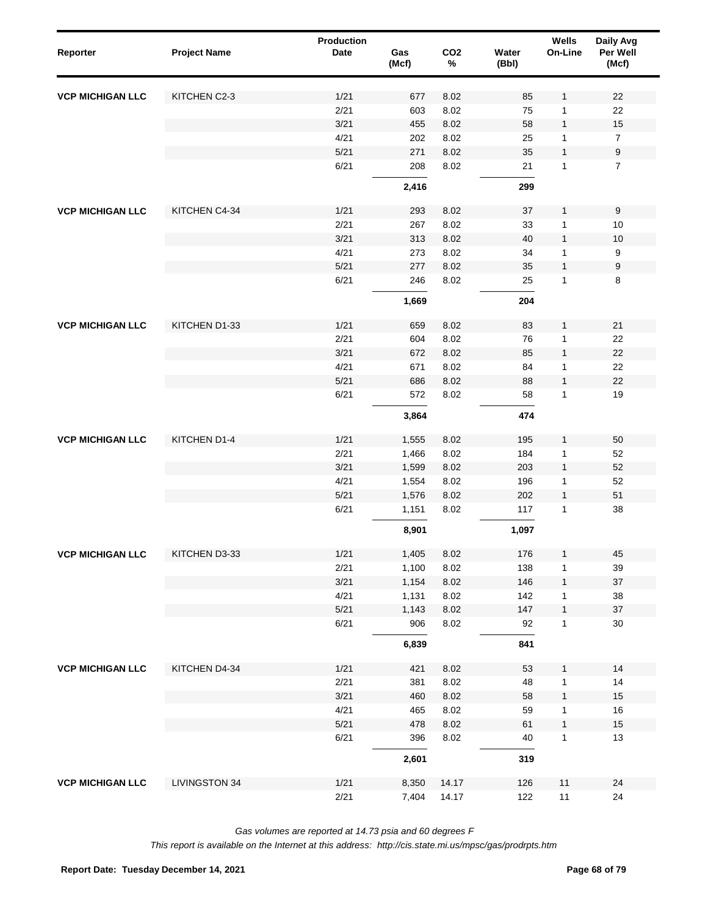| Reporter                | <b>Project Name</b>  | Production<br>Date | Gas<br>(Mcf)   | CO <sub>2</sub><br>$\%$ | Water<br>(Bbl) | Wells<br>On-Line | Daily Avg<br>Per Well<br>(Mcf) |  |
|-------------------------|----------------------|--------------------|----------------|-------------------------|----------------|------------------|--------------------------------|--|
| <b>VCP MICHIGAN LLC</b> | KITCHEN C2-3         | 1/21               | 677            | 8.02                    | 85             | $\mathbf{1}$     | 22                             |  |
|                         |                      | 2/21               | 603            | 8.02                    | 75             | 1                | 22                             |  |
|                         |                      | 3/21               | 455            | 8.02                    | 58             | $\mathbf{1}$     | 15                             |  |
|                         |                      | 4/21               | 202            | 8.02                    | 25             | 1                | $\overline{7}$                 |  |
|                         |                      | 5/21               | 271            | 8.02                    | 35             | $\mathbf{1}$     | $\boldsymbol{9}$               |  |
|                         |                      | 6/21               | 208            | 8.02                    | 21             | 1                | $\overline{7}$                 |  |
|                         |                      |                    | 2,416          |                         | 299            |                  |                                |  |
| <b>VCP MICHIGAN LLC</b> | KITCHEN C4-34        | 1/21               | 293            | 8.02                    | 37             | $\mathbf{1}$     | 9                              |  |
|                         |                      | 2/21               | 267            | 8.02                    | 33             | $\mathbf{1}$     | 10                             |  |
|                         |                      | 3/21               | 313            | 8.02                    | 40             | $\mathbf{1}$     | 10                             |  |
|                         |                      | 4/21               | 273            | 8.02                    | 34             | $\mathbf{1}$     | 9                              |  |
|                         |                      | 5/21               | 277            | 8.02                    | 35             | $\mathbf{1}$     | $\boldsymbol{9}$               |  |
|                         |                      | 6/21               | 246            | 8.02                    | 25             | 1                | 8                              |  |
|                         |                      |                    | 1,669          |                         | 204            |                  |                                |  |
| <b>VCP MICHIGAN LLC</b> | KITCHEN D1-33        | 1/21               | 659            | 8.02                    | 83             | $\mathbf{1}$     | 21                             |  |
|                         |                      | 2/21               | 604            | 8.02                    | 76             | 1                | 22                             |  |
|                         |                      | 3/21               | 672            | 8.02                    | 85             | $\mathbf{1}$     | 22                             |  |
|                         |                      | 4/21               | 671            | 8.02                    | 84             | 1                | 22                             |  |
|                         |                      | 5/21               | 686            | 8.02                    | 88             | $\mathbf{1}$     | 22                             |  |
|                         |                      | 6/21               | 572            | 8.02                    | 58             | 1                | 19                             |  |
|                         |                      |                    | 3,864          |                         | 474            |                  |                                |  |
| <b>VCP MICHIGAN LLC</b> | KITCHEN D1-4         | 1/21               | 1,555          | 8.02                    | 195            | $\mathbf{1}$     | 50                             |  |
|                         |                      | 2/21               | 1,466          | 8.02                    | 184            | $\mathbf{1}$     | 52                             |  |
|                         |                      | 3/21               | 1,599          | 8.02                    | 203            | $\mathbf{1}$     | 52                             |  |
|                         |                      | 4/21               | 1,554          | 8.02                    | 196            | $\mathbf{1}$     | 52                             |  |
|                         |                      | 5/21               | 1,576          | 8.02                    | 202            | $\mathbf{1}$     | 51                             |  |
|                         |                      | 6/21               | 1,151          | 8.02                    | 117            | 1                | 38                             |  |
|                         |                      |                    | 8,901          |                         | 1,097          |                  |                                |  |
| <b>VCP MICHIGAN LLC</b> | KITCHEN D3-33        | 1/21               | 1,405          | 8.02                    | 176            | $\mathbf{1}$     | 45                             |  |
|                         |                      | 2/21               | 1,100          | 8.02                    | 138            | 1                | 39                             |  |
|                         |                      | 3/21               | 1,154          | 8.02                    | 146            | $\mathbf{1}$     | $37\,$                         |  |
|                         |                      | 4/21               | 1,131          | 8.02                    | 142            | 1                | 38                             |  |
|                         |                      | 5/21               | 1,143          | 8.02                    | 147            | $\mathbf{1}$     | $37\,$                         |  |
|                         |                      | 6/21               | 906            | 8.02                    | 92             | 1                | 30                             |  |
|                         |                      |                    | 6,839          |                         | 841            |                  |                                |  |
| <b>VCP MICHIGAN LLC</b> | KITCHEN D4-34        | 1/21               | 421            | 8.02                    | 53             | $\mathbf{1}$     | 14                             |  |
|                         |                      | 2/21               | 381            | 8.02                    | 48             | $\mathbf{1}$     | 14                             |  |
|                         |                      | 3/21               | 460            | 8.02                    | 58             | $\mathbf{1}$     | 15                             |  |
|                         |                      | 4/21               | 465            | 8.02                    | 59             | $\mathbf{1}$     | 16                             |  |
|                         |                      | 5/21               | 478            | 8.02                    | 61             | $\mathbf{1}$     | 15                             |  |
|                         |                      | 6/21               | 396            | 8.02                    | 40             | $\mathbf{1}$     | 13                             |  |
|                         |                      |                    | 2,601          |                         | 319            |                  |                                |  |
| <b>VCP MICHIGAN LLC</b> | <b>LIVINGSTON 34</b> | 1/21<br>2/21       | 8,350<br>7,404 | 14.17<br>14.17          | 126<br>122     | 11<br>11         | 24<br>24                       |  |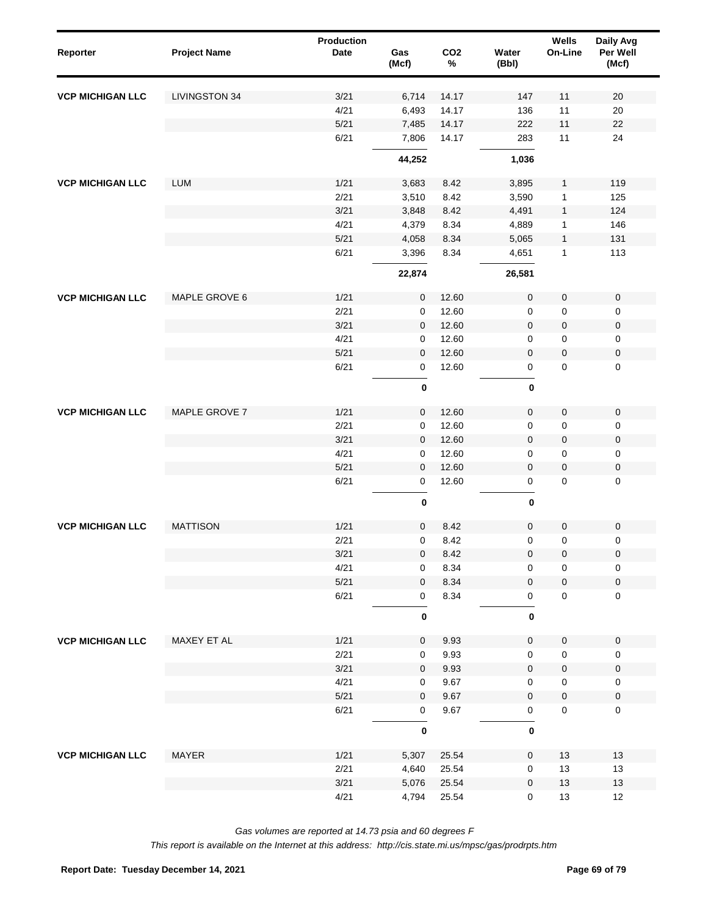| LIVINGSTON 34<br>3/21<br>6,714<br>14.17<br>147<br>11<br>20<br><b>VCP MICHIGAN LLC</b><br>4/21<br>11<br>6,493<br>14.17<br>136<br>20<br>$5/21$<br>22<br>7,485<br>14.17<br>222<br>11<br>6/21<br>11<br>7,806<br>14.17<br>283<br>24<br>44,252<br>1,036<br>119<br><b>VCP MICHIGAN LLC</b><br><b>LUM</b><br>1/21<br>3,683<br>3,895<br>8.42<br>1<br>2/21<br>3,590<br>125<br>3,510<br>8.42<br>$\mathbf{1}$<br>3/21<br>124<br>3,848<br>8.42<br>4,491<br>$\mathbf{1}$<br>4/21<br>4,379<br>8.34<br>4,889<br>146<br>1<br>$5/21$<br>131<br>4,058<br>8.34<br>5,065<br>$\mathbf{1}$<br>6/21<br>3,396<br>8.34<br>4,651<br>$\mathbf{1}$<br>113<br>22,874<br>26,581<br>MAPLE GROVE 6<br>$\pmb{0}$<br>$\pmb{0}$<br>$\pmb{0}$<br><b>VCP MICHIGAN LLC</b><br>1/21<br>12.60<br>0<br>2/21<br>12.60<br>0<br>$\pmb{0}$<br>$\pmb{0}$<br>0<br>3/21<br>$\pmb{0}$<br>$\pmb{0}$<br>12.60<br>$\pmb{0}$<br>0<br>4/21<br>$\pmb{0}$<br>12.60<br>0<br>0<br>0<br>5/21<br>$\pmb{0}$<br>$\pmb{0}$<br>12.60<br>$\mathbf 0$<br>$\mathbf{0}$<br>6/21<br>12.60<br>$\mathbf 0$<br>$\mathbf 0$<br>$\mathbf 0$<br>0<br>$\pmb{0}$<br>$\pmb{0}$<br>1/21<br>$\mathbf 0$<br><b>VCP MICHIGAN LLC</b><br>MAPLE GROVE 7<br>$\mathbf 0$<br>12.60<br>$\mathbf 0$<br>$\mathbf 0$<br>2/21<br>12.60<br>0<br>$\pmb{0}$<br>0<br>0<br>3/21<br>$\mathbf 0$<br>$\pmb{0}$<br>$\pmb{0}$<br>12.60<br>0<br>4/21<br>12.60<br>$\mathbf 0$<br>$\pmb{0}$<br>$\pmb{0}$<br>0<br>5/21<br>$\mathbf 0$<br>$\pmb{0}$<br>$\pmb{0}$<br>12.60<br>0<br>6/21<br>$\mathbf 0$<br>12.60<br>$\mathsf 0$<br>$\mathbf 0$<br>0<br>$\pmb{0}$<br>0<br><b>MATTISON</b><br>1/21<br>$\mathbf 0$<br>$\mathbf 0$<br>$\pmb{0}$<br>$\pmb{0}$<br><b>VCP MICHIGAN LLC</b><br>8.42<br>2/21<br>$\mathbf 0$<br>8.42<br>$\mathbf 0$<br>$\mathbf 0$<br>0<br>3/21<br>0<br>$\pmb{0}$<br>$\pmb{0}$<br>$\mathbf 0$<br>8.42<br>4/21<br>8.34<br>0<br>0<br>0<br>0<br>5/21<br>$\pmb{0}$<br>8.34<br>0<br>$\pmb{0}$<br>0<br>6/21<br>$\mathbf 0$<br>8.34<br>$\mathsf 0$<br>$\pmb{0}$<br>0<br>$\pmb{0}$<br>0<br><b>VCP MICHIGAN LLC</b><br>MAXEY ET AL<br>1/21<br>9.93<br>$\mathbf 0$<br>$\pmb{0}$<br>$\mathbf 0$<br>0<br>2/21<br>9.93<br>$\pmb{0}$<br>0<br>0<br>0<br>3/21<br>9.93<br>$\mathbf 0$<br>$\pmb{0}$<br>$\pmb{0}$<br>0<br>4/21<br>9.67<br>$\pmb{0}$<br>0<br>0<br>0<br>$5/21$<br>9.67<br>$\mathbf 0$<br>$\pmb{0}$<br>$\pmb{0}$<br>0<br>6/21<br>9.67<br>$\mathbf 0$<br>0<br>0<br>0<br>$\pmb{0}$<br>0<br><b>VCP MICHIGAN LLC</b><br>MAYER<br>1/21<br>5,307<br>$13$<br>13<br>25.54<br>0<br>2/21<br>4,640<br>25.54<br>$13$<br>13<br>0<br>3/21<br>5,076<br>25.54<br>0<br>$13$<br>13 | Reporter | <b>Project Name</b> | <b>Production</b><br><b>Date</b> | Gas<br>(Mcf) | CO <sub>2</sub><br>$\%$ | Water<br>(Bbl) | Wells<br>On-Line | Daily Avg<br>Per Well<br>(Mcf) |
|--------------------------------------------------------------------------------------------------------------------------------------------------------------------------------------------------------------------------------------------------------------------------------------------------------------------------------------------------------------------------------------------------------------------------------------------------------------------------------------------------------------------------------------------------------------------------------------------------------------------------------------------------------------------------------------------------------------------------------------------------------------------------------------------------------------------------------------------------------------------------------------------------------------------------------------------------------------------------------------------------------------------------------------------------------------------------------------------------------------------------------------------------------------------------------------------------------------------------------------------------------------------------------------------------------------------------------------------------------------------------------------------------------------------------------------------------------------------------------------------------------------------------------------------------------------------------------------------------------------------------------------------------------------------------------------------------------------------------------------------------------------------------------------------------------------------------------------------------------------------------------------------------------------------------------------------------------------------------------------------------------------------------------------------------------------------------------------------------------------------------------------------------------------------------------------------------------------------------------------------------------------------------------------------------------------------------------------------------------------------------------------------------------------------------------------------------------------------------------------------------------------------------------------------------------------------|----------|---------------------|----------------------------------|--------------|-------------------------|----------------|------------------|--------------------------------|
|                                                                                                                                                                                                                                                                                                                                                                                                                                                                                                                                                                                                                                                                                                                                                                                                                                                                                                                                                                                                                                                                                                                                                                                                                                                                                                                                                                                                                                                                                                                                                                                                                                                                                                                                                                                                                                                                                                                                                                                                                                                                                                                                                                                                                                                                                                                                                                                                                                                                                                                                                                    |          |                     |                                  |              |                         |                |                  |                                |
|                                                                                                                                                                                                                                                                                                                                                                                                                                                                                                                                                                                                                                                                                                                                                                                                                                                                                                                                                                                                                                                                                                                                                                                                                                                                                                                                                                                                                                                                                                                                                                                                                                                                                                                                                                                                                                                                                                                                                                                                                                                                                                                                                                                                                                                                                                                                                                                                                                                                                                                                                                    |          |                     |                                  |              |                         |                |                  |                                |
|                                                                                                                                                                                                                                                                                                                                                                                                                                                                                                                                                                                                                                                                                                                                                                                                                                                                                                                                                                                                                                                                                                                                                                                                                                                                                                                                                                                                                                                                                                                                                                                                                                                                                                                                                                                                                                                                                                                                                                                                                                                                                                                                                                                                                                                                                                                                                                                                                                                                                                                                                                    |          |                     |                                  |              |                         |                |                  |                                |
|                                                                                                                                                                                                                                                                                                                                                                                                                                                                                                                                                                                                                                                                                                                                                                                                                                                                                                                                                                                                                                                                                                                                                                                                                                                                                                                                                                                                                                                                                                                                                                                                                                                                                                                                                                                                                                                                                                                                                                                                                                                                                                                                                                                                                                                                                                                                                                                                                                                                                                                                                                    |          |                     |                                  |              |                         |                |                  |                                |
|                                                                                                                                                                                                                                                                                                                                                                                                                                                                                                                                                                                                                                                                                                                                                                                                                                                                                                                                                                                                                                                                                                                                                                                                                                                                                                                                                                                                                                                                                                                                                                                                                                                                                                                                                                                                                                                                                                                                                                                                                                                                                                                                                                                                                                                                                                                                                                                                                                                                                                                                                                    |          |                     |                                  |              |                         |                |                  |                                |
|                                                                                                                                                                                                                                                                                                                                                                                                                                                                                                                                                                                                                                                                                                                                                                                                                                                                                                                                                                                                                                                                                                                                                                                                                                                                                                                                                                                                                                                                                                                                                                                                                                                                                                                                                                                                                                                                                                                                                                                                                                                                                                                                                                                                                                                                                                                                                                                                                                                                                                                                                                    |          |                     |                                  |              |                         |                |                  |                                |
|                                                                                                                                                                                                                                                                                                                                                                                                                                                                                                                                                                                                                                                                                                                                                                                                                                                                                                                                                                                                                                                                                                                                                                                                                                                                                                                                                                                                                                                                                                                                                                                                                                                                                                                                                                                                                                                                                                                                                                                                                                                                                                                                                                                                                                                                                                                                                                                                                                                                                                                                                                    |          |                     |                                  |              |                         |                |                  |                                |
|                                                                                                                                                                                                                                                                                                                                                                                                                                                                                                                                                                                                                                                                                                                                                                                                                                                                                                                                                                                                                                                                                                                                                                                                                                                                                                                                                                                                                                                                                                                                                                                                                                                                                                                                                                                                                                                                                                                                                                                                                                                                                                                                                                                                                                                                                                                                                                                                                                                                                                                                                                    |          |                     |                                  |              |                         |                |                  |                                |
|                                                                                                                                                                                                                                                                                                                                                                                                                                                                                                                                                                                                                                                                                                                                                                                                                                                                                                                                                                                                                                                                                                                                                                                                                                                                                                                                                                                                                                                                                                                                                                                                                                                                                                                                                                                                                                                                                                                                                                                                                                                                                                                                                                                                                                                                                                                                                                                                                                                                                                                                                                    |          |                     |                                  |              |                         |                |                  |                                |
|                                                                                                                                                                                                                                                                                                                                                                                                                                                                                                                                                                                                                                                                                                                                                                                                                                                                                                                                                                                                                                                                                                                                                                                                                                                                                                                                                                                                                                                                                                                                                                                                                                                                                                                                                                                                                                                                                                                                                                                                                                                                                                                                                                                                                                                                                                                                                                                                                                                                                                                                                                    |          |                     |                                  |              |                         |                |                  |                                |
|                                                                                                                                                                                                                                                                                                                                                                                                                                                                                                                                                                                                                                                                                                                                                                                                                                                                                                                                                                                                                                                                                                                                                                                                                                                                                                                                                                                                                                                                                                                                                                                                                                                                                                                                                                                                                                                                                                                                                                                                                                                                                                                                                                                                                                                                                                                                                                                                                                                                                                                                                                    |          |                     |                                  |              |                         |                |                  |                                |
|                                                                                                                                                                                                                                                                                                                                                                                                                                                                                                                                                                                                                                                                                                                                                                                                                                                                                                                                                                                                                                                                                                                                                                                                                                                                                                                                                                                                                                                                                                                                                                                                                                                                                                                                                                                                                                                                                                                                                                                                                                                                                                                                                                                                                                                                                                                                                                                                                                                                                                                                                                    |          |                     |                                  |              |                         |                |                  |                                |
|                                                                                                                                                                                                                                                                                                                                                                                                                                                                                                                                                                                                                                                                                                                                                                                                                                                                                                                                                                                                                                                                                                                                                                                                                                                                                                                                                                                                                                                                                                                                                                                                                                                                                                                                                                                                                                                                                                                                                                                                                                                                                                                                                                                                                                                                                                                                                                                                                                                                                                                                                                    |          |                     |                                  |              |                         |                |                  |                                |
|                                                                                                                                                                                                                                                                                                                                                                                                                                                                                                                                                                                                                                                                                                                                                                                                                                                                                                                                                                                                                                                                                                                                                                                                                                                                                                                                                                                                                                                                                                                                                                                                                                                                                                                                                                                                                                                                                                                                                                                                                                                                                                                                                                                                                                                                                                                                                                                                                                                                                                                                                                    |          |                     |                                  |              |                         |                |                  |                                |
|                                                                                                                                                                                                                                                                                                                                                                                                                                                                                                                                                                                                                                                                                                                                                                                                                                                                                                                                                                                                                                                                                                                                                                                                                                                                                                                                                                                                                                                                                                                                                                                                                                                                                                                                                                                                                                                                                                                                                                                                                                                                                                                                                                                                                                                                                                                                                                                                                                                                                                                                                                    |          |                     |                                  |              |                         |                |                  |                                |
|                                                                                                                                                                                                                                                                                                                                                                                                                                                                                                                                                                                                                                                                                                                                                                                                                                                                                                                                                                                                                                                                                                                                                                                                                                                                                                                                                                                                                                                                                                                                                                                                                                                                                                                                                                                                                                                                                                                                                                                                                                                                                                                                                                                                                                                                                                                                                                                                                                                                                                                                                                    |          |                     |                                  |              |                         |                |                  |                                |
|                                                                                                                                                                                                                                                                                                                                                                                                                                                                                                                                                                                                                                                                                                                                                                                                                                                                                                                                                                                                                                                                                                                                                                                                                                                                                                                                                                                                                                                                                                                                                                                                                                                                                                                                                                                                                                                                                                                                                                                                                                                                                                                                                                                                                                                                                                                                                                                                                                                                                                                                                                    |          |                     |                                  |              |                         |                |                  |                                |
|                                                                                                                                                                                                                                                                                                                                                                                                                                                                                                                                                                                                                                                                                                                                                                                                                                                                                                                                                                                                                                                                                                                                                                                                                                                                                                                                                                                                                                                                                                                                                                                                                                                                                                                                                                                                                                                                                                                                                                                                                                                                                                                                                                                                                                                                                                                                                                                                                                                                                                                                                                    |          |                     |                                  |              |                         |                |                  |                                |
|                                                                                                                                                                                                                                                                                                                                                                                                                                                                                                                                                                                                                                                                                                                                                                                                                                                                                                                                                                                                                                                                                                                                                                                                                                                                                                                                                                                                                                                                                                                                                                                                                                                                                                                                                                                                                                                                                                                                                                                                                                                                                                                                                                                                                                                                                                                                                                                                                                                                                                                                                                    |          |                     |                                  |              |                         |                |                  |                                |
|                                                                                                                                                                                                                                                                                                                                                                                                                                                                                                                                                                                                                                                                                                                                                                                                                                                                                                                                                                                                                                                                                                                                                                                                                                                                                                                                                                                                                                                                                                                                                                                                                                                                                                                                                                                                                                                                                                                                                                                                                                                                                                                                                                                                                                                                                                                                                                                                                                                                                                                                                                    |          |                     |                                  |              |                         |                |                  |                                |
|                                                                                                                                                                                                                                                                                                                                                                                                                                                                                                                                                                                                                                                                                                                                                                                                                                                                                                                                                                                                                                                                                                                                                                                                                                                                                                                                                                                                                                                                                                                                                                                                                                                                                                                                                                                                                                                                                                                                                                                                                                                                                                                                                                                                                                                                                                                                                                                                                                                                                                                                                                    |          |                     |                                  |              |                         |                |                  |                                |
|                                                                                                                                                                                                                                                                                                                                                                                                                                                                                                                                                                                                                                                                                                                                                                                                                                                                                                                                                                                                                                                                                                                                                                                                                                                                                                                                                                                                                                                                                                                                                                                                                                                                                                                                                                                                                                                                                                                                                                                                                                                                                                                                                                                                                                                                                                                                                                                                                                                                                                                                                                    |          |                     |                                  |              |                         |                |                  |                                |
|                                                                                                                                                                                                                                                                                                                                                                                                                                                                                                                                                                                                                                                                                                                                                                                                                                                                                                                                                                                                                                                                                                                                                                                                                                                                                                                                                                                                                                                                                                                                                                                                                                                                                                                                                                                                                                                                                                                                                                                                                                                                                                                                                                                                                                                                                                                                                                                                                                                                                                                                                                    |          |                     |                                  |              |                         |                |                  |                                |
|                                                                                                                                                                                                                                                                                                                                                                                                                                                                                                                                                                                                                                                                                                                                                                                                                                                                                                                                                                                                                                                                                                                                                                                                                                                                                                                                                                                                                                                                                                                                                                                                                                                                                                                                                                                                                                                                                                                                                                                                                                                                                                                                                                                                                                                                                                                                                                                                                                                                                                                                                                    |          |                     |                                  |              |                         |                |                  |                                |
|                                                                                                                                                                                                                                                                                                                                                                                                                                                                                                                                                                                                                                                                                                                                                                                                                                                                                                                                                                                                                                                                                                                                                                                                                                                                                                                                                                                                                                                                                                                                                                                                                                                                                                                                                                                                                                                                                                                                                                                                                                                                                                                                                                                                                                                                                                                                                                                                                                                                                                                                                                    |          |                     |                                  |              |                         |                |                  |                                |
|                                                                                                                                                                                                                                                                                                                                                                                                                                                                                                                                                                                                                                                                                                                                                                                                                                                                                                                                                                                                                                                                                                                                                                                                                                                                                                                                                                                                                                                                                                                                                                                                                                                                                                                                                                                                                                                                                                                                                                                                                                                                                                                                                                                                                                                                                                                                                                                                                                                                                                                                                                    |          |                     |                                  |              |                         |                |                  |                                |
|                                                                                                                                                                                                                                                                                                                                                                                                                                                                                                                                                                                                                                                                                                                                                                                                                                                                                                                                                                                                                                                                                                                                                                                                                                                                                                                                                                                                                                                                                                                                                                                                                                                                                                                                                                                                                                                                                                                                                                                                                                                                                                                                                                                                                                                                                                                                                                                                                                                                                                                                                                    |          |                     |                                  |              |                         |                |                  |                                |
|                                                                                                                                                                                                                                                                                                                                                                                                                                                                                                                                                                                                                                                                                                                                                                                                                                                                                                                                                                                                                                                                                                                                                                                                                                                                                                                                                                                                                                                                                                                                                                                                                                                                                                                                                                                                                                                                                                                                                                                                                                                                                                                                                                                                                                                                                                                                                                                                                                                                                                                                                                    |          |                     |                                  |              |                         |                |                  |                                |
|                                                                                                                                                                                                                                                                                                                                                                                                                                                                                                                                                                                                                                                                                                                                                                                                                                                                                                                                                                                                                                                                                                                                                                                                                                                                                                                                                                                                                                                                                                                                                                                                                                                                                                                                                                                                                                                                                                                                                                                                                                                                                                                                                                                                                                                                                                                                                                                                                                                                                                                                                                    |          |                     |                                  |              |                         |                |                  |                                |
|                                                                                                                                                                                                                                                                                                                                                                                                                                                                                                                                                                                                                                                                                                                                                                                                                                                                                                                                                                                                                                                                                                                                                                                                                                                                                                                                                                                                                                                                                                                                                                                                                                                                                                                                                                                                                                                                                                                                                                                                                                                                                                                                                                                                                                                                                                                                                                                                                                                                                                                                                                    |          |                     |                                  |              |                         |                |                  |                                |
|                                                                                                                                                                                                                                                                                                                                                                                                                                                                                                                                                                                                                                                                                                                                                                                                                                                                                                                                                                                                                                                                                                                                                                                                                                                                                                                                                                                                                                                                                                                                                                                                                                                                                                                                                                                                                                                                                                                                                                                                                                                                                                                                                                                                                                                                                                                                                                                                                                                                                                                                                                    |          |                     |                                  |              |                         |                |                  |                                |
|                                                                                                                                                                                                                                                                                                                                                                                                                                                                                                                                                                                                                                                                                                                                                                                                                                                                                                                                                                                                                                                                                                                                                                                                                                                                                                                                                                                                                                                                                                                                                                                                                                                                                                                                                                                                                                                                                                                                                                                                                                                                                                                                                                                                                                                                                                                                                                                                                                                                                                                                                                    |          |                     |                                  |              |                         |                |                  |                                |
|                                                                                                                                                                                                                                                                                                                                                                                                                                                                                                                                                                                                                                                                                                                                                                                                                                                                                                                                                                                                                                                                                                                                                                                                                                                                                                                                                                                                                                                                                                                                                                                                                                                                                                                                                                                                                                                                                                                                                                                                                                                                                                                                                                                                                                                                                                                                                                                                                                                                                                                                                                    |          |                     |                                  |              |                         |                |                  |                                |
|                                                                                                                                                                                                                                                                                                                                                                                                                                                                                                                                                                                                                                                                                                                                                                                                                                                                                                                                                                                                                                                                                                                                                                                                                                                                                                                                                                                                                                                                                                                                                                                                                                                                                                                                                                                                                                                                                                                                                                                                                                                                                                                                                                                                                                                                                                                                                                                                                                                                                                                                                                    |          |                     |                                  |              |                         |                |                  |                                |
|                                                                                                                                                                                                                                                                                                                                                                                                                                                                                                                                                                                                                                                                                                                                                                                                                                                                                                                                                                                                                                                                                                                                                                                                                                                                                                                                                                                                                                                                                                                                                                                                                                                                                                                                                                                                                                                                                                                                                                                                                                                                                                                                                                                                                                                                                                                                                                                                                                                                                                                                                                    |          |                     |                                  |              |                         |                |                  |                                |
|                                                                                                                                                                                                                                                                                                                                                                                                                                                                                                                                                                                                                                                                                                                                                                                                                                                                                                                                                                                                                                                                                                                                                                                                                                                                                                                                                                                                                                                                                                                                                                                                                                                                                                                                                                                                                                                                                                                                                                                                                                                                                                                                                                                                                                                                                                                                                                                                                                                                                                                                                                    |          |                     |                                  |              |                         |                |                  |                                |
|                                                                                                                                                                                                                                                                                                                                                                                                                                                                                                                                                                                                                                                                                                                                                                                                                                                                                                                                                                                                                                                                                                                                                                                                                                                                                                                                                                                                                                                                                                                                                                                                                                                                                                                                                                                                                                                                                                                                                                                                                                                                                                                                                                                                                                                                                                                                                                                                                                                                                                                                                                    |          |                     |                                  |              |                         |                |                  |                                |
|                                                                                                                                                                                                                                                                                                                                                                                                                                                                                                                                                                                                                                                                                                                                                                                                                                                                                                                                                                                                                                                                                                                                                                                                                                                                                                                                                                                                                                                                                                                                                                                                                                                                                                                                                                                                                                                                                                                                                                                                                                                                                                                                                                                                                                                                                                                                                                                                                                                                                                                                                                    |          |                     |                                  |              |                         |                |                  |                                |
|                                                                                                                                                                                                                                                                                                                                                                                                                                                                                                                                                                                                                                                                                                                                                                                                                                                                                                                                                                                                                                                                                                                                                                                                                                                                                                                                                                                                                                                                                                                                                                                                                                                                                                                                                                                                                                                                                                                                                                                                                                                                                                                                                                                                                                                                                                                                                                                                                                                                                                                                                                    |          |                     |                                  |              |                         |                |                  |                                |
|                                                                                                                                                                                                                                                                                                                                                                                                                                                                                                                                                                                                                                                                                                                                                                                                                                                                                                                                                                                                                                                                                                                                                                                                                                                                                                                                                                                                                                                                                                                                                                                                                                                                                                                                                                                                                                                                                                                                                                                                                                                                                                                                                                                                                                                                                                                                                                                                                                                                                                                                                                    |          |                     |                                  |              |                         |                |                  |                                |
|                                                                                                                                                                                                                                                                                                                                                                                                                                                                                                                                                                                                                                                                                                                                                                                                                                                                                                                                                                                                                                                                                                                                                                                                                                                                                                                                                                                                                                                                                                                                                                                                                                                                                                                                                                                                                                                                                                                                                                                                                                                                                                                                                                                                                                                                                                                                                                                                                                                                                                                                                                    |          |                     |                                  |              |                         |                |                  |                                |
|                                                                                                                                                                                                                                                                                                                                                                                                                                                                                                                                                                                                                                                                                                                                                                                                                                                                                                                                                                                                                                                                                                                                                                                                                                                                                                                                                                                                                                                                                                                                                                                                                                                                                                                                                                                                                                                                                                                                                                                                                                                                                                                                                                                                                                                                                                                                                                                                                                                                                                                                                                    |          |                     |                                  |              |                         |                |                  |                                |
|                                                                                                                                                                                                                                                                                                                                                                                                                                                                                                                                                                                                                                                                                                                                                                                                                                                                                                                                                                                                                                                                                                                                                                                                                                                                                                                                                                                                                                                                                                                                                                                                                                                                                                                                                                                                                                                                                                                                                                                                                                                                                                                                                                                                                                                                                                                                                                                                                                                                                                                                                                    |          |                     |                                  |              |                         |                |                  |                                |
|                                                                                                                                                                                                                                                                                                                                                                                                                                                                                                                                                                                                                                                                                                                                                                                                                                                                                                                                                                                                                                                                                                                                                                                                                                                                                                                                                                                                                                                                                                                                                                                                                                                                                                                                                                                                                                                                                                                                                                                                                                                                                                                                                                                                                                                                                                                                                                                                                                                                                                                                                                    |          |                     | 4/21                             | 4,794        | 25.54                   | $\mathsf 0$    | $13$             | 12                             |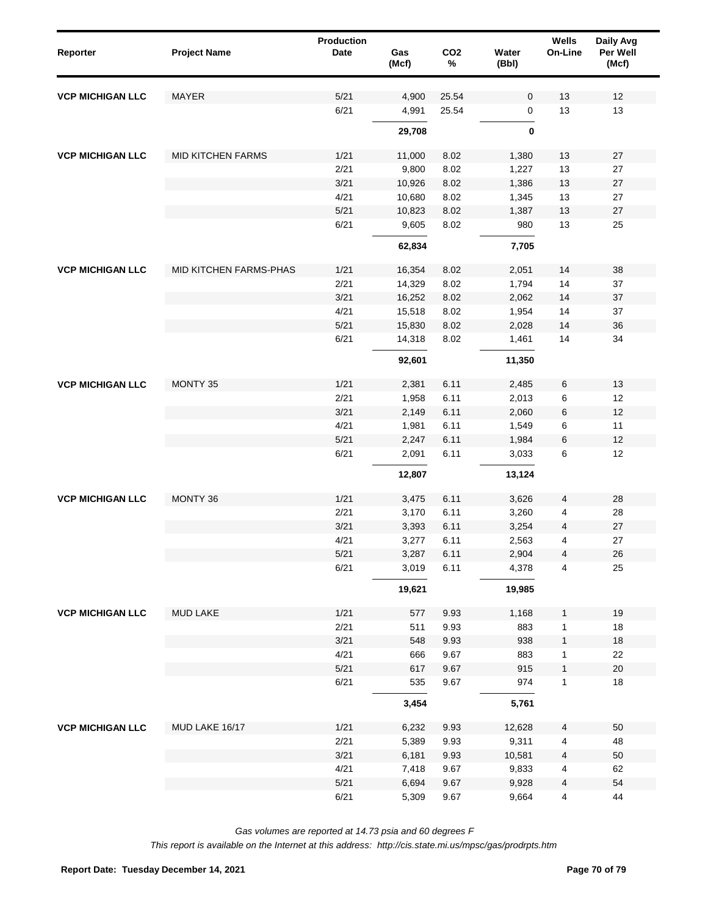| MAYER<br>5/21<br>4,900<br>25.54<br>$\mathbf 0$<br><b>VCP MICHIGAN LLC</b><br>6/21<br>4,991<br>25.54<br>$\mathsf{O}\xspace$<br>0<br>29,708<br><b>MID KITCHEN FARMS</b><br>1/21<br>8.02<br>1,380<br><b>VCP MICHIGAN LLC</b><br>11,000<br>2/21<br>9,800<br>8.02<br>1,227<br>3/21<br>10,926<br>8.02<br>1,386<br>4/21<br>10,680<br>8.02<br>1,345<br>5/21<br>10,823<br>8.02<br>1,387 | 13<br>12<br>13<br>13<br>13<br>27<br>13<br>27<br>13<br>27<br>13<br>27<br>13<br>27<br>13<br>25<br>38<br>14<br>14<br>37<br>14<br>37<br>14<br>37<br>14<br>36<br>14<br>34 |
|--------------------------------------------------------------------------------------------------------------------------------------------------------------------------------------------------------------------------------------------------------------------------------------------------------------------------------------------------------------------------------|----------------------------------------------------------------------------------------------------------------------------------------------------------------------|
|                                                                                                                                                                                                                                                                                                                                                                                |                                                                                                                                                                      |
|                                                                                                                                                                                                                                                                                                                                                                                |                                                                                                                                                                      |
|                                                                                                                                                                                                                                                                                                                                                                                |                                                                                                                                                                      |
|                                                                                                                                                                                                                                                                                                                                                                                |                                                                                                                                                                      |
|                                                                                                                                                                                                                                                                                                                                                                                |                                                                                                                                                                      |
|                                                                                                                                                                                                                                                                                                                                                                                |                                                                                                                                                                      |
|                                                                                                                                                                                                                                                                                                                                                                                |                                                                                                                                                                      |
|                                                                                                                                                                                                                                                                                                                                                                                |                                                                                                                                                                      |
| 6/21<br>9,605<br>8.02<br>980                                                                                                                                                                                                                                                                                                                                                   |                                                                                                                                                                      |
| 62,834<br>7,705                                                                                                                                                                                                                                                                                                                                                                |                                                                                                                                                                      |
| MID KITCHEN FARMS-PHAS<br>1/21<br>8.02<br>2,051<br><b>VCP MICHIGAN LLC</b><br>16,354                                                                                                                                                                                                                                                                                           |                                                                                                                                                                      |
| 2/21<br>14,329<br>8.02<br>1,794                                                                                                                                                                                                                                                                                                                                                |                                                                                                                                                                      |
| 3/21<br>16,252<br>8.02<br>2,062                                                                                                                                                                                                                                                                                                                                                |                                                                                                                                                                      |
| 4/21<br>15,518<br>8.02<br>1,954                                                                                                                                                                                                                                                                                                                                                |                                                                                                                                                                      |
| 5/21<br>15,830<br>8.02<br>2,028                                                                                                                                                                                                                                                                                                                                                |                                                                                                                                                                      |
| 6/21<br>8.02<br>14,318<br>1,461                                                                                                                                                                                                                                                                                                                                                |                                                                                                                                                                      |
| 92,601<br>11,350                                                                                                                                                                                                                                                                                                                                                               |                                                                                                                                                                      |
|                                                                                                                                                                                                                                                                                                                                                                                |                                                                                                                                                                      |
| MONTY 35<br>1/21<br>2,381<br>6.11<br>2,485<br><b>VCP MICHIGAN LLC</b>                                                                                                                                                                                                                                                                                                          | 6<br>13                                                                                                                                                              |
| 2/21<br>1,958<br>6.11<br>2,013                                                                                                                                                                                                                                                                                                                                                 | 6<br>12                                                                                                                                                              |
| 3/21<br>2,149<br>6.11<br>2,060                                                                                                                                                                                                                                                                                                                                                 | 6<br>12                                                                                                                                                              |
| 4/21<br>1,981<br>6.11<br>1,549                                                                                                                                                                                                                                                                                                                                                 | 6<br>11                                                                                                                                                              |
| 5/21<br>2,247<br>6.11<br>1,984                                                                                                                                                                                                                                                                                                                                                 | 12<br>6                                                                                                                                                              |
| 6/21<br>2,091<br>6.11<br>3,033                                                                                                                                                                                                                                                                                                                                                 | 6<br>12                                                                                                                                                              |
| 12,807<br>13,124                                                                                                                                                                                                                                                                                                                                                               |                                                                                                                                                                      |
| MONTY 36<br>1/21<br>3,475<br>6.11<br>3,626<br><b>VCP MICHIGAN LLC</b>                                                                                                                                                                                                                                                                                                          | 28<br>4                                                                                                                                                              |
| 2/21<br>3,260<br>3,170<br>6.11                                                                                                                                                                                                                                                                                                                                                 | 4<br>28                                                                                                                                                              |
| 3/21<br>3,393<br>6.11<br>3,254                                                                                                                                                                                                                                                                                                                                                 | 27<br>4                                                                                                                                                              |
| 4/21<br>3,277<br>6.11<br>2,563                                                                                                                                                                                                                                                                                                                                                 | 27<br>4                                                                                                                                                              |
| 5/21<br>3,287<br>6.11<br>2,904                                                                                                                                                                                                                                                                                                                                                 | 26<br>4                                                                                                                                                              |
| 6/21<br>6.11<br>3,019<br>4,378                                                                                                                                                                                                                                                                                                                                                 | 4<br>25                                                                                                                                                              |
| 19,621<br>19,985                                                                                                                                                                                                                                                                                                                                                               |                                                                                                                                                                      |
| <b>VCP MICHIGAN LLC</b><br><b>MUD LAKE</b><br>1/21<br>9.93<br>1,168<br>577                                                                                                                                                                                                                                                                                                     | 19<br>$\mathbf{1}$                                                                                                                                                   |
| 2/21<br>511<br>9.93<br>883                                                                                                                                                                                                                                                                                                                                                     | 18<br>1                                                                                                                                                              |
| 3/21<br>548<br>9.93<br>938                                                                                                                                                                                                                                                                                                                                                     | 18<br>$\mathbf{1}$                                                                                                                                                   |
| 4/21<br>9.67<br>883<br>666                                                                                                                                                                                                                                                                                                                                                     | 22<br>1                                                                                                                                                              |
| 5/21<br>617<br>9.67<br>915                                                                                                                                                                                                                                                                                                                                                     | $20\,$<br>$\mathbf{1}$                                                                                                                                               |
| 6/21<br>535<br>9.67<br>974                                                                                                                                                                                                                                                                                                                                                     | $\mathbf{1}$<br>18                                                                                                                                                   |
| 3,454<br>5,761                                                                                                                                                                                                                                                                                                                                                                 |                                                                                                                                                                      |
| MUD LAKE 16/17<br><b>VCP MICHIGAN LLC</b><br>1/21<br>6,232<br>12,628<br>9.93                                                                                                                                                                                                                                                                                                   | 50<br>4                                                                                                                                                              |
| 2/21<br>5,389<br>9.93<br>9,311                                                                                                                                                                                                                                                                                                                                                 | 4<br>48                                                                                                                                                              |
| 3/21<br>6,181<br>9.93<br>10,581                                                                                                                                                                                                                                                                                                                                                | 50<br>4                                                                                                                                                              |
| 4/21<br>7,418<br>9.67<br>9,833                                                                                                                                                                                                                                                                                                                                                 | 62<br>4                                                                                                                                                              |
| 5/21<br>6,694<br>9.67<br>9,928                                                                                                                                                                                                                                                                                                                                                 | 54<br>4                                                                                                                                                              |
| 6/21<br>5,309<br>9.67<br>9,664                                                                                                                                                                                                                                                                                                                                                 | $\overline{4}$<br>44                                                                                                                                                 |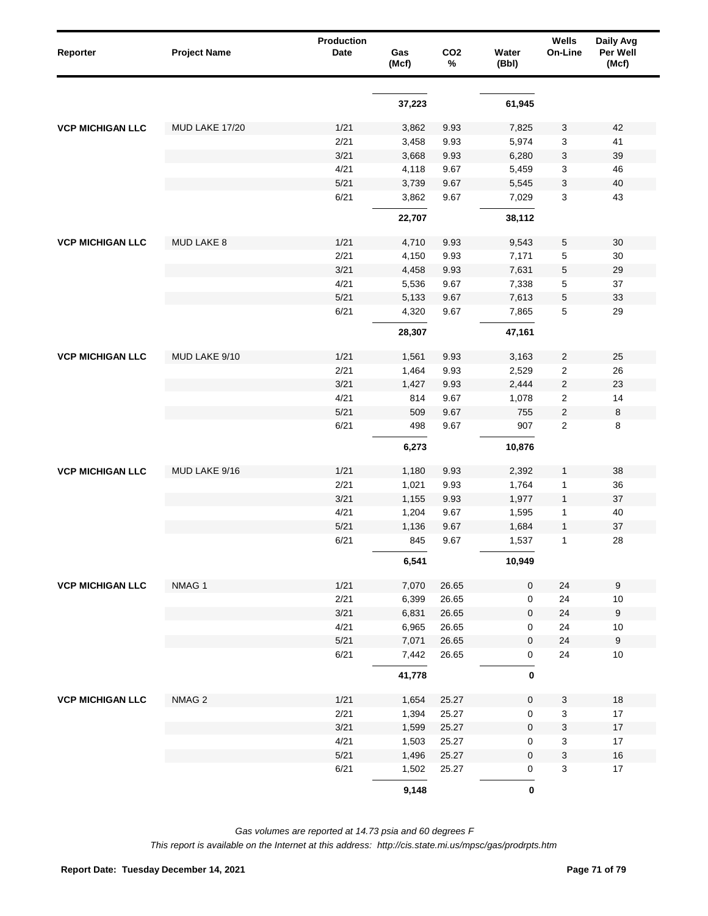| Reporter                | <b>Project Name</b> | Production<br>Date | Gas<br>(Mcf) | CO <sub>2</sub><br>% | Water<br>(Bbl)   | Wells<br>On-Line        | Daily Avg<br>Per Well<br>(Mcf) |
|-------------------------|---------------------|--------------------|--------------|----------------------|------------------|-------------------------|--------------------------------|
|                         |                     |                    |              |                      |                  |                         |                                |
|                         |                     |                    | 37,223       |                      | 61,945           |                         |                                |
| <b>VCP MICHIGAN LLC</b> | MUD LAKE 17/20      | 1/21               | 3,862        | 9.93                 | 7,825            | 3                       | 42                             |
|                         |                     | 2/21               | 3,458        | 9.93                 | 5,974            | 3                       | 41                             |
|                         |                     | 3/21               | 3,668        | 9.93                 | 6,280            | 3                       | 39                             |
|                         |                     | 4/21               | 4,118        | 9.67                 | 5,459            | 3                       | 46                             |
|                         |                     | $5/21$             | 3,739        | 9.67                 | 5,545            | 3                       | 40                             |
|                         |                     | 6/21               | 3,862        | 9.67                 | 7,029            | 3                       | 43                             |
|                         |                     |                    | 22,707       |                      | 38,112           |                         |                                |
| <b>VCP MICHIGAN LLC</b> | <b>MUD LAKE 8</b>   | 1/21               | 4,710        | 9.93                 | 9,543            | 5                       | 30                             |
|                         |                     | 2/21               | 4,150        | 9.93                 | 7,171            | 5                       | 30                             |
|                         |                     | 3/21               | 4,458        | 9.93                 | 7,631            | 5                       | 29                             |
|                         |                     | 4/21               | 5,536        | 9.67                 | 7,338            | 5                       | 37                             |
|                         |                     | $5/21$             | 5,133        | 9.67                 | 7,613            | 5                       | 33                             |
|                         |                     | 6/21               | 4,320        | 9.67                 | 7,865            | 5                       | 29                             |
|                         |                     |                    | 28,307       |                      | 47,161           |                         |                                |
| <b>VCP MICHIGAN LLC</b> | MUD LAKE 9/10       | 1/21               | 1,561        | 9.93                 | 3,163            | 2                       | 25                             |
|                         |                     | 2/21               | 1,464        | 9.93                 | 2,529            | $\overline{\mathbf{c}}$ | 26                             |
|                         |                     | 3/21               | 1,427        | 9.93                 | 2,444            | $\overline{\mathbf{c}}$ | 23                             |
|                         |                     | 4/21               | 814          | 9.67                 | 1,078            | $\overline{\mathbf{c}}$ | 14                             |
|                         |                     | 5/21               | 509          | 9.67                 | 755              | $\overline{\mathbf{c}}$ | $\,8\,$                        |
|                         |                     | 6/21               | 498          | 9.67                 | 907              | $\overline{2}$          | 8                              |
|                         |                     |                    | 6,273        |                      | 10,876           |                         |                                |
| <b>VCP MICHIGAN LLC</b> | MUD LAKE 9/16       | 1/21               | 1,180        | 9.93                 | 2,392            | 1                       | 38                             |
|                         |                     | 2/21               | 1,021        | 9.93                 | 1,764            | 1                       | 36                             |
|                         |                     | 3/21               | 1,155        | 9.93                 | 1,977            | $\mathbf{1}$            | 37                             |
|                         |                     | 4/21               | 1,204        | 9.67                 | 1,595            | 1                       | 40                             |
|                         |                     | 5/21               | 1,136        | 9.67                 | 1,684            | $\mathbf{1}$            | 37                             |
|                         |                     | 6/21               | 845          | 9.67                 | 1,537            | 1                       | 28                             |
|                         |                     |                    | 6,541        |                      | 10,949           |                         |                                |
| <b>VCP MICHIGAN LLC</b> | NMAG 1              | 1/21               | 7,070        | 26.65                | $\pmb{0}$        | 24                      | $\boldsymbol{9}$               |
|                         |                     | 2/21               | 6,399        | 26.65                | 0                | 24                      | $10$                           |
|                         |                     | 3/21               | 6,831        | 26.65                | $\pmb{0}$        | 24                      | $\boldsymbol{9}$               |
|                         |                     | 4/21               | 6,965        | 26.65                | 0                | 24                      | $10$                           |
|                         |                     | $5/21$             | 7,071        | 26.65                | $\pmb{0}$        | 24                      | $\boldsymbol{9}$               |
|                         |                     | 6/21               | 7,442        | 26.65                | 0                | 24                      | $10$                           |
|                         |                     |                    | 41,778       |                      | $\bf{0}$         |                         |                                |
| <b>VCP MICHIGAN LLC</b> | NMAG <sub>2</sub>   | 1/21               | 1,654        | 25.27                | $\pmb{0}$        | 3                       | $18$                           |
|                         |                     | 2/21               | 1,394        | 25.27                | 0                | 3                       | $17$                           |
|                         |                     | 3/21               | 1,599        | 25.27                | $\boldsymbol{0}$ | 3                       | $17$                           |
|                         |                     | 4/21               | 1,503        | 25.27                | 0                | 3                       | $17$                           |
|                         |                     | $5/21$             | 1,496        | 25.27                | $\pmb{0}$        | 3                       | $16\,$                         |
|                         |                     | 6/21               | 1,502        | 25.27                | 0                | 3                       | $17$                           |
|                         |                     |                    | 9,148        |                      | $\pmb{0}$        |                         |                                |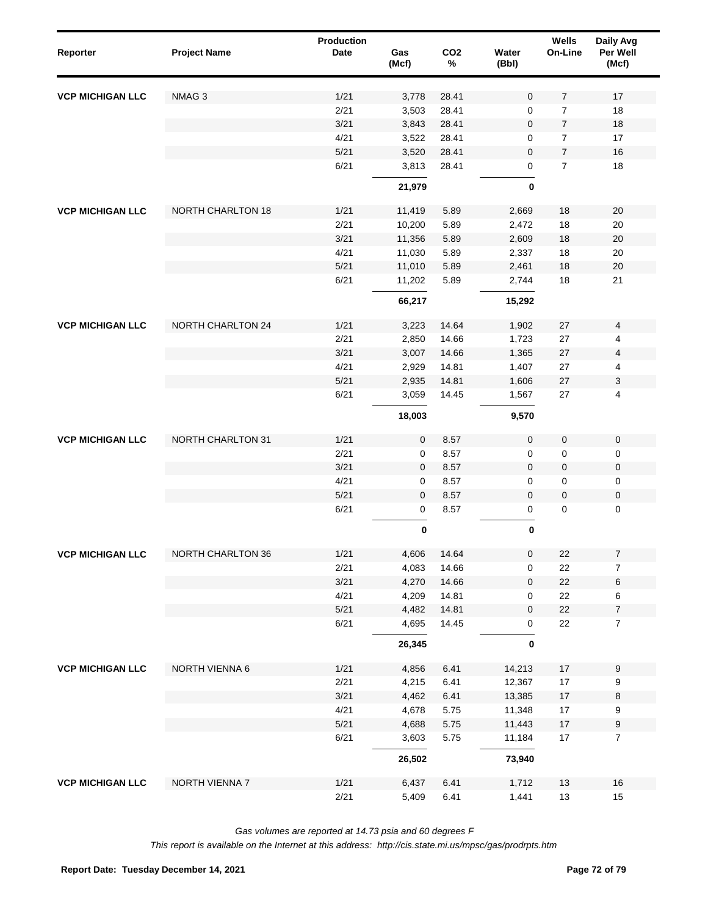| Reporter                | <b>Project Name</b>      | Production<br>Date | Gas<br>(Mcf)   | CO <sub>2</sub><br>$\%$ | Water<br>(Bbl)      | Wells<br>On-Line | Daily Avg<br>Per Well<br>(Mcf)   |  |
|-------------------------|--------------------------|--------------------|----------------|-------------------------|---------------------|------------------|----------------------------------|--|
| <b>VCP MICHIGAN LLC</b> | NMAG <sub>3</sub>        | 1/21               | 3,778          | 28.41                   | $\mathbf 0$         | $\overline{7}$   | 17                               |  |
|                         |                          | 2/21               | 3,503          | 28.41                   | $\mathbf 0$         | $\overline{7}$   | 18                               |  |
|                         |                          | 3/21               | 3,843          | 28.41                   | $\mathbf 0$         | $\overline{7}$   | 18                               |  |
|                         |                          | 4/21               | 3,522          | 28.41                   | 0                   | $\overline{7}$   | 17                               |  |
|                         |                          | 5/21               | 3,520          | 28.41                   | $\mathbf 0$         | $\overline{7}$   | 16                               |  |
|                         |                          | 6/21               | 3,813          | 28.41                   | 0                   | $\overline{7}$   | 18                               |  |
|                         |                          |                    | 21,979         |                         | $\bf{0}$            |                  |                                  |  |
| <b>VCP MICHIGAN LLC</b> | <b>NORTH CHARLTON 18</b> | 1/21               | 11,419         | 5.89                    | 2,669               | 18               | 20                               |  |
|                         |                          | 2/21               | 10,200         | 5.89                    | 2,472               | 18               | 20                               |  |
|                         |                          | 3/21               | 11,356         | 5.89                    | 2,609               | 18               | $20\,$                           |  |
|                         |                          | 4/21               | 11,030         | 5.89                    | 2,337               | 18               | 20                               |  |
|                         |                          | 5/21               | 11,010         | 5.89                    | 2,461               | 18               | $20\,$                           |  |
|                         |                          | 6/21               | 11,202         | 5.89                    | 2,744               | 18               | 21                               |  |
|                         |                          |                    | 66,217         |                         | 15,292              |                  |                                  |  |
| <b>VCP MICHIGAN LLC</b> | <b>NORTH CHARLTON 24</b> | 1/21               | 3,223          | 14.64                   | 1,902               | 27               | 4                                |  |
|                         |                          | 2/21               | 2,850          | 14.66                   | 1,723               | 27               | 4                                |  |
|                         |                          | 3/21               | 3,007          | 14.66                   | 1,365               | 27               | 4                                |  |
|                         |                          | 4/21               | 2,929          | 14.81                   | 1,407               | 27               | 4                                |  |
|                         |                          | 5/21               | 2,935          | 14.81                   | 1,606               | 27               | 3                                |  |
|                         |                          | 6/21               | 3,059          | 14.45                   | 1,567               | 27               | 4                                |  |
|                         |                          |                    | 18,003         |                         | 9,570               |                  |                                  |  |
| <b>VCP MICHIGAN LLC</b> | NORTH CHARLTON 31        | 1/21               | $\mathbf 0$    | 8.57                    | $\mathbf 0$         | $\mathbf 0$      | $\mathsf 0$                      |  |
|                         |                          | 2/21               | $\mathsf 0$    | 8.57                    | $\mathsf{O}\xspace$ | 0                | $\mathsf 0$                      |  |
|                         |                          | 3/21               | $\mathbf 0$    | 8.57                    | $\mathbf 0$         | $\pmb{0}$        | $\pmb{0}$                        |  |
|                         |                          | 4/21               | $\mathbf 0$    | 8.57                    | $\mathbf 0$         | 0                | $\mathsf 0$                      |  |
|                         |                          | 5/21               | $\mathbf 0$    | 8.57                    | $\mathbf 0$         | $\pmb{0}$        | $\pmb{0}$                        |  |
|                         |                          | 6/21               | $\mathbf 0$    | 8.57                    | 0                   | $\pmb{0}$        | $\mathsf 0$                      |  |
|                         |                          |                    | $\pmb{0}$      |                         | $\pmb{0}$           |                  |                                  |  |
| <b>VCP MICHIGAN LLC</b> | NORTH CHARLTON 36        | 1/21               | 4,606          | 14.64                   | 0                   | 22               | $\boldsymbol{7}$                 |  |
|                         |                          | 2/21               | 4,083          | 14.66                   | 0                   | 22               | $\boldsymbol{7}$                 |  |
|                         |                          | 3/21               | 4,270          | 14.66                   | $\pmb{0}$           | 22               | 6                                |  |
|                         |                          | 4/21               | 4,209          | 14.81                   | 0                   | 22               | 6                                |  |
|                         |                          | 5/21<br>6/21       | 4,482<br>4,695 | 14.81<br>14.45          | $\pmb{0}$<br>0      | 22<br>22         | $\overline{7}$<br>$\overline{7}$ |  |
|                         |                          |                    | 26,345         |                         | 0                   |                  |                                  |  |
| <b>VCP MICHIGAN LLC</b> | NORTH VIENNA 6           | 1/21               | 4,856          | 6.41                    | 14,213              | $17$             | 9                                |  |
|                         |                          | 2/21               | 4,215          | 6.41                    | 12,367              | $17$             | 9                                |  |
|                         |                          | 3/21               | 4,462          | 6.41                    | 13,385              | 17               | 8                                |  |
|                         |                          | 4/21               | 4,678          | 5.75                    | 11,348              | $17$             | 9                                |  |
|                         |                          | 5/21               | 4,688          | 5.75                    | 11,443              | $17$             | $\boldsymbol{9}$                 |  |
|                         |                          | 6/21               | 3,603          | 5.75                    | 11,184              | $17$             | $\overline{7}$                   |  |
|                         |                          |                    | 26,502         |                         | 73,940              |                  |                                  |  |
| <b>VCP MICHIGAN LLC</b> | NORTH VIENNA 7           | 1/21<br>2/21       | 6,437<br>5,409 | 6.41<br>6.41            | 1,712<br>1,441      | 13<br>$13$       | 16<br>15                         |  |

*Gas volumes are reported at 14.73 psia and 60 degrees F*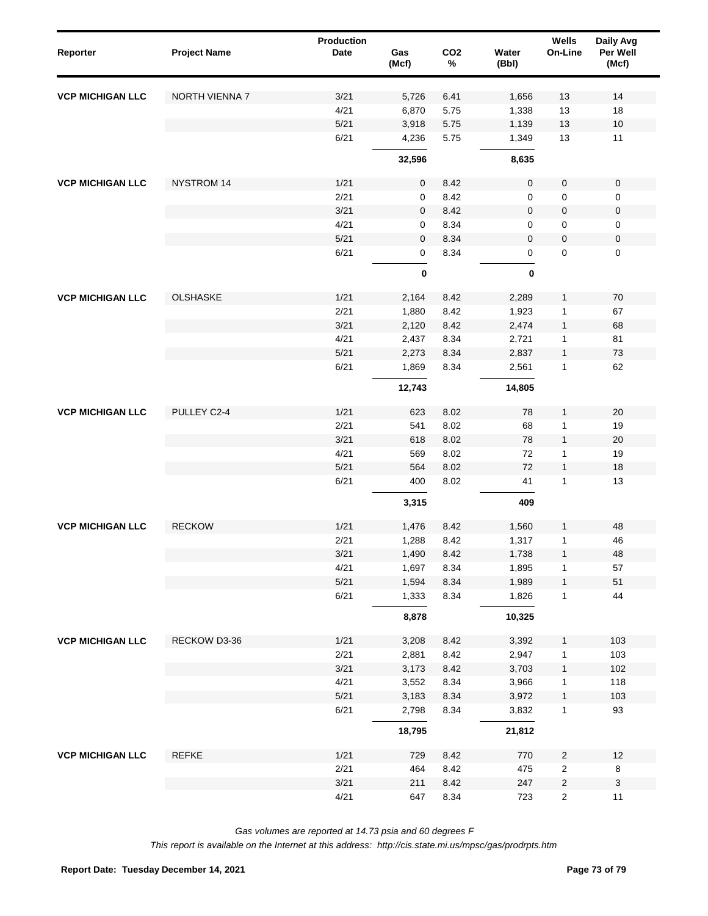| Reporter                | <b>Project Name</b> | <b>Production</b><br><b>Date</b> | Gas<br>(Mcf) | CO <sub>2</sub><br>$\%$ | Water<br>(Bbl) | Wells<br>On-Line | Daily Avg<br>Per Well<br>(Mcf) |
|-------------------------|---------------------|----------------------------------|--------------|-------------------------|----------------|------------------|--------------------------------|
| <b>VCP MICHIGAN LLC</b> | NORTH VIENNA 7      | 3/21                             | 5,726        | 6.41                    | 1,656          | 13               | 14                             |
|                         |                     | 4/21                             | 6,870        | 5.75                    | 1,338          | 13               | 18                             |
|                         |                     | $5/21$                           | 3,918        | 5.75                    | 1,139          | 13               | $10$                           |
|                         |                     | 6/21                             | 4,236        | 5.75                    | 1,349          | 13               | 11                             |
|                         |                     |                                  | 32,596       |                         | 8,635          |                  |                                |
| <b>VCP MICHIGAN LLC</b> | <b>NYSTROM 14</b>   | 1/21                             | 0            | 8.42                    | $\mathbf 0$    | $\mathbf 0$      | $\pmb{0}$                      |
|                         |                     | 2/21                             | 0            | 8.42                    | 0              | $\pmb{0}$        | 0                              |
|                         |                     | 3/21                             | 0            | 8.42                    | $\mathbf 0$    | $\pmb{0}$        | $\pmb{0}$                      |
|                         |                     | 4/21                             | 0            | 8.34                    | $\mathbf 0$    | 0                | 0                              |
|                         |                     | $5/21$                           | $\mathbf 0$  | 8.34                    | $\mathbf 0$    | $\pmb{0}$        | $\pmb{0}$                      |
|                         |                     | 6/21                             | 0            | 8.34                    | 0              | 0                | 0                              |
|                         |                     |                                  | $\pmb{0}$    |                         | $\pmb{0}$      |                  |                                |
| <b>VCP MICHIGAN LLC</b> | <b>OLSHASKE</b>     | 1/21                             | 2,164        | 8.42                    | 2,289          | 1                | 70                             |
|                         |                     | 2/21                             | 1,880        | 8.42                    | 1,923          | $\mathbf 1$      | 67                             |
|                         |                     | 3/21                             | 2,120        | 8.42                    | 2,474          | $\mathbf{1}$     | 68                             |
|                         |                     | 4/21                             | 2,437        | 8.34                    | 2,721          | $\mathbf 1$      | 81                             |
|                         |                     | 5/21                             | 2,273        | 8.34                    | 2,837          | $\mathbf{1}$     | 73                             |
|                         |                     | 6/21                             | 1,869        | 8.34                    | 2,561          | $\mathbf{1}$     | 62                             |
|                         |                     |                                  | 12,743       |                         | 14,805         |                  |                                |
| <b>VCP MICHIGAN LLC</b> | PULLEY C2-4         | 1/21                             | 623          | 8.02                    | 78             | $\mathbf{1}$     | 20                             |
|                         |                     | 2/21                             | 541          | 8.02                    | 68             | 1                | 19                             |
|                         |                     | 3/21                             | 618          | 8.02                    | 78             | $\mathbf{1}$     | 20                             |
|                         |                     | 4/21                             | 569          | 8.02                    | 72             | 1                | 19                             |
|                         |                     | 5/21                             | 564          | 8.02                    | 72             | $\mathbf{1}$     | 18                             |
|                         |                     | 6/21                             | 400          | 8.02                    | 41             | $\mathbf{1}$     | 13                             |
|                         |                     |                                  | 3,315        |                         | 409            |                  |                                |
| <b>VCP MICHIGAN LLC</b> | <b>RECKOW</b>       | 1/21                             | 1,476        | 8.42                    | 1,560          | $\mathbf{1}$     | 48                             |
|                         |                     | 2/21                             | 1,288        | 8.42                    | 1,317          | $\mathbf{1}$     | 46                             |
|                         |                     | 3/21                             | 1,490        | 8.42                    | 1,738          | $\mathbf{1}$     | 48                             |
|                         |                     | 4/21                             | 1,697        | 8.34                    | 1,895          | 1                | 57                             |
|                         |                     | 5/21                             | 1,594        | 8.34                    | 1,989          | $\mathbf{1}$     | 51                             |
|                         |                     | 6/21                             | 1,333        | 8.34                    | 1,826          | $\mathbf{1}$     | 44                             |
|                         |                     |                                  | 8,878        |                         | 10,325         |                  |                                |
| <b>VCP MICHIGAN LLC</b> | RECKOW D3-36        | 1/21                             | 3,208        | 8.42                    | 3,392          | $\mathbf{1}$     | 103                            |
|                         |                     | 2/21                             | 2,881        | 8.42                    | 2,947          | 1                | 103                            |
|                         |                     | 3/21                             | 3,173        | 8.42                    | 3,703          | $\mathbf{1}$     | 102                            |
|                         |                     | 4/21                             | 3,552        | 8.34                    | 3,966          | $\mathbf{1}$     | 118                            |
|                         |                     | 5/21                             | 3,183        | 8.34                    | 3,972          | $\mathbf{1}$     | 103                            |
|                         |                     | 6/21                             | 2,798        | 8.34                    | 3,832          | $\mathbf{1}$     | 93                             |
|                         |                     |                                  | 18,795       |                         | 21,812         |                  |                                |
| <b>VCP MICHIGAN LLC</b> | REFKE               | 1/21                             | 729          | 8.42                    | 770            | $\sqrt{2}$       | 12                             |
|                         |                     | 2/21                             | 464          | 8.42                    | 475            | $\sqrt{2}$       | 8                              |
|                         |                     | 3/21                             | 211          | 8.42                    | 247            | $\sqrt{2}$       | $\ensuremath{\mathsf{3}}$      |
|                         |                     | 4/21                             | 647          | 8.34                    | 723            | $\sqrt{2}$       | 11                             |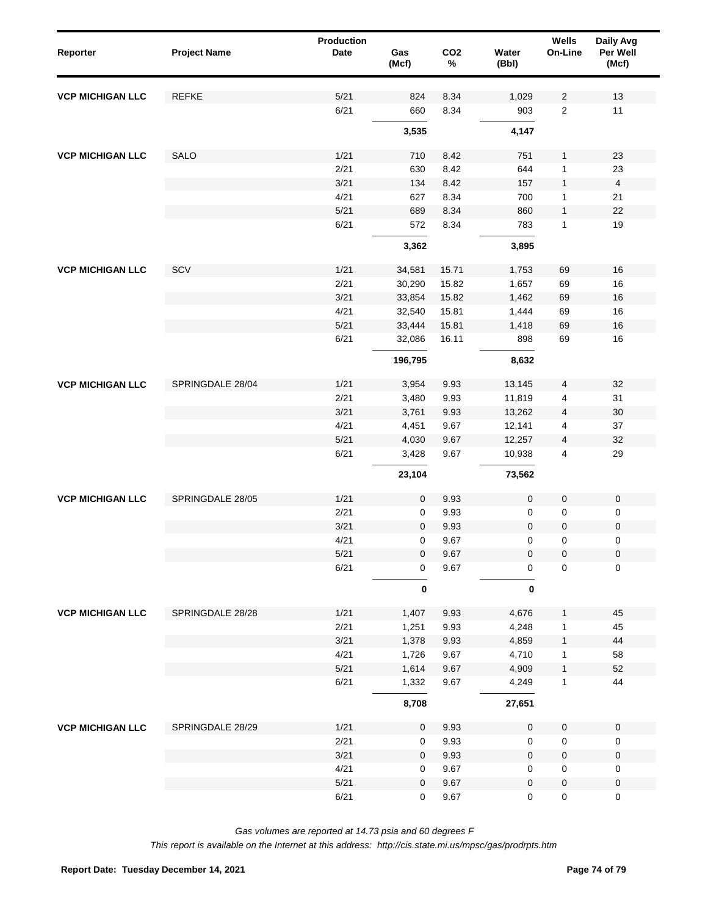| Reporter                | <b>Project Name</b> | Production<br><b>Date</b> | Gas<br>(Mcf) | CO <sub>2</sub><br>$\%$ | Water<br>(Bbl)      | Wells<br>On-Line    | Daily Avg<br>Per Well<br>(Mcf) |
|-------------------------|---------------------|---------------------------|--------------|-------------------------|---------------------|---------------------|--------------------------------|
| <b>VCP MICHIGAN LLC</b> | <b>REFKE</b>        | 5/21                      | 824          | 8.34                    | 1,029               | $\overline{c}$      | 13                             |
|                         |                     | 6/21                      | 660          | 8.34                    | 903                 | $\sqrt{2}$          | 11                             |
|                         |                     |                           | 3,535        |                         | 4,147               |                     |                                |
| <b>VCP MICHIGAN LLC</b> | SALO                | 1/21                      | 710          | 8.42                    | 751                 | $\mathbf{1}$        | 23                             |
|                         |                     | 2/21                      | 630          | 8.42                    | 644                 | $\mathbf{1}$        | 23                             |
|                         |                     | 3/21                      | 134          | 8.42                    | 157                 | $\mathbf{1}$        | $\overline{\mathbf{4}}$        |
|                         |                     | 4/21                      | 627          | 8.34                    | 700                 | 1                   | 21                             |
|                         |                     | 5/21                      | 689          | 8.34                    | 860                 | $\mathbf{1}$        | 22                             |
|                         |                     | 6/21                      | 572          | 8.34                    | 783                 | $\mathbf{1}$        | 19                             |
|                         |                     |                           | 3,362        |                         | 3,895               |                     |                                |
| <b>VCP MICHIGAN LLC</b> | SCV                 | 1/21                      | 34,581       | 15.71                   | 1,753               | 69                  | 16                             |
|                         |                     | 2/21                      | 30,290       | 15.82                   | 1,657               | 69                  | 16                             |
|                         |                     | 3/21                      | 33,854       | 15.82                   | 1,462               | 69                  | 16                             |
|                         |                     | 4/21                      | 32,540       | 15.81                   | 1,444               | 69                  | 16                             |
|                         |                     | $5/21$                    | 33,444       | 15.81                   | 1,418               | 69                  | 16                             |
|                         |                     | 6/21                      | 32,086       | 16.11                   | 898                 | 69                  | 16                             |
|                         |                     |                           | 196,795      |                         | 8,632               |                     |                                |
| <b>VCP MICHIGAN LLC</b> | SPRINGDALE 28/04    | 1/21                      | 3,954        | 9.93                    | 13,145              | 4                   | 32                             |
|                         |                     | 2/21                      | 3,480        | 9.93                    | 11,819              | 4                   | 31                             |
|                         |                     | 3/21                      | 3,761        | 9.93                    | 13,262              | 4                   | 30                             |
|                         |                     | 4/21                      | 4,451        | 9.67                    | 12,141              | 4                   | 37                             |
|                         |                     | 5/21                      | 4,030        | 9.67                    | 12,257              | 4                   | 32                             |
|                         |                     | 6/21                      | 3,428        | 9.67                    | 10,938              | 4                   | 29                             |
|                         |                     |                           | 23,104       |                         | 73,562              |                     |                                |
| <b>VCP MICHIGAN LLC</b> | SPRINGDALE 28/05    | 1/21                      | $\mathbf 0$  | 9.93                    | $\pmb{0}$           | $\pmb{0}$           | $\pmb{0}$                      |
|                         |                     | 2/21                      | $\mathbf 0$  | 9.93                    | 0                   | 0                   | 0                              |
|                         |                     | 3/21                      | $\mathbf 0$  | 9.93                    | $\mathbf 0$         | $\pmb{0}$           | $\pmb{0}$                      |
|                         |                     | 4/21                      | $\mathbf 0$  | 9.67                    | 0                   | 0                   | 0                              |
|                         |                     | 5/21                      | $\mathbf 0$  | 9.67                    | $\pmb{0}$           | $\mathsf{O}\xspace$ | $\pmb{0}$                      |
|                         |                     | 6/21                      | 0            | 9.67                    | 0                   | $\mathbf 0$         | 0                              |
|                         |                     |                           | $\pmb{0}$    |                         | 0                   |                     |                                |
| <b>VCP MICHIGAN LLC</b> | SPRINGDALE 28/28    | 1/21                      | 1,407        | 9.93                    | 4,676               | 1                   | 45                             |
|                         |                     | 2/21                      | 1,251        | 9.93                    | 4,248               | 1                   | 45                             |
|                         |                     | 3/21                      | 1,378        | 9.93                    | 4,859               | $\mathbf{1}$        | 44                             |
|                         |                     | 4/21                      | 1,726        | 9.67                    | 4,710               | $\mathbf{1}$        | 58                             |
|                         |                     | 5/21                      | 1,614        | 9.67                    | 4,909               | $\mathbf{1}$        | 52                             |
|                         |                     | 6/21                      | 1,332        | 9.67                    | 4,249               | $\mathbf{1}$        | 44                             |
|                         |                     |                           | 8,708        |                         | 27,651              |                     |                                |
| <b>VCP MICHIGAN LLC</b> | SPRINGDALE 28/29    | 1/21                      | $\mathbf 0$  | 9.93                    | $\pmb{0}$           | $\pmb{0}$           | $\mathbf 0$                    |
|                         |                     | 2/21                      | 0            | 9.93                    | 0                   | 0                   | 0                              |
|                         |                     | 3/21                      | $\mathbf 0$  | 9.93                    | $\pmb{0}$           | 0                   | $\pmb{0}$                      |
|                         |                     | 4/21                      | 0            | 9.67                    | 0                   | 0                   | 0                              |
|                         |                     | 5/21                      | $\mathbf 0$  | 9.67                    | $\pmb{0}$           | 0                   | $\pmb{0}$                      |
|                         |                     | 6/21                      | 0            | 9.67                    | $\mathsf{O}\xspace$ | $\mathsf 0$         | 0                              |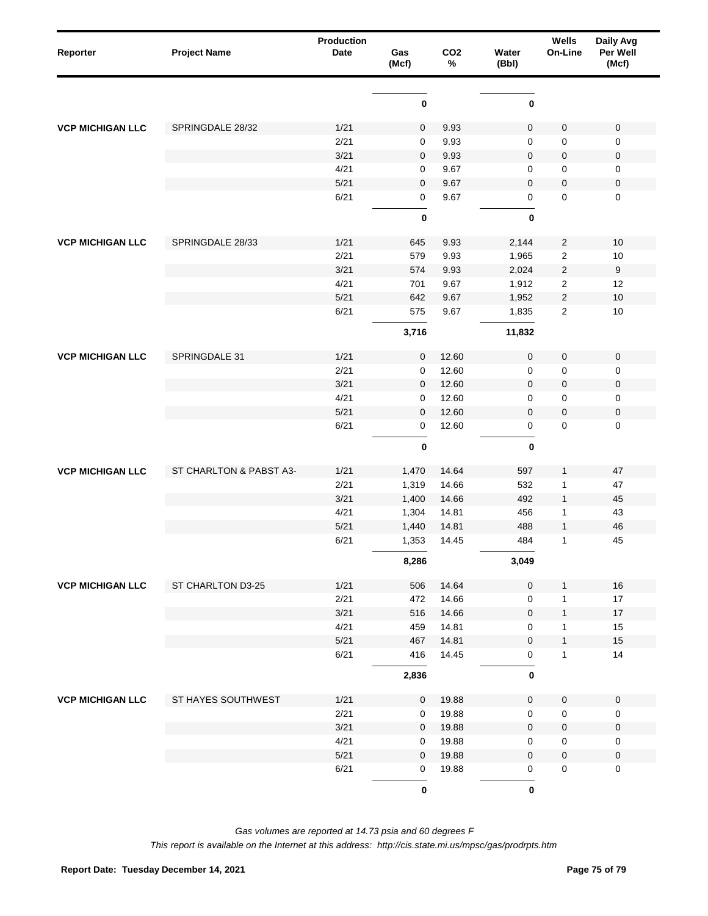| Reporter                | <b>Project Name</b>     | <b>Production</b><br>Date | Gas<br>(Mcf) | CO <sub>2</sub><br>$\%$ | Water<br>(Bbl)      | Wells<br>On-Line | Daily Avg<br>Per Well<br>(Mcf) |
|-------------------------|-------------------------|---------------------------|--------------|-------------------------|---------------------|------------------|--------------------------------|
|                         |                         |                           | $\pmb{0}$    |                         | $\pmb{0}$           |                  |                                |
| <b>VCP MICHIGAN LLC</b> | SPRINGDALE 28/32        | 1/21                      |              | 9.93                    | 0                   | $\mathsf 0$      |                                |
|                         |                         | 2/21                      | 0<br>0       | 9.93                    | $\mathbf 0$         | 0                | 0<br>0                         |
|                         |                         | 3/21                      | 0            | 9.93                    | $\mathbf 0$         | $\pmb{0}$        | 0                              |
|                         |                         | 4/21                      | 0            | 9.67                    | 0                   | 0                | 0                              |
|                         |                         | 5/21                      | 0            | 9.67                    | $\mathbf 0$         | $\pmb{0}$        | 0                              |
|                         |                         | 6/21                      | 0            | 9.67                    | 0                   | $\mathbf 0$      | $\mathsf 0$                    |
|                         |                         |                           | $\mathbf 0$  |                         | 0                   |                  |                                |
| <b>VCP MICHIGAN LLC</b> | SPRINGDALE 28/33        | 1/21                      | 645          | 9.93                    | 2,144               | $\overline{c}$   | 10                             |
|                         |                         | 2/21                      | 579          | 9.93                    | 1,965               | $\boldsymbol{2}$ | 10                             |
|                         |                         | 3/21                      | 574          | 9.93                    | 2,024               | $\sqrt{2}$       | 9                              |
|                         |                         | 4/21                      | 701          | 9.67                    | 1,912               | $\boldsymbol{2}$ | 12                             |
|                         |                         | 5/21                      | 642          | 9.67                    | 1,952               | $\sqrt{2}$       | 10                             |
|                         |                         | 6/21                      | 575          | 9.67                    | 1,835               | $\sqrt{2}$       | 10                             |
|                         |                         |                           | 3,716        |                         | 11,832              |                  |                                |
| <b>VCP MICHIGAN LLC</b> | SPRINGDALE 31           | 1/21                      | 0            | 12.60                   | $\mathsf{O}\xspace$ | $\mathbf 0$      | $\pmb{0}$                      |
|                         |                         | 2/21                      | 0            | 12.60                   | $\mathbf 0$         | 0                | 0                              |
|                         |                         | 3/21                      | 0            | 12.60                   | 0                   | $\pmb{0}$        | 0                              |
|                         |                         | 4/21                      | 0            | 12.60                   | $\mathbf 0$         | 0                | 0                              |
|                         |                         | 5/21                      | 0            | 12.60                   | $\mathbf 0$         | $\pmb{0}$        | $\pmb{0}$                      |
|                         |                         | 6/21                      | 0            | 12.60                   | $\mathsf 0$         | $\pmb{0}$        | $\mathsf 0$                    |
|                         |                         |                           | $\pmb{0}$    |                         | $\pmb{0}$           |                  |                                |
| <b>VCP MICHIGAN LLC</b> | ST CHARLTON & PABST A3- | 1/21                      | 1,470        | 14.64                   | 597                 | 1                | 47                             |
|                         |                         | 2/21                      | 1,319        | 14.66                   | 532                 | 1                | 47                             |
|                         |                         | 3/21                      | 1,400        | 14.66                   | 492                 | $\mathbf{1}$     | 45                             |
|                         |                         | 4/21                      | 1,304        | 14.81                   | 456                 | 1                | 43                             |
|                         |                         | 5/21                      | 1,440        | 14.81                   | 488                 | $\mathbf{1}$     | 46                             |
|                         |                         | 6/21                      | 1,353        | 14.45                   | 484                 | 1                | 45                             |
|                         |                         |                           | 8,286        |                         | 3,049               |                  |                                |
| <b>VCP MICHIGAN LLC</b> | ST CHARLTON D3-25       | 1/21                      | 506          | 14.64                   | $\mathsf{O}\xspace$ | 1                | $16\,$                         |
|                         |                         | 2/21                      | 472          | 14.66                   | $\mathsf 0$         | 1                | 17                             |
|                         |                         | 3/21                      | 516          | 14.66                   | $\mathbf 0$         | 1                | 17                             |
|                         |                         | 4/21                      | 459          | 14.81                   | 0                   | 1                | 15                             |
|                         |                         | 5/21                      | 467          | 14.81                   | $\mathbf 0$         | 1                | 15                             |
|                         |                         | 6/21                      | 416          | 14.45                   | 0                   | $\mathbf{1}$     | 14                             |
|                         |                         |                           | 2,836        |                         | $\pmb{0}$           |                  |                                |
| <b>VCP MICHIGAN LLC</b> | ST HAYES SOUTHWEST      | 1/21                      | 0            | 19.88                   | $\mathbf 0$         | $\pmb{0}$        | $\mathsf 0$                    |
|                         |                         | 2/21                      | 0            | 19.88                   | 0                   | 0                | 0                              |
|                         |                         | 3/21                      | 0            | 19.88                   | 0                   | $\pmb{0}$        | $\pmb{0}$                      |
|                         |                         | 4/21                      | 0            | 19.88                   | 0                   | 0                | 0                              |
|                         |                         | 5/21                      | 0            | 19.88                   | 0                   | $\pmb{0}$        | $\pmb{0}$                      |
|                         |                         | 6/21                      | 0            | 19.88                   | 0                   | $\mathsf 0$      | 0                              |
|                         |                         |                           | $\pmb{0}$    |                         | 0                   |                  |                                |

*Gas volumes are reported at 14.73 psia and 60 degrees F This report is available on the Internet at this address: http://cis.state.mi.us/mpsc/gas/prodrpts.htm*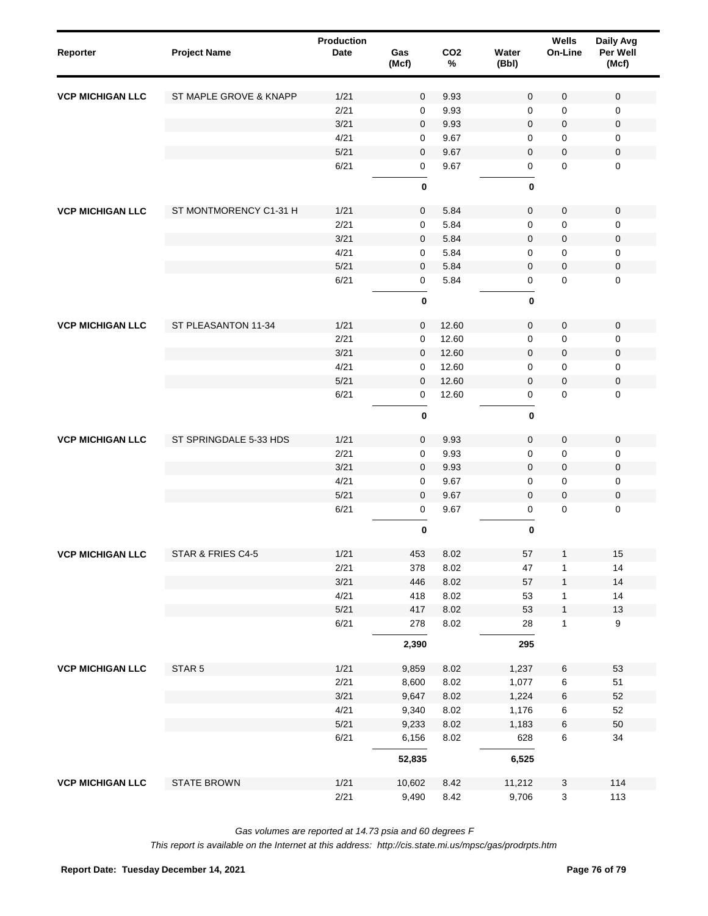| Reporter                | <b>Project Name</b>    | Production<br>Date | Gas<br>(Mcf)   | CO <sub>2</sub><br>$\%$ | Water<br>(Bbl)      | Wells<br>On-Line    | Daily Avg<br>Per Well<br>(Mcf) |
|-------------------------|------------------------|--------------------|----------------|-------------------------|---------------------|---------------------|--------------------------------|
| <b>VCP MICHIGAN LLC</b> | ST MAPLE GROVE & KNAPP | 1/21               | $\mathbf 0$    | 9.93                    | $\mathbf 0$         | 0                   | $\mathbf 0$                    |
|                         |                        | 2/21               | $\mathbf 0$    | 9.93                    | $\mathbf 0$         | 0                   | $\mathbf 0$                    |
|                         |                        | 3/21               | $\mathbf 0$    | 9.93                    | $\mathbf 0$         | $\pmb{0}$           | $\mathsf 0$                    |
|                         |                        | 4/21               | 0              | 9.67                    | $\mathbf 0$         | 0                   | 0                              |
|                         |                        | 5/21               | $\mathbf 0$    | 9.67                    | $\mathbf 0$         | $\mathbf 0$         | $\mathsf 0$                    |
|                         |                        | 6/21               | $\mathbf 0$    | 9.67                    | 0                   | $\mathbf 0$         | $\mathbf 0$                    |
|                         |                        |                    | $\pmb{0}$      |                         | $\bf{0}$            |                     |                                |
| <b>VCP MICHIGAN LLC</b> | ST MONTMORENCY C1-31 H | 1/21               | $\mathbf 0$    | 5.84                    | 0                   | $\mathsf{O}\xspace$ | $\mathsf 0$                    |
|                         |                        | 2/21               | $\mathbf 0$    | 5.84                    | $\mathbf 0$         | 0                   | $\mathbf 0$                    |
|                         |                        | 3/21               | $\mathbf 0$    | 5.84                    | $\mathbf 0$         | $\pmb{0}$           | $\pmb{0}$                      |
|                         |                        | 4/21               | 0              | 5.84                    | 0                   | 0                   | 0                              |
|                         |                        | 5/21               | $\mathbf 0$    | 5.84                    | 0                   | $\mathsf{O}\xspace$ | $\pmb{0}$                      |
|                         |                        | 6/21               | $\mathbf 0$    | 5.84                    | 0                   | $\pmb{0}$           | $\mathbf 0$                    |
|                         |                        |                    | $\pmb{0}$      |                         | $\pmb{0}$           |                     |                                |
| <b>VCP MICHIGAN LLC</b> | ST PLEASANTON 11-34    | 1/21               | $\mathbf 0$    | 12.60                   | $\mathbf 0$         | $\pmb{0}$           | $\mathbf 0$                    |
|                         |                        | 2/21               | 0              | 12.60                   | $\mathbf 0$         | 0                   | $\mathbf 0$                    |
|                         |                        | 3/21               | $\mathbf 0$    | 12.60                   | $\mathbf 0$         | $\pmb{0}$           | $\mathsf 0$                    |
|                         |                        | 4/21               | 0              | 12.60                   | $\mathbf 0$         | 0                   | $\mathbf 0$                    |
|                         |                        | 5/21               | $\mathbf 0$    | 12.60                   | 0                   | $\pmb{0}$           | $\mathsf 0$                    |
|                         |                        | 6/21               | $\mathbf 0$    | 12.60                   | 0                   | $\pmb{0}$           | $\mathbf 0$                    |
|                         |                        |                    | $\pmb{0}$      |                         | $\bf{0}$            |                     |                                |
| <b>VCP MICHIGAN LLC</b> | ST SPRINGDALE 5-33 HDS | 1/21               | $\mathbf 0$    | 9.93                    | 0                   | $\pmb{0}$           | $\mathsf 0$                    |
|                         |                        | 2/21               | $\mathbf 0$    | 9.93                    | $\mathsf{O}\xspace$ | 0                   | $\mathbf 0$                    |
|                         |                        | 3/21               | $\mathbf 0$    | 9.93                    | $\mathsf{O}\xspace$ | $\pmb{0}$           | 0                              |
|                         |                        | 4/21               | 0              | 9.67                    | $\mathbf 0$         | 0                   | $\mathsf 0$                    |
|                         |                        | 5/21               | $\mathbf 0$    | 9.67                    | $\mathbf 0$         | $\pmb{0}$           | $\pmb{0}$                      |
|                         |                        | 6/21               | $\mathbf 0$    | 9.67                    | 0                   | $\pmb{0}$           | $\mathbf 0$                    |
|                         |                        |                    | $\pmb{0}$      |                         | $\pmb{0}$           |                     |                                |
| <b>VCP MICHIGAN LLC</b> | STAR & FRIES C4-5      | 1/21               | 453            | 8.02                    | 57                  | $\mathbf{1}$        | 15                             |
|                         |                        | 2/21               | 378            | 8.02                    | 47                  | 1                   | 14                             |
|                         |                        | 3/21               | 446            | 8.02                    | 57                  | $\mathbf{1}$        | 14                             |
|                         |                        | 4/21               | 418            | 8.02                    | 53                  | 1                   | 14                             |
|                         |                        | 5/21<br>6/21       | 417<br>278     | 8.02<br>8.02            | 53<br>28            | $\mathbf{1}$<br>1   | $13\,$<br>9                    |
|                         |                        |                    | 2,390          |                         | 295                 |                     |                                |
|                         |                        |                    |                |                         |                     |                     |                                |
| <b>VCP MICHIGAN LLC</b> | STAR 5                 | 1/21               | 9,859          | 8.02                    | 1,237               | $\,6\,$             | 53                             |
|                         |                        | 2/21<br>3/21       | 8,600<br>9,647 | 8.02<br>8.02            | 1,077<br>1,224      | 6                   | 51<br>52                       |
|                         |                        | 4/21               | 9,340          | 8.02                    | 1,176               | 6<br>6              | 52                             |
|                         |                        | 5/21               | 9,233          | 8.02                    | 1,183               | 6                   | 50                             |
|                         |                        | 6/21               | 6,156          | 8.02                    | 628                 | 6                   | 34                             |
|                         |                        |                    | 52,835         |                         | 6,525               |                     |                                |
| <b>VCP MICHIGAN LLC</b> | <b>STATE BROWN</b>     | 1/21               | 10,602         | 8.42                    | 11,212              | 3                   | 114                            |
|                         |                        | 2/21               | 9,490          | 8.42                    | 9,706               | 3                   | 113                            |

*Gas volumes are reported at 14.73 psia and 60 degrees F*

*This report is available on the Internet at this address: http://cis.state.mi.us/mpsc/gas/prodrpts.htm*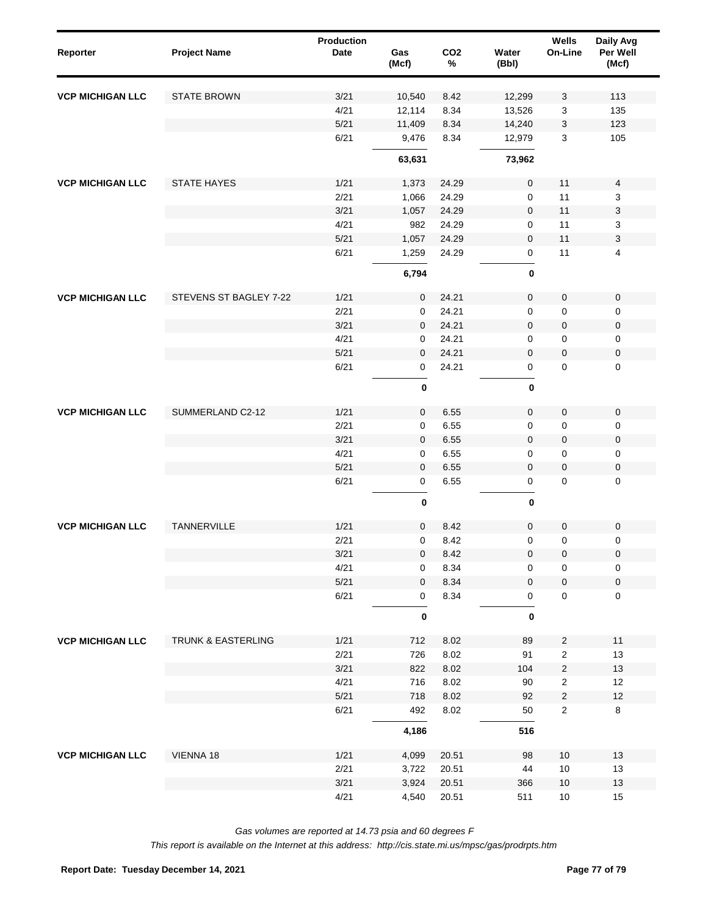| Reporter                | <b>Project Name</b>    | <b>Production</b><br>Date | Gas<br>(Mcf) | CO <sub>2</sub><br>$\%$ | Water<br>(Bbl) | Wells<br>On-Line | Daily Avg<br>Per Well<br>(Mcf) |
|-------------------------|------------------------|---------------------------|--------------|-------------------------|----------------|------------------|--------------------------------|
| <b>VCP MICHIGAN LLC</b> | <b>STATE BROWN</b>     | 3/21                      | 10,540       | 8.42                    | 12,299         | 3                | 113                            |
|                         |                        | 4/21                      | 12,114       | 8.34                    | 13,526         | 3                | 135                            |
|                         |                        | 5/21                      | 11,409       | 8.34                    | 14,240         | 3                | 123                            |
|                         |                        | 6/21                      | 9,476        | 8.34                    | 12,979         | 3                | 105                            |
|                         |                        |                           | 63,631       |                         | 73,962         |                  |                                |
| <b>VCP MICHIGAN LLC</b> | <b>STATE HAYES</b>     | 1/21                      | 1,373        | 24.29                   | 0              | 11               | 4                              |
|                         |                        | 2/21                      | 1,066        | 24.29                   | 0              | 11               | 3                              |
|                         |                        | 3/21                      | 1,057        | 24.29                   | 0              | 11               | 3                              |
|                         |                        | 4/21                      | 982          | 24.29                   | 0              | 11               | 3                              |
|                         |                        | 5/21                      | 1,057        | 24.29                   | 0              | 11               | 3                              |
|                         |                        | 6/21                      | 1,259        | 24.29                   | 0              | 11               | 4                              |
|                         |                        |                           | 6,794        |                         | 0              |                  |                                |
| <b>VCP MICHIGAN LLC</b> | STEVENS ST BAGLEY 7-22 | 1/21                      | $\mathbf 0$  | 24.21                   | 0              | 0                | $\mathbf 0$                    |
|                         |                        | 2/21                      | 0            | 24.21                   | 0              | 0                | 0                              |
|                         |                        | 3/21                      | $\mathbf 0$  | 24.21                   | $\mathbf 0$    | 0                | 0                              |
|                         |                        | 4/21                      | 0            | 24.21                   | 0              | 0                | 0                              |
|                         |                        | 5/21                      | $\mathbf{0}$ | 24.21                   | 0              | 0                | 0                              |
|                         |                        | 6/21                      | 0            | 24.21                   | 0              | 0                | 0                              |
|                         |                        |                           | $\pmb{0}$    |                         | 0              |                  |                                |
| <b>VCP MICHIGAN LLC</b> | SUMMERLAND C2-12       | 1/21                      | 0            | 6.55                    | 0              | $\pmb{0}$        | $\mathsf 0$                    |
|                         |                        | 2/21                      | $\mathbf 0$  | 6.55                    | 0              | 0                | 0                              |
|                         |                        | 3/21                      | 0            | 6.55                    | 0              | $\pmb{0}$        | 0                              |
|                         |                        | 4/21                      | $\mathbf 0$  | 6.55                    | 0              | 0                | 0                              |
|                         |                        | 5/21                      | $\mathbf 0$  | 6.55                    | 0              | $\pmb{0}$        | 0                              |
|                         |                        | 6/21                      | $\mathbf 0$  | 6.55                    | 0              | 0                | $\mathbf 0$                    |
|                         |                        |                           | $\pmb{0}$    |                         | 0              |                  |                                |
| <b>VCP MICHIGAN LLC</b> | TANNERVILLE            | 1/21                      | $\mathbf{0}$ | 8.42                    | $\mathbf 0$    | 0                | $\mathbf 0$                    |
|                         |                        | 2/21                      | 0            | 8.42                    | 0              | 0                | 0                              |
|                         |                        | 3/21                      | $\mathbf 0$  | 8.42                    | $\mathbf 0$    | $\mathbf 0$      | $\mathbf 0$                    |
|                         |                        | 4/21                      | 0            | 8.34                    | 0              | 0                | $\pmb{0}$                      |
|                         |                        | 5/21                      | $\mathbf 0$  | 8.34                    | $\pmb{0}$      | $\mathbf 0$      | $\mathbf 0$                    |
|                         |                        | 6/21                      | 0            | 8.34                    | 0              | $\mathbf 0$      | $\mathbf 0$                    |
|                         |                        |                           | $\pmb{0}$    |                         | 0              |                  |                                |
| <b>VCP MICHIGAN LLC</b> | TRUNK & EASTERLING     | 1/21                      | 712          | 8.02                    | 89             | $\sqrt{2}$       | $11$                           |
|                         |                        | 2/21                      | 726          | 8.02                    | 91             | $\sqrt{2}$       | 13                             |
|                         |                        | 3/21                      | 822          | 8.02                    | 104            | $\sqrt{2}$       | 13                             |
|                         |                        | 4/21                      | 716          | 8.02                    | 90             | $\sqrt{2}$       | $12$                           |
|                         |                        | 5/21                      | 718          | 8.02                    | 92             | $\sqrt{2}$       | 12                             |
|                         |                        | 6/21                      | 492          | 8.02                    | 50             | $\sqrt{2}$       | 8                              |
|                         |                        |                           | 4,186        |                         | 516            |                  |                                |
| <b>VCP MICHIGAN LLC</b> | VIENNA 18              | 1/21                      | 4,099        | 20.51                   | 98             | 10               | 13                             |
|                         |                        | 2/21                      | 3,722        | 20.51                   | 44             | $10$             | 13                             |
|                         |                        | 3/21                      | 3,924        | 20.51                   | 366            | $10$             | 13                             |
|                         |                        | 4/21                      | 4,540        | 20.51                   | 511            | $10$             | 15                             |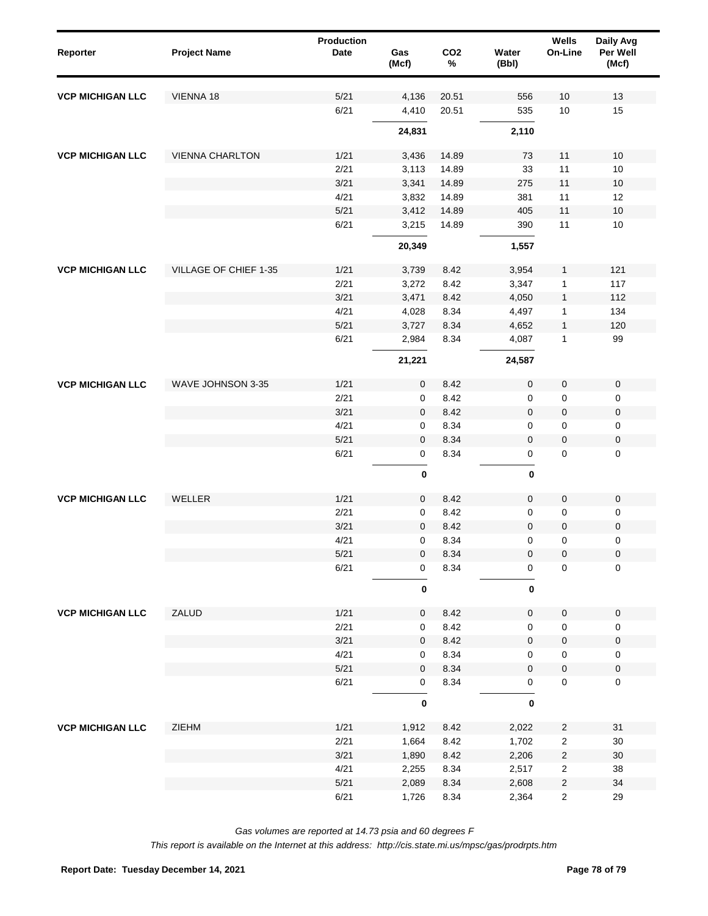| Reporter                | <b>Project Name</b>    | Production<br><b>Date</b> | Gas<br>(Mcf) | CO <sub>2</sub><br>$\%$ | Water<br>(Bbl)      | Wells<br>On-Line | Daily Avg<br>Per Well<br>(Mcf) |
|-------------------------|------------------------|---------------------------|--------------|-------------------------|---------------------|------------------|--------------------------------|
| <b>VCP MICHIGAN LLC</b> | VIENNA 18              | 5/21                      | 4,136        | 20.51                   | 556                 | 10               | 13                             |
|                         |                        | 6/21                      | 4,410        | 20.51                   | 535                 | $10$             | 15                             |
|                         |                        |                           | 24,831       |                         | 2,110               |                  |                                |
| <b>VCP MICHIGAN LLC</b> | <b>VIENNA CHARLTON</b> | 1/21                      | 3,436        | 14.89                   | 73                  | 11               | 10                             |
|                         |                        | 2/21                      | 3,113        | 14.89                   | 33                  | 11               | 10                             |
|                         |                        | 3/21                      | 3,341        | 14.89                   | 275                 | 11               | 10                             |
|                         |                        | 4/21                      | 3,832        | 14.89                   | 381                 | 11               | 12                             |
|                         |                        | 5/21                      | 3,412        | 14.89                   | 405                 | 11               | 10                             |
|                         |                        | 6/21                      | 3,215        | 14.89                   | 390                 | 11               | 10                             |
|                         |                        |                           | 20,349       |                         | 1,557               |                  |                                |
| <b>VCP MICHIGAN LLC</b> | VILLAGE OF CHIEF 1-35  | 1/21                      | 3,739        | 8.42                    | 3,954               | 1                | 121                            |
|                         |                        | 2/21                      | 3,272        | 8.42                    | 3,347               | $\mathbf{1}$     | 117                            |
|                         |                        | 3/21                      | 3,471        | 8.42                    | 4,050               | $\mathbf{1}$     | 112                            |
|                         |                        | 4/21                      | 4,028        | 8.34                    | 4,497               | $\mathbf{1}$     | 134                            |
|                         |                        | 5/21                      | 3,727        | 8.34                    | 4,652               | $\mathbf{1}$     | 120                            |
|                         |                        | 6/21                      | 2,984        | 8.34                    | 4,087               | $\mathbf{1}$     | 99                             |
|                         |                        |                           | 21,221       |                         | 24,587              |                  |                                |
| <b>VCP MICHIGAN LLC</b> | WAVE JOHNSON 3-35      | 1/21                      | $\mathbf 0$  | 8.42                    | $\mathbf 0$         | $\mathbf 0$      | $\pmb{0}$                      |
|                         |                        | 2/21                      | 0            | 8.42                    | 0                   | 0                | 0                              |
|                         |                        | 3/21                      | $\mathbf 0$  | 8.42                    | $\mathbf 0$         | $\pmb{0}$        | $\pmb{0}$                      |
|                         |                        | 4/21                      | 0            | 8.34                    | 0                   | 0                | 0                              |
|                         |                        | $5/21$                    | $\mathbf 0$  | 8.34                    | $\mathbf 0$         | $\pmb{0}$        | $\pmb{0}$                      |
|                         |                        | 6/21                      | 0            | 8.34                    | $\mathsf{O}\xspace$ | $\mathbf 0$      | 0                              |
|                         |                        |                           | $\pmb{0}$    |                         | 0                   |                  |                                |
| <b>VCP MICHIGAN LLC</b> | WELLER                 | 1/21                      | $\mathbf 0$  | 8.42                    | $\pmb{0}$           | $\pmb{0}$        | $\pmb{0}$                      |
|                         |                        | 2/21                      | 0            | 8.42                    | 0                   | 0                | 0                              |
|                         |                        | 3/21                      | $\mathbf 0$  | 8.42                    | $\mathbf 0$         | $\pmb{0}$        | $\pmb{0}$                      |
|                         |                        | 4/21                      | $\mathbf 0$  | 8.34                    | 0                   | 0                | 0                              |
|                         |                        | $5/21$                    | $\pmb{0}$    | 8.34                    | $\pmb{0}$           | $\pmb{0}$        | $\pmb{0}$                      |
|                         |                        | 6/21                      | $\pmb{0}$    | 8.34                    | 0                   | $\mathsf 0$      | $\pmb{0}$                      |
|                         |                        |                           | $\pmb{0}$    |                         | $\pmb{0}$           |                  |                                |
| <b>VCP MICHIGAN LLC</b> | ZALUD                  | 1/21                      | $\mathbf 0$  | 8.42                    | $\pmb{0}$           | $\pmb{0}$        | $\pmb{0}$                      |
|                         |                        | 2/21                      | 0            | 8.42                    | 0                   | $\pmb{0}$        | 0                              |
|                         |                        | 3/21                      | 0            | 8.42                    | $\mathbf 0$         | $\pmb{0}$        | $\pmb{0}$                      |
|                         |                        | 4/21                      | 0            | 8.34                    | 0                   | $\pmb{0}$        | 0                              |
|                         |                        | $5/21$                    | 0            | 8.34                    | $\mathbf 0$         | $\pmb{0}$        | $\pmb{0}$                      |
|                         |                        | 6/21                      | 0            | 8.34                    | 0                   | $\pmb{0}$        | 0                              |
|                         |                        |                           | $\pmb{0}$    |                         | $\pmb{0}$           |                  |                                |
| <b>VCP MICHIGAN LLC</b> | ZIEHM                  | 1/21                      | 1,912        | 8.42                    | 2,022               | $\sqrt{2}$       | 31                             |
|                         |                        | 2/21                      | 1,664        | 8.42                    | 1,702               | $\mathbf 2$      | 30                             |
|                         |                        | 3/21                      | 1,890        | 8.42                    | 2,206               | $\sqrt{2}$       | $30\,$                         |
|                         |                        | 4/21                      | 2,255        | 8.34                    | 2,517               | $\sqrt{2}$       | 38                             |
|                         |                        | 5/21                      | 2,089        | 8.34                    | 2,608               | $\sqrt{2}$       | 34                             |
|                         |                        | 6/21                      | 1,726        | 8.34                    | 2,364               | $\sqrt{2}$       | 29                             |